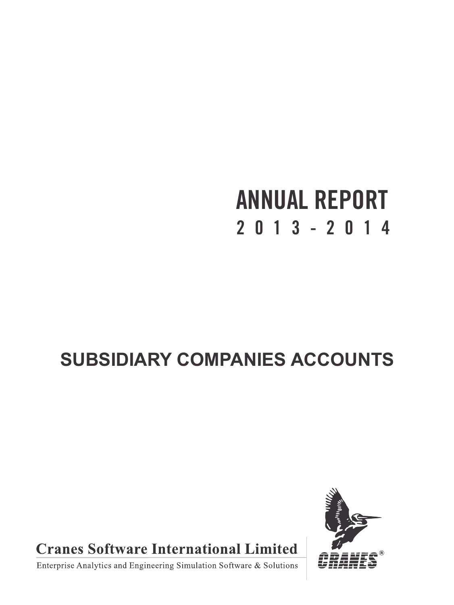# **ANNUAL REPORT 2 0 1 3 - 2 0 1 4**

## **SUBSIDIARY COMPANIES ACCOUNTS**



**Cranes Software International Limited** 

Enterprise Analytics and Engineering Simulation Software & Solutions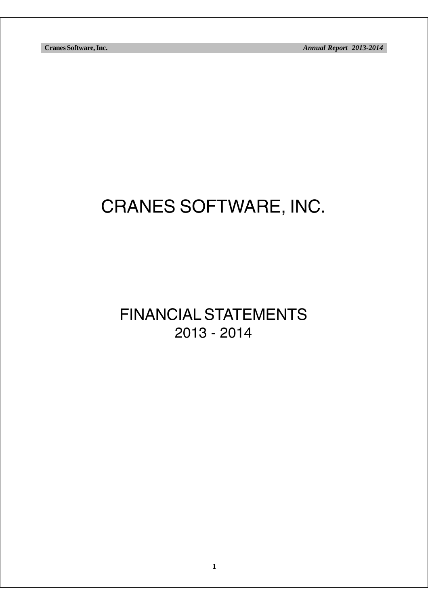*Annual Report 2013-2014*

## CRANES SOFTWARE, INC.

FINANCIAL STATEMENTS 2013 - 2014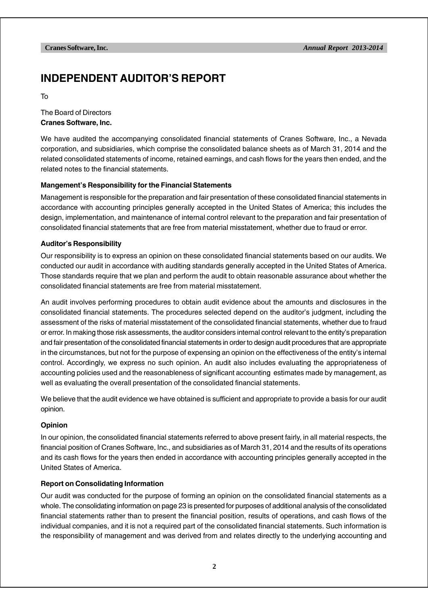## **INDEPENDENT AUDITOR'S REPORT**

To

The Board of Directors **Cranes Software, Inc.**

We have audited the accompanying consolidated financial statements of Cranes Software, Inc., a Nevada corporation, and subsidiaries, which comprise the consolidated balance sheets as of March 31, 2014 and the related consolidated statements of income, retained earnings, and cash flows for the years then ended, and the related notes to the financial statements.

#### **Mangement's Responsibility for the Financial Statements**

Management is responsible for the preparation and fair presentation of these consolidated financial statements in accordance with accounting principles generally accepted in the United States of America; this includes the design, implementation, and maintenance of internal control relevant to the preparation and fair presentation of consolidated financial statements that are free from material misstatement, whether due to fraud or error.

#### **Auditor's Responsibility**

Our responsibility is to express an opinion on these consolidated financial statements based on our audits. We conducted our audit in accordance with auditing standards generally accepted in the United States of America. Those standards require that we plan and perform the audit to obtain reasonable assurance about whether the consolidated financial statements are free from material misstatement.

An audit involves performing procedures to obtain audit evidence about the amounts and disclosures in the consolidated financial statements. The procedures selected depend on the auditor's judgment, including the assessment of the risks of material misstatement of the consolidated financial statements, whether due to fraud or error. In making those risk assessments, the auditor considers internal control relevant to the entity's preparation and fair presentation of the consolidated financial statements in order to design audit procedures that are appropriate in the circumstances, but not for the purpose of expensing an opinion on the effectiveness of the entity's internal control. Accordingly, we express no such opinion. An audit also includes evaluating the appropriateness of accounting policies used and the reasonableness of significant accounting estimates made by management, as well as evaluating the overall presentation of the consolidated financial statements.

We believe that the audit evidence we have obtained is sufficient and appropriate to provide a basis for our audit opinion.

#### **Opinion**

In our opinion, the consolidated financial statements referred to above present fairly, in all material respects, the financial position of Cranes Software, Inc., and subsidiaries as of March 31, 2014 and the results of its operations and its cash flows for the years then ended in accordance with accounting principles generally accepted in the United States of America.

#### **Report on Consolidating Information**

Our audit was conducted for the purpose of forming an opinion on the consolidated financial statements as a whole. The consolidating information on page 23 is presented for purposes of additional analysis of the consolidated financial statements rather than to present the financial position, results of operations, and cash flows of the individual companies, and it is not a required part of the consolidated financial statements. Such information is the responsibility of management and was derived from and relates directly to the underlying accounting and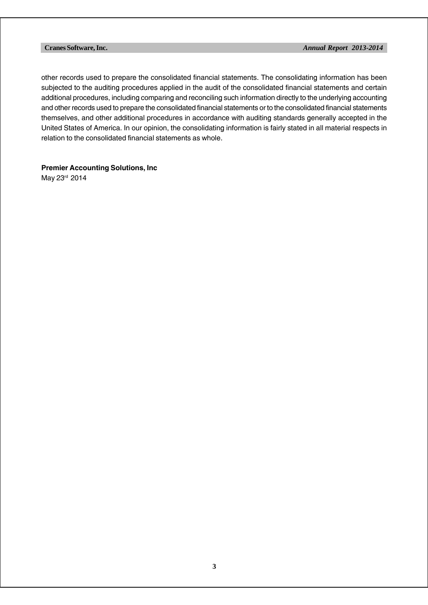other records used to prepare the consolidated financial statements. The consolidating information has been subjected to the auditing procedures applied in the audit of the consolidated financial statements and certain additional procedures, including comparing and reconciling such information directly to the underlying accounting and other records used to prepare the consolidated financial statements or to the consolidated financial statements themselves, and other additional procedures in accordance with auditing standards generally accepted in the United States of America. In our opinion, the consolidating information is fairly stated in all material respects in relation to the consolidated financial statements as whole.

**Premier Accounting Solutions, Inc**

May 23rd 2014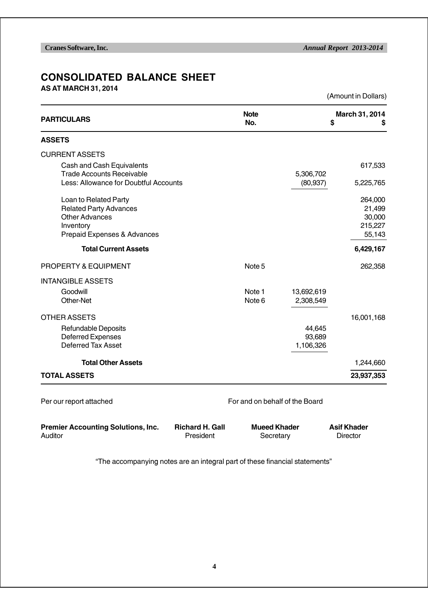*Annual Report 2013-2014*

## **CONSOLIDATED BALANCE SHEET**

**AS AT MARCH 31, 2014**

(Amount in Dollars)

| <b>PARTICULARS</b>                                                                                                          | <b>Note</b><br>No.             |            | March 31, 2014<br>\$<br>S                        |
|-----------------------------------------------------------------------------------------------------------------------------|--------------------------------|------------|--------------------------------------------------|
| <b>ASSETS</b>                                                                                                               |                                |            |                                                  |
| <b>CURRENT ASSETS</b>                                                                                                       |                                |            |                                                  |
| Cash and Cash Equivalents<br><b>Trade Accounts Receivable</b>                                                               |                                | 5,306,702  | 617,533                                          |
| Less: Allowance for Doubtful Accounts                                                                                       |                                | (80, 937)  | 5,225,765                                        |
| Loan to Related Party<br><b>Related Party Advances</b><br><b>Other Advances</b><br>Inventory<br>Prepaid Expenses & Advances |                                |            | 264,000<br>21,499<br>30,000<br>215,227<br>55,143 |
| <b>Total Current Assets</b>                                                                                                 |                                |            | 6,429,167                                        |
| <b>PROPERTY &amp; EQUIPMENT</b>                                                                                             | Note 5                         |            | 262,358                                          |
| <b>INTANGIBLE ASSETS</b>                                                                                                    |                                |            |                                                  |
| Goodwill                                                                                                                    | Note 1                         | 13,692,619 |                                                  |
| Other-Net                                                                                                                   | Note 6                         | 2,308,549  |                                                  |
| <b>OTHER ASSETS</b>                                                                                                         |                                |            | 16,001,168                                       |
| <b>Refundable Deposits</b>                                                                                                  |                                | 44,645     |                                                  |
| Deferred Expenses                                                                                                           |                                | 93,689     |                                                  |
| <b>Deferred Tax Asset</b>                                                                                                   |                                | 1,106,326  |                                                  |
| <b>Total Other Assets</b>                                                                                                   |                                |            | 1,244,660                                        |
| <b>TOTAL ASSETS</b>                                                                                                         |                                |            | 23,937,353                                       |
| Per our report attached                                                                                                     | For and on behalf of the Board |            |                                                  |
| <b>Richard H. Gall</b><br><b>Premier Accounting Solutions, Inc.</b>                                                         | <b>Mueed Khader</b>            |            | <b>Asif Khader</b>                               |

"The accompanying notes are an integral part of these financial statements"

Auditor President Secretary Director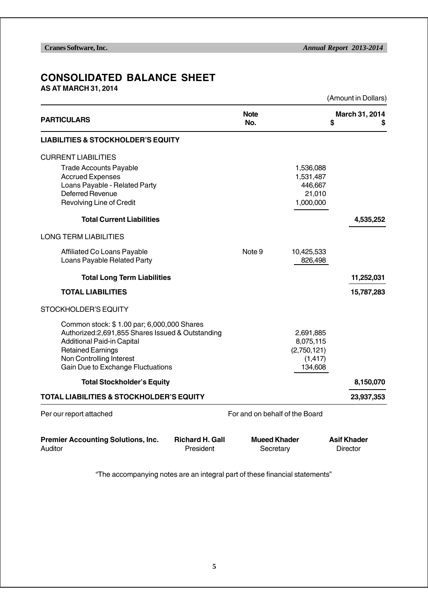*Annual Report 2013-2014*

## **CONSOLIDATED BALANCE SHEET**

**AS AT MARCH 31, 2014**

|                                                                                                                                                                                                                                   |                                     |                                  |                                                              | (Amount in Dollars)            |
|-----------------------------------------------------------------------------------------------------------------------------------------------------------------------------------------------------------------------------------|-------------------------------------|----------------------------------|--------------------------------------------------------------|--------------------------------|
| <b>PARTICULARS</b>                                                                                                                                                                                                                |                                     | <b>Note</b><br>No.               |                                                              | March 31, 2014<br>\$<br>S      |
| <b>LIABILITIES &amp; STOCKHOLDER'S EQUITY</b>                                                                                                                                                                                     |                                     |                                  |                                                              |                                |
| <b>CURRENT LIABILITIES</b>                                                                                                                                                                                                        |                                     |                                  |                                                              |                                |
| <b>Trade Accounts Payable</b><br><b>Accrued Expenses</b><br>Loans Payable - Related Party<br>Deferred Revenue                                                                                                                     |                                     |                                  | 1,536,088<br>1,531,487<br>446,667<br>21,010                  |                                |
| <b>Revolving Line of Credit</b>                                                                                                                                                                                                   |                                     |                                  | 1,000,000                                                    |                                |
| <b>Total Current Liabilities</b>                                                                                                                                                                                                  |                                     |                                  |                                                              | 4,535,252                      |
| <b>LONG TERM LIABILITIES</b>                                                                                                                                                                                                      |                                     |                                  |                                                              |                                |
| Affiliated Co Loans Payable<br>Loans Payable Related Party                                                                                                                                                                        |                                     | Note 9                           | 10,425,533<br>826,498                                        |                                |
| <b>Total Long Term Liabilities</b>                                                                                                                                                                                                |                                     |                                  |                                                              | 11,252,031                     |
| <b>TOTAL LIABILITIES</b>                                                                                                                                                                                                          |                                     |                                  |                                                              | 15,787,283                     |
| STOCKHOLDER'S EQUITY                                                                                                                                                                                                              |                                     |                                  |                                                              |                                |
| Common stock: \$1.00 par; 6,000,000 Shares<br>Authorized: 2,691,855 Shares Issued & Outstanding<br><b>Additional Paid-in Capital</b><br><b>Retained Earnings</b><br>Non Controlling Interest<br>Gain Due to Exchange Fluctuations |                                     |                                  | 2,691,885<br>8,075,115<br>(2,750,121)<br>(1, 417)<br>134,608 |                                |
| <b>Total Stockholder's Equity</b>                                                                                                                                                                                                 |                                     |                                  |                                                              | 8,150,070                      |
| TOTAL LIABILITIES & STOCKHOLDER'S EQUITY                                                                                                                                                                                          |                                     |                                  |                                                              | 23,937,353                     |
| Per our report attached                                                                                                                                                                                                           |                                     | For and on behalf of the Board   |                                                              |                                |
| <b>Premier Accounting Solutions, Inc.</b><br>Auditor                                                                                                                                                                              | <b>Richard H. Gall</b><br>President | <b>Mueed Khader</b><br>Secretary |                                                              | <b>Asif Khader</b><br>Director |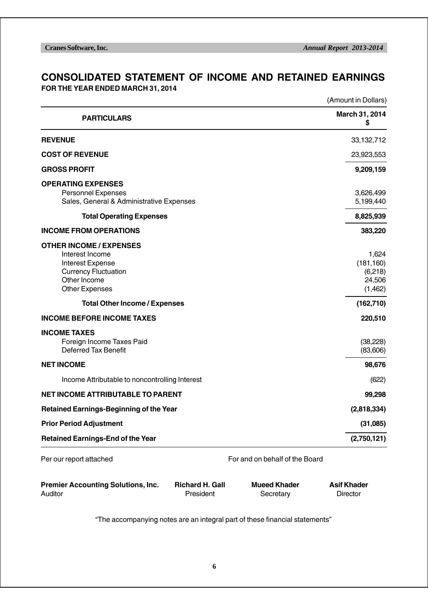### **CONSOLIDATED STATEMENT OF INCOME AND RETAINED EARNINGS FOR THE YEAR ENDED MARCH 31, 2014**

|                                                                                                                                               |                                | (Amount in Dollars)                                 |
|-----------------------------------------------------------------------------------------------------------------------------------------------|--------------------------------|-----------------------------------------------------|
| <b>PARTICULARS</b>                                                                                                                            |                                | March 31, 2014<br>\$                                |
| <b>REVENUE</b>                                                                                                                                |                                | 33, 132, 712                                        |
| <b>COST OF REVENUE</b>                                                                                                                        |                                | 23,923,553                                          |
| <b>GROSS PROFIT</b>                                                                                                                           |                                | 9,209,159                                           |
| <b>OPERATING EXPENSES</b><br><b>Personnel Expenses</b><br>Sales, General & Administrative Expenses                                            |                                | 3,626,499<br>5,199,440                              |
| <b>Total Operating Expenses</b>                                                                                                               |                                | 8,825,939                                           |
| <b>INCOME FROM OPERATIONS</b>                                                                                                                 |                                | 383,220                                             |
| <b>OTHER INCOME / EXPENSES</b><br>Interest Income<br>Interest Expense<br><b>Currency Fluctuation</b><br>Other Income<br><b>Other Expenses</b> |                                | 1,624<br>(181, 160)<br>(6,218)<br>24,506<br>(1,462) |
| <b>Total Other Income / Expenses</b>                                                                                                          |                                | (162, 710)                                          |
| <b>INCOME BEFORE INCOME TAXES</b>                                                                                                             |                                | 220,510                                             |
| <b>INCOME TAXES</b><br>Foreign Income Taxes Paid<br><b>Deferred Tax Benefit</b>                                                               |                                | (38, 228)<br>(83,606)                               |
| <b>NET INCOME</b>                                                                                                                             |                                | 98,676                                              |
| Income Attributable to noncontrolling Interest                                                                                                |                                | (622)                                               |
| NET INCOME ATTRIBUTABLE TO PARENT                                                                                                             |                                | 99,298                                              |
| <b>Retained Earnings-Beginning of the Year</b>                                                                                                |                                | (2,818,334)                                         |
| <b>Prior Period Adjustment</b>                                                                                                                |                                | (31,085)                                            |
| <b>Retained Earnings-End of the Year</b>                                                                                                      |                                | (2,750,121)                                         |
| Per our report attached                                                                                                                       | For and on behalf of the Board |                                                     |

| <b>Premier Accounting Solutions, Inc.</b> | <b>Richard H. Gall</b> | <b>Mueed Khader</b> | <b>Asif Khader</b> |
|-------------------------------------------|------------------------|---------------------|--------------------|
| Auditor                                   | President              | Secretary           | Director           |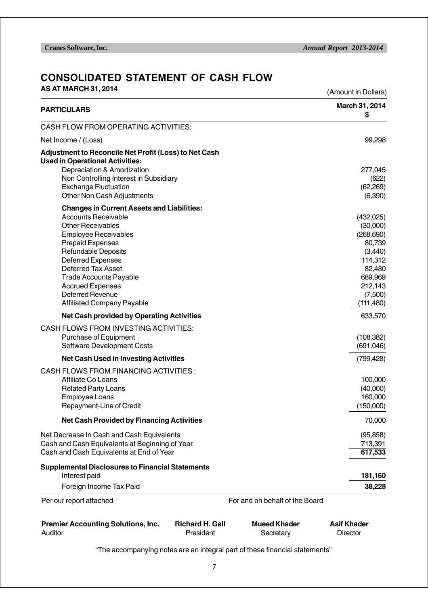#### **CONSOLIDATED STATEMENT OF CASH FLOW AS AT MARCH 31, 2014**

| <b>AS AT MARCH 31, 2014</b>                                                                     |                                     |                                  | (Amount in Dollars)            |
|-------------------------------------------------------------------------------------------------|-------------------------------------|----------------------------------|--------------------------------|
| <b>PARTICULARS</b>                                                                              |                                     |                                  | March 31, 2014<br>\$           |
| CASH FLOW FROM OPERATING ACTIVITIES:                                                            |                                     |                                  |                                |
| Net Income / (Loss)                                                                             |                                     |                                  | 99,298                         |
| Adjustment to Reconcile Net Profit (Loss) to Net Cash<br><b>Used in Operational Activities:</b> |                                     |                                  |                                |
| Depreciation & Amortization                                                                     |                                     |                                  | 277,045                        |
| Non Controlling Interest in Subsidiary<br><b>Exchange Fluctuation</b>                           |                                     |                                  | (622)<br>(62, 269)             |
| Other Non Cash Adjustments                                                                      |                                     |                                  | (6,390)                        |
| <b>Changes in Current Assets and Liabilities:</b>                                               |                                     |                                  |                                |
| <b>Accounts Receivable</b>                                                                      |                                     |                                  | (432, 025)                     |
| <b>Other Receivables</b>                                                                        |                                     |                                  | (30,000)                       |
| <b>Employee Receivables</b>                                                                     |                                     |                                  | (268, 690)                     |
| <b>Prepaid Expenses</b><br><b>Refundable Deposits</b>                                           |                                     |                                  | 80,739<br>(3, 440)             |
| <b>Deferred Expenses</b>                                                                        |                                     |                                  | 114,312                        |
| <b>Deferred Tax Asset</b>                                                                       |                                     |                                  | 82,480                         |
| <b>Trade Accounts Payable</b>                                                                   |                                     |                                  | 689,969                        |
| <b>Accrued Expenses</b>                                                                         |                                     |                                  | 212,143                        |
| Deferred Revenue                                                                                |                                     |                                  | (7,500)                        |
| <b>Affiliated Company Payable</b>                                                               |                                     |                                  | (111, 480)                     |
| <b>Net Cash provided by Operating Activities</b>                                                |                                     |                                  | 633,570                        |
| CASH FLOWS FROM INVESTING ACTIVITIES:                                                           |                                     |                                  |                                |
| Purchase of Equipment                                                                           |                                     |                                  | (108, 382)                     |
| Software Development Costs                                                                      |                                     |                                  | (691, 046)                     |
| <b>Net Cash Used in Investing Activities</b>                                                    |                                     |                                  | (799, 428)                     |
| <b>CASH FLOWS FROM FINANCING ACTIVITIES:</b>                                                    |                                     |                                  |                                |
| Affiliate Co Loans                                                                              |                                     |                                  | 100,000                        |
| <b>Related Party Loans</b><br>Employee Loans                                                    |                                     |                                  | (40,000)<br>160,000            |
| Repayment-Line of Credit                                                                        |                                     |                                  | (150,000)                      |
|                                                                                                 |                                     |                                  |                                |
| <b>Net Cash Provided by Financing Activities</b>                                                |                                     |                                  | 70,000                         |
| Net Decrease In Cash and Cash Equivalents                                                       |                                     |                                  | (95, 858)                      |
| Cash and Cash Equivalents at Beginning of Year                                                  |                                     |                                  | 713,391                        |
| Cash and Cash Equivalents at End of Year                                                        |                                     |                                  | 617,533                        |
| <b>Supplemental Disclosures to Financial Statements</b><br>Interest paid                        |                                     |                                  | 181,160                        |
| Foreign Income Tax Paid                                                                         |                                     |                                  | 38,228                         |
| Per our report attached                                                                         |                                     | For and on behalf of the Board   |                                |
|                                                                                                 |                                     |                                  |                                |
| <b>Premier Accounting Solutions, Inc.</b><br>Auditor                                            | <b>Richard H. Gall</b><br>President | <b>Mueed Khader</b><br>Secretary | <b>Asif Khader</b><br>Director |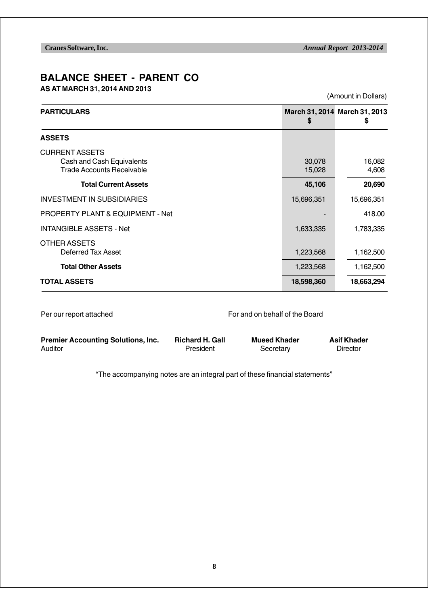### **BALANCE SHEET - PARENT CO**

**AS AT MARCH 31, 2014 AND 2013**

(Amount in Dollars)

| <b>PARTICULARS</b>                                                                     | \$               | March 31, 2014 March 31, 2013<br>\$ |
|----------------------------------------------------------------------------------------|------------------|-------------------------------------|
| <b>ASSETS</b>                                                                          |                  |                                     |
| <b>CURRENT ASSETS</b><br>Cash and Cash Equivalents<br><b>Trade Accounts Receivable</b> | 30,078<br>15,028 | 16,082<br>4,608                     |
| <b>Total Current Assets</b>                                                            | 45,106           | 20,690                              |
| <b>INVESTMENT IN SUBSIDIARIES</b>                                                      | 15,696,351       | 15,696,351                          |
| PROPERTY PLANT & EQUIPMENT - Net                                                       |                  | 418.00                              |
| <b>INTANGIBLE ASSETS - Net</b>                                                         | 1,633,335        | 1,783,335                           |
| OTHER ASSETS<br>Deferred Tax Asset                                                     | 1,223,568        | 1,162,500                           |
| <b>Total Other Assets</b>                                                              | 1,223,568        | 1,162,500                           |
| <b>TOTAL ASSETS</b>                                                                    | 18,598,360       | 18,663,294                          |

| Per our report attached                   |                        | For and on behalf of the Board |             |
|-------------------------------------------|------------------------|--------------------------------|-------------|
| <b>Premier Accounting Solutions, Inc.</b> | <b>Richard H. Gall</b> | <b>Mueed Khader</b>            | Asif Khader |
| Auditor                                   | President              | Secretary                      | Director    |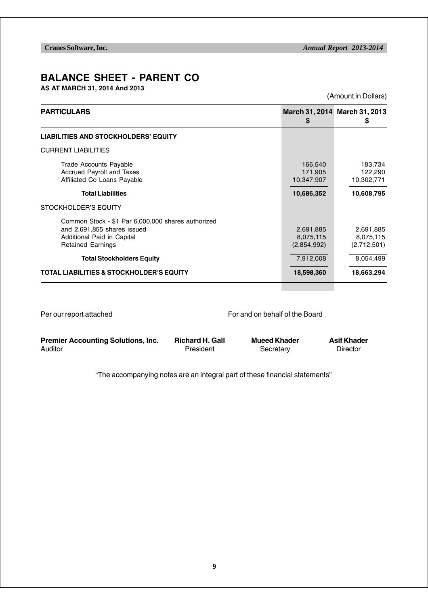### **BALANCE SHEET - PARENT CO**

**AS AT MARCH 31, 2014 And 2013**

(Amount in Dollars)

| <b>PARTICULARS</b>                                                                                                                          | S                                     | March 31, 2014 March 31, 2013<br>S    |
|---------------------------------------------------------------------------------------------------------------------------------------------|---------------------------------------|---------------------------------------|
| <b>LIABILITIES AND STOCKHOLDERS' EQUITY</b>                                                                                                 |                                       |                                       |
| <b>CURRENT LIABILITIES</b>                                                                                                                  |                                       |                                       |
| Trade Accounts Payable<br>Accrued Payroll and Taxes<br>Affiliated Co Loans Payable                                                          | 166,540<br>171,905<br>10,347,907      | 183,734<br>122,290<br>10,302,771      |
| <b>Total Liabilities</b>                                                                                                                    | 10,686,352                            | 10,608,795                            |
| STOCKHOLDER'S EQUITY                                                                                                                        |                                       |                                       |
| Common Stock - \$1 Par 6,000,000 shares authorized<br>and 2,691,855 shares issued<br>Additional Paid in Capital<br><b>Retained Earnings</b> | 2,691,885<br>8,075,115<br>(2,854,992) | 2,691,885<br>8,075,115<br>(2,712,501) |
| <b>Total Stockholders Equity</b>                                                                                                            | 7,912,008                             | 8,054,499                             |
| TOTAL LIABILITIES & STOCKHOLDER'S EQUITY                                                                                                    | 18,598,360                            | 18,663,294                            |

| Per our report attached                   |                        | For and on behalf of the Board |             |
|-------------------------------------------|------------------------|--------------------------------|-------------|
| <b>Premier Accounting Solutions, Inc.</b> | <b>Richard H. Gall</b> | <b>Mueed Khader</b>            | Asif Khader |
| Auditor                                   | President              | Secretary                      | Director    |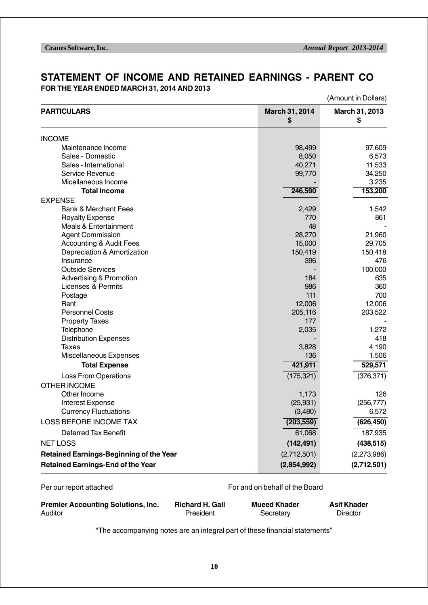|                                                |                      | (Amount in Dollars)  |
|------------------------------------------------|----------------------|----------------------|
| <b>PARTICULARS</b>                             | March 31, 2014<br>\$ | March 31, 2013<br>\$ |
| <b>INCOME</b>                                  |                      |                      |
| Maintenance Income                             | 98,499               | 97,609               |
| Sales - Domestic                               | 8,050                | 6,573                |
| Sales - International                          | 40,271               | 11,533               |
| Service Revenue                                | 99,770               | 34,250               |
| Micellaneous Income                            |                      | 3,235                |
| <b>Total Income</b>                            | 246,590              | 153,200              |
| <b>EXPENSE</b>                                 |                      |                      |
| <b>Bank &amp; Merchant Fees</b>                | 2,429                | 1,542                |
| <b>Royalty Expense</b>                         | 770                  | 861                  |
| Meals & Entertainment                          | 48                   |                      |
| <b>Agent Commission</b>                        | 28,270               | 21,960               |
| <b>Accounting &amp; Audit Fees</b>             | 15,000               | 29,705               |
| Depreciation & Amortization                    | 150,419              | 150,418              |
| Insurance                                      | 396                  | 476                  |
| <b>Outside Services</b>                        |                      | 100,000              |
| <b>Advertising &amp; Promotion</b>             | 184                  | 635                  |
| <b>Licenses &amp; Permits</b>                  | 986                  | 360                  |
| Postage                                        | 111                  | 700                  |
| Rent<br><b>Personnel Costs</b>                 | 12,006<br>205,116    | 12,006<br>203,522    |
| <b>Property Taxes</b>                          | 177                  |                      |
| Telephone                                      | 2,035                | 1,272                |
| <b>Distribution Expenses</b>                   |                      | 418                  |
| <b>Taxes</b>                                   | 3,828                | 4,190                |
| Miscellaneous Expenses                         | 136                  | 1,506                |
| <b>Total Expense</b>                           | 421,911              | 529,571              |
| <b>Loss From Operations</b>                    | (175, 321)           | (376, 371)           |
| OTHER INCOME                                   |                      |                      |
| Other Income                                   |                      | 126                  |
| <b>Interest Expense</b>                        | 1,173<br>(25, 931)   | (256, 777)           |
| <b>Currency Fluctuations</b>                   | (3,480)              | 6,572                |
|                                                |                      |                      |
| LOSS BEFORE INCOME TAX                         | (203, 559)           | (626, 450)           |
| <b>Deferred Tax Benefit</b>                    | 61,068               | 187,935              |
| <b>NET LOSS</b>                                | (142, 491)           | (438, 515)           |
| <b>Retained Earnings-Beginning of the Year</b> | (2,712,501)          | (2,273,986)          |
| <b>Retained Earnings-End of the Year</b>       | (2,854,992)          | (2,712,501)          |
|                                                |                      |                      |

#### **STATEMENT OF INCOME AND RETAINED EARNINGS - PARENT CO FOR THE YEAR ENDED MARCH 31, 2014 AND 2013**

| Per our report attached                   |                        | For and on behalf of the Board |                    |
|-------------------------------------------|------------------------|--------------------------------|--------------------|
| <b>Premier Accounting Solutions, Inc.</b> | <b>Richard H. Gall</b> | <b>Mueed Khader</b>            | <b>Asif Khader</b> |
| Auditor                                   | President              | Secretary                      | Director           |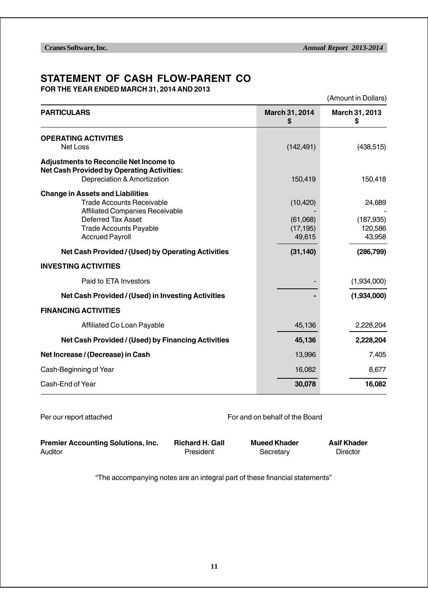### **STATEMENT OF CASH FLOW-PARENT CO**

**FOR THE YEAR ENDED MARCH 31, 2014 AND 2013**

|                                                                                                                                   |                                 | (Amount in Dollars)             |
|-----------------------------------------------------------------------------------------------------------------------------------|---------------------------------|---------------------------------|
| <b>PARTICULARS</b>                                                                                                                | March 31, 2014<br>S             | March 31, 2013<br>\$            |
| <b>OPERATING ACTIVITIES</b><br>Net Loss                                                                                           | (142, 491)                      | (438, 515)                      |
| <b>Adjustments to Reconcile Net Income to</b><br><b>Net Cash Provided by Operating Activities:</b><br>Depreciation & Amortization | 150,419                         | 150,418                         |
| <b>Change in Assets and Liabilities</b><br><b>Trade Accounts Receivable</b><br><b>Affiliated Companies Receivable</b>             | (10, 420)                       | 24,689                          |
| Deferred Tax Asset<br><b>Trade Accounts Payable</b><br><b>Accrued Payroll</b>                                                     | (61,068)<br>(17, 195)<br>49,615 | (187, 935)<br>120,586<br>43,958 |
| Net Cash Provided / (Used) by Operating Activities                                                                                | (31, 140)                       | (286, 799)                      |
| <b>INVESTING ACTIVITIES</b>                                                                                                       |                                 |                                 |
| Paid to ETA Investors                                                                                                             |                                 | (1,934,000)                     |
| Net Cash Provided / (Used) in Investing Activities                                                                                |                                 | (1,934,000)                     |
| <b>FINANCING ACTIVITIES</b>                                                                                                       |                                 |                                 |
| Affiliated Co Loan Payable                                                                                                        | 45,136                          | 2,228,204                       |
| Net Cash Provided / (Used) by Financing Activities                                                                                | 45,136                          | 2,228,204                       |
| Net Increase / (Decrease) in Cash                                                                                                 | 13,996                          | 7,405                           |
| Cash-Beginning of Year                                                                                                            | 16,082                          | 8,677                           |
| Cash-End of Year                                                                                                                  | 30,078                          | 16,082                          |

| Per our report attached                   | For and on behalf of the Board |                     |                    |
|-------------------------------------------|--------------------------------|---------------------|--------------------|
| <b>Premier Accounting Solutions, Inc.</b> | <b>Richard H. Gall</b>         | <b>Mueed Khader</b> | <b>Asif Khader</b> |
| Auditor                                   | President                      | Secretary           | Director           |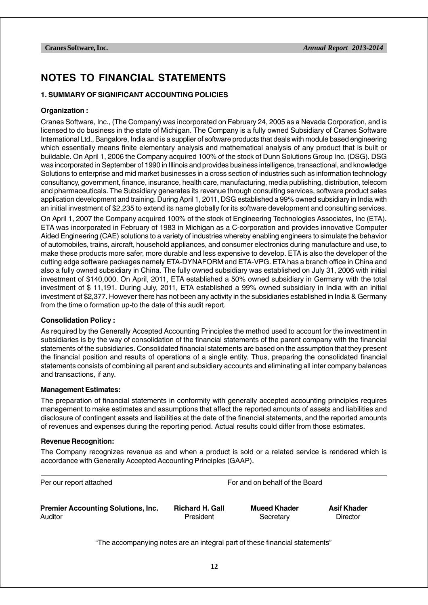### **NOTES TO FINANCIAL STATEMENTS**

#### **1. SUMMARY OF SIGNIFICANT ACCOUNTING POLICIES**

#### **Organization :**

Cranes Software, Inc., (The Company) was incorporated on February 24, 2005 as a Nevada Corporation, and is licensed to do business in the state of Michigan. The Company is a fully owned Subsidiary of Cranes Software International Ltd., Bangalore, India and is a supplier of software products that deals with module based engineering which essentially means finite elementary analysis and mathematical analysis of any product that is built or buildable. On April 1, 2006 the Company acquired 100% of the stock of Dunn Solutions Group Inc. (DSG). DSG was incorporated in September of 1990 in Illinois and provides business intelligence, transactional, and knowledge Solutions to enterprise and mid market businesses in a cross section of industries such as information technology consultancy, government, finance, insurance, health care, manufacturing, media publishing, distribution, telecom and pharmaceuticals. The Subsidiary generates its revenue through consulting services, software product sales application development and training. During April 1, 2011, DSG established a 99% owned subsidiary in India with an initial investment of \$2,235 to extend its name globally for its software development and consulting services.

On April 1, 2007 the Company acquired 100% of the stock of Engineering Technologies Associates, Inc (ETA). ETA was incorporated in February of 1983 in Michigan as a C-corporation and provides innovative Computer Aided Engineering (CAE) solutions to a variety of industries whereby enabling engineers to simulate the behavior of automobiles, trains, aircraft, household appliances, and consumer electronics during manufacture and use, to make these products more safer, more durable and less expensive to develop. ETA is also the developer of the cutting edge software packages namely ETA-DYNAFORM and ETA-VPG. ETA has a branch office in China and also a fully owned subsidiary in China. The fully owned subsidiary was established on July 31, 2006 with initial investment of \$140,000. On April, 2011, ETA established a 50% owned subsidiary in Germany with the total investment of \$ 11,191. During July, 2011, ETA established a 99% owned subsidiary in India with an initial investment of \$2,377. However there has not been any activity in the subsidiaries established in India & Germany from the time o formation up-to the date of this audit report.

#### **Consolidation Policy :**

As required by the Generally Accepted Accounting Principles the method used to account for the investment in subsidiaries is by the way of consolidation of the financial statements of the parent company with the financial statements of the subsidiaries. Consolidated financial statements are based on the assumption that they present the financial position and results of operations of a single entity. Thus, preparing the consolidated financial statements consists of combining all parent and subsidiary accounts and eliminating all inter company balances and transactions, if any.

#### **Management Estimates:**

The preparation of financial statements in conformity with generally accepted accounting principles requires management to make estimates and assumptions that affect the reported amounts of assets and liabilities and disclosure of contingent assets and liabilities at the date of the financial statements, and the reported amounts of revenues and expenses during the reporting period. Actual results could differ from those estimates.

#### **Revenue Recognition:**

The Company recognizes revenue as and when a product is sold or a related service is rendered which is accordance with Generally Accepted Accounting Principles (GAAP).

| Per our report attached                   |                        | For and on behalf of the Board |                 |
|-------------------------------------------|------------------------|--------------------------------|-----------------|
| <b>Premier Accounting Solutions, Inc.</b> | <b>Richard H. Gall</b> | <b>Mueed Khader</b>            | Asif Khader     |
| Auditor                                   | President              | Secretary                      | <b>Director</b> |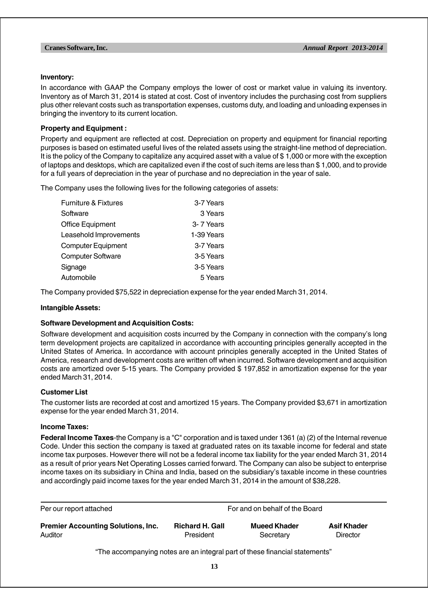#### **Inventory:**

In accordance with GAAP the Company employs the lower of cost or market value in valuing its inventory. Inventory as of March 31, 2014 is stated at cost. Cost of inventory includes the purchasing cost from suppliers plus other relevant costs such as transportation expenses, customs duty, and loading and unloading expenses in bringing the inventory to its current location.

#### **Property and Equipment :**

Property and equipment are reflected at cost. Depreciation on property and equipment for financial reporting purposes is based on estimated useful lives of the related assets using the straight-line method of depreciation. It is the policy of the Company to capitalize any acquired asset with a value of \$ 1,000 or more with the exception of laptops and desktops, which are capitalized even if the cost of such items are less than \$ 1,000, and to provide for a full years of depreciation in the year of purchase and no depreciation in the year of sale.

The Company uses the following lives for the following categories of assets:

| <b>Furniture &amp; Fixtures</b> | 3-7 Years  |
|---------------------------------|------------|
| Software                        | 3 Years    |
| <b>Office Equipment</b>         | 3-7 Years  |
| Leasehold Improvements          | 1-39 Years |
| <b>Computer Equipment</b>       | 3-7 Years  |
| <b>Computer Software</b>        | 3-5 Years  |
| Signage                         | 3-5 Years  |
| Automobile                      | 5 Years    |

The Company provided \$75,522 in depreciation expense for the year ended March 31, 2014.

#### **Intangible Assets:**

#### **Software Development and Acquisition Costs:**

Software development and acquisition costs incurred by the Company in connection with the company's long term development projects are capitalized in accordance with accounting principles generally accepted in the United States of America. In accordance with account principles generally accepted in the United States of America, research and development costs are written off when incurred. Software development and acquisition costs are amortized over 5-15 years. The Company provided \$ 197,852 in amortization expense for the year ended March 31, 2014.

#### **Customer List**

The customer lists are recorded at cost and amortized 15 years. The Company provided \$3,671 in amortization expense for the year ended March 31, 2014.

#### **Income Taxes:**

**Federal Income Taxes**-the Company is a "C" corporation and is taxed under 1361 (a) (2) of the Internal revenue Code. Under this section the company is taxed at graduated rates on its taxable income for federal and state income tax purposes. However there will not be a federal income tax liability for the year ended March 31, 2014 as a result of prior years Net Operating Losses carried forward. The Company can also be subject to enterprise income taxes on its subsidiary in China and India, based on the subsidiary's taxable income in these countries and accordingly paid income taxes for the year ended March 31, 2014 in the amount of \$38,228.

Per our report attached For and on behalf of the Board **Premier Accounting Solutions, Inc.** Richard H. Gall Mueed Khader **Asif Khader** Auditor **Assement** Auditor **Assement** Bresident Secretary **Director** Auditor President Secretary Director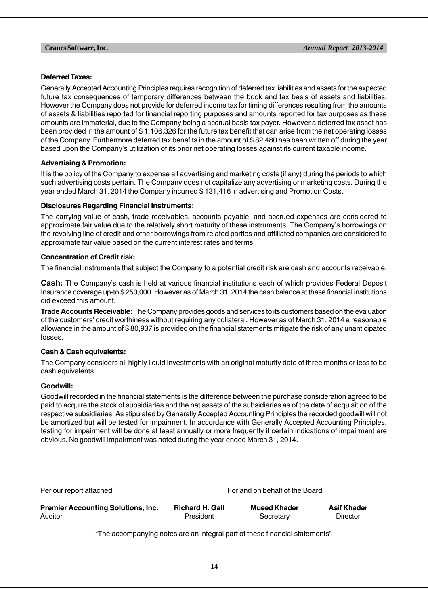#### **Deferred Taxes:**

Generally Accepted Accounting Principles requires recognition of deferred tax liabilities and assets for the expected future tax consequences of temporary differences between the book and tax basis of assets and liabilities. However the Company does not provide for deferred income tax for timing differences resulting from the amounts of assets & liabilities reported for financial reporting purposes and amounts reported for tax purposes as these amounts are immaterial, due to the Company being a accrual basis tax payer. However a deferred tax asset has been provided in the amount of \$ 1,106,326 for the future tax benefit that can arise from the net operating losses of the Company. Furthermore deferred tax benefits in the amount of \$ 82,480 has been written off during the year based upon the Company's utilization of its prior net operating losses against its current taxable income.

#### **Advertising & Promotion:**

It is the policy of the Company to expense all advertising and marketing costs (if any) during the periods to which such advertising costs pertain. The Company does not capitalize any advertising or marketing costs. During the year ended March 31, 2014 the Company incurred \$ 131,416 in advertising and Promotion Costs.

#### **Disclosures Regarding Financial Instruments:**

The carrying value of cash, trade receivables, accounts payable, and accrued expenses are considered to approximate fair value due to the relatively short maturity of these instruments. The Company's borrowings on the revolving line of credit and other borrowings from related parties and affiliated companies are considered to approximate fair value based on the current interest rates and terms.

#### **Concentration of Credit risk:**

The financial instruments that subject the Company to a potential credit risk are cash and accounts receivable.

**Cash:** The Company's cash is held at various financial institutions each of which provides Federal Deposit Insurance coverage up-to \$ 250,000. However as of March 31, 2014 the cash balance at these financial institutions did exceed this amount.

**Trade Accounts Receivable:** The Company provides goods and services to its customers based on the evaluation of the customers' credit worthiness without requiring any collateral. However as of March 31, 2014 a reasonable allowance in the amount of \$ 80,937 is provided on the financial statements mitigate the risk of any unanticipated losses.

#### **Cash & Cash equivalents:**

The Company considers all highly liquid investments with an original maturity date of three months or less to be cash equivalents.

#### **Goodwill:**

Goodwill recorded in the financial statements is the difference between the purchase consideration agreed to be paid to acquire the stock of subsidiaries and the net assets of the subsidiaries as of the date of acquisition of the respective subsidiaries. As stipulated by Generally Accepted Accounting Principles the recorded goodwill will not be amortized but will be tested for impairment. In accordance with Generally Accepted Accounting Principles, testing for impairment will be done at least annually or more frequently if certain indications of impairment are obvious. No goodwill impairment was noted during the year ended March 31, 2014.

| Per our report attached                   |                        | For and on behalf of the Board |                    |
|-------------------------------------------|------------------------|--------------------------------|--------------------|
| <b>Premier Accounting Solutions, Inc.</b> | <b>Richard H. Gall</b> | <b>Mueed Khader</b>            | <b>Asif Khader</b> |
| Auditor                                   | President              | Secretary                      | Director           |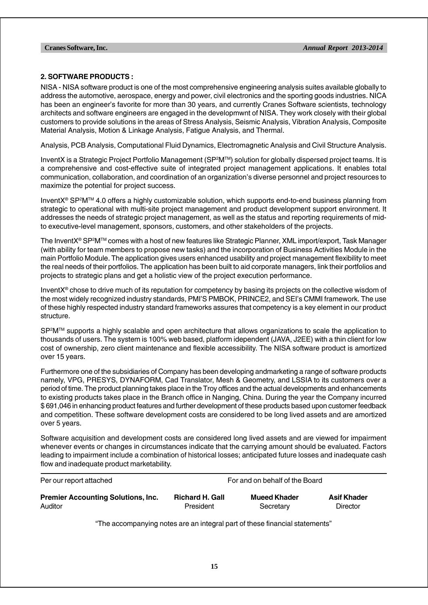#### **2. SOFTWARE PRODUCTS :**

NISA - NISA software product is one of the most comprehensive engineering analysis suites available globally to address the automotive, aerospace, energy and power, civil electronics and the sporting goods industries. NICA has been an engineer's favorite for more than 30 years, and currently Cranes Software scientists, technology architects and software engineers are engaged in the developmwnt of NISA. They work closely with their global customers to provide solutions in the areas of Stress Analysis, Seismic Analysis, Vibration Analysis, Composite Material Analysis, Motion & Linkage Analysis, Fatigue Analysis, and Thermal.

Analysis, PCB Analysis, Computational Fluid Dynamics, Electromagnetic Analysis and Civil Structure Analysis.

InventX is a Strategic Project Portfolio Management (SP<del>?</del>M™) solution for globally dispersed project teams. It is a comprehensive and cost-effective suite of integrated project management applications. It enables total communication, collaboration, and coordination of an organization's diverse personnel and project resources to maximize the potential for project success.

InventX® SP2MTM 4.0 offers a highly customizable solution, which supports end-to-end business planning from strategic to operational with multi-site project management and product development support environment. It addresses the needs of strategic project management, as well as the status and reporting requirements of midto executive-level management, sponsors, customers, and other stakeholders of the projects.

The InventX® SP2 MTM comes with a host of new features like Strategic Planner, XML import/export, Task Manager (with ability for team members to propose new tasks) and the incorporation of Business Activities Module in the main Portfolio Module. The application gives users enhanced usability and project management flexibility to meet the real needs of their portfolios. The application has been built to aid corporate managers, link their portfolios and projects to strategic plans and get a holistic view of the project execution performance.

InventX® chose to drive much of its reputation for competency by basing its projects on the collective wisdom of the most widely recognized industry standards, PMI'S PMBOK, PRINCE2, and SEI's CMMI framework. The use of these highly respected industry standard frameworks assures that competency is a key element in our product structure.

SP<sup>2</sup>M™ supports a highly scalable and open architecture that allows organizations to scale the application to thousands of users. The system is 100% web based, platform idependent (JAVA, J2EE) with a thin client for low cost of ownership, zero client maintenance and flexible accessibility. The NISA software product is amortized over 15 years.

Furthermore one of the subsidiaries of Company has been developing andmarketing a range of software products namely, VPG, PRESYS, DYNAFORM, Cad Translator, Mesh & Geometry, and LSSIA to its customers over a period of time. The product planning takes place in the Troy offices and the actual developments and enhancements to existing products takes place in the Branch office in Nanging, China. During the year the Company incurred \$ 691,046 in enhancing product features and further development of these products based upon customer feedback and competition. These software development costs are considered to be long lived assets and are amortized over 5 years.

Software acquisition and development costs are considered long lived assets and are viewed for impairment whenever events or changes in circumstances indicate that the carrying amount should be evaluated. Factors leading to impairment include a combination of historical losses; anticipated future losses and inadequate cash flow and inadequate product marketability.

Per our report attached For and on behalf of the Board

| <b>Premier Accounting Solutions, Inc.</b> | <b>Richard H. Gall</b> | <b>Mueed Khader</b> | <b>Asif Khader</b> |
|-------------------------------------------|------------------------|---------------------|--------------------|
| Auditor                                   | President              | Secretary           | Director           |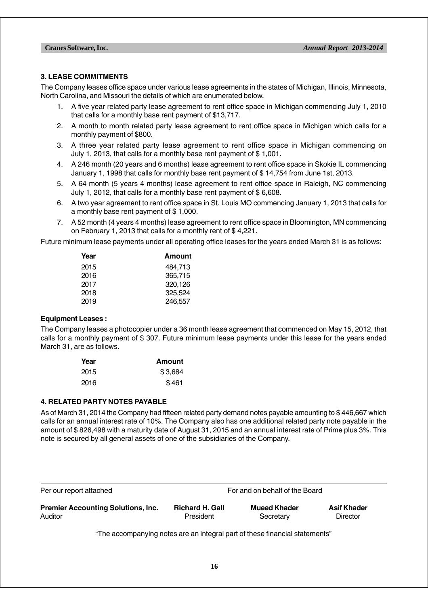#### **3. LEASE COMMITMENTS**

The Company leases office space under various lease agreements in the states of Michigan, Illinois, Minnesota, North Carolina, and Missouri the details of which are enumerated below.

- 1. A five year related party lease agreement to rent office space in Michigan commencing July 1, 2010 that calls for a monthly base rent payment of \$13,717.
- 2. A month to month related party lease agreement to rent office space in Michigan which calls for a monthly payment of \$800.
- 3. A three year related party lease agreement to rent office space in Michigan commencing on July 1, 2013, that calls for a monthly base rent payment of \$ 1,001.
- 4. A 246 month (20 years and 6 months) lease agreement to rent office space in Skokie IL commencing January 1, 1998 that calls for monthly base rent payment of \$ 14,754 from June 1st, 2013.
- 5. A 64 month (5 years 4 months) lease agreement to rent office space in Raleigh, NC commencing July 1, 2012, that calls for a monthly base rent payment of \$ 6,608.
- 6. A two year agreement to rent office space in St. Louis MO commencing January 1, 2013 that calls for a monthly base rent payment of \$ 1,000.
- 7. A 52 month (4 years 4 months) lease agreement to rent office space in Bloomington, MN commencing on February 1, 2013 that calls for a monthly rent of \$ 4,221.

Future minimum lease payments under all operating office leases for the years ended March 31 is as follows:

| Year | Amount  |
|------|---------|
| 2015 | 484.713 |
| 2016 | 365,715 |
| 2017 | 320,126 |
| 2018 | 325.524 |
| 2019 | 246.557 |

#### **Equipment Leases :**

The Company leases a photocopier under a 36 month lease agreement that commenced on May 15, 2012, that calls for a monthly payment of \$ 307. Future minimum lease payments under this lease for the years ended March 31, are as follows.

| Year | Amount  |
|------|---------|
| 2015 | \$3,684 |
| 2016 | \$461   |

#### **4. RELATED PARTY NOTES PAYABLE**

As of March 31, 2014 the Company had fifteen related party demand notes payable amounting to \$ 446,667 which calls for an annual interest rate of 10%. The Company also has one additional related party note payable in the amount of \$ 826,498 with a maturity date of August 31, 2015 and an annual interest rate of Prime plus 3%. This note is secured by all general assets of one of the subsidiaries of the Company.

| Per our report attached                   |                        | For and on behalf of the Board |                    |
|-------------------------------------------|------------------------|--------------------------------|--------------------|
| <b>Premier Accounting Solutions, Inc.</b> | <b>Richard H. Gall</b> | <b>Mueed Khader</b>            | <b>Asif Khader</b> |
| Auditor                                   | President              | Secretary                      | Director           |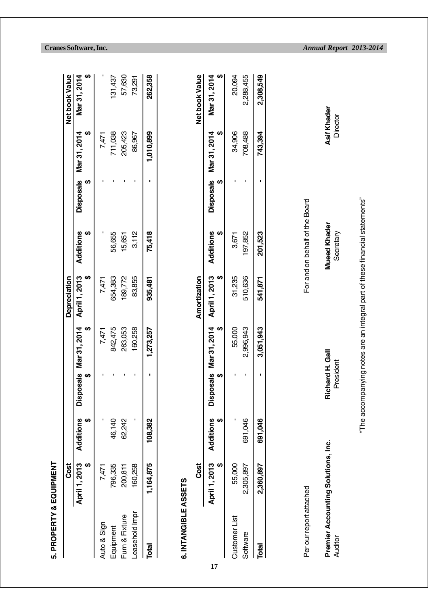|                         | 5. PROPERTY & EQUIPMENT<br>Cost    |                 |                              |                    | Depreciation               |                                  |                               |                    | Net book Value                         |
|-------------------------|------------------------------------|-----------------|------------------------------|--------------------|----------------------------|----------------------------------|-------------------------------|--------------------|----------------------------------------|
|                         | April 1, 2013<br>H)                | ↮<br>Additions  | posals<br>မာ<br>isid         | မာ<br>Mar 31, 2014 | April 1, 2013<br>မာ        | မာ<br>Additions                  | <b>Disposals</b><br>မာ        | မာ<br>Mar 31, 2014 | ↮<br>Mar 31, 2014                      |
| Auto & Sign             | 7,471                              |                 |                              | 7,471              | 7,471                      |                                  |                               | 7,471              |                                        |
| Equipment               | 796,335                            | 46,140          |                              | 842,475            | 654,383                    | 56,655                           |                               | 711,038            | 131,437                                |
| Furn & Fixture          | 200,811                            | 62,242          |                              | 263,053            | 189,772                    | 15,651                           |                               | 205,423            | 57,630                                 |
| Leasehold Impr          | 160,258                            |                 |                              | 160,258            | 83,855                     | 3,112                            |                               | 86,967             | 73,291                                 |
| <b>Total</b>            | 1,164,875                          | 108,382         |                              | 1,273,257          | 935,481                    | 75,418                           |                               | 1,010,899          | 262,358                                |
| 6. INTANGIBLE ASSETS    |                                    |                 |                              |                    |                            |                                  |                               |                    |                                        |
|                         | Cost                               |                 |                              |                    | Amortization               |                                  |                               |                    | Net book Value                         |
| 17                      | April 1, 2013<br>မာ                | Additions<br>မာ | posals<br>မာ<br>isid         | Mar 31, 2014<br>G  | <b>SA</b><br>April 1, 2013 | Additions<br>e,                  | <b>Disposals</b><br><b>SA</b> | မာ<br>Mar 31, 2014 | $\boldsymbol{\varphi}$<br>Mar 31, 2014 |
| Customer List           | 55,000                             |                 |                              | 55,000             | 31,235                     | 3,671                            |                               | 34,906             | 20,094                                 |
| Software                | 2,305,897                          | 691,046         |                              | 2,996,943          | 510,636                    | 197,852                          |                               | 708,488            | 2,288,455                              |
| Total                   | 2,360,897                          | 691,046         |                              | 3,051,943          | 541,871                    | 201,523                          |                               | 743,394            | 2,308,549                              |
| Per our report attached |                                    |                 |                              |                    |                            | For and on behalf of the Board   |                               |                    |                                        |
| <b>Auditor</b>          | Premier Accounting Solutions, Inc. |                 | Richard H. Gall<br>President |                    |                            | <b>Mueed Khader</b><br>Secretary |                               |                    | <b>Asif Khader</b><br>Director         |
|                         |                                    |                 |                              |                    |                            |                                  |                               |                    |                                        |

"The accompanying notes are an integral part of these financial statements"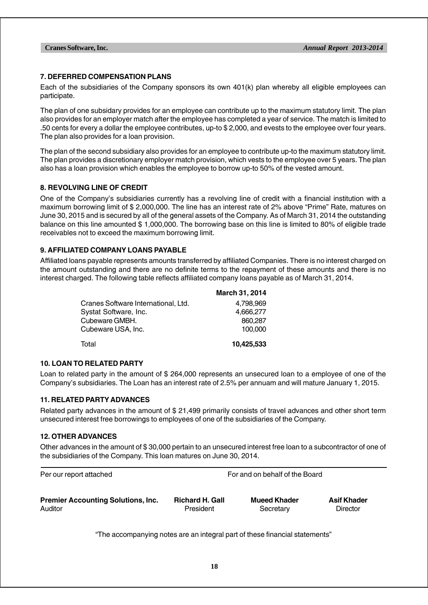#### **7. DEFERRED COMPENSATION PLANS**

Each of the subsidiaries of the Company sponsors its own 401(k) plan whereby all eligible employees can participate.

The plan of one subsidary provides for an employee can contribute up to the maximum statutory limit. The plan also provides for an employer match after the employee has completed a year of service. The match is limited to .50 cents for every a dollar the employee contributes, up-to \$ 2,000, and evests to the employee over four years. The plan also provides for a loan provision.

The plan of the second subsidiary also provides for an employee to contribute up-to the maximum statutory limit. The plan provides a discretionary employer match provision, which vests to the employee over 5 years. The plan also has a loan provision which enables the employee to borrow up-to 50% of the vested amount.

#### **8. REVOLVING LINE OF CREDIT**

One of the Company's subsidiaries currently has a revolving line of credit with a financial institution with a maximum borrowing limit of \$ 2,000,000. The line has an interest rate of 2% above "Prime" Rate, matures on June 30, 2015 and is secured by all of the general assets of the Company. As of March 31, 2014 the outstanding balance on this line amounted \$ 1,000,000. The borrowing base on this line is limited to 80% of eligible trade receivables not to exceed the maximum borrowing limit.

#### **9. AFFILIATED COMPANY LOANS PAYABLE**

Affiliated loans payable represents amounts transferred by affiliated Companies. There is no interest charged on the amount outstanding and there are no definite terms to the repayment of these amounts and there is no interest charged. The following table reflects affiliated company loans payable as of March 31, 2014.

|                                     | March 31, 2014 |
|-------------------------------------|----------------|
| Cranes Software International, Ltd. | 4.798.969      |
| Systat Software, Inc.               | 4.666.277      |
| Cubeware GMBH.                      | 860.287        |
| Cubeware USA, Inc.                  | 100,000        |
| Total                               | 10,425,533     |

#### **10. LOAN TO RELATED PARTY**

Loan to related party in the amount of \$ 264,000 represents an unsecured loan to a employee of one of the Company's subsidiaries. The Loan has an interest rate of 2.5% per annuam and will mature January 1, 2015.

#### **11. RELATED PARTY ADVANCES**

Related party advances in the amount of \$ 21,499 primarily consists of travel advances and other short term unsecured interest free borrowings to employees of one of the subsidiaries of the Company.

#### **12. OTHER ADVANCES**

Other advances in the amount of \$ 30,000 pertain to an unsecured interest free loan to a subcontractor of one of the subsidiaries of the Company. This loan matures on June 30, 2014.

| Per our report attached                   | For and on behalf of the Board |                     |                    |
|-------------------------------------------|--------------------------------|---------------------|--------------------|
| <b>Premier Accounting Solutions, Inc.</b> | <b>Richard H. Gall</b>         | <b>Mueed Khader</b> | <b>Asif Khader</b> |
| Auditor                                   | President                      | Secretary           | Director           |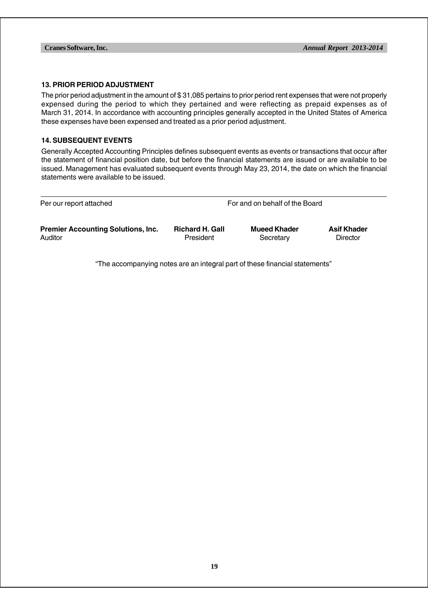#### **13. PRIOR PERIOD ADJUSTMENT**

The prior period adjustment in the amount of \$ 31,085 pertains to prior period rent expenses that were not properly expensed during the period to which they pertained and were reflecting as prepaid expenses as of March 31, 2014. In accordance with accounting principles generally accepted in the United States of America these expenses have been expensed and treated as a prior period adjustment.

#### **14. SUBSEQUENT EVENTS**

Generally Accepted Accounting Principles defines subsequent events as events or transactions that occur after the statement of financial position date, but before the financial statements are issued or are available to be issued. Management has evaluated subsequent events through May 23, 2014, the date on which the financial statements were available to be issued.

| Per our report attached                   |                        | For and on behalf of the Board |             |
|-------------------------------------------|------------------------|--------------------------------|-------------|
| <b>Premier Accounting Solutions, Inc.</b> | <b>Richard H. Gall</b> | Mueed Khader                   | Asif Khader |
| Auditor                                   | President              | Secretary                      | Director    |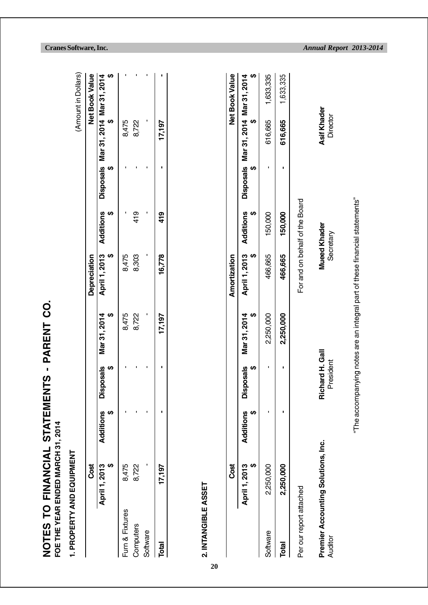|                        | FOE THE YEAR ENDED MARCH 31, 2014  |                 |                               |                    |                     |                                |    |                                           |                     |
|------------------------|------------------------------------|-----------------|-------------------------------|--------------------|---------------------|--------------------------------|----|-------------------------------------------|---------------------|
|                        | 1. PROPERTY AND EQUIPMENT          |                 |                               |                    |                     |                                |    |                                           | (Amount in Dollars) |
|                        | Cost                               |                 |                               |                    | Depreciation        |                                |    |                                           | Net Book Value      |
|                        | မာ<br>April 1, 2013                | ↮<br>Additions  | မာ<br><b>Disposals</b>        | မာ<br>Mar 31, 2014 | ↔<br>April 1, 2013  | Additions<br>မာ                | မာ | Disposals Mar 31, 2014 Mar 31, 2014<br>မာ | ↮                   |
| Furn & Fixtures        | 8,475                              |                 |                               | 8,475              | 8,475               |                                |    | 8,475                                     |                     |
| Computers              | 8,722                              |                 |                               | 8,722              | 8,303               | 419                            |    | 8,722                                     |                     |
| Software               |                                    |                 |                               |                    |                     |                                |    |                                           |                     |
| Total                  | 17,197                             |                 | ٠                             | 17,197             | 16,778              | 419                            | ı  | 17,197                                    |                     |
|                        | Cost                               |                 |                               |                    | Amortization        |                                |    |                                           | Net Book Value      |
|                        | မာ<br>April 1, 2013                | မာ<br>Additions | <b>Disposals</b><br><b>SA</b> | မာ<br>Mar 31, 2014 | April 1, 2013<br>\$ | Additions<br>မာ                | မာ | Disposals Mar 31, 2014 Mar 31, 2014<br>မာ | ↮                   |
| Software               | 2,250,000                          | f,              | f,                            | 2,250,000          | 466,665             | 150,000                        | f, | 616,665                                   | 1,633,335           |
| <b>Total</b>           | 2,250,000                          |                 |                               | 2,250,000          | 466,665             | 150,000                        | п  | 616,665                                   | 1,633,335           |
| Perour report attached |                                    |                 |                               |                    |                     | For and on behalf of the Board |    |                                           |                     |
| Auditor                | Premier Accounting Solutions, Inc. |                 | Richard H. Gall<br>President  |                    |                     | Mueed Khader<br>Secretary      |    | <b>Asif Khader</b><br>Director            |                     |
|                        |                                    |                 |                               |                    |                     |                                |    |                                           |                     |

**NOTES TO FINANCIAL STATEMENTS - PARENT CO.**

NOTES TO FINANCIAL STATEMENTS - PARENT CO.

"The accompanying notes are an integral part of these financial statements"

"The accompanying notes are an integral part of these financial statements"

**20**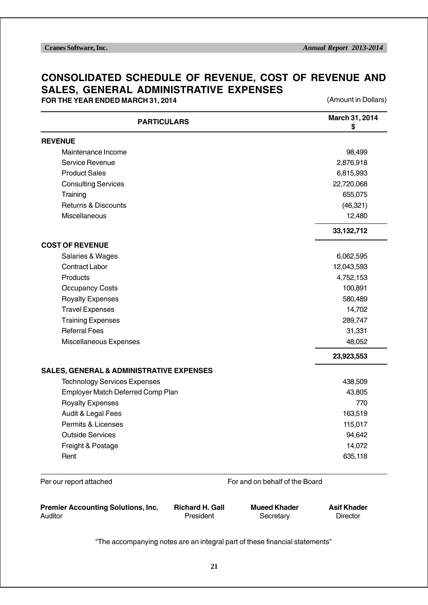## **CONSOLIDATED SCHEDULE OF REVENUE, COST OF REVENUE AND SALES, GENERAL ADMINISTRATIVE EXPENSES**

**FOR THE YEAR ENDED MARCH 31, 2014**

(Amount in Dollars)

| <b>PARTICULARS</b>                                   |                                     |                                  | March 31, 2014<br>\$           |
|------------------------------------------------------|-------------------------------------|----------------------------------|--------------------------------|
| <b>REVENUE</b>                                       |                                     |                                  |                                |
| Maintenance Income                                   |                                     |                                  | 98,499                         |
| Service Revenue                                      |                                     |                                  | 2,876,918                      |
| <b>Product Sales</b>                                 |                                     |                                  | 6,815,993                      |
| <b>Consulting Services</b>                           |                                     |                                  | 22,720,068                     |
| Training                                             |                                     |                                  | 655,075                        |
| <b>Returns &amp; Discounts</b>                       |                                     |                                  | (46, 321)                      |
| Miscellaneous                                        |                                     |                                  | 12,480                         |
|                                                      |                                     |                                  | 33, 132, 712                   |
| <b>COST OF REVENUE</b>                               |                                     |                                  |                                |
| Salaries & Wages                                     |                                     |                                  | 6,062,595                      |
| Contract Labor                                       |                                     |                                  | 12,043,593                     |
| Products                                             |                                     |                                  | 4,752,153                      |
| <b>Occupancy Costs</b>                               |                                     |                                  | 100,891                        |
| <b>Royalty Expenses</b>                              |                                     |                                  | 580,489                        |
| <b>Travel Expenses</b>                               |                                     |                                  | 14,702                         |
| <b>Training Expenses</b>                             |                                     |                                  | 289,747                        |
| <b>Referral Fees</b>                                 |                                     |                                  | 31,331                         |
| Miscellaneous Expenses                               |                                     |                                  | 48,052                         |
|                                                      |                                     |                                  | 23,923,553                     |
| <b>SALES, GENERAL &amp; ADMINISTRATIVE EXPENSES</b>  |                                     |                                  |                                |
| <b>Technology Services Expenses</b>                  |                                     |                                  | 438,509                        |
| Employer Match Deferred Comp Plan                    |                                     |                                  | 43,805                         |
| <b>Royalty Expenses</b>                              |                                     |                                  | 770                            |
| Audit & Legal Fees                                   |                                     |                                  | 163,519                        |
| Permits & Licenses                                   |                                     |                                  | 115,017                        |
| <b>Outside Services</b>                              |                                     |                                  | 94,642                         |
| Freight & Postage                                    |                                     |                                  | 14,072                         |
| Rent                                                 |                                     |                                  | 635,118                        |
| Per our report attached                              |                                     | For and on behalf of the Board   |                                |
| <b>Premier Accounting Solutions, Inc.</b><br>Auditor | <b>Richard H. Gall</b><br>President | <b>Mueed Khader</b><br>Secretary | <b>Asif Khader</b><br>Director |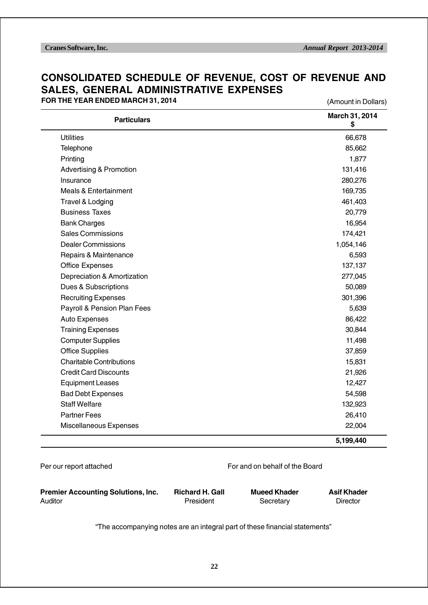## **CONSOLIDATED SCHEDULE OF REVENUE, COST OF REVENUE AND SALES, GENERAL ADMINISTRATIVE EXPENSES**

**FOR THE YEAR ENDED MARCH 31, 2014**

(Amount in Dollars)

| <b>Particulars</b>                 | March 31, 2014<br>\$ |
|------------------------------------|----------------------|
| <b>Utilities</b>                   | 66,678               |
| Telephone                          | 85,662               |
| Printing                           | 1,877                |
| <b>Advertising &amp; Promotion</b> | 131,416              |
| Insurance                          | 280,276              |
| Meals & Entertainment              | 169,735              |
| Travel & Lodging                   | 461,403              |
| <b>Business Taxes</b>              | 20,779               |
| <b>Bank Charges</b>                | 16,954               |
| <b>Sales Commissions</b>           | 174,421              |
| <b>Dealer Commissions</b>          | 1,054,146            |
| Repairs & Maintenance              | 6,593                |
| <b>Office Expenses</b>             | 137,137              |
| Depreciation & Amortization        | 277,045              |
| Dues & Subscriptions               | 50,089               |
| <b>Recruiting Expenses</b>         | 301,396              |
| Payroll & Pension Plan Fees        | 5,639                |
| <b>Auto Expenses</b>               | 86,422               |
| <b>Training Expenses</b>           | 30,844               |
| <b>Computer Supplies</b>           | 11,498               |
| <b>Office Supplies</b>             | 37,859               |
| <b>Charitable Contributions</b>    | 15,831               |
| <b>Credit Card Discounts</b>       | 21,926               |
| <b>Equipment Leases</b>            | 12,427               |
| <b>Bad Debt Expenses</b>           | 54,598               |
| <b>Staff Welfare</b>               | 132,923              |
| <b>Partner Fees</b>                | 26,410               |
| Miscellaneous Expenses             | 22,004               |
|                                    | 5,199,440            |

Per our report attached For and on behalf of the Board

| <b>Premier Accounting Solutions, Inc.</b> | <b>Richard H. Gall</b> | <b>Mueed Khader</b> | <b>Asif Khader</b> |
|-------------------------------------------|------------------------|---------------------|--------------------|
| Auditor                                   | President              | Secretary           | Director           |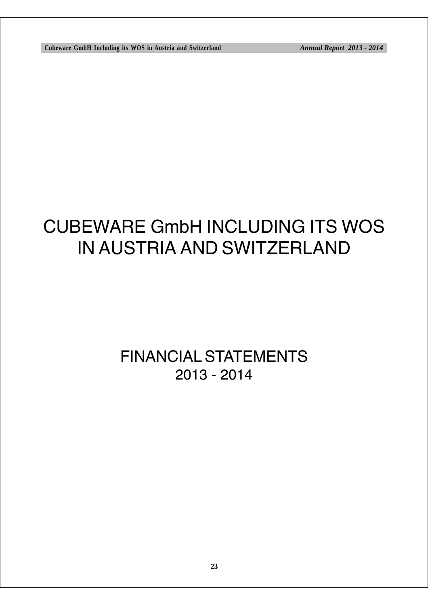**Cubeware GmbH Including its WOS in Austria and Switzerland**

*Annual Report 2013 - 2014*

## CUBEWARE GmbH INCLUDING ITS WOS IN AUSTRIA AND SWITZERLAND

FINANCIAL STATEMENTS 2013 - 2014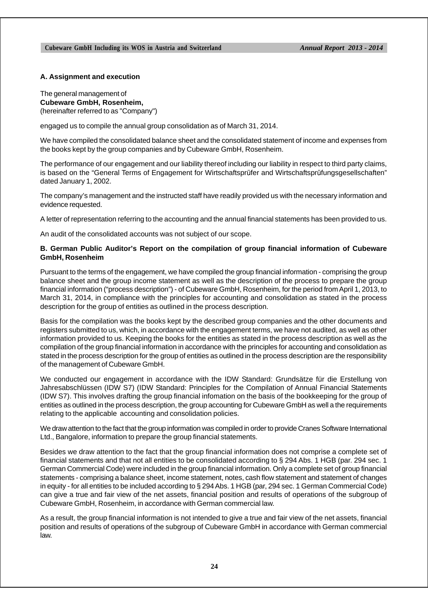#### **A. Assignment and execution**

The general management of **Cubeware GmbH, Rosenheim,** (hereinafter referred to as "Company")

engaged us to compile the annual group consolidation as of March 31, 2014.

We have compiled the consolidated balance sheet and the consolidated statement of income and expenses from the books kept by the group companies and by Cubeware GmbH, Rosenheim.

The performance of our engagement and our liability thereof including our liability in respect to third party claims, is based on the "General Terms of Engagement for Wirtschaftsprüfer and Wirtschaftsprüfungsgesellschaften" dated January 1, 2002.

The company's management and the instructed staff have readily provided us with the necessary information and evidence requested.

A letter of representation referring to the accounting and the annual financial statements has been provided to us.

An audit of the consolidated accounts was not subject of our scope.

#### **B. German Public Auditor's Report on the compilation of group financial information of Cubeware GmbH, Rosenheim**

Pursuant to the terms of the engagement, we have compiled the group financial information - comprising the group balance sheet and the group income statement as well as the description of the process to prepare the group financial information ("process description") - of Cubeware GmbH, Rosenheim, for the period from April 1, 2013, to March 31, 2014, in compliance with the principles for accounting and consolidation as stated in the process description for the group of entities as outlined in the process description.

Basis for the compilation was the books kept by the described group companies and the other documents and registers submitted to us, which, in accordance with the engagement terms, we have not audited, as well as other information provided to us. Keeping the books for the entities as stated in the process description as well as the compilation of the group financial information in accordance with the principles for accounting and consolidation as stated in the process description for the group of entities as outlined in the process description are the responsibility of the management of Cubeware GmbH.

We conducted our engagement in accordance with the IDW Standard: Grundsätze für die Erstellung von Jahresabschlüssen (IDW S7) (IDW Standard: Principles for the Compilation of Annual Financial Statements (IDW S7). This involves drafting the group financial infomation on the basis of the bookkeeping for the group of entities as outlined in the process description, the group accounting for Cubeware GmbH as well a the requirements relating to the applicable accounting and consolidation policies.

We draw attention to the fact that the group information was compiled in order to provide Cranes Software International Ltd., Bangalore, information to prepare the group financial statements.

Besides we draw attention to the fact that the group financial information does not comprise a complete set of financial statements and that not all entities to be consolidated according to § 294 Abs. 1 HGB (par. 294 sec. 1 German Commercial Code) were included in the group financial information. Only a complete set of group financial statements - comprising a balance sheet, income statement, notes, cash flow statement and statement of changes in equity - for all entities to be included according to § 294 Abs. 1 HGB (par, 294 sec. 1 German Commercial Code) can give a true and fair view of the net assets, financial position and results of operations of the subgroup of Cubeware GmbH, Rosenheim, in accordance with German commercial law.

As a result, the group financial information is not intended to give a true and fair view of the net assets, financial position and results of operations of the subgroup of Cubeware GmbH in accordance with German commercial law.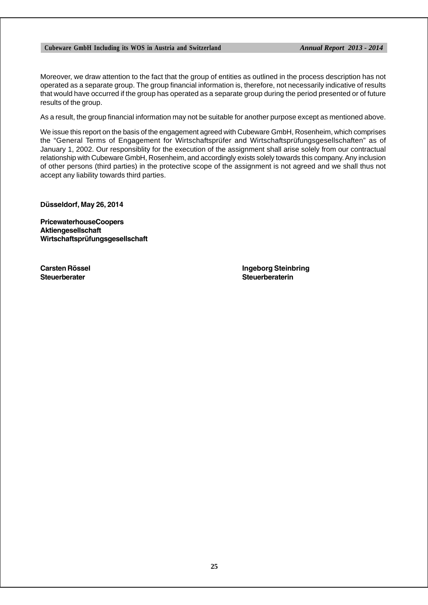#### **Cubeware GmbH Including its WOS in Austria and Switzerland**

*Annual Report 2013 - 2014*

Moreover, we draw attention to the fact that the group of entities as outlined in the process description has not operated as a separate group. The group financial information is, therefore, not necessarily indicative of results that would have occurred if the group has operated as a separate group during the period presented or of future results of the group.

As a result, the group financial information may not be suitable for another purpose except as mentioned above.

We issue this report on the basis of the engagement agreed with Cubeware GmbH, Rosenheim, which comprises the "General Terms of Engagement for Wirtschaftsprüfer and Wirtschaftsprüfungsgesellschaften" as of January 1, 2002. Our responsiblity for the execution of the assignment shall arise solely from our contractual relationship with Cubeware GmbH, Rosenheim, and accordingly exists solely towards this company. Any inclusion of other persons (third parties) in the protective scope of the assignment is not agreed and we shall thus not accept any liability towards third parties.

**Düsseldorf, May 26, 2014**

**PricewaterhouseCoopers Aktiengesellschaft Wirtschaftsprüfungsgesellschaft**

**Carsten Rössel Ingeborg Steinbring Steuerberater Steuerberaterin**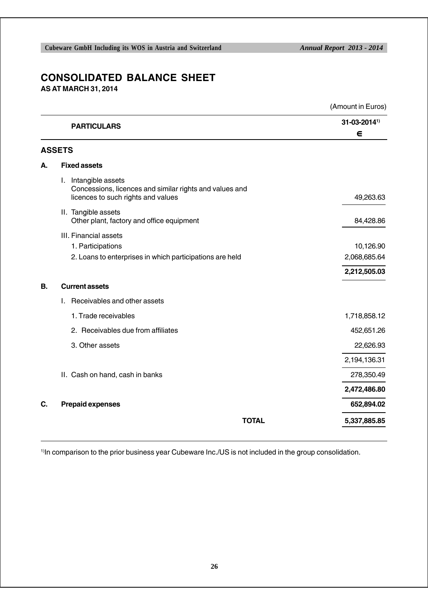### **CONSOLIDATED BALANCE SHEET AS AT MARCH 31, 2014**

|    |                                                                                                                          | (Amount in Euros)         |
|----|--------------------------------------------------------------------------------------------------------------------------|---------------------------|
|    | <b>PARTICULARS</b>                                                                                                       | 31-03-2014 <sup>1)</sup>  |
|    |                                                                                                                          | $\epsilon$                |
|    | <b>ASSETS</b>                                                                                                            |                           |
| А. | <b>Fixed assets</b>                                                                                                      |                           |
|    | Intangible assets<br>L.<br>Concessions, licences and similar rights and values and<br>licences to such rights and values | 49,263.63                 |
|    | II. Tangible assets<br>Other plant, factory and office equipment                                                         | 84,428.86                 |
|    | III. Financial assets<br>1. Participations<br>2. Loans to enterprises in which participations are held                   | 10,126.90<br>2,068,685.64 |
|    |                                                                                                                          | 2,212,505.03              |
| В. | <b>Current assets</b>                                                                                                    |                           |
|    | Receivables and other assets<br>$\mathbf{L}$                                                                             |                           |
|    | 1. Trade receivables                                                                                                     | 1,718,858.12              |
|    | 2. Receivables due from affiliates                                                                                       | 452,651.26                |
|    | 3. Other assets                                                                                                          | 22,626.93                 |
|    |                                                                                                                          | 2,194,136.31              |
|    | II. Cash on hand, cash in banks                                                                                          | 278,350.49                |
|    |                                                                                                                          | 2,472,486.80              |
| C. | <b>Prepaid expenses</b>                                                                                                  | 652,894.02                |
|    | <b>TOTAL</b>                                                                                                             | 5,337,885.85              |

<sup>1)</sup>In comparison to the prior business year Cubeware Inc./US is not included in the group consolidation.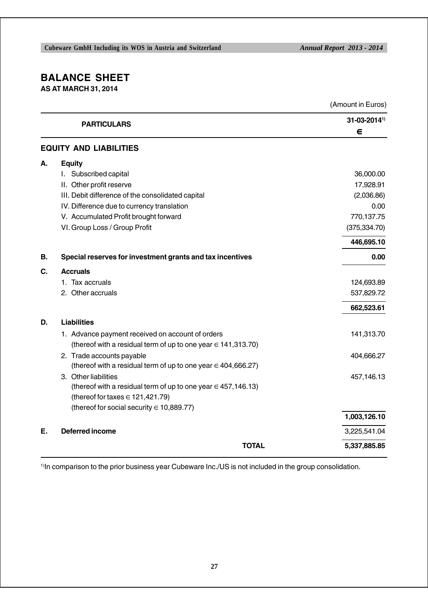*Annual Report 2013 - 2014*

#### **BALANCE SHEET AS AT MARCH 31, 2014**

|                                                                   | (Amount in Euros) |
|-------------------------------------------------------------------|-------------------|
| <b>PARTICULARS</b>                                                | 31-03-20141)      |
|                                                                   | $\epsilon$        |
| <b>EQUITY AND LIABILITIES</b>                                     |                   |
| <b>Equity</b><br>А.                                               |                   |
| I. Subscribed capital                                             | 36,000.00         |
| II. Other profit reserve                                          | 17,928.91         |
| III. Debit difference of the consolidated capital                 | (2,036.86)        |
| IV. Difference due to currency translation                        | 0.00              |
| V. Accumulated Profit brought forward                             | 770,137.75        |
| VI. Group Loss / Group Profit                                     | (375, 334.70)     |
|                                                                   | 446,695.10        |
| Special reserves for investment grants and tax incentives<br>В.   | 0.00              |
| C.<br><b>Accruals</b>                                             |                   |
| 1. Tax accruals                                                   | 124,693.89        |
| 2. Other accruals                                                 | 537,829.72        |
|                                                                   | 662,523.61        |
| D.<br><b>Liabilities</b>                                          |                   |
| 1. Advance payment received on account of orders                  | 141,313.70        |
| (thereof with a residual term of up to one year $\in$ 141,313.70) |                   |
| 2. Trade accounts payable                                         | 404,666.27        |
| (thereof with a residual term of up to one year $\in$ 404,666.27) |                   |
| 3. Other liabilities                                              | 457,146.13        |
| (thereof with a residual term of up to one year $\in$ 457,146.13) |                   |
| (thereof for taxes $\in$ 121,421.79)                              |                   |
| (thereof for social security $\in$ 10,889.77)                     |                   |
|                                                                   | 1,003,126.10      |
| <b>Deferred income</b><br>Е.                                      | 3,225,541.04      |
| <b>TOTAL</b>                                                      | 5,337,885.85      |

1)In comparison to the prior business year Cubeware Inc./US is not included in the group consolidation.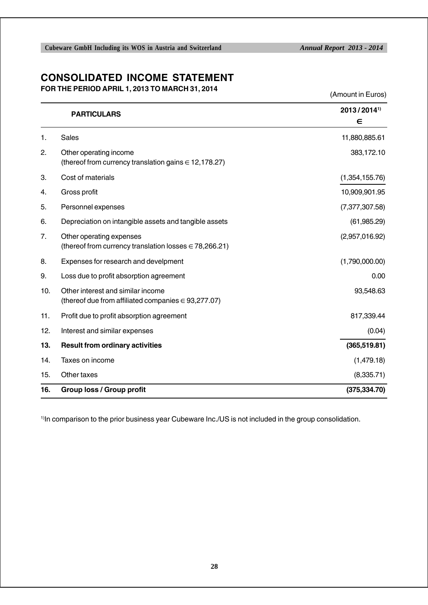*Annual Report 2013 - 2014*

#### **CONSOLIDATED INCOME STATEMENT FOR THE PERIOD APRIL 1, 2013 TO MARCH 31, 2014**

|     | FUN THE FENIUD AFNIL 1, 2013 TO MANUM 31, 2014                                               | (Amount in Euros)         |
|-----|----------------------------------------------------------------------------------------------|---------------------------|
|     | <b>PARTICULARS</b>                                                                           | 2013/20141)<br>$\epsilon$ |
| 1.  | Sales                                                                                        | 11,880,885.61             |
| 2.  | Other operating income<br>(thereof from currency translation gains $\in$ 12,178.27)          | 383,172.10                |
| 3.  | Cost of materials                                                                            | (1,354,155.76)            |
| 4.  | Gross profit                                                                                 | 10,909,901.95             |
| 5.  | Personnel expenses                                                                           | (7,377,307.58)            |
| 6.  | Depreciation on intangible assets and tangible assets                                        | (61,985.29)               |
| 7.  | Other operating expenses<br>(thereof from currency translation losses $\in$ 78,266.21)       | (2,957,016.92)            |
| 8.  | Expenses for research and develpment                                                         | (1,790,000.00)            |
| 9.  | Loss due to profit absorption agreement                                                      | 0.00                      |
| 10. | Other interest and similar income<br>(thereof due from affiliated companies $\in$ 93,277.07) | 93,548.63                 |
| 11. | Profit due to profit absorption agreement                                                    | 817,339.44                |
| 12. | Interest and similar expenses                                                                | (0.04)                    |
| 13. | <b>Result from ordinary activities</b>                                                       | (365, 519.81)             |
| 14. | Taxes on income                                                                              | (1,479.18)                |
| 15. | Other taxes                                                                                  | (8,335.71)                |
| 16. | Group loss / Group profit                                                                    | (375, 334.70)             |

1)In comparison to the prior business year Cubeware Inc./US is not included in the group consolidation.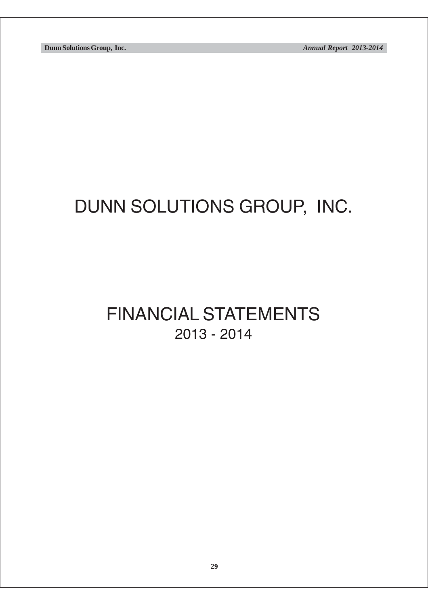*Annual Report 2013-2014*

## DUNN SOLUTIONS GROUP, INC.

## FINANCIAL STATEMENTS 2013 - 2014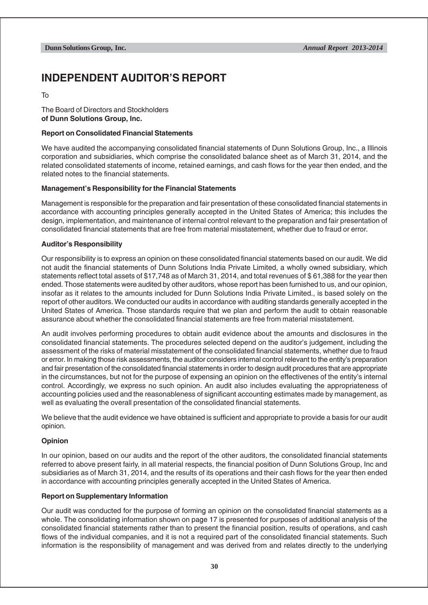### **INDEPENDENT AUDITOR'S REPORT**

To

The Board of Directors and Stockholders **of Dunn Solutions Group, Inc.**

#### **Report on Consolidated Financial Statements**

We have audited the accompanying consolidated financial statements of Dunn Solutions Group, Inc., a Illinois corporation and subsidiaries, which comprise the consolidated balance sheet as of March 31, 2014, and the related consolidated statements of income, retained earnings, and cash flows for the year then ended, and the related notes to the financial statements.

#### **Management's Responsibility for the Financial Statements**

Management is responsible for the preparation and fair presentation of these consolidated financial statements in accordance with accounting principles generally accepted in the United States of America; this includes the design, implementation, and maintenance of internal control relevant to the preparation and fair presentation of consolidated financial statements that are free from material misstatement, whether due to fraud or error.

#### **Auditor's Responsibility**

Our responsibility is to express an opinion on these consolidated financial statements based on our audit. We did not audit the financial statements of Dunn Solutions India Private Limited, a wholly owned subsidiary, which statements reflect total assets of \$17,748 as of March 31, 2014, and total revenues of \$ 61,388 for the year then ended. Those statements were audited by other auditors, whose report has been furnished to us, and our opinion, insofar as it relates to the amounts included for Dunn Solutions India Private Limited., is based solely on the report of other auditors. We conducted our audits in accordance with auditing standards generally accepted in the United States of America. Those standards require that we plan and perform the audit to obtain reasonable assurance about whether the consolidated financial statements are free from material misstatement.

An audit involves performing procedures to obtain audit evidence about the amounts and disclosures in the consolidated financial statements. The procedures selected depend on the auditor's judgement, including the assessment of the risks of material misstatement of the consolidated financial statements, whether due to fraud or error. In making those risk assessments, the auditor considers internal control relevant to the entity's preparation and fair presentation of the consolidated financial statements in order to design audit procedures that are appropriate in the circumstances, but not for the purpose of expensing an opinion on the effectivenes of the entity's internal control. Accordingly, we express no such opinion. An audit also includes evaluating the appropriateness of accounting policies used and the reasonableness of significant accounting estimates made by management, as well as evaluating the overall presentation of the consolidated financial statements.

We believe that the audit evidence we have obtained is sufficient and appropriate to provide a basis for our audit opinion.

#### **Opinion**

In our opinion, based on our audits and the report of the other auditors, the consolidated financial statements referred to above present fairly, in all material respects, the financial position of Dunn Solutions Group, Inc and subsidiaries as of March 31, 2014, and the results of its operations and their cash flows for the year then ended in accordance with accounting principles generally accepted in the United States of America.

#### **Report on Supplementary Information**

Our audit was conducted for the purpose of forming an opinion on the consolidated financial statements as a whole. The consolidating information shown on page 17 is presented for purposes of additional analysis of the consolidated financial statements rather than to present the financial position, results of operations, and cash flows of the individual companies, and it is not a required part of the consolidated financial statements. Such information is the responsibility of management and was derived from and relates directly to the underlying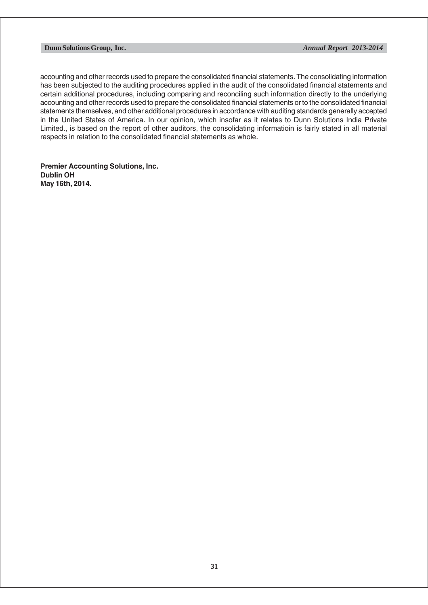#### **Dunn Solutions Group, Inc.**

accounting and other records used to prepare the consolidated financial statements. The consolidating information has been subjected to the auditing procedures applied in the audit of the consolidated financial statements and certain additional procedures, including comparing and reconciling such information directly to the underlying accounting and other records used to prepare the consolidated financial statements or to the consolidated financial statements themselves, and other additional procedures in accordance with auditing standards generally accepted in the United States of America. In our opinion, which insofar as it relates to Dunn Solutions India Private Limited., is based on the report of other auditors, the consolidating informatioin is fairly stated in all material respects in relation to the consolidated financial statements as whole.

**Premier Accounting Solutions, Inc. Dublin OH May 16th, 2014.**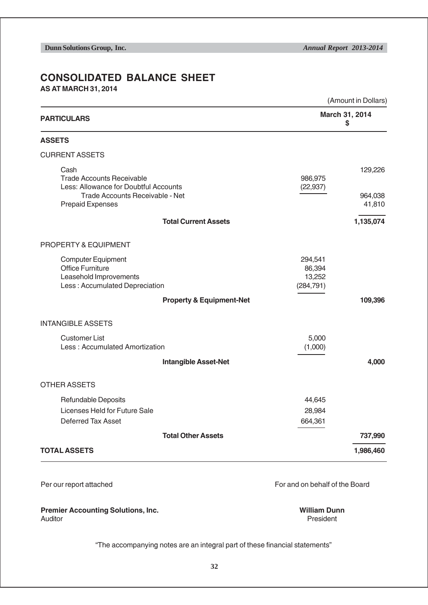*Annual Report 2013-2014*

#### **CONSOLIDATED BALANCE SHEET AS AT MARCH 31, 2014**

|                                                                                                                  |                                           | (Amount in Dollars)  |
|------------------------------------------------------------------------------------------------------------------|-------------------------------------------|----------------------|
| <b>PARTICULARS</b>                                                                                               |                                           | March 31, 2014<br>\$ |
| <b>ASSETS</b>                                                                                                    |                                           |                      |
| <b>CURRENT ASSETS</b>                                                                                            |                                           |                      |
| Cash<br><b>Trade Accounts Receivable</b><br>Less: Allowance for Doubtful Accounts                                | 986,975<br>(22, 937)                      | 129,226              |
| Trade Accounts Receivable - Net<br><b>Prepaid Expenses</b>                                                       |                                           | 964,038<br>41,810    |
| <b>Total Current Assets</b>                                                                                      |                                           | 1,135,074            |
| PROPERTY & EQUIPMENT                                                                                             |                                           |                      |
| <b>Computer Equipment</b><br><b>Office Furniture</b><br>Leasehold Improvements<br>Less: Accumulated Depreciation | 294,541<br>86,394<br>13,252<br>(284, 791) |                      |
| <b>Property &amp; Equipment-Net</b>                                                                              |                                           | 109,396              |
| <b>INTANGIBLE ASSETS</b>                                                                                         |                                           |                      |
| <b>Customer List</b><br>Less: Accumulated Amortization                                                           | 5,000<br>(1,000)                          |                      |
| <b>Intangible Asset-Net</b>                                                                                      |                                           | 4,000                |
| OTHER ASSETS                                                                                                     |                                           |                      |
| <b>Refundable Deposits</b>                                                                                       | 44,645                                    |                      |
| Licenses Held for Future Sale<br>Deferred Tax Asset                                                              | 28,984<br>664,361                         |                      |
| <b>Total Other Assets</b>                                                                                        |                                           | 737,990              |
| <b>TOTAL ASSETS</b>                                                                                              |                                           | 1,986,460            |
|                                                                                                                  |                                           |                      |

Per our report attached For and on behalf of the Board

**Premier Accounting Solutions, Inc.** The Control of the Counting Solutions, Inc. The Counting Solutions, Inc. The Counting Solutions, Inc. The Counting Solutions, Inc. The Counting Solution of the Counting Solution of the Auditor President (1999) and the contract of the contract of the contract of the contract of the contract of the contract of the contract of the contract of the contract of the contract of the contract of the contract of t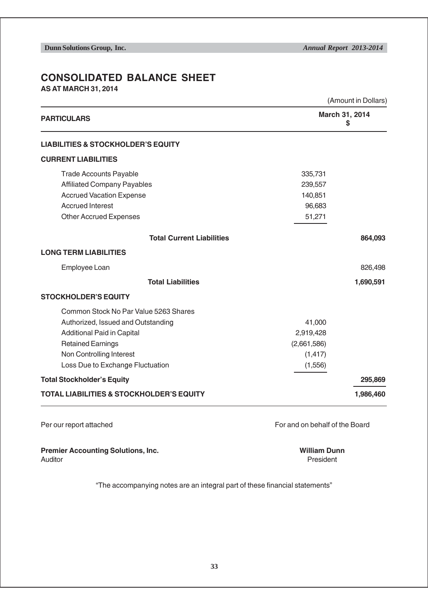#### **CONSOLIDATED BALANCE SHEET AS AT MARCH 31, 2014**

**PARTICULARS March 31, 2014 \$**  $\sim$  **\$ LIABILITIES & STOCKHOLDER'S EQUITY CURRENT LIABILITIES** Trade Accounts Payable 335,731 Affiliated Company Payables 239,557 Accrued Vacation Expense 140,851 Accrued Interest 96,683 Other Accrued Expenses 51,271  **Total Current Liabilities 864,093 LONG TERM LIABILITIES** Employee Loan 826,498 **Total Liabilities 1,690,591 STOCKHOLDER'S EQUITY** Common Stock No Par Value 5263 Shares Authorized, Issued and Outstanding **41,000** Additional Paid in Capital 2,919,428 Retained Earnings (2,661,586) Non Controlling Interest (1,417) Loss Due to Exchange Fluctuation (1,556) **Total Stockholder's Equity 295,869 TOTAL LIABILITIES & STOCKHOLDER'S EQUITY 1,986,460** (Amount in Dollars)

Per our report attached For and on behalf of the Board

**Premier Accounting Solutions, Inc.** The Communication of the United States of the United States and Auditor President Auditor President (1999) - Auditor President (1999) - President (1999) - President (1999) - President (1999) -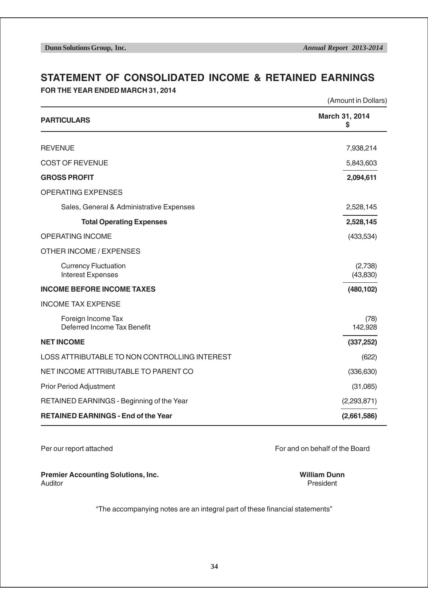| STATEMENT OF CONSOLIDATED INCOME & RETAINED EARNINGS |  |
|------------------------------------------------------|--|
| FOR THE YEAR ENDED MARCH 31, 2014                    |  |

|                                                         | (Amount in Dollars)  |
|---------------------------------------------------------|----------------------|
| <b>PARTICULARS</b>                                      | March 31, 2014<br>\$ |
| <b>REVENUE</b>                                          | 7,938,214            |
| <b>COST OF REVENUE</b>                                  | 5,843,603            |
| <b>GROSS PROFIT</b>                                     | 2,094,611            |
| <b>OPERATING EXPENSES</b>                               |                      |
| Sales, General & Administrative Expenses                | 2,528,145            |
| <b>Total Operating Expenses</b>                         | 2,528,145            |
| <b>OPERATING INCOME</b>                                 | (433,534)            |
| OTHER INCOME / EXPENSES                                 |                      |
| <b>Currency Fluctuation</b><br><b>Interest Expenses</b> | (2,738)<br>(43, 830) |
| <b>INCOME BEFORE INCOME TAXES</b>                       | (480, 102)           |
| <b>INCOME TAX EXPENSE</b>                               |                      |
| Foreign Income Tax<br>Deferred Income Tax Benefit       | (78)<br>142,928      |
| <b>NET INCOME</b>                                       | (337,252)            |
| LOSS ATTRIBUTABLE TO NON CONTROLLING INTEREST           | (622)                |
| NET INCOME ATTRIBUTABLE TO PARENT CO                    | (336, 630)           |
| <b>Prior Period Adjustment</b>                          | (31,085)             |
| RETAINED EARNINGS - Beginning of the Year               | (2,293,871)          |
| <b>RETAINED EARNINGS - End of the Year</b>              | (2,661,586)          |

Per our report attached For and on behalf of the Board

**Premier Accounting Solutions, Inc. William Dunn** Auditor President (1999) and the contract of the contract of the contract of the contract of the contract of the contract of the contract of the contract of the contract of the contract of the contract of the contract of t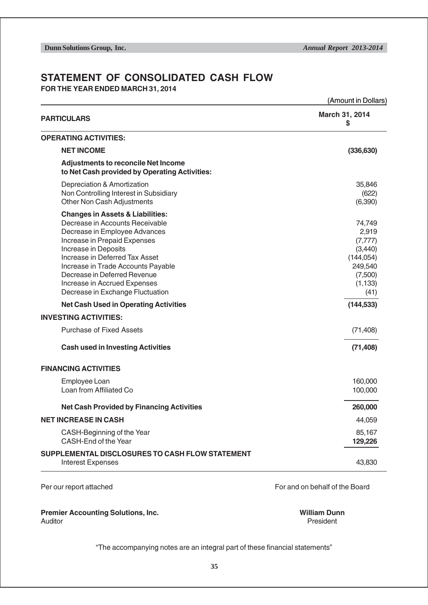## **STATEMENT OF CONSOLIDATED CASH FLOW**

**FOR THE YEAR ENDED MARCH 31, 2014**

|                                                                                                                                                                                                                                                                                                                                                                                                                                                                                                                    | (Amount in Dollars)                                                                                                                    |
|--------------------------------------------------------------------------------------------------------------------------------------------------------------------------------------------------------------------------------------------------------------------------------------------------------------------------------------------------------------------------------------------------------------------------------------------------------------------------------------------------------------------|----------------------------------------------------------------------------------------------------------------------------------------|
| <b>PARTICULARS</b>                                                                                                                                                                                                                                                                                                                                                                                                                                                                                                 | March 31, 2014<br>S                                                                                                                    |
| <b>OPERATING ACTIVITIES:</b>                                                                                                                                                                                                                                                                                                                                                                                                                                                                                       |                                                                                                                                        |
| <b>NET INCOME</b>                                                                                                                                                                                                                                                                                                                                                                                                                                                                                                  | (336, 630)                                                                                                                             |
| <b>Adjustments to reconcile Net Income</b><br>to Net Cash provided by Operating Activities:                                                                                                                                                                                                                                                                                                                                                                                                                        |                                                                                                                                        |
| Depreciation & Amortization<br>Non Controlling Interest in Subsidiary<br>Other Non Cash Adjustments                                                                                                                                                                                                                                                                                                                                                                                                                | 35,846<br>(622)<br>(6,390)                                                                                                             |
| <b>Changes in Assets &amp; Liabilities:</b><br>Decrease in Accounts Receivable<br>Decrease in Employee Advances<br>Increase in Prepaid Expenses<br>Increase in Deposits<br>Increase in Deferred Tax Asset<br>Increase in Trade Accounts Payable<br>Decrease in Deferred Revenue<br>Increase in Accrued Expenses<br>Decrease in Exchange Fluctuation<br><b>Net Cash Used in Operating Activities</b><br><b>INVESTING ACTIVITIES:</b><br><b>Purchase of Fixed Assets</b><br><b>Cash used in Investing Activities</b> | 74,749<br>2,919<br>(7, 777)<br>(3,440)<br>(144, 054)<br>249,540<br>(7,500)<br>(1, 133)<br>(41)<br>(144, 533)<br>(71, 408)<br>(71, 408) |
| <b>FINANCING ACTIVITIES</b>                                                                                                                                                                                                                                                                                                                                                                                                                                                                                        |                                                                                                                                        |
| Employee Loan<br>Loan from Affiliated Co                                                                                                                                                                                                                                                                                                                                                                                                                                                                           | 160,000<br>100,000                                                                                                                     |
| <b>Net Cash Provided by Financing Activities</b>                                                                                                                                                                                                                                                                                                                                                                                                                                                                   | 260,000                                                                                                                                |
| <b>NET INCREASE IN CASH</b>                                                                                                                                                                                                                                                                                                                                                                                                                                                                                        | 44,059                                                                                                                                 |
| CASH-Beginning of the Year<br>CASH-End of the Year                                                                                                                                                                                                                                                                                                                                                                                                                                                                 | 85,167<br>129,226                                                                                                                      |
| SUPPLEMENTAL DISCLOSURES TO CASH FLOW STATEMENT<br><b>Interest Expenses</b>                                                                                                                                                                                                                                                                                                                                                                                                                                        | 43,830                                                                                                                                 |

Per our report attached For and on behalf of the Board

## **Premier Accounting Solutions, Inc.** Number 2012 11:30 William Dunn<br>Auditor President

Auditor President (1999) - Auditor President (1999) - President (1999) - President (1999) - President (1999) -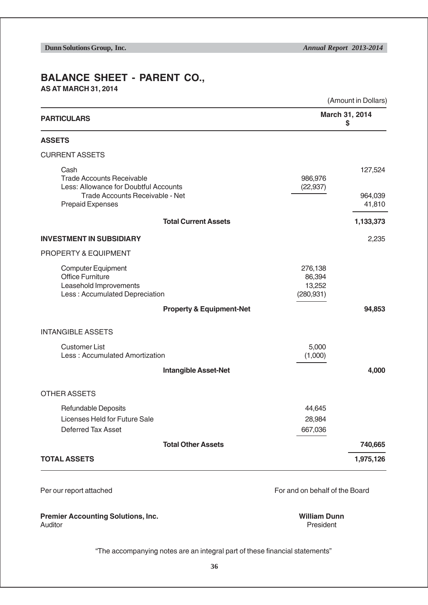# **BALANCE SHEET - PARENT CO.,**

**AS AT MARCH 31, 2014**

|                                                                                                                      |                                           | (Amount in Dollars)  |
|----------------------------------------------------------------------------------------------------------------------|-------------------------------------------|----------------------|
| <b>PARTICULARS</b>                                                                                                   |                                           | March 31, 2014<br>\$ |
| <b>ASSETS</b>                                                                                                        |                                           |                      |
| <b>CURRENT ASSETS</b>                                                                                                |                                           |                      |
| Cash<br><b>Trade Accounts Receivable</b><br>Less: Allowance for Doubtful Accounts<br>Trade Accounts Receivable - Net | 986,976<br>(22, 937)                      | 127,524              |
| <b>Prepaid Expenses</b>                                                                                              |                                           | 964,039<br>41,810    |
| <b>Total Current Assets</b>                                                                                          |                                           | 1,133,373            |
| <b>INVESTMENT IN SUBSIDIARY</b>                                                                                      |                                           | 2,235                |
| <b>PROPERTY &amp; EQUIPMENT</b>                                                                                      |                                           |                      |
| <b>Computer Equipment</b><br><b>Office Furniture</b><br>Leasehold Improvements<br>Less: Accumulated Depreciation     | 276,138<br>86,394<br>13,252<br>(280, 931) |                      |
| <b>Property &amp; Equipment-Net</b>                                                                                  |                                           | 94,853               |
| <b>INTANGIBLE ASSETS</b>                                                                                             |                                           |                      |
| Customer List<br>Less: Accumulated Amortization                                                                      | 5,000<br>(1,000)                          |                      |
| <b>Intangible Asset-Net</b>                                                                                          |                                           | 4,000                |
| <b>OTHER ASSETS</b>                                                                                                  |                                           |                      |
| <b>Refundable Deposits</b>                                                                                           | 44,645                                    |                      |
| Licenses Held for Future Sale                                                                                        | 28,984                                    |                      |
| <b>Deferred Tax Asset</b>                                                                                            | 667,036                                   |                      |
| <b>Total Other Assets</b>                                                                                            |                                           | 740,665              |
| <b>TOTAL ASSETS</b>                                                                                                  |                                           | 1,975,126            |

Per our report attached For and on behalf of the Board

**Premier Accounting Solutions, Inc.** The Control of the Counting Solutions, Inc. The Counting Solutions, Inc. The Counting Solutions, Inc. The Counting Solutions, Inc. The Counting Solution of the Counting Solution of the Auditor President (1999) and the contract of the contract of the contract of the contract of the contract of the contract of the contract of the contract of the contract of the contract of the contract of the contract of t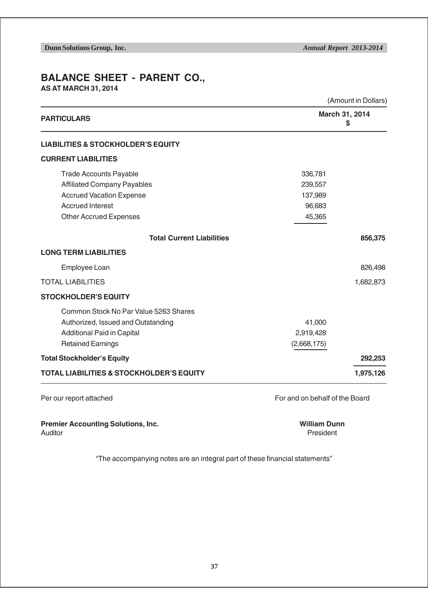## **BALANCE SHEET - PARENT CO.,**

**AS AT MARCH 31, 2014**

|                                                                                                                                                                            |                                                   | (Amount in Dollars) |
|----------------------------------------------------------------------------------------------------------------------------------------------------------------------------|---------------------------------------------------|---------------------|
| <b>PARTICULARS</b>                                                                                                                                                         |                                                   | March 31, 2014<br>S |
| <b>LIABILITIES &amp; STOCKHOLDER'S EQUITY</b>                                                                                                                              |                                                   |                     |
| <b>CURRENT LIABILITIES</b>                                                                                                                                                 |                                                   |                     |
| <b>Trade Accounts Payable</b><br><b>Affiliated Company Payables</b><br><b>Accrued Vacation Expense</b><br><b>Accrued Interest</b><br><b>Other Accrued Expenses</b>         | 336,781<br>239,557<br>137,989<br>96,683<br>45,365 |                     |
| <b>Total Current Liabilities</b>                                                                                                                                           |                                                   | 856,375             |
| <b>LONG TERM LIABILITIES</b>                                                                                                                                               |                                                   |                     |
| Employee Loan                                                                                                                                                              |                                                   | 826,498             |
| <b>TOTAL LIABILITIES</b>                                                                                                                                                   |                                                   | 1,682,873           |
| <b>STOCKHOLDER'S EQUITY</b>                                                                                                                                                |                                                   |                     |
| Common Stock No Par Value 5263 Shares<br>Authorized, Issued and Outstanding<br>Additional Paid in Capital<br><b>Retained Earnings</b><br><b>Total Stockholder's Equity</b> | 41,000<br>2,919,428<br>(2,668,175)                | 292,253             |
| <b>TOTAL LIABILITIES &amp; STOCKHOLDER'S EQUITY</b>                                                                                                                        |                                                   | 1,975,126           |
|                                                                                                                                                                            |                                                   |                     |

Per our report attached For and on behalf of the Board

**Premier Accounting Solutions, Inc.** Number 2012 19:30 19:40 William Dunn<br>Auditor President Auditor President (1999) - Auditor President (1999) - President (1999) - President (1999) - President (1999) -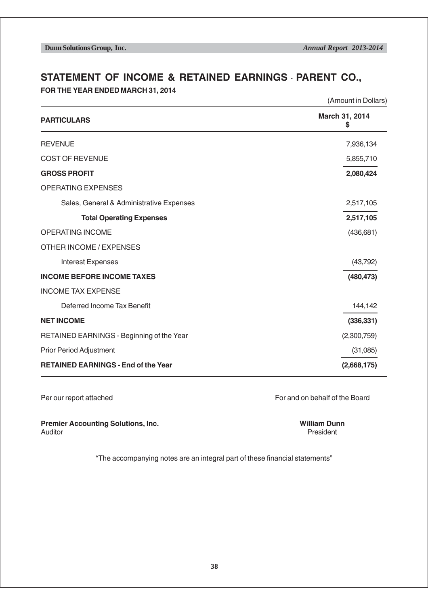|                                            | (Amount in Dollars)  |
|--------------------------------------------|----------------------|
| <b>PARTICULARS</b>                         | March 31, 2014<br>\$ |
| <b>REVENUE</b>                             | 7,936,134            |
| <b>COST OF REVENUE</b>                     | 5,855,710            |
| <b>GROSS PROFIT</b>                        | 2,080,424            |
| <b>OPERATING EXPENSES</b>                  |                      |
| Sales, General & Administrative Expenses   | 2,517,105            |
| <b>Total Operating Expenses</b>            | 2,517,105            |
| <b>OPERATING INCOME</b>                    | (436, 681)           |
| <b>OTHER INCOME / EXPENSES</b>             |                      |
| <b>Interest Expenses</b>                   | (43, 792)            |
| <b>INCOME BEFORE INCOME TAXES</b>          | (480, 473)           |
| <b>INCOME TAX EXPENSE</b>                  |                      |
| Deferred Income Tax Benefit                | 144,142              |
| <b>NET INCOME</b>                          | (336, 331)           |
| RETAINED EARNINGS - Beginning of the Year  | (2,300,759)          |
| <b>Prior Period Adjustment</b>             | (31,085)             |
| <b>RETAINED EARNINGS - End of the Year</b> | (2,668,175)          |

### **STATEMENT OF INCOME & RETAINED EARNINGS** - **PARENT CO., FOR THE YEAR ENDED MARCH 31, 2014**

Per our report attached For and on behalf of the Board

**Premier Accounting Solutions, Inc.** The Control of the Counting Solutions, Inc. The Counting Solutions, Inc. The Counting Solutions, Inc. The Counting Solutions, Inc. The Counting Solution of the Counting Solution of the Auditor President (1999) and the contract of the contract of the contract of the contract of the contract of the contract of the contract of the contract of the contract of the contract of the contract of the contract of t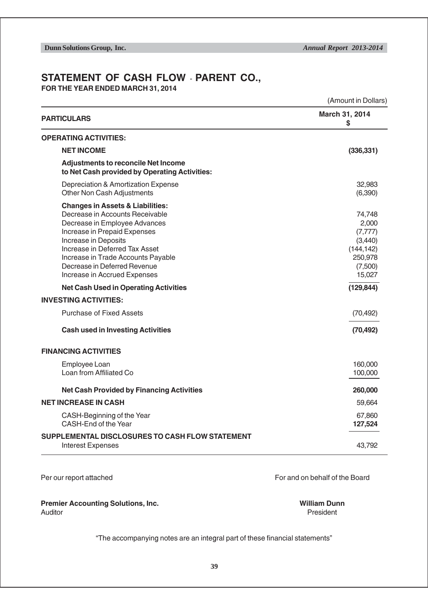### **STATEMENT OF CASH FLOW** - **PARENT CO.,**

**FOR THE YEAR ENDED MARCH 31, 2014**

|                                                                                                                                                                                                                                                                                                                 | (Amount in Dollars)                                                                  |
|-----------------------------------------------------------------------------------------------------------------------------------------------------------------------------------------------------------------------------------------------------------------------------------------------------------------|--------------------------------------------------------------------------------------|
| <b>PARTICULARS</b>                                                                                                                                                                                                                                                                                              | March 31, 2014<br>S                                                                  |
| <b>OPERATING ACTIVITIES:</b>                                                                                                                                                                                                                                                                                    |                                                                                      |
| <b>NET INCOME</b>                                                                                                                                                                                                                                                                                               | (336, 331)                                                                           |
| <b>Adjustments to reconcile Net Income</b><br>to Net Cash provided by Operating Activities:                                                                                                                                                                                                                     |                                                                                      |
| Depreciation & Amortization Expense<br>Other Non Cash Adjustments                                                                                                                                                                                                                                               | 32,983<br>(6,390)                                                                    |
| <b>Changes in Assets &amp; Liabilities:</b><br>Decrease in Accounts Receivable<br>Decrease in Employee Advances<br>Increase in Prepaid Expenses<br>Increase in Deposits<br>Increase in Deferred Tax Asset<br>Increase in Trade Accounts Payable<br>Decrease in Deferred Revenue<br>Increase in Accrued Expenses | 74,748<br>2,000<br>(7, 777)<br>(3,440)<br>(144, 142)<br>250,978<br>(7,500)<br>15,027 |
| <b>Net Cash Used in Operating Activities</b>                                                                                                                                                                                                                                                                    | (129, 844)                                                                           |
| <b>INVESTING ACTIVITIES:</b>                                                                                                                                                                                                                                                                                    |                                                                                      |
| Purchase of Fixed Assets                                                                                                                                                                                                                                                                                        | (70, 492)                                                                            |
| <b>Cash used in Investing Activities</b>                                                                                                                                                                                                                                                                        | (70, 492)                                                                            |
| <b>FINANCING ACTIVITIES</b>                                                                                                                                                                                                                                                                                     |                                                                                      |
| Employee Loan<br>Loan from Affiliated Co                                                                                                                                                                                                                                                                        | 160,000<br>100,000                                                                   |
| <b>Net Cash Provided by Financing Activities</b>                                                                                                                                                                                                                                                                | 260,000                                                                              |
| <b>NET INCREASE IN CASH</b>                                                                                                                                                                                                                                                                                     | 59,664                                                                               |
| CASH-Beginning of the Year<br>CASH-End of the Year                                                                                                                                                                                                                                                              | 67,860<br>127,524                                                                    |
| SUPPLEMENTAL DISCLOSURES TO CASH FLOW STATEMENT<br><b>Interest Expenses</b>                                                                                                                                                                                                                                     | 43,792                                                                               |

Per our report attached For and on behalf of the Board

# **Premier Accounting Solutions, Inc.** William Dunn Auditor President

Auditor President (1999) - Auditor President (1999) - President (1999) - President (1999) - President (1999) -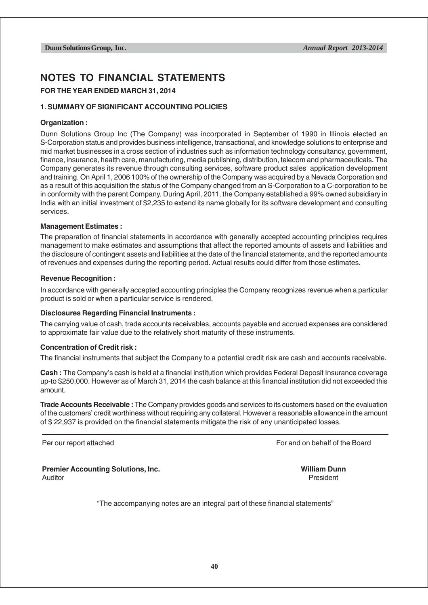## **NOTES TO FINANCIAL STATEMENTS**

### **FOR THE YEAR ENDED MARCH 31, 2014**

### **1. SUMMARY OF SIGNIFICANT ACCOUNTING POLICIES**

#### **Organization :**

Dunn Solutions Group Inc (The Company) was incorporated in September of 1990 in Illinois elected an S-Corporation status and provides business intelligence, transactional, and knowledge solutions to enterprise and mid market businesses in a cross section of industries such as information technology consultancy, government, finance, insurance, health care, manufacturing, media publishing, distribution, telecom and pharmaceuticals. The Company generates its revenue through consulting services, software product sales application development and training. On April 1, 2006 100% of the ownership of the Company was acquired by a Nevada Corporation and as a result of this acquisition the status of the Company changed from an S-Corporation to a C-corporation to be in conformity with the parent Company. During April, 2011, the Company established a 99% owned subsidiary in India with an initial investment of \$2,235 to extend its name globally for its software development and consulting services.

#### **Management Estimates :**

The preparation of financial statements in accordance with generally accepted accounting principles requires management to make estimates and assumptions that affect the reported amounts of assets and liabilities and the disclosure of contingent assets and liabilities at the date of the financial statements, and the reported amounts of revenues and expenses during the reporting period. Actual results could differ from those estimates.

#### **Revenue Recognition :**

In accordance with generally accepted accounting principles the Company recognizes revenue when a particular product is sold or when a particular service is rendered.

#### **Disclosures Regarding Financial Instruments :**

The carrying value of cash, trade accounts receivables, accounts payable and accrued expenses are considered to approximate fair value due to the relatively short maturity of these instruments.

#### **Concentration of Credit risk :**

The financial instruments that subject the Company to a potential credit risk are cash and accounts receivable.

**Cash :** The Company's cash is held at a financial institution which provides Federal Deposit Insurance coverage up-to \$250,000. However as of March 31, 2014 the cash balance at this financial institution did not exceeded this amount.

**Trade Accounts Receivable :** The Company provides goods and services to its customers based on the evaluation of the customers' credit worthiness without requiring any collateral. However a reasonable allowance in the amount of \$ 22,937 is provided on the financial statements mitigate the risk of any unanticipated losses.

Per our report attached For and on behalf of the Board

**Premier Accounting Solutions, Inc.** The Communication of the Milliam Dunn Auditor (State of the Milliam Dunn) Auditor President (1999) and the contract of the contract of the contract of the contract of the contract of the contract of the contract of the contract of the contract of the contract of the contract of the contract of t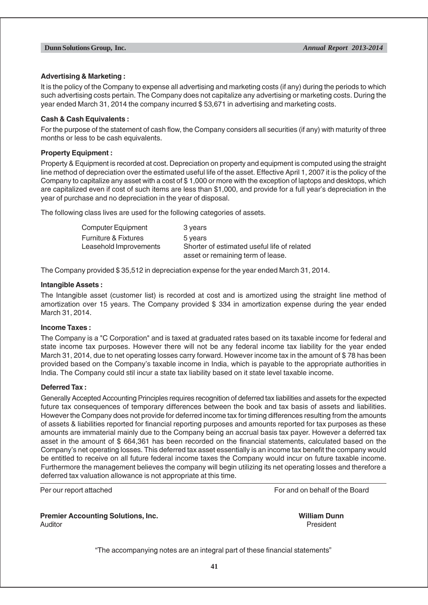#### **Dunn Solutions Group, Inc.**

#### **Advertising & Marketing :**

It is the policy of the Company to expense all advertising and marketing costs (if any) during the periods to which such advertising costs pertain. The Company does not capitalize any advertising or marketing costs. During the year ended March 31, 2014 the company incurred \$ 53,671 in advertising and marketing costs.

#### **Cash & Cash Equivalents :**

For the purpose of the statement of cash flow, the Company considers all securities (if any) with maturity of three months or less to be cash equivalents.

#### **Property Equipment :**

Property & Equipment is recorded at cost. Depreciation on property and equipment is computed using the straight line method of depreciation over the estimated useful life of the asset. Effective April 1, 2007 it is the policy of the Company to capitalize any asset with a cost of \$ 1,000 or more with the exception of laptops and desktops, which are capitalized even if cost of such items are less than \$1,000, and provide for a full year's depreciation in the year of purchase and no depreciation in the year of disposal.

The following class lives are used for the following categories of assets.

| <b>Computer Equipment</b>       | 3 years                                     |
|---------------------------------|---------------------------------------------|
| <b>Furniture &amp; Fixtures</b> | 5 years                                     |
| Leasehold Improvements          | Shorter of estimated useful life of related |
|                                 | asset or remaining term of lease.           |

The Company provided \$ 35,512 in depreciation expense for the year ended March 31, 2014.

#### **Intangible Assets :**

The Intangible asset (customer list) is recorded at cost and is amortized using the straight line method of amortization over 15 years. The Company provided \$ 334 in amortization expense during the year ended March 31, 2014.

#### **Income Taxes :**

The Company is a "C Corporation" and is taxed at graduated rates based on its taxable income for federal and state income tax purposes. However there will not be any federal income tax liability for the year ended March 31, 2014, due to net operating losses carry forward. However income tax in the amount of \$ 78 has been provided based on the Company's taxable income in India, which is payable to the appropriate authorities in India. The Company could stil incur a state tax liability based on it state level taxable income.

#### **Deferred Tax :**

Generally Accepted Accounting Principles requires recognition of deferred tax liabilities and assets for the expected future tax consequences of temporary differences between the book and tax basis of assets and liabilities. However the Company does not provide for deferred income tax for timing differences resulting from the amounts of assets & liabilities reported for financial reporting purposes and amounts reported for tax purposes as these amounts are immaterial mainly due to the Company being an accrual basis tax payer. However a deferred tax asset in the amount of \$ 664,361 has been recorded on the financial statements, calculated based on the Company's net operating losses. This deferred tax asset essentially is an income tax benefit the company would be entitled to receive on all future federal income taxes the Company would incur on future taxable income. Furthermore the management believes the company will begin utilizing its net operating losses and therefore a deferred tax valuation allowance is not appropriate at this time.

Per our report attached For and on behalf of the Board

**Premier Accounting Solutions, Inc.** No. 1996 and the Milliam Dunn of Milliam Dunn and Milliam Dunn and Milliam Dunn Auditor President (1999) - Auditor President (1999) - President (1999) - President (1999) - President (1999) -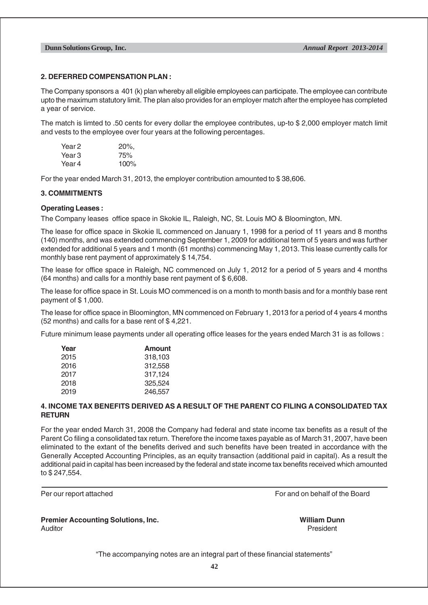#### **2. DEFERRED COMPENSATION PLAN :**

The Company sponsors a 401 (k) plan whereby all eligible employees can participate. The employee can contribute upto the maximum statutory limit. The plan also provides for an employer match after the employee has completed a year of service.

The match is limted to .50 cents for every dollar the employee contributes, up-to \$ 2,000 employer match limit and vests to the employee over four years at the following percentages.

| Year 2            | $20\%$  |
|-------------------|---------|
| Year <sub>3</sub> | 75%     |
| Year 4            | $100\%$ |

For the year ended March 31, 2013, the employer contribution amounted to \$ 38,606.

#### **3. COMMITMENTS**

#### **Operating Leases :**

The Company leases office space in Skokie IL, Raleigh, NC, St. Louis MO & Bloomington, MN.

The lease for office space in Skokie IL commenced on January 1, 1998 for a period of 11 years and 8 months (140) months, and was extended commencing September 1, 2009 for additional term of 5 years and was further extended for additional 5 years and 1 month (61 months) commencing May 1, 2013. This lease currently calls for monthly base rent payment of approximately \$ 14,754.

The lease for office space in Raleigh, NC commenced on July 1, 2012 for a period of 5 years and 4 months (64 months) and calls for a monthly base rent payment of \$ 6,608.

The lease for office space in St. Louis MO commenced is on a month to month basis and for a monthly base rent payment of \$ 1,000.

The lease for office space in Bloomington, MN commenced on February 1, 2013 for a period of 4 years 4 months (52 months) and calls for a base rent of \$ 4,221.

Future minimum lease payments under all operating office leases for the years ended March 31 is as follows :

| Year | Amount  |
|------|---------|
| 2015 | 318,103 |
| 2016 | 312.558 |
| 2017 | 317,124 |
| 2018 | 325.524 |
| 2019 | 246,557 |

#### **4. INCOME TAX BENEFITS DERIVED AS A RESULT OF THE PARENT CO FILING A CONSOLIDATED TAX RETURN**

For the year ended March 31, 2008 the Company had federal and state income tax benefits as a result of the Parent Co filing a consolidated tax return. Therefore the income taxes payable as of March 31, 2007, have been eliminated to the extant of the benefits derived and such benefits have been treated in accordance with the Generally Accepted Accounting Principles, as an equity transaction (additional paid in capital). As a result the additional paid in capital has been increased by the federal and state income tax benefits received which amounted to \$ 247,554.

Per our report attached For and on behalf of the Board

**Premier Accounting Solutions, Inc.** Noting the Multim Dunn Auditor Charles and Multim Dunn Auditor President Auditor President (1999) and the contract of the contract of the contract of the contract of the contract of the contract of the contract of the contract of the contract of the contract of the contract of the contract of t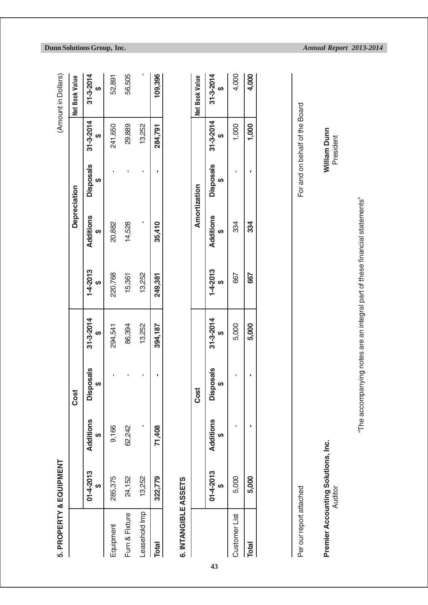| 5. PROPERTY & EQUIPMENT            |                 |                               |                        |                 |                         |                        |                               |                                | (Amount in Dollars)   |
|------------------------------------|-----------------|-------------------------------|------------------------|-----------------|-------------------------|------------------------|-------------------------------|--------------------------------|-----------------------|
|                                    |                 |                               | Cost                   |                 |                         | Depreciation           |                               |                                | <b>Net Book Value</b> |
|                                    | 01-4-2013<br>မာ | <b>Additions</b><br>$\bullet$ | <b>Disposals</b><br>\$ | 31-3-2014<br>မာ | 1-4-2013<br>မာ          | <b>Additions</b><br>\$ | <b>Disposals</b><br>$\bullet$ | 31-3-2014<br>ക                 | $31 - 3 - 2014$<br>↮  |
| Equipment                          | 285,375         | 9,166                         |                        | 294,541         | 220,768                 | 20,882                 |                               | 241,650                        | 52,891                |
| Furn & Fixture                     | 24,152          | 62,242                        | J.                     | 86,394          | 15,361                  | 14,528                 |                               | 29,889                         | 56,505                |
| Leasehold Imp                      | 13,252          |                               | I,                     | 13,252          | 13,252                  |                        |                               | 13,252                         |                       |
| <b>Total</b>                       | 322,779         | 71,408                        | ı                      | 394,187         | 249,381                 | 35,410                 | П                             | 284,791                        | 109,396               |
| 6. INTANGIBLE ASSETS               |                 |                               | Cost                   |                 |                         |                        | Amortization                  |                                | <b>Net Book Value</b> |
|                                    |                 |                               |                        |                 |                         |                        |                               |                                |                       |
|                                    | 01-4-2013<br>ക  | Additions<br>မာ               | <b>Disposals</b><br>\$ | 31-3-2014<br>ക  | $1-4-2013$<br>$\bullet$ | Additions<br>$\bullet$ | <b>Disposals</b><br>Ø         | $31 - 3 - 2014$<br>$\bullet$   | $31 - 3 - 2014$<br>Ø  |
| Customer List                      | 5,000           | $\mathbf{I}$                  | $\blacksquare$         | 5,000           | 667                     | 334                    | $\mathbf{I}$                  | 1,000                          | 4,000                 |
| <b>Total</b>                       | 5,000           | I.                            | $\blacksquare$         | 5,000           | 667                     | 334                    | $\blacksquare$                | 1,000                          | 4,000                 |
|                                    |                 |                               |                        |                 |                         |                        |                               |                                |                       |
| Per our report attached            |                 |                               |                        |                 |                         |                        |                               | For and on behalf of the Board |                       |
| Premier Accounting Solutions, Inc. | Auditor         |                               |                        |                 |                         |                        |                               | William Dunn<br>President      |                       |

**Dunn Solutions Group, Inc.**

"The accompanying notes are an integral part of these financial statements"

"The accompanying notes are an integral part of these financial statements"

**43**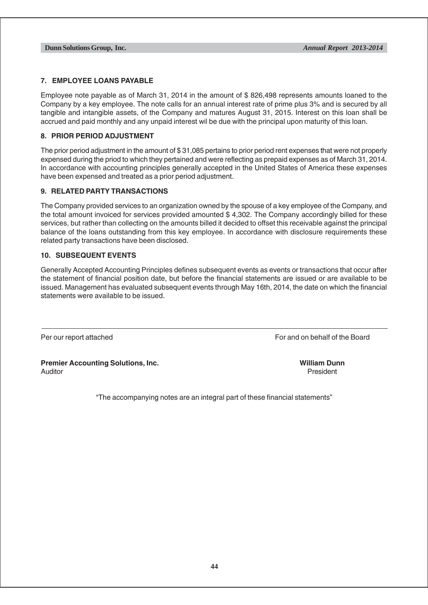#### **7. EMPLOYEE LOANS PAYABLE**

Employee note payable as of March 31, 2014 in the amount of \$ 826,498 represents amounts loaned to the Company by a key employee. The note calls for an annual interest rate of prime plus 3% and is secured by all tangible and intangible assets, of the Company and matures August 31, 2015. Interest on this loan shall be accrued and paid monthly and any unpaid interest wil be due with the principal upon maturity of this loan.

#### **8. PRIOR PERIOD ADJUSTMENT**

The prior period adjustment in the amount of \$ 31,085 pertains to prior period rent expenses that were not properly expensed during the priod to which they pertained and were reflecting as prepaid expenses as of March 31, 2014. In accordance with accounting principles generally accepted in the United States of America these expenses have been expensed and treated as a prior period adjustment.

#### **9. RELATED PARTY TRANSACTIONS**

The Company provided services to an organization owned by the spouse of a key employee of the Company, and the total amount invoiced for services provided amounted \$ 4,302. The Company accordingly billed for these services, but rather than collecting on the amounts billed it decided to offset this receivable against the principal balance of the loans outstanding from this key employee. In accordance with disclosure requirements these related party transactions have been disclosed.

#### **10. SUBSEQUENT EVENTS**

Generally Accepted Accounting Principles defines subsequent events as events or transactions that occur after the statement of financial position date, but before the financial statements are issued or are available to be issued. Management has evaluated subsequent events through May 16th, 2014, the date on which the financial statements were available to be issued.

Per our report attached For and on behalf of the Board

**Premier Accounting Solutions, Inc.** No. 1996 and the method of the Milliam Dunn Auditor (1996) and the Milliam Dunn<br>Auditor President Auditor President (1999) and the contract of the contract of the contract of the contract of the contract of the contract of the contract of the contract of the contract of the contract of the contract of the contract of t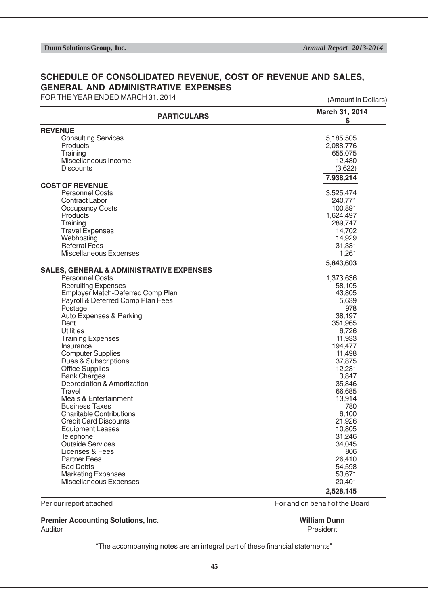#### FOR THE YEAR ENDED MARCH 31, 2014  **PARTICULARS March 31, 2014 \$ REVENUE** Consulting Services 6,185,505<br>Products 5,185,505<br>2.088,776 Products 2,088,776 Training 655,075 Miscellaneous Income 12,480<br>Discounts (3,622) Discounts (3,622) **7,938,214 COST OF REVENUE** Personnel Costs 3,525,474<br>Contract Labor 3,525,474<br>240,771 Contract Labor 240,771<br>
Occupancy Costs 100,891 Occupancy Costs 100,891<br>Products 1.624.497 Products and the contract of the contract of the contract of the contract of the contract of the contract of the contract of the contract of the contract of the contract of the contract of the contract of the contract of t Training 289,747 Travel Expenses 14,702 Webhosting 14,929 Referral Fees 31,331 Miscellaneous Expenses **5,843,603 SALES, GENERAL & ADMINISTRATIVE EXPENSES** Personnel Costs 1,373,636 Recruiting Expenses 58,105<br>Employer Match-Deferred Comp Plan Employer Match-Deferred Comp Plan 43,805<br>Payroll & Deferred Comp Plan Fees 43,805 Payroll & Deferred Comp Plan Fees 5,639 (1998) 1994 - State 1 (1998) 1996<br>Postage 5,639 (1978) 1978 Postage 978 Auto Expenses & Parking 38,197 Rent 351,965 Utilities 6,726 Training Expenses 11,933<br>Insurance 194.477 Insurance 194,477 nounced<br>
Computer Supplies 11,498<br>
Dues & Subscriptions 37.875 Dues & Subscriptions 37,875 Office Supplies 12,231 Bank Charges 3,847<br>Depreciation & Amortization 3,847 (1999) 2008 12:00 12:00 12:00 12:00 12:00 12:00 12:00 12:00 12:00 12:00 12:0 Depreciation & Amortization 35,846 Travel 66,685 Meals & Entertainment 13,914<br>Business Taxes 780 Business Taxes 780 Charitable Contributions 6,100 Credit Card Discounts 21,926 Equipment Leases 10,805<br>Telephone 31,246 Telephone 31,246 Outside Services 34,045 Licenses & Fees 806 and the set of the set of the set of the set of the set of the set of the set of the set o<br>806 and the set of the set of the set of the set of the set of the set of the set of the set of the set of the Partner Fees 26,410<br>Bad Debts 31,598 Bad Debts 54,598 Marketing Expenses 53,671<br>Miscellaneous Expenses 63,671<br>20,401 Miscellaneous Expenses (Amount in Dollars)

### **SCHEDULE OF CONSOLIDATED REVENUE, COST OF REVENUE AND SALES, GENERAL AND ADMINISTRATIVE EXPENSES**

#### Per our report attached For and on behalf of the Board

**2,528,145**

#### **Premier Accounting Solutions, Inc.** No. 1996 and No. 1997 and Number William Dunn<br>Auditor President Auditor President (1999) - Auditor President (1999) - President (1999) - President (1999) - President (1999) -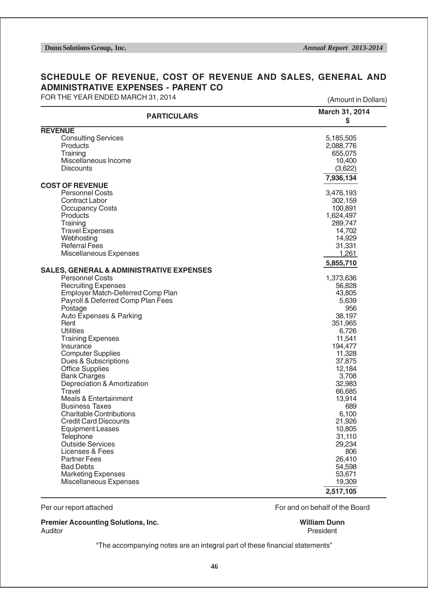### **SCHEDULE OF REVENUE, COST OF REVENUE AND SALES, GENERAL AND ADMINISTRATIVE EXPENSES - PARENT CO**

FOR THE YEAR ENDED MARCH 31, 2014

(Amount in Dollars)

| <b>PARTICULARS</b>                                  | March 31, 2014<br>S |
|-----------------------------------------------------|---------------------|
| <b>REVENUE</b>                                      |                     |
| <b>Consulting Services</b>                          | 5,185,505           |
| Products                                            | 2,088,776           |
| Training                                            | 655,075             |
| Miscellaneous Income                                | 10,400              |
| <b>Discounts</b>                                    | (3,622)             |
|                                                     | 7,936,134           |
| <b>COST OF REVENUE</b>                              |                     |
| <b>Personnel Costs</b>                              | 3,476,193           |
| <b>Contract Labor</b>                               | 302,159             |
| <b>Occupancy Costs</b>                              | 100,891             |
| <b>Products</b>                                     | 1,624,497           |
| Training                                            | 289,747             |
| <b>Travel Expenses</b>                              | 14,702              |
| Webhosting                                          | 14,929              |
| <b>Referral Fees</b>                                | 31,331              |
|                                                     | 1,261               |
| Miscellaneous Expenses                              |                     |
|                                                     | 5,855,710           |
| <b>SALES, GENERAL &amp; ADMINISTRATIVE EXPENSES</b> |                     |
| <b>Personnel Costs</b>                              | 1,373,636           |
| <b>Recruiting Expenses</b>                          | 56,828              |
| Employer Match-Deferred Comp Plan                   | 43,805              |
| Payroll & Deferred Comp Plan Fees                   | 5,639               |
| Postage                                             | 956                 |
| Auto Expenses & Parking                             | 38,197              |
| Rent                                                | 351,965             |
| <b>Utilities</b>                                    | 6,726               |
| <b>Training Expenses</b>                            | 11,541              |
| Insurance                                           | 194,477             |
| <b>Computer Supplies</b>                            | 11,328              |
| Dues & Subscriptions                                | 37,875              |
| <b>Office Supplies</b>                              | 12,184              |
| <b>Bank Charges</b>                                 | 3,708               |
| Depreciation & Amortization                         | 32,983              |
| Travel                                              | 66,685              |
| <b>Meals &amp; Entertainment</b>                    | 13,914              |
| <b>Business Taxes</b>                               | 689                 |
| <b>Charitable Contributions</b>                     | 6,100               |
| <b>Credit Card Discounts</b>                        | 21,926              |
| Equipment Leases                                    | 10,805              |
| Telephone                                           | 31,110              |
| <b>Outside Services</b>                             | 29,234              |
| Licenses & Fees                                     | 806                 |
| <b>Partner Fees</b>                                 | 26,410              |
| <b>Bad Debts</b>                                    | 54,598              |
| <b>Marketing Expenses</b>                           | 53,671              |
| Miscellaneous Expenses                              | 19,309              |
|                                                     | 2,517,105           |

**Premier Accounting Solutions, Inc.** Number 2012 11:30 William Dunn<br>Auditor President Auditor President (1999) and the contract of the contract of the contract of the contract of the contract of the contract of the contract of the contract of the contract of the contract of the contract of the contract of t

Per our report attached For and on behalf of the Board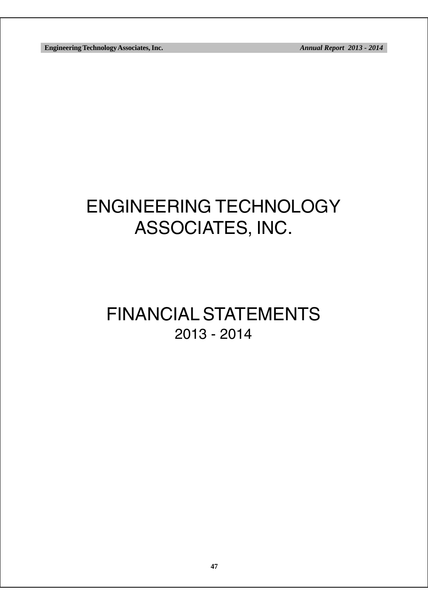*Annual Report 2013 - 2014*

# ENGINEERING TECHNOLOGY ASSOCIATES, INC.

# FINANCIAL STATEMENTS 2013 - 2014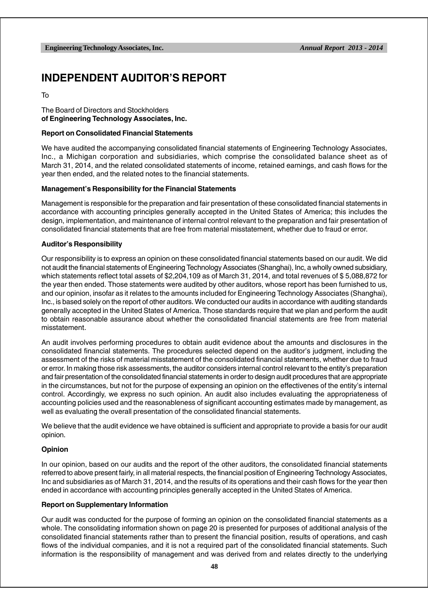### **INDEPENDENT AUDITOR'S REPORT**

#### To

#### The Board of Directors and Stockholders **of Engineering Technology Associates, Inc.**

#### **Report on Consolidated Financial Statements**

We have audited the accompanying consolidated financial statements of Engineering Technology Associates, Inc., a Michigan corporation and subsidiaries, which comprise the consolidated balance sheet as of March 31, 2014, and the related consolidated statements of income, retained earnings, and cash flows for the year then ended, and the related notes to the financial statements.

#### **Management's Responsibility for the Financial Statements**

Management is responsible for the preparation and fair presentation of these consolidated financial statements in accordance with accounting principles generally accepted in the United States of America; this includes the design, implementation, and maintenance of internal control relevant to the preparation and fair presentation of consolidated financial statements that are free from material misstatement, whether due to fraud or error.

#### **Auditor's Responsibility**

Our responsibility is to express an opinion on these consolidated financial statements based on our audit. We did not audit the financial statements of Engineering Technology Associates (Shanghai), Inc, a wholly owned subsidiary, which statements reflect total assets of \$2,204,109 as of March 31, 2014, and total revenues of \$ 5,088,872 for the year then ended. Those statements were audited by other auditors, whose report has been furnished to us, and our opinion, insofar as it relates to the amounts included for Engineering Technology Associates (Shanghai), Inc., is based solely on the report of other auditors. We conducted our audits in accordance with auditing standards generally accepted in the United States of America. Those standards require that we plan and perform the audit to obtain reasonable assurance about whether the consolidated financial statements are free from material misstatement.

An audit involves performing procedures to obtain audit evidence about the amounts and disclosures in the consolidated financial statements. The procedures selected depend on the auditor's judgment, including the assessment of the risks of material misstatement of the consolidated financial statements, whether due to fraud or error. In making those risk assessments, the auditor considers internal control relevant to the entity's preparation and fair presentation of the consolidated financial statements in order to design audit procedures that are appropriate in the circumstances, but not for the purpose of expensing an opinion on the effectivenes of the entity's internal control. Accordingly, we express no such opinion. An audit also includes evaluating the appropriateness of accounting policies used and the reasonableness of significant accounting estimates made by management, as well as evaluating the overall presentation of the consolidated financial statements.

We believe that the audit evidence we have obtained is sufficient and appropriate to provide a basis for our audit opinion.

#### **Opinion**

In our opinion, based on our audits and the report of the other auditors, the consolidated financial statements referred to above present fairly, in all material respects, the financial position of Engineering Technology Associates, Inc and subsidiaries as of March 31, 2014, and the results of its operations and their cash flows for the year then ended in accordance with accounting principles generally accepted in the United States of America.

#### **Report on Supplementary Information**

Our audit was conducted for the purpose of forming an opinion on the consolidated financial statements as a whole. The consolidating information shown on page 20 is presented for purposes of additional analysis of the consolidated financial statements rather than to present the financial position, results of operations, and cash flows of the individual companies, and it is not a required part of the consolidated financial statements. Such information is the responsibility of management and was derived from and relates directly to the underlying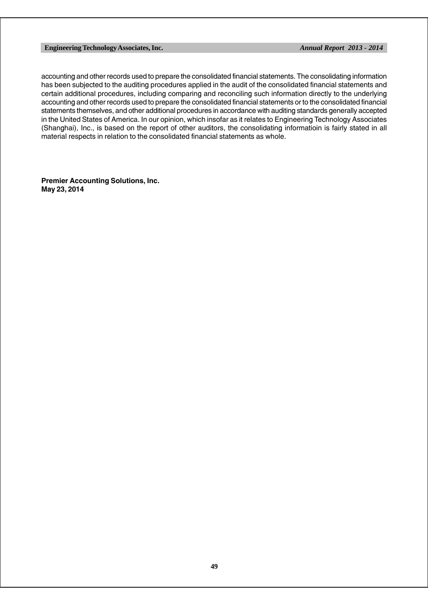accounting and other records used to prepare the consolidated financial statements. The consolidating information has been subjected to the auditing procedures applied in the audit of the consolidated financial statements and certain additional procedures, including comparing and reconciling such information directly to the underlying accounting and other records used to prepare the consolidated financial statements or to the consolidated financial statements themselves, and other additional procedures in accordance with auditing standards generally accepted in the United States of America. In our opinion, which insofar as it relates to Engineering Technology Associates (Shanghai), Inc., is based on the report of other auditors, the consolidating informatioin is fairly stated in all material respects in relation to the consolidated financial statements as whole.

**Premier Accounting Solutions, Inc. May 23, 2014**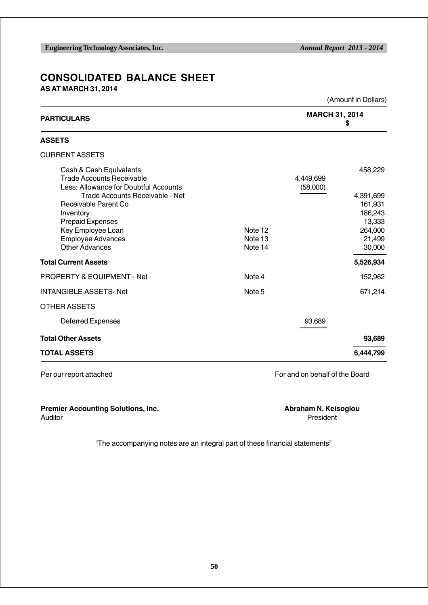*Annual Report 2013 - 2014*

### **CONSOLIDATED BALANCE SHEET AS AT MARCH 31, 2014**

(Amount in Dollars)

| <b>PARTICULARS</b>                                                                                                                                                                                                                                                                |                               | <b>MARCH 31, 2014</b> | S                                                                                   |
|-----------------------------------------------------------------------------------------------------------------------------------------------------------------------------------------------------------------------------------------------------------------------------------|-------------------------------|-----------------------|-------------------------------------------------------------------------------------|
| <b>ASSETS</b>                                                                                                                                                                                                                                                                     |                               |                       |                                                                                     |
| <b>CURRENT ASSETS</b>                                                                                                                                                                                                                                                             |                               |                       |                                                                                     |
| Cash & Cash Equivalents<br><b>Trade Accounts Receivable</b><br>Less: Allowance for Doubtful Accounts<br>Trade Accounts Receivable - Net<br>Receivable Parent Co<br>Inventory<br><b>Prepaid Expenses</b><br>Key Employee Loan<br><b>Employee Advances</b><br><b>Other Advances</b> | Note 12<br>Note 13<br>Note 14 | 4,449,699<br>(58,000) | 458,229<br>4,391,699<br>161,931<br>186,243<br>13,333<br>264,000<br>21,499<br>30,000 |
| <b>Total Current Assets</b>                                                                                                                                                                                                                                                       |                               |                       | 5,526,934                                                                           |
| PROPERTY & EQUIPMENT - Net                                                                                                                                                                                                                                                        | Note 4                        |                       | 152,962                                                                             |
| <b>INTANGIBLE ASSETS Net</b>                                                                                                                                                                                                                                                      | Note 5                        |                       | 671,214                                                                             |
| OTHER ASSETS                                                                                                                                                                                                                                                                      |                               |                       |                                                                                     |
| <b>Deferred Expenses</b>                                                                                                                                                                                                                                                          |                               | 93,689                |                                                                                     |
| <b>Total Other Assets</b>                                                                                                                                                                                                                                                         |                               |                       | 93,689                                                                              |
| <b>TOTAL ASSETS</b>                                                                                                                                                                                                                                                               |                               |                       | 6,444,799                                                                           |
|                                                                                                                                                                                                                                                                                   |                               |                       |                                                                                     |

Per our report attached For and on behalf of the Board

**Premier Accounting Solutions, Inc. Abraham N. Keisoglou Auditor Abraham N. Keisoglou**<br>Auditor **President** Auditor President (1999) and the contract of the contract of the contract of the contract of the contract of the contract of the contract of the contract of the contract of the contract of the contract of the contract of t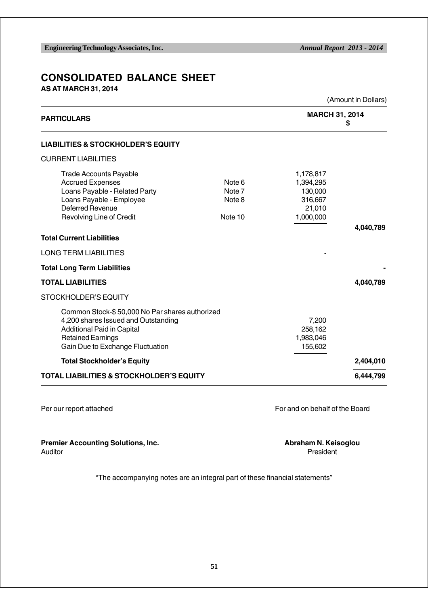*Annual Report 2013 - 2014*

# **CONSOLIDATED BALANCE SHEET**

**AS AT MARCH 31, 2014**

|                                                                                                                                                                                            |                                       |                                                                     | (Amount in Dollars) |
|--------------------------------------------------------------------------------------------------------------------------------------------------------------------------------------------|---------------------------------------|---------------------------------------------------------------------|---------------------|
| <b>PARTICULARS</b>                                                                                                                                                                         |                                       | <b>MARCH 31, 2014</b>                                               | S                   |
| <b>LIABILITIES &amp; STOCKHOLDER'S EQUITY</b>                                                                                                                                              |                                       |                                                                     |                     |
| <b>CURRENT LIABILITIES</b>                                                                                                                                                                 |                                       |                                                                     |                     |
| <b>Trade Accounts Payable</b><br><b>Accrued Expenses</b><br>Loans Payable - Related Party<br>Loans Payable - Employee<br>Deferred Revenue<br>Revolving Line of Credit                      | Note 6<br>Note 7<br>Note 8<br>Note 10 | 1,178,817<br>1,394,295<br>130,000<br>316,667<br>21,010<br>1,000,000 | 4,040,789           |
| <b>Total Current Liabilities</b>                                                                                                                                                           |                                       |                                                                     |                     |
| <b>LONG TERM LIABILITIES</b><br><b>Total Long Term Liabilities</b>                                                                                                                         |                                       |                                                                     |                     |
| <b>TOTAL LIABILITIES</b>                                                                                                                                                                   |                                       |                                                                     | 4,040,789           |
| STOCKHOLDER'S EQUITY                                                                                                                                                                       |                                       |                                                                     |                     |
| Common Stock-\$50,000 No Par shares authorized<br>4,200 shares Issued and Outstanding<br><b>Additional Paid in Capital</b><br><b>Retained Earnings</b><br>Gain Due to Exchange Fluctuation |                                       | 7,200<br>258,162<br>1,983,046<br>155,602                            |                     |
| <b>Total Stockholder's Equity</b>                                                                                                                                                          |                                       |                                                                     | 2,404,010           |
| <b>TOTAL LIABILITIES &amp; STOCKHOLDER'S EQUITY</b>                                                                                                                                        |                                       |                                                                     | 6,444,799           |

Per our report attached For and on behalf of the Board

**Premier Accounting Solutions, Inc. Abraham N. Keisoglou**<br>Auditor **President** Auditor President (1999) and the contract of the contract of the contract of the contract of the contract of the contract of the contract of the contract of the contract of the contract of the contract of the contract of t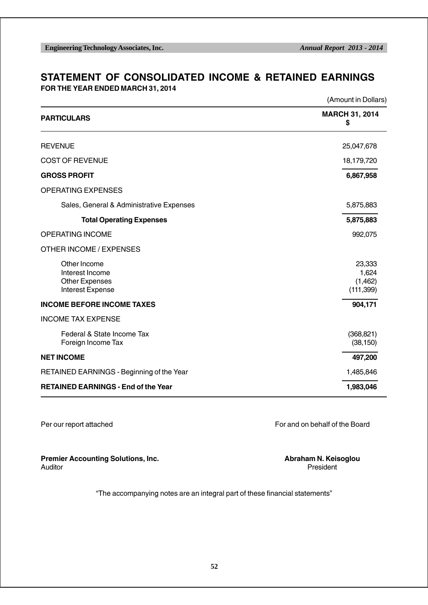|                                                                                     | (Amount in Dollars)                      |
|-------------------------------------------------------------------------------------|------------------------------------------|
| <b>PARTICULARS</b>                                                                  | <b>MARCH 31, 2014</b><br>\$              |
| <b>REVENUE</b>                                                                      | 25,047,678                               |
| <b>COST OF REVENUE</b>                                                              | 18,179,720                               |
| <b>GROSS PROFIT</b>                                                                 | 6,867,958                                |
| <b>OPERATING EXPENSES</b>                                                           |                                          |
| Sales, General & Administrative Expenses                                            | 5,875,883                                |
| <b>Total Operating Expenses</b>                                                     | 5,875,883                                |
| OPERATING INCOME                                                                    | 992,075                                  |
| <b>OTHER INCOME / EXPENSES</b>                                                      |                                          |
| Other Income<br>Interest Income<br><b>Other Expenses</b><br><b>Interest Expense</b> | 23,333<br>1,624<br>(1,462)<br>(111, 399) |
| <b>INCOME BEFORE INCOME TAXES</b>                                                   | 904,171                                  |
| <b>INCOME TAX EXPENSE</b>                                                           |                                          |
| Federal & State Income Tax<br>Foreign Income Tax                                    | (368, 821)<br>(38, 150)                  |
| <b>NET INCOME</b>                                                                   | 497,200                                  |
| RETAINED EARNINGS - Beginning of the Year                                           | 1,485,846                                |
| <b>RETAINED EARNINGS - End of the Year</b>                                          | 1,983,046                                |

### **STATEMENT OF CONSOLIDATED INCOME & RETAINED EARNINGS FOR THE YEAR ENDED MARCH 31, 2014**

Per our report attached For and on behalf of the Board

**Premier Accounting Solutions, Inc. Abraham N. Keisoglou**<br>Auditor **President** Auditor President (1999) and the contract of the contract of the contract of the contract of the contract of the contract of the contract of the contract of the contract of the contract of the contract of the contract of t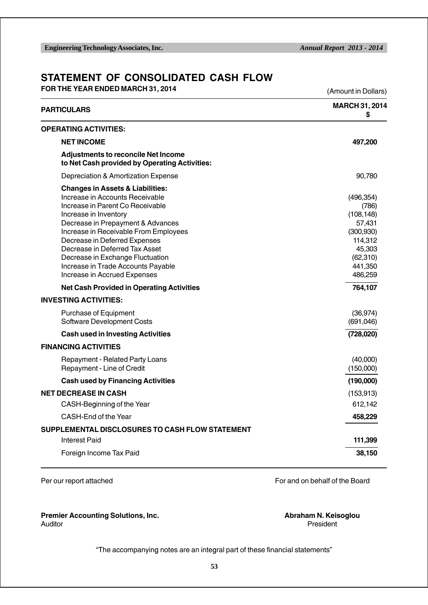# **STATEMENT OF CONSOLIDATED CASH FLOW**

| FOR THE YEAR ENDED MARCH 31, 2014                                                                                                                                                                                                                                                                                                                                                                      | (Amount in Dollars)                                                                                               |
|--------------------------------------------------------------------------------------------------------------------------------------------------------------------------------------------------------------------------------------------------------------------------------------------------------------------------------------------------------------------------------------------------------|-------------------------------------------------------------------------------------------------------------------|
| <b>PARTICULARS</b>                                                                                                                                                                                                                                                                                                                                                                                     | <b>MARCH 31, 2014</b><br>\$                                                                                       |
| <b>OPERATING ACTIVITIES:</b>                                                                                                                                                                                                                                                                                                                                                                           |                                                                                                                   |
| <b>NET INCOME</b>                                                                                                                                                                                                                                                                                                                                                                                      | 497,200                                                                                                           |
| <b>Adjustments to reconcile Net Income</b><br>to Net Cash provided by Operating Activities:                                                                                                                                                                                                                                                                                                            |                                                                                                                   |
| Depreciation & Amortization Expense                                                                                                                                                                                                                                                                                                                                                                    | 90,780                                                                                                            |
| <b>Changes in Assets &amp; Liabilities:</b><br>Increase in Accounts Receivable<br>Increase in Parent Co Receivable<br>Increase in Inventory<br>Decrease in Prepayment & Advances<br>Increase in Receivable From Employees<br>Decrease in Deferred Expenses<br>Decrease in Deferred Tax Asset<br>Decrease in Exchange Fluctuation<br>Increase in Trade Accounts Payable<br>Increase in Accrued Expenses | (496, 354)<br>(786)<br>(108, 148)<br>57,431<br>(300, 930)<br>114,312<br>45,303<br>(62, 310)<br>441,350<br>486,259 |
| <b>Net Cash Provided in Operating Activities</b>                                                                                                                                                                                                                                                                                                                                                       | 764,107                                                                                                           |
| <b>INVESTING ACTIVITIES:</b>                                                                                                                                                                                                                                                                                                                                                                           |                                                                                                                   |
| Purchase of Equipment<br>Software Development Costs                                                                                                                                                                                                                                                                                                                                                    | (36, 974)<br>(691,046)                                                                                            |
| <b>Cash used in Investing Activities</b>                                                                                                                                                                                                                                                                                                                                                               | (728, 020)                                                                                                        |
| <b>FINANCING ACTIVITIES</b>                                                                                                                                                                                                                                                                                                                                                                            |                                                                                                                   |
| <b>Repayment - Related Party Loans</b><br>Repayment - Line of Credit                                                                                                                                                                                                                                                                                                                                   | (40,000)<br>(150,000)                                                                                             |
| <b>Cash used by Financing Activities</b>                                                                                                                                                                                                                                                                                                                                                               | (190,000)                                                                                                         |
| <b>NET DECREASE IN CASH</b>                                                                                                                                                                                                                                                                                                                                                                            | (153, 913)                                                                                                        |
| CASH-Beginning of the Year                                                                                                                                                                                                                                                                                                                                                                             | 612,142                                                                                                           |
| CASH-End of the Year                                                                                                                                                                                                                                                                                                                                                                                   | 458,229                                                                                                           |
| SUPPLEMENTAL DISCLOSURES TO CASH FLOW STATEMENT                                                                                                                                                                                                                                                                                                                                                        |                                                                                                                   |
| <b>Interest Paid</b>                                                                                                                                                                                                                                                                                                                                                                                   | 111,399                                                                                                           |
| Foreign Income Tax Paid                                                                                                                                                                                                                                                                                                                                                                                | 38,150                                                                                                            |

Per our report attached For and on behalf of the Board

**Premier Accounting Solutions, Inc. Abraham N. Keisoglou Auditor Abraham N. Keisoglou**<br>Auditor **President** Auditor President (1999) - Auditor President (1999) - President (1999) - President (1999) - President (1999) -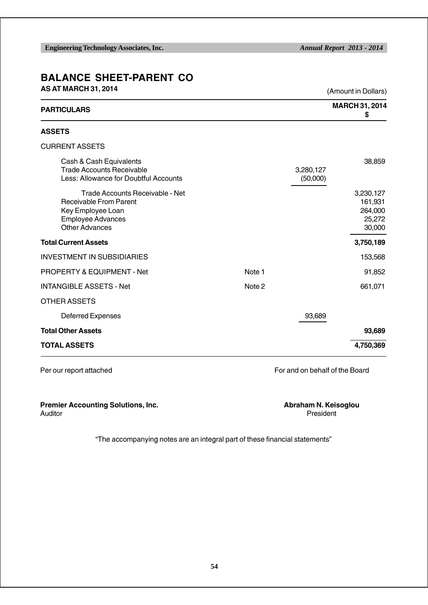### **BALANCE SHEET-PARENT CO AS AT MARCH 31, 2014**

(Amount in Dollars)

| <b>PARTICULARS</b>                                                                                                                         |                   |                       | <b>MARCH 31, 2014</b><br>\$                         |
|--------------------------------------------------------------------------------------------------------------------------------------------|-------------------|-----------------------|-----------------------------------------------------|
| <b>ASSETS</b>                                                                                                                              |                   |                       |                                                     |
| <b>CURRENT ASSETS</b>                                                                                                                      |                   |                       |                                                     |
| Cash & Cash Equivalents<br><b>Trade Accounts Receivable</b><br>Less: Allowance for Doubtful Accounts                                       |                   | 3,280,127<br>(50,000) | 38,859                                              |
| Trade Accounts Receivable - Net<br><b>Receivable From Parent</b><br>Key Employee Loan<br><b>Employee Advances</b><br><b>Other Advances</b> |                   |                       | 3,230,127<br>161,931<br>264,000<br>25,272<br>30,000 |
| <b>Total Current Assets</b>                                                                                                                |                   |                       | 3,750,189                                           |
| <b>INVESTMENT IN SUBSIDIARIES</b>                                                                                                          |                   |                       | 153,568                                             |
| PROPERTY & EQUIPMENT - Net                                                                                                                 | Note 1            |                       | 91,852                                              |
| <b>INTANGIBLE ASSETS - Net</b>                                                                                                             | Note <sub>2</sub> |                       | 661,071                                             |
| <b>OTHER ASSETS</b>                                                                                                                        |                   |                       |                                                     |
| Deferred Expenses                                                                                                                          |                   | 93,689                |                                                     |
| <b>Total Other Assets</b>                                                                                                                  |                   |                       | 93,689                                              |
| <b>TOTAL ASSETS</b>                                                                                                                        |                   |                       | 4,750,369                                           |

Per our report attached For and on behalf of the Board

**Premier Accounting Solutions, Inc. Abraham N. Keisoglou**<br>Auditor **President** Auditor President (1999) and the contract of the contract of the contract of the contract of the contract of the contract of the contract of the contract of the contract of the contract of the contract of the contract of t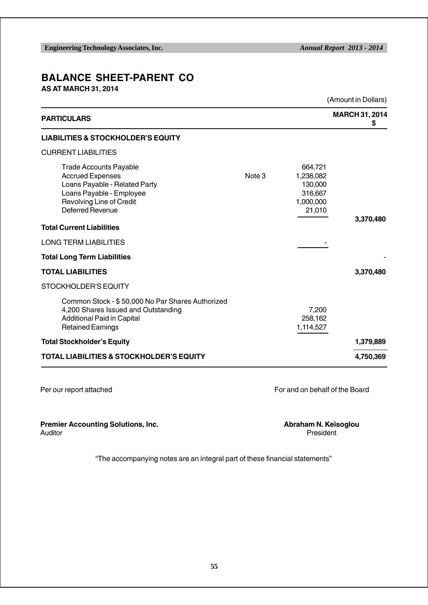### **BALANCE SHEET-PARENT CO AS AT MARCH 31, 2014**

|                                                                                                                                                                       |        |                                                                   | (Amount in Dollars)         |
|-----------------------------------------------------------------------------------------------------------------------------------------------------------------------|--------|-------------------------------------------------------------------|-----------------------------|
| <b>PARTICULARS</b>                                                                                                                                                    |        |                                                                   | <b>MARCH 31, 2014</b><br>\$ |
| <b>LIABILITIES &amp; STOCKHOLDER'S EQUITY</b>                                                                                                                         |        |                                                                   |                             |
| <b>CURRENT LIABILITIES</b>                                                                                                                                            |        |                                                                   |                             |
| <b>Trade Accounts Payable</b><br><b>Accrued Expenses</b><br>Loans Payable - Related Party<br>Loans Payable - Employee<br>Revolving Line of Credit<br>Deferred Revenue | Note 3 | 664,721<br>1,238,082<br>130,000<br>316,667<br>1,000,000<br>21,010 |                             |
| <b>Total Current Liabilities</b>                                                                                                                                      |        |                                                                   | 3,370,480                   |
| <b>LONG TERM LIABILITIES</b>                                                                                                                                          |        |                                                                   |                             |
| <b>Total Long Term Liabilities</b>                                                                                                                                    |        |                                                                   |                             |
| <b>TOTAL LIABILITIES</b>                                                                                                                                              |        |                                                                   | 3,370,480                   |
| STOCKHOLDER'S EQUITY                                                                                                                                                  |        |                                                                   |                             |
| Common Stock - \$50,000 No Par Shares Authorized<br>4,200 Shares Issued and Outstanding<br><b>Additional Paid in Capital</b><br><b>Retained Earnings</b>              |        | 7,200<br>258,162<br>1,114,527                                     |                             |
| <b>Total Stockholder's Equity</b>                                                                                                                                     |        |                                                                   | 1,379,889                   |
| <b>TOTAL LIABILITIES &amp; STOCKHOLDER'S EQUITY</b>                                                                                                                   |        |                                                                   | 4,750,369                   |

Per our report attached For and on behalf of the Board

**Premier Accounting Solutions, Inc. Abraham N. Keisoglou Auditor Abraham N. Keisoglou**<br>Auditor **President** Auditor President (1999) - Auditor President (1999) - President (1999) - President (1999) - President (1999) -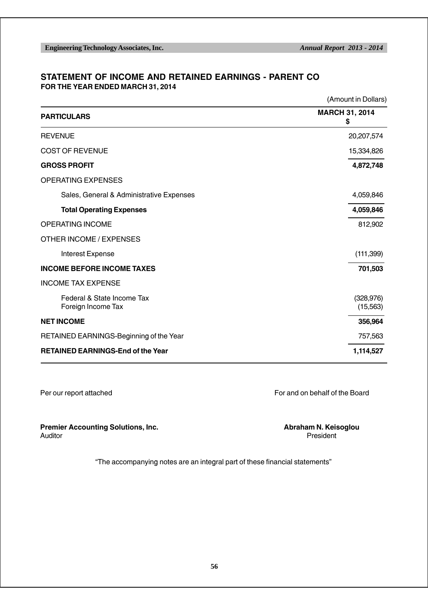|                                                  | (Amount in Dollars)        |
|--------------------------------------------------|----------------------------|
| <b>PARTICULARS</b>                               | <b>MARCH 31, 2014</b><br>S |
| <b>REVENUE</b>                                   | 20,207,574                 |
| <b>COST OF REVENUE</b>                           | 15,334,826                 |
| <b>GROSS PROFIT</b>                              | 4,872,748                  |
| <b>OPERATING EXPENSES</b>                        |                            |
| Sales, General & Administrative Expenses         | 4,059,846                  |
| <b>Total Operating Expenses</b>                  | 4,059,846                  |
| <b>OPERATING INCOME</b>                          | 812,902                    |
| OTHER INCOME / EXPENSES                          |                            |
| Interest Expense                                 | (111, 399)                 |
| <b>INCOME BEFORE INCOME TAXES</b>                | 701,503                    |
| <b>INCOME TAX EXPENSE</b>                        |                            |
| Federal & State Income Tax<br>Foreign Income Tax | (328, 976)<br>(15, 563)    |
| <b>NET INCOME</b>                                | 356,964                    |
| RETAINED EARNINGS-Beginning of the Year          | 757,563                    |
| <b>RETAINED EARNINGS-End of the Year</b>         | 1,114,527                  |

#### **STATEMENT OF INCOME AND RETAINED EARNINGS - PARENT CO FOR THE YEAR ENDED MARCH 31, 2014**

Per our report attached For and on behalf of the Board

**Premier Accounting Solutions, Inc. Abraham N. Keisoglou Auditor Abraham N. Keisoglou**<br>Auditor **President** Auditor President (1999) and the contract of the contract of the contract of the contract of the contract of the contract of the contract of the contract of the contract of the contract of the contract of the contract of t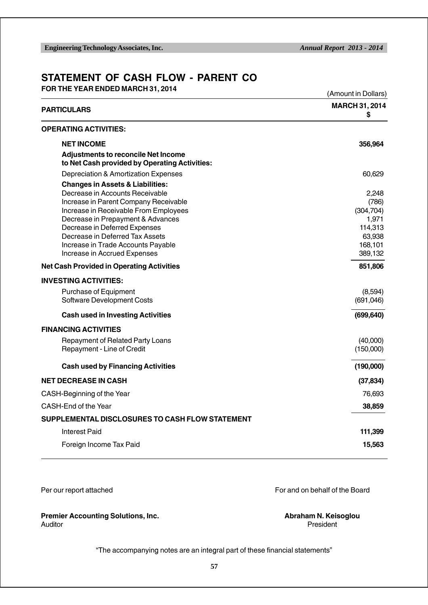### **STATEMENT OF CASH FLOW - PARENT CO**

**FOR THE YEAR ENDED MARCH 31, 2014 PARTICULARS MARCH 31, 2014 \$ OPERATING ACTIVITIES: NET INCOME 356,964 Adjustments to reconcile Net Income to Net Cash provided by Operating Activities:** Depreciation & Amortization Expenses 60,629 **Changes in Assets & Liabilities:** Decrease in Accounts Receivable<br>
Increase in Parent Company Receivable<br>
(786) Increase in Parent Company Receivable<br>
Increase in Receivable From Employees<br>
(304.704) Increase in Receivable From Employees<br>Decrease in Prepayment & Advances (304,704) Decrease in Prepayment & Advances Decrease in Deferred Expenses 114,313<br>Decrease in Deferred Tax Assets 114,313 Decrease in Deferred Tax Assets<br>
Increase in Trade Accounts Pavable<br>
168.101 Increase in Trade Accounts Payable Increase in Accrued Expenses 389,132 **Net Cash Provided in Operating Activities 851,806 INVESTING ACTIVITIES:** Purchase of Equipment (8,594) Software Development Costs (691,046) **Cash used in Investing Activities (699,640) FINANCING ACTIVITIES** Repayment of Related Party Loans<br>
Repayment - Line of Credit<br>
(150,000) Repayment - Line of Credit **Cash used by Financing Activities (190,000) NET DECREASE IN CASH (37,834)** CASH-Beginning of the Year 76,693 CASH-End of the Year **38,859 SUPPLEMENTAL DISCLOSURES TO CASH FLOW STATEMENT** Interest Paid **111,399** Foreign Income Tax Paid **15,563** (Amount in Dollars)

Per our report attached For and on behalf of the Board

**Premier Accounting Solutions, Inc. Abraham N. Keisoglou**<br>Auditor **President** Auditor President (1999) - Auditor President (1999) - President (1999) - President (1999) - President (1999) -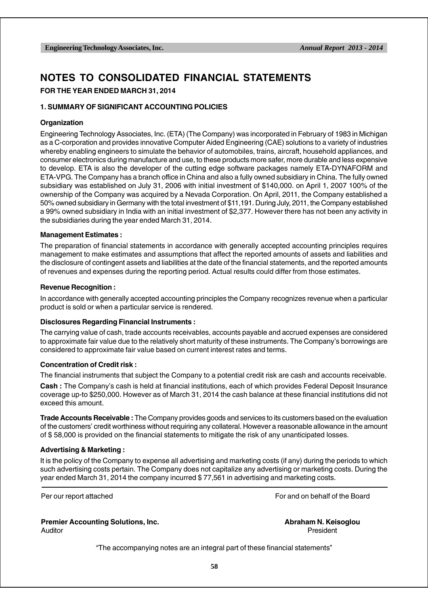### **NOTES TO CONSOLIDATED FINANCIAL STATEMENTS**

#### **FOR THE YEAR ENDED MARCH 31, 2014**

#### **1. SUMMARY OF SIGNIFICANT ACCOUNTING POLICIES**

#### **Organization**

Engineering Technology Associates, Inc. (ETA) (The Company) was incorporated in February of 1983 in Michigan as a C-corporation and provides innovative Computer Aided Engineering (CAE) solutions to a variety of industries whereby enabling engineers to simulate the behavior of automobiles, trains, aircraft, household appliances, and consumer electronics during manufacture and use, to these products more safer, more durable and less expensive to develop. ETA is also the developer of the cutting edge software packages namely ETA-DYNAFORM and ETA-VPG. The Company has a branch office in China and also a fully owned subsidiary in China. The fully owned subsidiary was established on July 31, 2006 with initial investment of \$140,000. on April 1, 2007 100% of the ownership of the Company was acquired by a Nevada Corporation. On April, 2011, the Company established a 50% owned subsidiary in Germany with the total investment of \$11,191. During July, 2011, the Company established a 99% owned subsidiary in India with an initial investment of \$2,377. However there has not been any activity in the subsidiaries during the year ended March 31, 2014.

#### **Management Estimates :**

The preparation of financial statements in accordance with generally accepted accounting principles requires management to make estimates and assumptions that affect the reported amounts of assets and liabilities and the disclosure of contingent assets and liabilities at the date of the financial statements, and the reported amounts of revenues and expenses during the reporting period. Actual results could differ from those estimates.

#### **Revenue Recognition :**

In accordance with generally accepted accounting principles the Company recognizes revenue when a particular product is sold or when a particular service is rendered.

#### **Disclosures Regarding Financial Instruments :**

The carrying value of cash, trade accounts receivables, accounts payable and accrued expenses are considered to approximate fair value due to the relatively short maturity of these instruments. The Company's borrowings are considered to approximate fair value based on current interest rates and terms.

#### **Concentration of Credit risk :**

The financial instruments that subject the Company to a potential credit risk are cash and accounts receivable.

**Cash :** The Company's cash is held at financial institutions, each of which provides Federal Deposit Insurance coverage up-to \$250,000. However as of March 31, 2014 the cash balance at these financial institutions did not exceed this amount.

**Trade Accounts Receivable :** The Company provides goods and services to its customers based on the evaluation of the customers' credit worthiness without requiring any collateral. However a reasonable allowance in the amount of \$ 58,000 is provided on the financial statements to mitigate the risk of any unanticipated losses.

#### **Advertising & Marketing :**

It is the policy of the Company to expense all advertising and marketing costs (if any) during the periods to which such advertising costs pertain. The Company does not capitalize any advertising or marketing costs. During the year ended March 31, 2014 the company incurred \$ 77,561 in advertising and marketing costs.

Per our report attached For and on behalf of the Board

#### **Premier Accounting Solutions, Inc. Abraham N. Keisoglou Auditor Abraham N. Keisoglou**<br>Auditor **President** Auditor President (1999) and the contract of the contract of the contract of the contract of the contract of the contract of the contract of the contract of the contract of the contract of the contract of the contract of t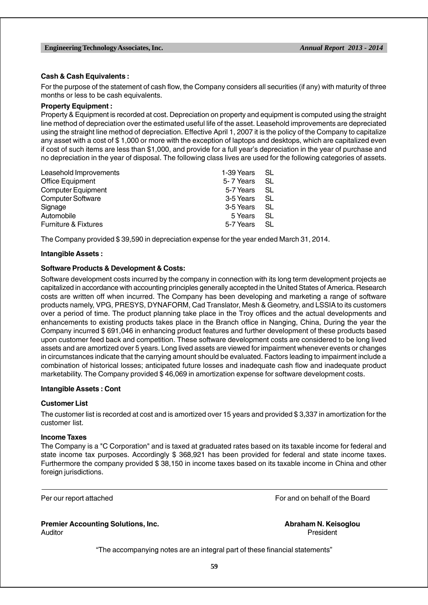#### **Cash & Cash Equivalents :**

For the purpose of the statement of cash flow, the Company considers all securities (if any) with maturity of three months or less to be cash equivalents.

#### **Property Equipment :**

Property & Equipment is recorded at cost. Depreciation on property and equipment is computed using the straight line method of depreciation over the estimated useful life of the asset. Leasehold improvements are depreciated using the straight line method of depreciation. Effective April 1, 2007 it is the policy of the Company to capitalize any asset with a cost of \$ 1,000 or more with the exception of laptops and desktops, which are capitalized even if cost of such items are less than \$1,000, and provide for a full year's depreciation in the year of purchase and no depreciation in the year of disposal. The following class lives are used for the following categories of assets.

| Leasehold Improvements          | 1-39 Years SL |      |
|---------------------------------|---------------|------|
| <b>Office Equipment</b>         | 5-7 Years     | -SL  |
| <b>Computer Equipment</b>       | 5-7 Years     | -SL  |
| <b>Computer Software</b>        | 3-5 Years     | -SL  |
| Signage                         | 3-5 Years     | -SL  |
| Automobile                      | 5 Years       | -SL  |
| <b>Furniture &amp; Fixtures</b> | 5-7 Years     | - SL |
|                                 |               |      |

The Company provided \$ 39,590 in depreciation expense for the year ended March 31, 2014.

#### **Intangible Assets :**

#### **Software Products & Development & Costs:**

Software development costs incurred by the company in connection with its long term development projects ae capitalized in accordance with accounting principles generally accepted in the United States of America. Research costs are written off when incurred. The Company has been developing and marketing a range of software products namely, VPG, PRESYS, DYNAFORM, Cad Translator, Mesh & Geometry, and LSSIA to its customers over a period of time. The product planning take place in the Troy offices and the actual developments and enhancements to existing products takes place in the Branch office in Nanging, China, During the year the Company incurred \$ 691,046 in enhancing product features and further development of these products based upon customer feed back and competition. These software development costs are considered to be long lived assets and are amortized over 5 years. Long lived assets are viewed for impairment whenever events or changes in circumstances indicate that the carrying amount should be evaluated. Factors leading to impairment include a combination of historical losses; anticipated future losses and inadequate cash flow and inadequate product marketability. The Company provided \$ 46,069 in amortization expense for software development costs.

#### **Intangible Assets : Cont**

#### **Customer List**

The customer list is recorded at cost and is amortized over 15 years and provided \$ 3,337 in amortization for the customer list.

#### **Income Taxes**

The Company is a "C Corporation" and is taxed at graduated rates based on its taxable income for federal and state income tax purposes. Accordingly \$ 368,921 has been provided for federal and state income taxes. Furthermore the company provided \$ 38,150 in income taxes based on its taxable income in China and other foreign jurisdictions.

Per our report attached For and on behalf of the Board

#### **Premier Accounting Solutions, Inc. Abraham N. Keisoglou Auditor Abraham N. Keisoglou**<br>Auditor **President** Auditor President (1999) - Auditor President (1999) - President (1999) - President (1999) - President (1999) -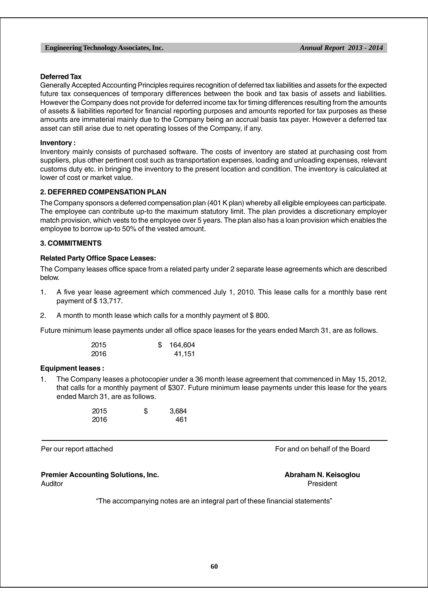#### **Deferred Tax**

Generally Accepted Accounting Principles requires recognition of deferred tax liabilities and assets for the expected future tax consequences of temporary differences between the book and tax basis of assets and liabilities. However the Company does not provide for deferred income tax for timing differences resulting from the amounts of assets & liabilities reported for financial reporting purposes and amounts reported for tax purposes as these amounts are immaterial mainly due to the Company being an accrual basis tax payer. However a deferred tax asset can still arise due to net operating losses of the Company, if any.

#### **Inventory :**

Inventory mainly consists of purchased software. The costs of inventory are stated at purchasing cost from suppliers, plus other pertinent cost such as transportation expenses, loading and unloading expenses, relevant customs duty etc. in bringing the inventory to the present location and condition. The inventory is calculated at lower of cost or market value.

#### **2. DEFERRED COMPENSATION PLAN**

The Company sponsors a deferred compensation plan (401 K plan) whereby all eligible employees can participate. The employee can contribute up-to the maximum statutory limit. The plan provides a discretionary employer match provision, which vests to the employee over 5 years. The plan also has a loan provision which enables the employee to borrow up-to 50% of the vested amount.

#### **3. COMMITMENTS**

#### **Related Party Office Space Leases:**

The Company leases office space from a related party under 2 separate lease agreements which are described below.

- 1. A five year lease agreement which commenced July 1, 2010. This lease calls for a monthly base rent payment of \$ 13,717.
- 2. A month to month lease which calls for a monthly payment of \$ 800.

Future minimum lease payments under all office space leases for the years ended March 31, are as follows.

| 2015 | 164,604 |
|------|---------|
| 2016 | 41,151  |

#### **Equipment leases :**

1. The Company leases a photocopier under a 36 month lease agreement that commenced in May 15, 2012, that calls for a monthly payment of \$307. Future minimum lease payments under this lease for the years ended March 31, are as follows.

| 2015 | \$<br>3,684 |
|------|-------------|
| 2016 | 461         |

Per our report attached For and on behalf of the Board

# **Premier Accounting Solutions, Inc. Abraham N. Keisoglou Auditor Abraham N. Keisoglou**<br>Auditor **President**

"The accompanying notes are an integral part of these financial statements"

Auditor President (1999) and the contract of the contract of the contract of the contract of the contract of the contract of the contract of the contract of the contract of the contract of the contract of the contract of t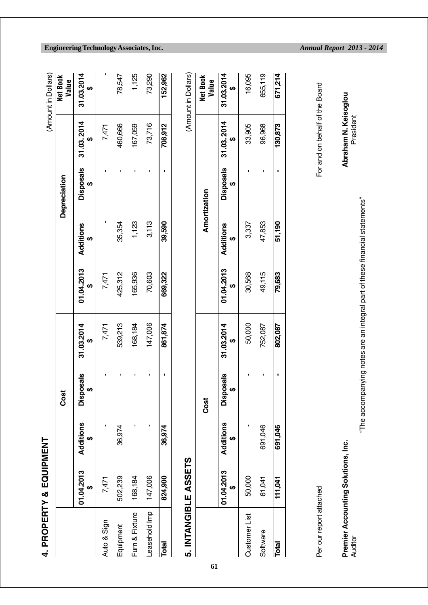| 4. PROPERTY & EQUIPMENT |                                      |                 |                                            |                         |                  |                 |                 |                                | (Amount in Dollars)      |
|-------------------------|--------------------------------------|-----------------|--------------------------------------------|-------------------------|------------------|-----------------|-----------------|--------------------------------|--------------------------|
|                         |                                      |                 | Cost                                       |                         |                  |                 | Depreciation    |                                | <b>Net Book</b><br>Value |
|                         | 01.04.2013<br>ക                      | Additions<br>မာ | <b>Disposals</b><br>\$                     | 31.03.2014<br>မာ        | 01.04.2013       | Additions<br>s, | Disposals<br>\$ | $31.03.2014$<br>\$             | 31.03.2014<br>မာ         |
| Auto & Sign             | 7,471                                |                 |                                            | 7,471                   | 7,471            |                 |                 | 7,471                          | $\blacksquare$           |
| Equipment               | 502,239                              | 36,974          |                                            | 539,213                 | 425,312          | 35,354          |                 | 460,666                        | 78,547                   |
| Furn & Fixture          | 168,184                              |                 |                                            | 168,184                 | 165,936          | 1,123           |                 | 167,059                        | 1,125                    |
| Leasehold Imp           | 147,006                              | ٠               |                                            | 147,006                 | 70,603           | 3,113           |                 | 73,716                         | 73,290                   |
| Total                   | 824,900                              | 36,974          | ٠                                          | 861,874                 | 669,322          | 39,590          | п               | 708,912                        | 152,962                  |
| 5. INTANGIBLE ASSETS    |                                      |                 |                                            |                         |                  |                 |                 |                                | (Amount in Dollars)      |
|                         |                                      |                 | Cost                                       |                         |                  |                 | Amortization    |                                | <b>Net Book</b><br>Value |
|                         | 01.04.2013<br>$\boldsymbol{\varphi}$ | Additions<br>မာ | <b>Disposals</b><br>$\boldsymbol{\varphi}$ | 31.03.2014<br>$\bullet$ | 01.04.2013<br>မာ | Additions<br>မာ | Disposals<br>\$ | 31.03.2014                     | 31.03.2014<br>မာ         |
| Customer List           | 50,000                               |                 |                                            | 50,000                  | 30,568           | 3,337           |                 | 33,905                         | 16,095                   |
| Software                | 61,041                               | 691,046         |                                            | 752,087                 | 49,115           | 47,853          |                 | 96,968                         | 655,119                  |
| Total                   | 111,041                              | 691,046         |                                            | 802,087                 | 79,683           | 51,190          |                 | 130,873                        | 671,214                  |
|                         |                                      |                 |                                            |                         |                  |                 |                 |                                |                          |
| Per our report attached |                                      |                 |                                            |                         |                  |                 |                 | For and on behalf of the Board |                          |

**Premier Accounting Solutions, Inc. Abraham N. Keisoglou** Auditor President Premier Accounting Solutions, Inc.<br><sup>Auditor</sup>

"The accompanying notes are an integral part of these financial statements" "The accompanying notes are an integral part of these financial statements"

**Engineering Technology Associates, Inc.**

*Annual Report 2013 - 2014*

Abraham N. Keisoglou<br>President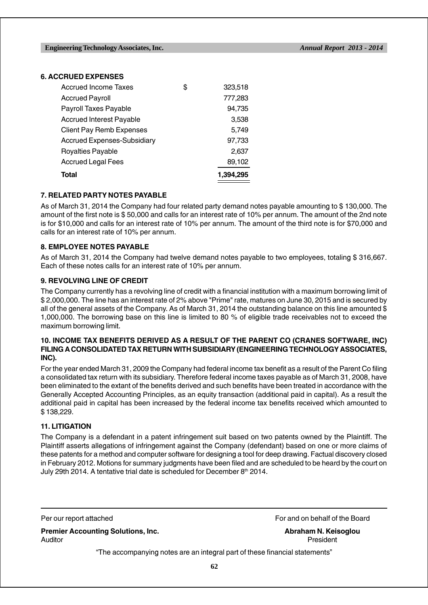*Annual Report 2013 - 2014*

**Engineering Technology Associates, Inc.**

#### **6. ACCRUED EXPENSES**

| Accrued Income Taxes               | S | 323,518   |
|------------------------------------|---|-----------|
| <b>Accrued Payroll</b>             |   | 777,283   |
| Payroll Taxes Payable              |   | 94.735    |
| <b>Accrued Interest Payable</b>    |   | 3,538     |
| <b>Client Pay Remb Expenses</b>    |   | 5,749     |
| <b>Accrued Expenses-Subsidiary</b> |   | 97,733    |
| <b>Royalties Payable</b>           |   | 2,637     |
| <b>Accrued Legal Fees</b>          |   | 89,102    |
| Total                              |   | 1.394.295 |

#### **7. RELATED PARTY NOTES PAYABLE**

As of March 31, 2014 the Company had four related party demand notes payable amounting to \$ 130,000. The amount of the first note is \$ 50,000 and calls for an interest rate of 10% per annum. The amount of the 2nd note is for \$10,000 and calls for an interest rate of 10% per annum. The amount of the third note is for \$70,000 and calls for an interest rate of 10% per annum.

#### **8. EMPLOYEE NOTES PAYABLE**

As of March 31, 2014 the Company had twelve demand notes payable to two employees, totaling \$ 316,667. Each of these notes calls for an interest rate of 10% per annum.

#### **9. REVOLVING LINE OF CREDIT**

The Company currently has a revolving line of credit with a financial institution with a maximum borrowing limit of \$ 2,000,000. The line has an interest rate of 2% above "Prime" rate, matures on June 30, 2015 and is secured by all of the general assets of the Company. As of March 31, 2014 the outstanding balance on this line amounted \$ 1,000,000. The borrowing base on this line is limited to 80 % of eligible trade receivables not to exceed the maximum borrowing limit.

#### **10. INCOME TAX BENEFITS DERIVED AS A RESULT OF THE PARENT CO (CRANES SOFTWARE, INC) FILING A CONSOLIDATED TAX RETURN WITH SUBSIDIARY (ENGINEERING TECHNOLOGY ASSOCIATES, INC).**

For the year ended March 31, 2009 the Company had federal income tax benefit as a result of the Parent Co filing a consolidated tax return with its subsidiary. Therefore federal income taxes payable as of March 31, 2008, have been eliminated to the extant of the benefits derived and such benefits have been treated in accordance with the Generally Accepted Accounting Principles, as an equity transaction (additional paid in capital). As a result the additional paid in capital has been increased by the federal income tax benefits received which amounted to \$ 138,229.

#### **11. LITIGATION**

The Company is a defendant in a patent infringement suit based on two patents owned by the Plaintiff. The Plaintiff asserts allegations of infringement against the Company (defendant) based on one or more claims of these patents for a method and computer software for designing a tool for deep drawing. Factual discovery closed in February 2012. Motions for summary judgments have been filed and are scheduled to be heard by the court on July 29th 2014. A tentative trial date is scheduled for December 8<sup>th</sup> 2014.

Per our report attached For and on behalf of the Board

**Premier Accounting Solutions, Inc. Abraham N. Keisoglou Auditor Abraham N. Keisoglou**<br>Auditor **President** Auditor President (1999) and the contract of the contract of the contract of the contract of the contract of the contract of the contract of the contract of the contract of the contract of the contract of the contract of t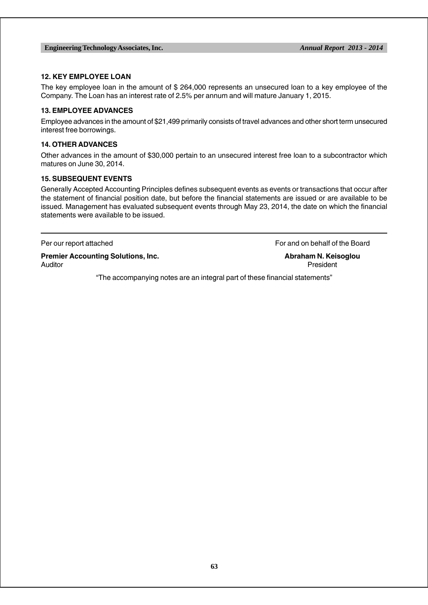#### **12. KEY EMPLOYEE LOAN**

The key employee loan in the amount of \$ 264,000 represents an unsecured loan to a key employee of the Company. The Loan has an interest rate of 2.5% per annum and will mature January 1, 2015.

#### **13. EMPLOYEE ADVANCES**

Employee advances in the amount of \$21,499 primarily consists of travel advances and other short term unsecured interest free borrowings.

#### **14. OTHER ADVANCES**

Other advances in the amount of \$30,000 pertain to an unsecured interest free loan to a subcontractor which matures on June 30, 2014.

#### **15. SUBSEQUENT EVENTS**

Generally Accepted Accounting Principles defines subsequent events as events or transactions that occur after the statement of financial position date, but before the financial statements are issued or are available to be issued. Management has evaluated subsequent events through May 23, 2014, the date on which the financial statements were available to be issued.

**Premier Accounting Solutions, Inc. Abraham N. Keisoglou Auditor Abraham N. Keisoglou**<br>Auditor **President** Auditor President (1999) and the contract of the contract of the contract of the contract of the contract of the contract of the contract of the contract of the contract of the contract of the contract of the contract of t

Per our report attached For and on behalf of the Board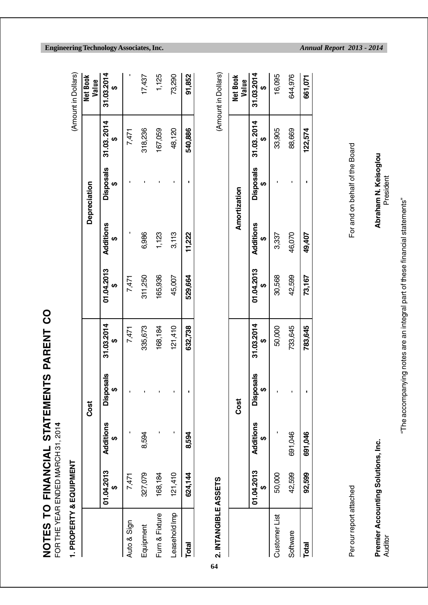| FOR THE YEAR ENDED MARCH 31, 2014 |                  | NOTES TO FINANCIAL STATEME |                                            | NTS PARENT CO    |                  |                 |                        |                  |                          |
|-----------------------------------|------------------|----------------------------|--------------------------------------------|------------------|------------------|-----------------|------------------------|------------------|--------------------------|
| 1. PROPERTY & EQUIPMENT           |                  |                            |                                            |                  |                  |                 |                        |                  | (Amount in Dollars)      |
|                                   |                  |                            | Cost                                       |                  |                  |                 | Depreciation           |                  | <b>Net Book</b><br>Value |
|                                   | 01.04.2013<br>မာ | Additions<br>မာ            | <b>Disposals</b><br>$\boldsymbol{\varphi}$ | 31.03.2014<br>မာ | 01.04.2013<br>Ø  | Additions<br>↔  | <b>Disposals</b><br>မာ | 31.03.2014<br>မာ | 31.03.2014<br>$\bullet$  |
| Auto & Sign                       | 7,471            |                            |                                            | 7,471            | 7,471            |                 |                        | 7,471            |                          |
| Equipment                         | 327,079          | 8,594                      |                                            | 335,673          | 311,250          | 6,986           |                        | 318,236          | 17,437                   |
| Furn & Fixture                    | 168,184          |                            |                                            | 168,184          | 165,936          | 1,123           |                        | 167,059          | 1,125                    |
| Leasehold Imp                     | 121,410          |                            |                                            | 121,410          | 45,007           | 3,113           |                        | 48,120           | 73,290                   |
| <b>Total</b>                      | 624,144          | 8.594                      |                                            | 632,738          | 529,664          | 11,222          |                        | 540,886          | 91,852                   |
| <b>2</b> 2. INTANGIBLE ASSETS     |                  |                            |                                            |                  |                  |                 |                        |                  | (Amount in Dollars)      |
|                                   |                  |                            | Cost                                       |                  |                  |                 | Amortization           |                  | <b>Net Book</b><br>Value |
|                                   | 01.04.2013       | Additions<br>မာ            | <b>Disposals</b><br>\$                     | 31.03.2014<br>မာ | 01.04.2013<br>မာ | Additions<br>မာ | <b>Disposals</b><br>မာ | 31.03.2014<br>မာ | 31.03.2014<br>မာ         |
| Customer List                     | 50,000           |                            |                                            | 50,000           | 30,568           | 3,337           |                        | 33,905           | 16,095                   |
| Software                          | 42,599           | 691,046                    | ı                                          | 733,645          | 42,599           | 46,070          |                        | 88,669           | 644,976                  |
| Total                             | 92,599           | 691,046                    |                                            | 783,645          | 73,167           | 49,407          |                        | 122,574          | 661,071                  |

Per our report attached For and on behalf of the Board Per our report attached

**Premier Accounting Solutions, Inc. Abraham N. Keisoglou** Auditor President Premier Accounting Solutions, Inc.<br>Auditor

For and on behalf of the Board

Abraham N. Keisoglou<br>President

### **Engineering Technology Associates, Inc.**

#### *Annual Report 2013 - 2014*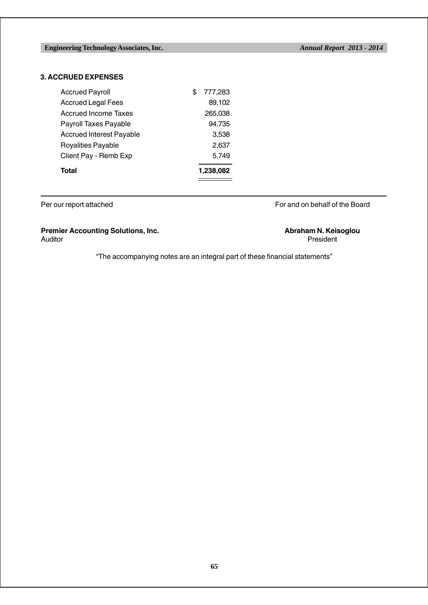#### **3. ACCRUED EXPENSES**

| <b>Accrued Payroll</b>          | \$. | 777.283   |
|---------------------------------|-----|-----------|
| <b>Accrued Legal Fees</b>       |     | 89,102    |
| Accrued Income Taxes            |     | 265,038   |
| Payroll Taxes Payable           |     | 94,735    |
| <b>Accrued Interest Payable</b> |     | 3,538     |
| <b>Royalities Payable</b>       |     | 2,637     |
| Client Pay - Remb Exp           |     | 5,749     |
| Total                           |     | 1,238,082 |
|                                 |     |           |

#### Per our report attached For and on behalf of the Board

# **Premier Accounting Solutions, Inc. Abraham N. Keisoglou**<br>Auditor **President**

## Auditor President (1999) - Auditor President (1999) - President (1999) - President (1999) - President (1999) -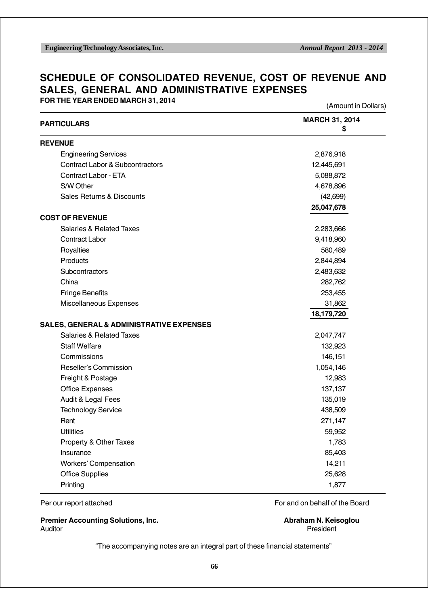## **SCHEDULE OF CONSOLIDATED REVENUE, COST OF REVENUE AND SALES, GENERAL AND ADMINISTRATIVE EXPENSES**

**FOR THE YEAR ENDED MARCH 31, 2014** (Amount in Dollars)

| <b>PARTICULARS</b>                                  | <b>MARCH 31, 2014</b><br>S |
|-----------------------------------------------------|----------------------------|
| <b>REVENUE</b>                                      |                            |
| <b>Engineering Services</b>                         | 2,876,918                  |
| <b>Contract Labor &amp; Subcontractors</b>          | 12,445,691                 |
| Contract Labor - ETA                                | 5,088,872                  |
| S/W Other                                           | 4,678,896                  |
| Sales Returns & Discounts                           | (42, 699)                  |
|                                                     | 25,047,678                 |
| <b>COST OF REVENUE</b>                              |                            |
| <b>Salaries &amp; Related Taxes</b>                 | 2,283,666                  |
| <b>Contract Labor</b>                               | 9,418,960                  |
| Royalties                                           | 580,489                    |
| Products                                            | 2,844,894                  |
| Subcontractors                                      | 2,483,632                  |
| China                                               | 282,762                    |
| <b>Fringe Benefits</b>                              | 253,455                    |
| Miscellaneous Expenses                              | 31,862                     |
|                                                     | 18,179,720                 |
| <b>SALES, GENERAL &amp; ADMINISTRATIVE EXPENSES</b> |                            |
| <b>Salaries &amp; Related Taxes</b>                 | 2,047,747                  |
| <b>Staff Welfare</b>                                | 132,923                    |
| Commissions                                         | 146,151                    |
| Reseller's Commission                               | 1,054,146                  |
| Freight & Postage                                   | 12,983                     |
| <b>Office Expenses</b>                              | 137,137                    |
| Audit & Legal Fees                                  | 135,019                    |
| <b>Technology Service</b>                           | 438,509                    |
| Rent                                                | 271,147                    |
| <b>Utilities</b>                                    | 59,952                     |
| Property & Other Taxes                              | 1,783                      |
| Insurance                                           | 85,403                     |
| <b>Workers' Compensation</b>                        | 14,211                     |
| <b>Office Supplies</b>                              | 25,628                     |
| Printing                                            | 1,877                      |

#### **Premier Accounting Solutions, Inc. Abraham N. Keisoglou Auditor Abraham N. Keisoglou**<br>Auditor **President** Auditor President (1999) and the contract of the contract of the contract of the contract of the contract of the contract of the contract of the contract of the contract of the contract of the contract of the contract of t

Per our report attached For and on behalf of the Board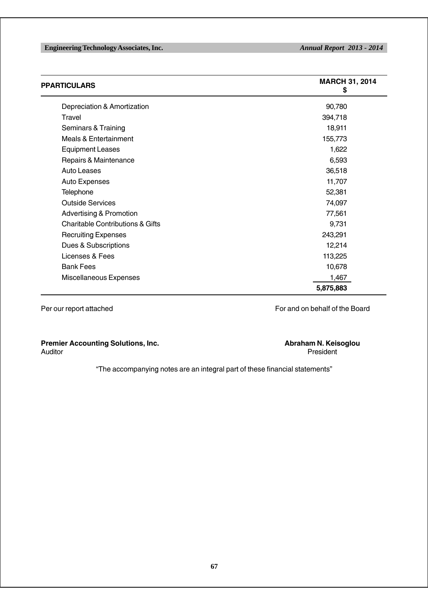| \$      |  |
|---------|--|
| 90,780  |  |
| 394,718 |  |
| 18,911  |  |
| 155,773 |  |
| 1,622   |  |
| 6,593   |  |
| 36,518  |  |
| 11,707  |  |
| 52,381  |  |
| 74,097  |  |
| 77,561  |  |
| 9,731   |  |
| 243,291 |  |
| 12,214  |  |
| 113,225 |  |
| 10,678  |  |
|         |  |

**PPARTICULARS**<br>**PPARTICULARS** 

Miscellaneous Expenses 1,467

Per our report attached For and on behalf of the Board

**5,875,883**

**Premier Accounting Solutions, Inc. Abraham N. Keisoglou Auditor Abraham N. Keisoglou**<br>Auditor **President** Auditor President (1999) - Auditor President (1999) - President (1999) - President (1999) - President (1999) -

"The accompanying notes are an integral part of these financial statements"

#### *Annual Report 2013 - 2014*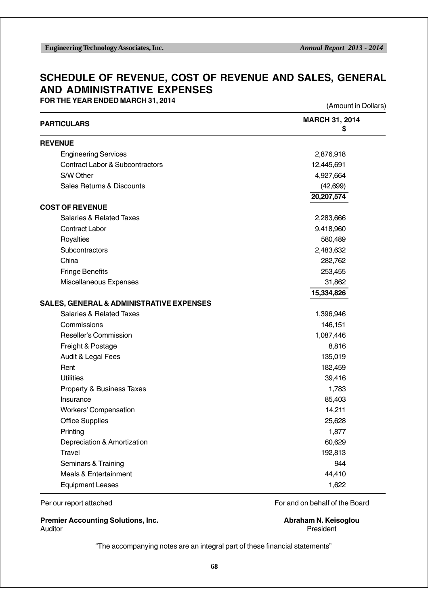### **SCHEDULE OF REVENUE, COST OF REVENUE AND SALES, GENERAL AND ADMINISTRATIVE EXPENSES**

**FOR THE YEAR ENDED MARCH 31, 2014** (Amount in Dollars)

| <b>PARTICULARS</b>                                  | <b>MARCH 31, 2014</b><br>\$ |
|-----------------------------------------------------|-----------------------------|
| <b>REVENUE</b>                                      |                             |
| <b>Engineering Services</b>                         | 2,876,918                   |
| <b>Contract Labor &amp; Subcontractors</b>          | 12,445,691                  |
| S/W Other                                           | 4,927,664                   |
| Sales Returns & Discounts                           | (42, 699)                   |
|                                                     | 20,207,574                  |
| <b>COST OF REVENUE</b>                              |                             |
| <b>Salaries &amp; Related Taxes</b>                 | 2,283,666                   |
| <b>Contract Labor</b>                               | 9,418,960                   |
| Royalties                                           | 580,489                     |
| Subcontractors                                      | 2,483,632                   |
| China                                               | 282,762                     |
| <b>Fringe Benefits</b>                              | 253,455                     |
| Miscellaneous Expenses                              | 31,862                      |
|                                                     | 15,334,826                  |
| <b>SALES, GENERAL &amp; ADMINISTRATIVE EXPENSES</b> |                             |
| <b>Salaries &amp; Related Taxes</b>                 | 1,396,946                   |
| Commissions                                         | 146,151                     |
| Reseller's Commission                               | 1,087,446                   |
| Freight & Postage                                   | 8,816                       |
| Audit & Legal Fees                                  | 135,019                     |
| Rent                                                | 182,459                     |
| <b>Utilities</b>                                    | 39,416                      |
| Property & Business Taxes                           | 1,783                       |
| Insurance                                           | 85,403                      |
| Workers' Compensation                               | 14,211                      |
| <b>Office Supplies</b>                              | 25,628                      |
| Printing                                            | 1,877                       |
| Depreciation & Amortization                         | 60,629                      |
| Travel                                              | 192,813                     |
| Seminars & Training                                 | 944                         |
| <b>Meals &amp; Entertainment</b>                    | 44,410                      |
| <b>Equipment Leases</b>                             | 1,622                       |

#### **Premier Accounting Solutions, Inc. Abraham N. Keisoglou Auditor Abraham N. Keisoglou**<br>Auditor **President** Auditor President (1999) and the contract of the contract of the contract of the contract of the contract of the contract of the contract of the contract of the contract of the contract of the contract of the contract of t

Per our report attached For and on behalf of the Board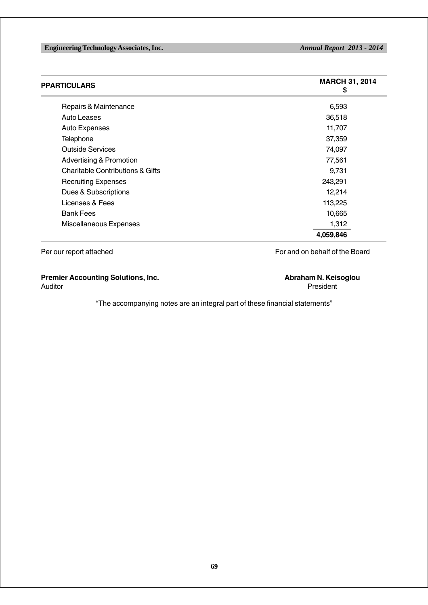*Annual Report 2013 - 2014*

| <b>PPARTICULARS</b>                         | <b>MARCH 31, 2014</b><br>S |
|---------------------------------------------|----------------------------|
| Repairs & Maintenance                       | 6,593                      |
| Auto Leases                                 | 36,518                     |
| Auto Expenses                               | 11,707                     |
| Telephone                                   | 37,359                     |
| <b>Outside Services</b>                     | 74,097                     |
| <b>Advertising &amp; Promotion</b>          | 77,561                     |
| <b>Charitable Contributions &amp; Gifts</b> | 9,731                      |
| <b>Recruiting Expenses</b>                  | 243,291                    |
| Dues & Subscriptions                        | 12,214                     |
| Licenses & Fees                             | 113,225                    |
| <b>Bank Fees</b>                            | 10,665                     |
| Miscellaneous Expenses                      | 1,312                      |
|                                             | 4,059,846                  |

Per our report attached For and on behalf of the Board

# **Premier Accounting Solutions, Inc. Abraham N. Keisoglou**<br>Auditor **President**

Auditor President (1999) and the contract of the contract of the contract of the contract of the contract of the contract of the contract of the contract of the contract of the contract of the contract of the contract of t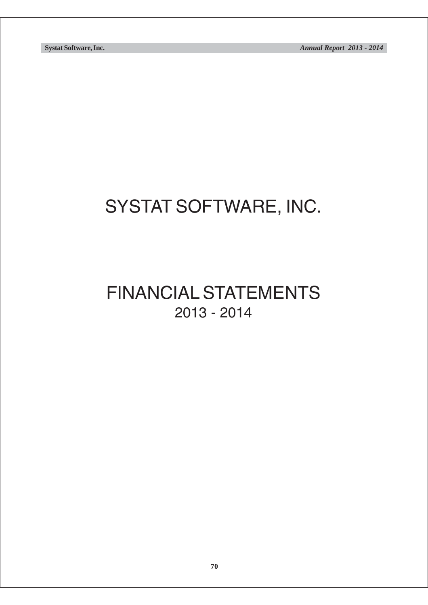*Annual Report 2013 - 2014*

# SYSTAT SOFTWARE, INC.

# FINANCIAL STATEMENTS 2013 - 2014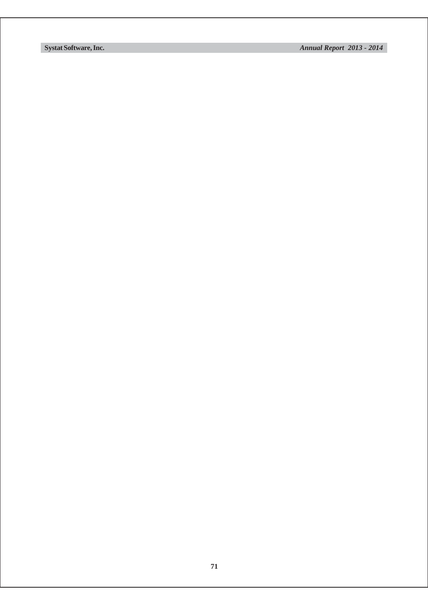**Systat Software, Inc.**

*Annual Report 2013 - 2014*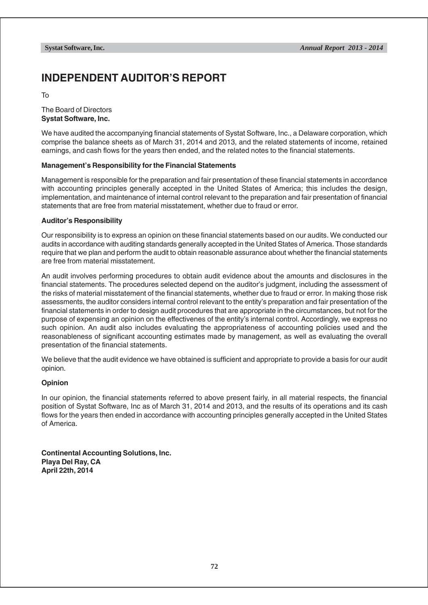# **INDEPENDENT AUDITOR'S REPORT**

To

#### The Board of Directors **Systat Software, Inc.**

We have audited the accompanying financial statements of Systat Software, Inc., a Delaware corporation, which comprise the balance sheets as of March 31, 2014 and 2013, and the related statements of income, retained earnings, and cash flows for the years then ended, and the related notes to the financial statements.

#### **Management's Responsibility for the Financial Statements**

Management is responsible for the preparation and fair presentation of these financial statements in accordance with accounting principles generally accepted in the United States of America; this includes the design, implementation, and maintenance of internal control relevant to the preparation and fair presentation of financial statements that are free from material misstatement, whether due to fraud or error.

#### **Auditor's Responsibility**

Our responsibility is to express an opinion on these financial statements based on our audits. We conducted our audits in accordance with auditing standards generally accepted in the United States of America. Those standards require that we plan and perform the audit to obtain reasonable assurance about whether the financial statements are free from material misstatement.

An audit involves performing procedures to obtain audit evidence about the amounts and disclosures in the financial statements. The procedures selected depend on the auditor's judgment, including the assessment of the risks of material misstatement of the financial statements, whether due to fraud or error. In making those risk assessments, the auditor considers internal control relevant to the entity's preparation and fair presentation of the financial statements in order to design audit procedures that are appropriate in the circumstances, but not for the purpose of expensing an opinion on the effectivenes of the entity's internal control. Accordingly, we express no such opinion. An audit also includes evaluating the appropriateness of accounting policies used and the reasonableness of significant accounting estimates made by management, as well as evaluating the overall presentation of the financial statements.

We believe that the audit evidence we have obtained is sufficient and appropriate to provide a basis for our audit opinion.

### **Opinion**

In our opinion, the financial statements referred to above present fairly, in all material respects, the financial position of Systat Software, Inc as of March 31, 2014 and 2013, and the results of its operations and its cash flows for the years then ended in accordance with accounting principles generally accepted in the United States of America.

**Continental Accounting Solutions, Inc. Playa Del Ray, CA April 22th, 2014**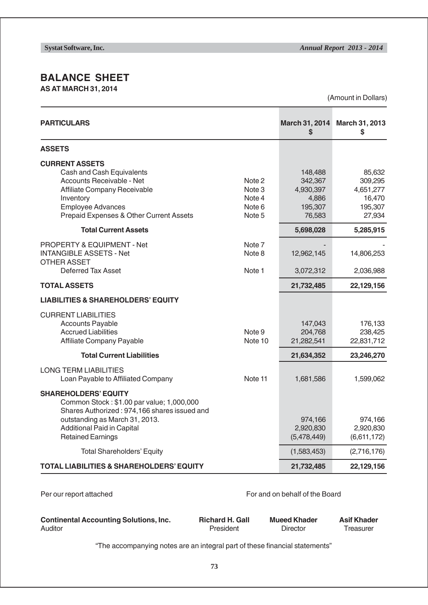# **BALANCE SHEET**

**AS AT MARCH 31, 2014**

(Amount in Dollars)

| <b>ASSETS</b><br><b>CURRENT ASSETS</b><br>Cash and Cash Equivalents<br>148,488<br>85,632<br>Accounts Receivable - Net<br>Note 2<br>342,367<br>309,295<br>Affiliate Company Receivable<br>Note 3<br>4,930,397<br>4,651,277<br>16,470<br>Note 4<br>4,886<br>Inventory<br>195,307<br><b>Employee Advances</b><br>Note 6<br>195,307<br>Prepaid Expenses & Other Current Assets<br>76,583<br>27,934<br>Note 5<br><b>Total Current Assets</b><br>5,698,028<br>5,285,915<br>PROPERTY & EQUIPMENT - Net<br>Note 7<br><b>INTANGIBLE ASSETS - Net</b><br>Note 8<br>12,962,145<br>14,806,253<br><b>OTHER ASSET</b><br>Deferred Tax Asset<br>Note 1<br>3,072,312<br>2,036,988<br><b>TOTAL ASSETS</b><br>21,732,485<br>22,129,156<br><b>LIABILITIES &amp; SHAREHOLDERS' EQUITY</b><br><b>CURRENT LIABILITIES</b><br><b>Accounts Payable</b><br>147,043<br>176,133<br><b>Accrued Liabilities</b><br>Note 9<br>204,768<br>238,425<br>Affiliate Company Payable<br>Note 10<br>21,282,541<br>22,831,712<br><b>Total Current Liabilities</b><br>21,634,352<br>23,246,270<br><b>LONG TERM LIABILITIES</b><br>Note 11<br>Loan Payable to Affiliated Company<br>1,681,586<br>1,599,062<br><b>SHAREHOLDERS' EQUITY</b><br>Common Stock: \$1.00 par value; 1,000,000<br>Shares Authorized: 974,166 shares issued and<br>outstanding as March 31, 2013.<br>974,166<br>974,166<br><b>Additional Paid in Capital</b><br>2,920,830<br>2,920,830<br><b>Retained Earnings</b><br>(5,478,449)<br>(6,611,172)<br><b>Total Shareholders' Equity</b><br>(1,583,453)<br>(2,716,176) | <b>PARTICULARS</b>                       | March 31, 2014<br>S | March 31, 2013<br>S |
|---------------------------------------------------------------------------------------------------------------------------------------------------------------------------------------------------------------------------------------------------------------------------------------------------------------------------------------------------------------------------------------------------------------------------------------------------------------------------------------------------------------------------------------------------------------------------------------------------------------------------------------------------------------------------------------------------------------------------------------------------------------------------------------------------------------------------------------------------------------------------------------------------------------------------------------------------------------------------------------------------------------------------------------------------------------------------------------------------------------------------------------------------------------------------------------------------------------------------------------------------------------------------------------------------------------------------------------------------------------------------------------------------------------------------------------------------------------------------------------------------------------------------------------------------|------------------------------------------|---------------------|---------------------|
|                                                                                                                                                                                                                                                                                                                                                                                                                                                                                                                                                                                                                                                                                                                                                                                                                                                                                                                                                                                                                                                                                                                                                                                                                                                                                                                                                                                                                                                                                                                                                   |                                          |                     |                     |
|                                                                                                                                                                                                                                                                                                                                                                                                                                                                                                                                                                                                                                                                                                                                                                                                                                                                                                                                                                                                                                                                                                                                                                                                                                                                                                                                                                                                                                                                                                                                                   |                                          |                     |                     |
|                                                                                                                                                                                                                                                                                                                                                                                                                                                                                                                                                                                                                                                                                                                                                                                                                                                                                                                                                                                                                                                                                                                                                                                                                                                                                                                                                                                                                                                                                                                                                   |                                          |                     |                     |
|                                                                                                                                                                                                                                                                                                                                                                                                                                                                                                                                                                                                                                                                                                                                                                                                                                                                                                                                                                                                                                                                                                                                                                                                                                                                                                                                                                                                                                                                                                                                                   |                                          |                     |                     |
|                                                                                                                                                                                                                                                                                                                                                                                                                                                                                                                                                                                                                                                                                                                                                                                                                                                                                                                                                                                                                                                                                                                                                                                                                                                                                                                                                                                                                                                                                                                                                   |                                          |                     |                     |
|                                                                                                                                                                                                                                                                                                                                                                                                                                                                                                                                                                                                                                                                                                                                                                                                                                                                                                                                                                                                                                                                                                                                                                                                                                                                                                                                                                                                                                                                                                                                                   |                                          |                     |                     |
|                                                                                                                                                                                                                                                                                                                                                                                                                                                                                                                                                                                                                                                                                                                                                                                                                                                                                                                                                                                                                                                                                                                                                                                                                                                                                                                                                                                                                                                                                                                                                   |                                          |                     |                     |
|                                                                                                                                                                                                                                                                                                                                                                                                                                                                                                                                                                                                                                                                                                                                                                                                                                                                                                                                                                                                                                                                                                                                                                                                                                                                                                                                                                                                                                                                                                                                                   |                                          |                     |                     |
|                                                                                                                                                                                                                                                                                                                                                                                                                                                                                                                                                                                                                                                                                                                                                                                                                                                                                                                                                                                                                                                                                                                                                                                                                                                                                                                                                                                                                                                                                                                                                   |                                          |                     |                     |
|                                                                                                                                                                                                                                                                                                                                                                                                                                                                                                                                                                                                                                                                                                                                                                                                                                                                                                                                                                                                                                                                                                                                                                                                                                                                                                                                                                                                                                                                                                                                                   |                                          |                     |                     |
|                                                                                                                                                                                                                                                                                                                                                                                                                                                                                                                                                                                                                                                                                                                                                                                                                                                                                                                                                                                                                                                                                                                                                                                                                                                                                                                                                                                                                                                                                                                                                   |                                          |                     |                     |
|                                                                                                                                                                                                                                                                                                                                                                                                                                                                                                                                                                                                                                                                                                                                                                                                                                                                                                                                                                                                                                                                                                                                                                                                                                                                                                                                                                                                                                                                                                                                                   | TOTAL LIABILITIES & SHAREHOLDERS' EQUITY | 21,732,485          | 22,129,156          |

#### Per our report attached For and on behalf of the Board

| <b>Continental Accounting Solutions, Inc.</b> | <b>Richard H. Gall</b> | <b>Mueed Khader</b> | <b>Asif Khader</b> |
|-----------------------------------------------|------------------------|---------------------|--------------------|
| Auditor                                       | President              | Director            | Treasurer          |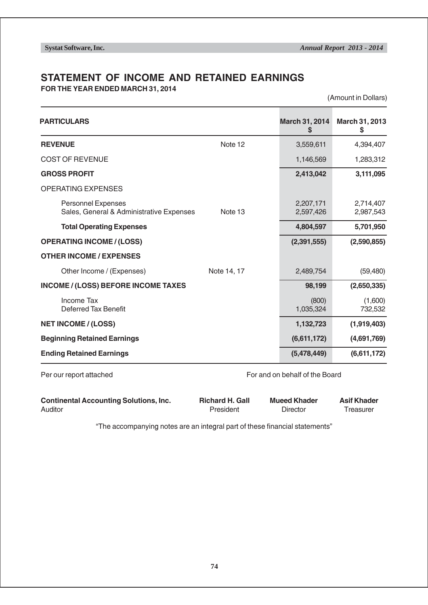# **STATEMENT OF INCOME AND RETAINED EARNINGS**

**FOR THE YEAR ENDED MARCH 31, 2014**

(Amount in Dollars)

| <b>PARTICULARS</b>                                                    |             | March 31, 2014<br>S    | March 31, 2013<br>\$   |
|-----------------------------------------------------------------------|-------------|------------------------|------------------------|
| <b>REVENUE</b>                                                        | Note 12     | 3,559,611              | 4,394,407              |
| <b>COST OF REVENUE</b>                                                |             | 1,146,569              | 1,283,312              |
| <b>GROSS PROFIT</b>                                                   |             | 2,413,042              | 3,111,095              |
| <b>OPERATING EXPENSES</b>                                             |             |                        |                        |
| <b>Personnel Expenses</b><br>Sales, General & Administrative Expenses | Note 13     | 2,207,171<br>2,597,426 | 2,714,407<br>2,987,543 |
| <b>Total Operating Expenses</b>                                       |             | 4,804,597              | 5,701,950              |
| <b>OPERATING INCOME / (LOSS)</b>                                      |             | (2,391,555)            | (2,590,855)            |
| <b>OTHER INCOME / EXPENSES</b>                                        |             |                        |                        |
| Other Income / (Expenses)                                             | Note 14, 17 | 2,489,754              | (59, 480)              |
| <b>INCOME / (LOSS) BEFORE INCOME TAXES</b>                            |             | 98,199                 | (2,650,335)            |
| Income Tax<br><b>Deferred Tax Benefit</b>                             |             | (800)<br>1,035,324     | (1,600)<br>732,532     |
| <b>NET INCOME / (LOSS)</b>                                            |             | 1,132,723              | (1,919,403)            |
| <b>Beginning Retained Earnings</b>                                    |             | (6,611,172)            | (4,691,769)            |
| <b>Ending Retained Earnings</b>                                       |             | (5,478,449)            | (6,611,172)            |

Per our report attached For and on behalf of the Board

| <b>Continental Accounting Solutions, Inc.</b> | <b>Richard H. Gall</b> | <b>Mueed Khader</b> | <b>Asif Khader</b> |
|-----------------------------------------------|------------------------|---------------------|--------------------|
| Auditor                                       | President              | Director            | Treasurer          |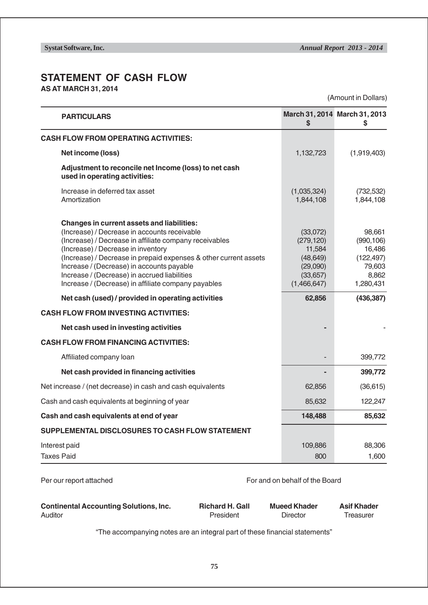## **STATEMENT OF CASH FLOW AS AT MARCH 31, 2014**

(Amount in Dollars)

| <b>PARTICULARS</b>                                                                                                                                                                                                                                                                                                                                                                                                        | \$                                                                                   | March 31, 2014 March 31, 2013<br>S                                           |
|---------------------------------------------------------------------------------------------------------------------------------------------------------------------------------------------------------------------------------------------------------------------------------------------------------------------------------------------------------------------------------------------------------------------------|--------------------------------------------------------------------------------------|------------------------------------------------------------------------------|
| <b>CASH FLOW FROM OPERATING ACTIVITIES:</b>                                                                                                                                                                                                                                                                                                                                                                               |                                                                                      |                                                                              |
| Net income (loss)                                                                                                                                                                                                                                                                                                                                                                                                         | 1,132,723                                                                            | (1,919,403)                                                                  |
| Adjustment to reconcile net Income (loss) to net cash<br>used in operating activities:                                                                                                                                                                                                                                                                                                                                    |                                                                                      |                                                                              |
| Increase in deferred tax asset<br>Amortization                                                                                                                                                                                                                                                                                                                                                                            | (1,035,324)<br>1,844,108                                                             | (732, 532)<br>1,844,108                                                      |
| <b>Changes in current assets and liabilities:</b><br>(Increase) / Decrease in accounts receivable<br>(Increase) / Decrease in affiliate company receivables<br>(Increase) / Decrease in inventory<br>(Increase) / Decrease in prepaid expenses & other current assets<br>Increase / (Decrease) in accounts payable<br>Increase / (Decrease) in accrued liabilities<br>Increase / (Decrease) in affiliate company payables | (33,072)<br>(279, 120)<br>11,584<br>(48, 649)<br>(29,090)<br>(33,657)<br>(1,466,647) | 98,661<br>(990, 106)<br>16,486<br>(122, 497)<br>79,603<br>8,862<br>1,280,431 |
| Net cash (used) / provided in operating activities                                                                                                                                                                                                                                                                                                                                                                        | 62,856                                                                               | (436, 387)                                                                   |
| <b>CASH FLOW FROM INVESTING ACTIVITIES:</b>                                                                                                                                                                                                                                                                                                                                                                               |                                                                                      |                                                                              |
| Net cash used in investing activities                                                                                                                                                                                                                                                                                                                                                                                     |                                                                                      |                                                                              |
| <b>CASH FLOW FROM FINANCING ACTIVITIES:</b>                                                                                                                                                                                                                                                                                                                                                                               |                                                                                      |                                                                              |
| Affiliated company loan                                                                                                                                                                                                                                                                                                                                                                                                   |                                                                                      | 399,772                                                                      |
| Net cash provided in financing activities                                                                                                                                                                                                                                                                                                                                                                                 |                                                                                      | 399,772                                                                      |
| Net increase / (net decrease) in cash and cash equivalents                                                                                                                                                                                                                                                                                                                                                                | 62,856                                                                               | (36, 615)                                                                    |
| Cash and cash equivalents at beginning of year                                                                                                                                                                                                                                                                                                                                                                            | 85,632                                                                               | 122,247                                                                      |
| Cash and cash equivalents at end of year                                                                                                                                                                                                                                                                                                                                                                                  | 148,488                                                                              | 85,632                                                                       |
| SUPPLEMENTAL DISCLOSURES TO CASH FLOW STATEMENT                                                                                                                                                                                                                                                                                                                                                                           |                                                                                      |                                                                              |
| Interest paid<br><b>Taxes Paid</b>                                                                                                                                                                                                                                                                                                                                                                                        | 109,886<br>800                                                                       | 88,306<br>1,600                                                              |

Per our report attached For and on behalf of the Board

| <b>Continental Accounting Solutions, Inc.</b> | <b>Richard H. Gall</b> | <b>Mueed Khader</b> | <b>Asif Khader</b> |
|-----------------------------------------------|------------------------|---------------------|--------------------|
| Auditor                                       | President              | Director            | Treasurer          |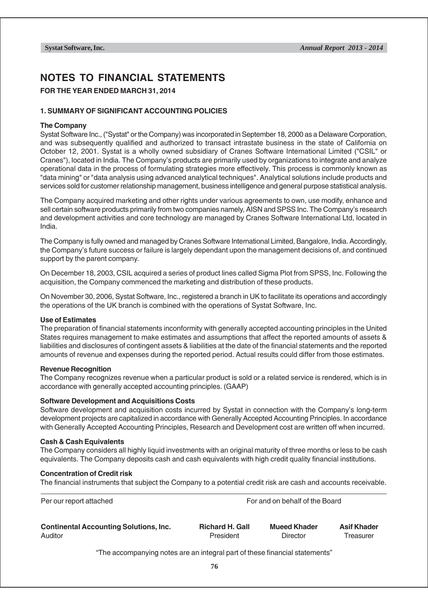# **NOTES TO FINANCIAL STATEMENTS**

### **FOR THE YEAR ENDED MARCH 31, 2014**

#### **1. SUMMARY OF SIGNIFICANT ACCOUNTING POLICIES**

#### **The Company**

Systat Software Inc., ("Systat" or the Company) was incorporated in September 18, 2000 as a Delaware Corporation, and was subsequently qualified and authorized to transact intrastate business in the state of California on October 12, 2001. Systat is a wholly owned subsidiary of Cranes Software International Limited ("CSIL" or Cranes"), located in India. The Company's products are primarily used by organizations to integrate and analyze operational data in the process of formulating strategies more effectively. This process is commonly known as "data mining" or "data analysis using advanced analytical techniques". Analytical solutions include products and services sold for customer relationship management, business intelligence and general purpose statistical analysis.

The Company acquired marketing and other rights under various agreements to own, use modify, enhance and sell certain software products primarily from two companies namely, AISN and SPSS Inc. The Company's research and development activities and core technology are managed by Cranes Software International Ltd, located in India.

The Company is fully owned and managed by Cranes Software International Limited, Bangalore, India. Accordingly, the Company's future success or failure is largely dependant upon the management decisions of, and continued support by the parent company.

On December 18, 2003, CSIL acquired a series of product lines called Sigma Plot from SPSS, Inc. Following the acquisition, the Company commenced the marketing and distribution of these products.

On November 30, 2006, Systat Software, Inc., registered a branch in UK to facilitate its operations and accordingly the operations of the UK branch is combined with the operations of Systat Software, Inc.

#### **Use of Estimates**

The preparation of financial statements inconformity with generally accepted accounting principles in the United States requires management to make estimates and assumptions that affect the reported amounts of assets & liabilities and disclosures of contingent assets & liabilities at the date of the financial statements and the reported amounts of revenue and expenses during the reported period. Actual results could differ from those estimates.

#### **Revenue Recognition**

The Company recognizes revenue when a particular product is sold or a related service is rendered, which is in accordance with generally accepted accounting principles. (GAAP)

#### **Software Development and Acquisitions Costs**

Software development and acquisition costs incurred by Systat in connection with the Company's long-term development projects are capitalized in accordance with Generally Accepted Accounting Principles. In accordance with Generally Accepted Accounting Principles, Research and Development cost are written off when incurred.

#### **Cash & Cash Equivalents**

The Company considers all highly liquid investments with an original maturity of three months or less to be cash equivalents. The Company deposits cash and cash equivalents with high credit quality financial institutions.

#### **Concentration of Credit risk**

The financial instruments that subject the Company to a potential credit risk are cash and accounts receivable.

**Continental Accounting Solutions, Inc.** Richard H. Gall Mueed Khader Auditor Asif Khader Auditor Auditor Auditor<br>President Director Treasurer Auditor **President Director Director** President Director President and Director **Treasurer** 

Per our report attached For and on behalf of the Board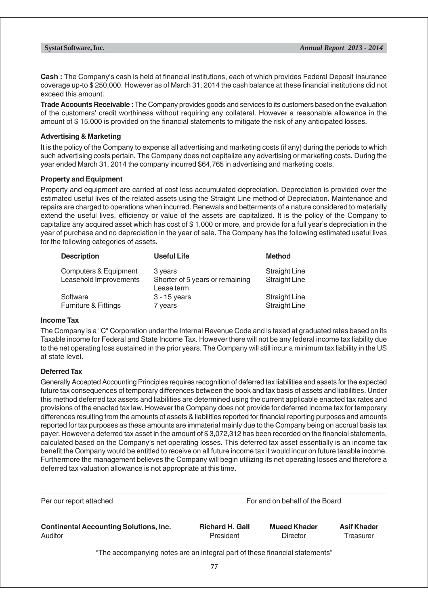**Cash :** The Company's cash is held at financial institutions, each of which provides Federal Deposit Insurance coverage up-to \$ 250,000. However as of March 31, 2014 the cash balance at these financial institutions did not exceed this amount.

**Trade Accounts Receivable :** The Company provides goods and services to its customers based on the evaluation of the customers' credit worthiness without requiring any collateral. However a reasonable allowance in the amount of \$ 15,000 is provided on the financial statements to mitigate the risk of any anticipated losses.

#### **Advertising & Marketing**

It is the policy of the Company to expense all advertising and marketing costs (if any) during the periods to which such advertising costs pertain. The Company does not capitalize any advertising or marketing costs. During the year ended March 31, 2014 the company incurred \$64,765 in advertising and marketing costs.

#### **Property and Equipment**

Property and equipment are carried at cost less accumulated depreciation. Depreciation is provided over the estimated useful lives of the related assets using the Straight Line method of Depreciation. Maintenance and repairs are charged to operations when incurred. Renewals and betterments of a nature considered to materially extend the useful lives, efficiency or value of the assets are capitalized. It is the policy of the Company to capitalize any acquired asset which has cost of \$ 1,000 or more, and provide for a full year's depreciation in the year of purchase and no depreciation in the year of sale. The Company has the following estimated useful lives for the following categories of assets.

| <b>Description</b>                                         | <b>Useful Life</b>                                       | <b>Method</b>                                |
|------------------------------------------------------------|----------------------------------------------------------|----------------------------------------------|
| <b>Computers &amp; Equipment</b><br>Leasehold Improvements | 3 years<br>Shorter of 5 years or remaining<br>Lease term | <b>Straight Line</b><br><b>Straight Line</b> |
| Software<br><b>Furniture &amp; Fittings</b>                | $3 - 15$ years<br>7 years                                | <b>Straight Line</b><br><b>Straight Line</b> |

#### **Income Tax**

The Company is a "C" Corporation under the Internal Revenue Code and is taxed at graduated rates based on its Taxable income for Federal and State Income Tax. However there will not be any federal income tax liability due to the net operating loss sustained in the prior years. The Company will still incur a minimum tax liability in the US at state level.

#### **Deferred Tax**

Generally Accepted Accounting Principles requires recognition of deferred tax liabilities and assets for the expected future tax consequences of temporary differences between the book and tax basis of assets and liabilities. Under this method deferred tax assets and liabilities are determined using the current applicable enacted tax rates and provisions of the enacted tax law. However the Company does not provide for deferred income tax for temporary differences resulting from the amounts of assets & liabilities reported for financial reporting purposes and amounts reported for tax purposes as these amounts are immaterial mainly due to the Company being on accrual basis tax payer. However a deferred tax asset in the amount of \$ 3,072,312 has been recorded on the financial statements, calculated based on the Company's net operating losses. This deferred tax asset essentially is an income tax benefit the Company would be entitled to receive on all future income tax it would incur on future taxable income. Furthermore the management believes the Company will begin utilizing its net operating losses and therefore a deferred tax valuation allowance is not appropriate at this time.

| Per our report attached                                                     | For and on behalf of the Board      |                                 |                                 |
|-----------------------------------------------------------------------------|-------------------------------------|---------------------------------|---------------------------------|
| <b>Continental Accounting Solutions, Inc.</b><br>Auditor                    | <b>Richard H. Gall</b><br>President | <b>Mueed Khader</b><br>Director | <b>Asif Khader</b><br>Treasurer |
| "The accompanying notes are an integral part of these financial statements" |                                     |                                 |                                 |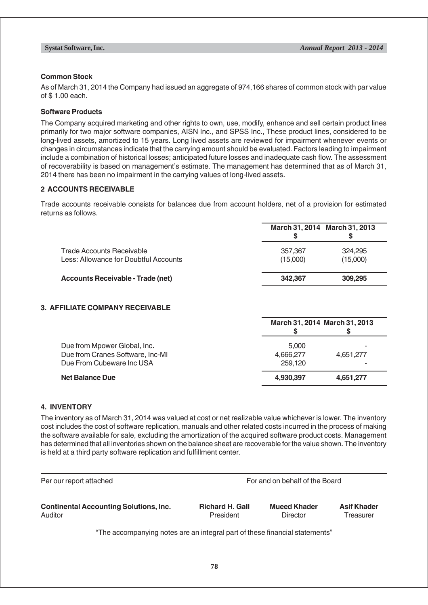#### **Common Stock**

As of March 31, 2014 the Company had issued an aggregate of 974,166 shares of common stock with par value of \$ 1.00 each.

#### **Software Products**

The Company acquired marketing and other rights to own, use, modify, enhance and sell certain product lines primarily for two major software companies, AISN Inc., and SPSS Inc., These product lines, considered to be long-lived assets, amortized to 15 years. Long lived assets are reviewed for impairment whenever events or changes in circumstances indicate that the carrying amount should be evaluated. Factors leading to impairment include a combination of historical losses; anticipated future losses and inadequate cash flow. The assessment of recoverability is based on management's estimate. The management has determined that as of March 31, 2014 there has been no impairment in the carrying values of long-lived assets.

#### **2 ACCOUNTS RECEIVABLE**

Trade accounts receivable consists for balances due from account holders, net of a provision for estimated returns as follows.

|                                                                    | March 31, 2014 March 31, 2013 |                     |
|--------------------------------------------------------------------|-------------------------------|---------------------|
| Trade Accounts Receivable<br>Less: Allowance for Doubtful Accounts | 357.367<br>(15.000)           | 324.295<br>(15,000) |
| <b>Accounts Receivable - Trade (net)</b>                           | 342.367                       | 309,295             |

#### **3. AFFILIATE COMPANY RECEIVABLE**

|                                  | March 31, 2014 March 31, 2013 |           |  |
|----------------------------------|-------------------------------|-----------|--|
|                                  |                               |           |  |
| Due from Mpower Global, Inc.     | 5.000                         | -         |  |
| Due from Cranes Software, Inc-MI | 4,666,277                     | 4,651,277 |  |
| Due From Cubeware Inc USA        | 259.120                       |           |  |
| <b>Net Balance Due</b>           | 4,930,397                     | 4,651,277 |  |

#### **4. INVENTORY**

The inventory as of March 31, 2014 was valued at cost or net realizable value whichever is lower. The inventory cost includes the cost of software replication, manuals and other related costs incurred in the process of making the software available for sale, excluding the amortization of the acquired software product costs. Management has determined that all inventories shown on the balance sheet are recoverable for the value shown. The inventory is held at a third party software replication and fulfillment center.

| Per our report attached                                                     | For and on behalf of the Board      |                                 |                                 |
|-----------------------------------------------------------------------------|-------------------------------------|---------------------------------|---------------------------------|
| <b>Continental Accounting Solutions, Inc.</b><br>Auditor                    | <b>Richard H. Gall</b><br>President | <b>Mueed Khader</b><br>Director | <b>Asif Khader</b><br>Treasurer |
| "The excompany day notes are on integral nod the best financial statements" |                                     |                                 |                                 |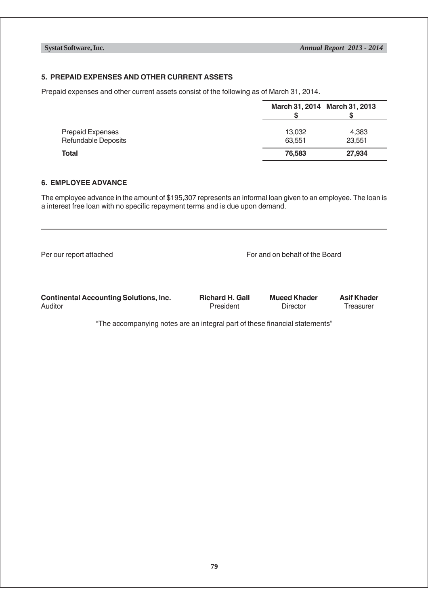#### **5. PREPAID EXPENSES AND OTHER CURRENT ASSETS**

Prepaid expenses and other current assets consist of the following as of March 31, 2014.

|                                                       | March 31, 2014 March 31, 2013 |                 |
|-------------------------------------------------------|-------------------------------|-----------------|
| <b>Prepaid Expenses</b><br><b>Refundable Deposits</b> | 13.032<br>63.551              | 4.383<br>23.551 |
| <b>Total</b>                                          | 76.583                        | 27,934          |

#### **6. EMPLOYEE ADVANCE**

The employee advance in the amount of \$195,307 represents an informal loan given to an employee. The loan is a interest free loan with no specific repayment terms and is due upon demand.

Per our report attached For and on behalf of the Board

| <b>Continental Accounting Solutions, Inc.</b> | <b>Richard H. Gall</b> | <b>Mueed Khader</b> | Asif Khader |
|-----------------------------------------------|------------------------|---------------------|-------------|
| Auditor                                       | President              | Director            | Treasurer   |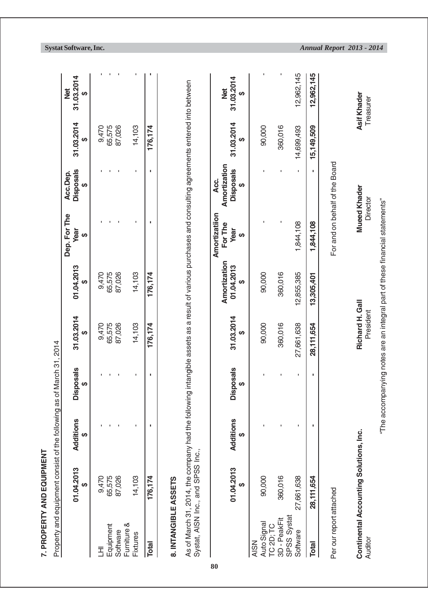|                            | Property and equipment consist of the following as of March 31, 2014                                                                                                                       |                 |                               |                              |                                                                             |                            |                                    |                  |                                 |
|----------------------------|--------------------------------------------------------------------------------------------------------------------------------------------------------------------------------------------|-----------------|-------------------------------|------------------------------|-----------------------------------------------------------------------------|----------------------------|------------------------------------|------------------|---------------------------------|
|                            | 01.04.2013                                                                                                                                                                                 | Additions<br>ക  | <b>Disposals</b><br>$\bullet$ | 31.03.2014<br>ക              | 01.04.2013                                                                  | Dep. For The<br>Year<br>မာ | <b>Disposals</b><br>Acc.Dep.<br>မာ | 31.03.2014       | 31.03.2014<br>ğ<br>မာ           |
| 玉                          | 9,470                                                                                                                                                                                      |                 |                               | 9,470                        | 9,470                                                                       |                            |                                    | 9,470            |                                 |
| Equipment                  | 65,575                                                                                                                                                                                     |                 |                               | 65,575                       | 65,575                                                                      |                            |                                    | 65,575           |                                 |
| Software                   | 87,026                                                                                                                                                                                     | - 1             | J.                            | 87,026                       | 87,026                                                                      |                            |                                    | 87,026           | J.                              |
| Furniture &<br>Fixtures    | 14,103                                                                                                                                                                                     | J.              | J,                            | 14,103                       | 14,103                                                                      |                            |                                    | 14,103           |                                 |
| <b>Total</b>               | 176,174                                                                                                                                                                                    | $\blacksquare$  | ×                             | 176,174                      | 176,174                                                                     | J.                         | f,                                 | 176,174          |                                 |
| 8. INTANGIBLE ASSETS       | As of March 31, 2014, the company had the following intangible assets as a result of various purchases and consulting agreements entered into between<br>Systat, AISN Inc., and SPSS Inc., |                 |                               |                              |                                                                             |                            |                                    |                  |                                 |
| 80                         |                                                                                                                                                                                            |                 |                               |                              | Amortization                                                                | Amortizatiion<br>For The   | Amortization<br>Acc.               |                  | ğ                               |
|                            | 01.04.2013<br>ക                                                                                                                                                                            | Additions<br>မာ | <b>Disposals</b><br>$\bullet$ | 31.03.2014<br>မာ             | 01.04.2013<br>မာ                                                            | <b>Year</b><br>$\bullet$   | <b>Disposals</b><br>မာ             | 31.03.2014<br>မာ | 31.03.2014<br>မာ                |
| Auto Signal<br><b>AISN</b> | 90,000                                                                                                                                                                                     |                 |                               | 90,000                       | 90,000                                                                      |                            |                                    | 90,000           | J.                              |
| 3D - PeakFit<br>TC 2D; TC  | 360,016                                                                                                                                                                                    |                 |                               | 360,016                      | 360,016                                                                     |                            |                                    | 360,016          | ï                               |
| SPSS Systat<br>Software    | 27,661,638                                                                                                                                                                                 | J.              | $\blacksquare$                | 27,661,638                   | 12,855,385                                                                  | 1,844,108                  |                                    | 14,699,493       | 12,962,145                      |
| <b>Total</b>               | 28,111,654                                                                                                                                                                                 | ٠               | ×                             | 28,111,654                   | 13,305,401                                                                  | 1,844,108                  | ٠                                  | 15,149,509       | 12,962,145                      |
| Per our report attached    |                                                                                                                                                                                            |                 |                               |                              |                                                                             |                            | For and on behalf of the Board     |                  |                                 |
| Auditor                    | <b>Continental Accounting Solutions, Inc.</b>                                                                                                                                              |                 |                               | Richard H. Gall<br>President |                                                                             |                            | Mueed Khader<br>Director           |                  | <b>Asif Khader</b><br>Treasurer |
|                            |                                                                                                                                                                                            |                 |                               |                              | "The accompanying notes are an integral part of these financial statements" |                            |                                    |                  |                                 |

**Systat Software, Inc.**

*Annual Report 2013 - 2014*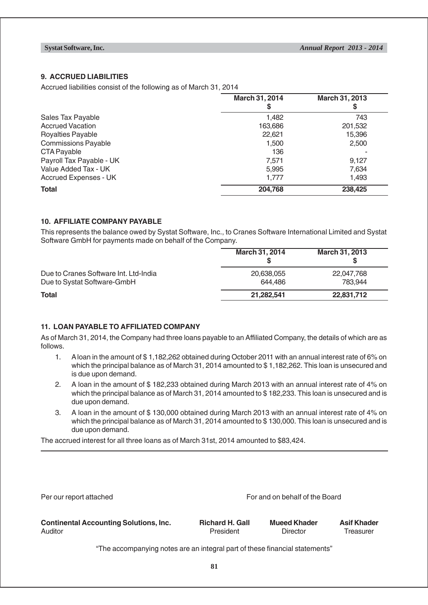#### **Systat Software, Inc.**

### **9. ACCRUED LIABILITIES**

Accrued liabilities consist of the following as of March 31, 2014

|                            | March 31, 2014<br>S | March 31, 2013<br>১ |
|----------------------------|---------------------|---------------------|
| Sales Tax Payable          | 1.482               | 743                 |
| <b>Accrued Vacation</b>    | 163,686             | 201,532             |
| Royalties Payable          | 22.621              | 15,396              |
| <b>Commissions Payable</b> | 1,500               | 2,500               |
| CTA Payable                | 136                 |                     |
| Payroll Tax Payable - UK   | 7,571               | 9,127               |
| Value Added Tax - UK       | 5,995               | 7,634               |
| Accrued Expenses - UK      | 1.777               | 1,493               |
| <b>Total</b>               | 204,768             | 238,425             |

#### **10. AFFILIATE COMPANY PAYABLE**

This represents the balance owed by Systat Software, Inc., to Cranes Software International Limited and Systat Software GmbH for payments made on behalf of the Company.

|                                       | March 31, 2014 | March 31, 2013 |
|---------------------------------------|----------------|----------------|
| Due to Cranes Software Int. Ltd-India | 20,638,055     | 22.047.768     |
| Due to Systat Software-GmbH           | 644.486        | 783.944        |
| <b>Total</b>                          | 21.282.541     | 22,831,712     |

#### **11. LOAN PAYABLE TO AFFILIATED COMPANY**

As of March 31, 2014, the Company had three loans payable to an Affiliated Company, the details of which are as follows.

- 1. A loan in the amount of \$ 1,182,262 obtained during October 2011 with an annual interest rate of 6% on which the principal balance as of March 31, 2014 amounted to \$1,182,262. This loan is unsecured and is due upon demand.
- 2. A loan in the amount of \$ 182,233 obtained during March 2013 with an annual interest rate of 4% on which the principal balance as of March 31, 2014 amounted to \$ 182,233. This loan is unsecured and is due upon demand.
- 3. A loan in the amount of \$ 130,000 obtained during March 2013 with an annual interest rate of 4% on which the principal balance as of March 31, 2014 amounted to \$ 130,000. This loan is unsecured and is due upon demand.

The accrued interest for all three loans as of March 31st, 2014 amounted to \$83,424.

Per our report attached For and on behalf of the Board

| <b>Continental Accounting Solutions, Inc.</b> | <b>Richard H. Gall</b> | <b>Mueed Khader</b> | <b>Asif Khader</b> |
|-----------------------------------------------|------------------------|---------------------|--------------------|
| Auditor                                       | President              | Director            | Treasurer          |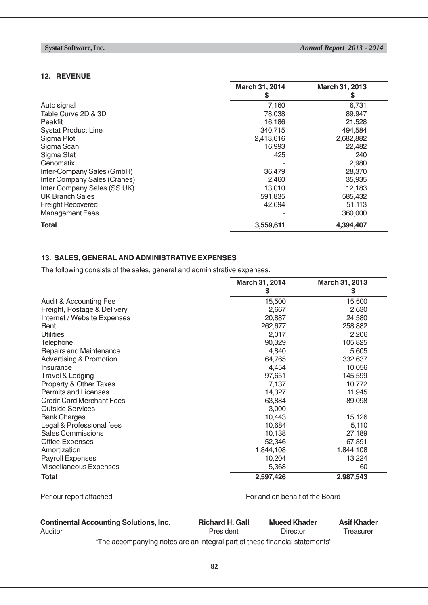### **12. REVENUE**

|                              | March 31, 2014 | March 31, 2013 |
|------------------------------|----------------|----------------|
| Auto signal                  | 7,160          | 6,731          |
| Table Curve 2D & 3D          | 78,038         | 89,947         |
| Peakfit                      | 16,186         | 21,528         |
| <b>Systat Product Line</b>   | 340,715        | 494,584        |
| Sigma Plot                   | 2,413,616      | 2,682,882      |
| Sigma Scan                   | 16,993         | 22,482         |
| Sigma Stat                   | 425            | 240            |
| Genomatix                    |                | 2,980          |
| Inter-Company Sales (GmbH)   | 36,479         | 28,370         |
| Inter Company Sales (Cranes) | 2,460          | 35,935         |
| Inter Company Sales (SS UK)  | 13,010         | 12,183         |
| <b>UK Branch Sales</b>       | 591,835        | 585,432        |
| <b>Freight Recovered</b>     | 42,694         | 51,113         |
| <b>Management Fees</b>       |                | 360,000        |
| <b>Total</b>                 | 3,559,611      | 4,394,407      |

## **13. SALES, GENERAL AND ADMINISTRATIVE EXPENSES**

The following consists of the sales, general and administrative expenses.

|                                    | March 31, 2014 | March 31, 2013 |
|------------------------------------|----------------|----------------|
|                                    | S              | S              |
| Audit & Accounting Fee             | 15,500         | 15,500         |
| Freight, Postage & Delivery        | 2,667          | 2,630          |
| Internet / Website Expenses        | 20,887         | 24,580         |
| Rent                               | 262,677        | 258,882        |
| <b>Utilities</b>                   | 2,017          | 2,206          |
| <b>Telephone</b>                   | 90,329         | 105,825        |
| Repairs and Maintenance            | 4,840          | 5,605          |
| <b>Advertising &amp; Promotion</b> | 64,765         | 332,637        |
| Insurance                          | 4,454          | 10,056         |
| Travel & Lodging                   | 97,651         | 145,599        |
| Property & Other Taxes             | 7,137          | 10,772         |
| <b>Permits and Licenses</b>        | 14,327         | 11,945         |
| <b>Credit Card Merchant Fees</b>   | 63,884         | 89,098         |
| <b>Outside Services</b>            | 3,000          |                |
| <b>Bank Charges</b>                | 10,443         | 15,126         |
| Legal & Professional fees          | 10,684         | 5,110          |
| <b>Sales Commissions</b>           | 10,138         | 27,189         |
| <b>Office Expenses</b>             | 52,346         | 67,391         |
| Amortization                       | 1,844,108      | 1,844,108      |
| Payroll Expenses                   | 10,204         | 13,224         |
| Miscellaneous Expenses             | 5,368          | 60             |
| <b>Total</b>                       | 2,597,426      | 2,987,543      |

Per our report attached For and on behalf of the Board

| <b>Continental Accounting Solutions, Inc.</b>                               | <b>Richard H. Gall</b> | <b>Mueed Khader</b> | <b>Asif Khader</b> |
|-----------------------------------------------------------------------------|------------------------|---------------------|--------------------|
| Auditor                                                                     | President              | Director            | Treasurer          |
| "The accompanying notes are an integral part of these financial statements" |                        |                     |                    |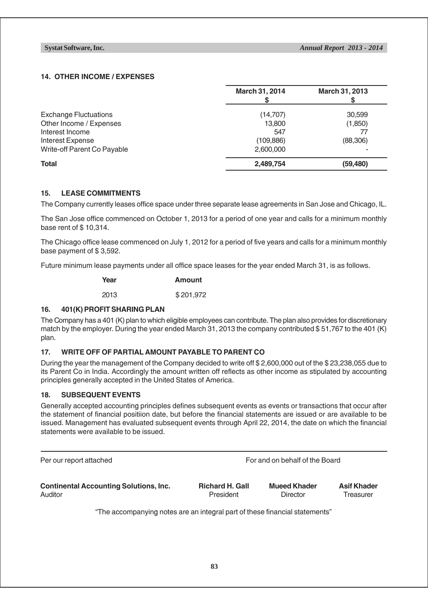#### **14. OTHER INCOME / EXPENSES**

|                              | March 31, 2014 | March 31, 2013 |
|------------------------------|----------------|----------------|
| <b>Exchange Fluctuations</b> | (14, 707)      | 30,599         |
| Other Income / Expenses      | 13,800         | (1,850)        |
| Interest Income              | 547            | 77             |
| Interest Expense             | (109, 886)     | (88,306)       |
| Write-off Parent Co Payable  | 2,600,000      |                |
| <b>Total</b>                 | 2,489,754      | (59, 480)      |

#### **15. LEASE COMMITMENTS**

The Company currently leases office space under three separate lease agreements in San Jose and Chicago, IL.

The San Jose office commenced on October 1, 2013 for a period of one year and calls for a minimum monthly base rent of \$ 10,314.

The Chicago office lease commenced on July 1, 2012 for a period of five years and calls for a minimum monthly base payment of \$ 3,592.

Future minimum lease payments under all office space leases for the year ended March 31, is as follows.

| Year | Amount    |
|------|-----------|
| 2013 | \$201,972 |

#### **16. 401(K) PROFIT SHARING PLAN**

The Company has a 401 (K) plan to which eligible employees can contribute. The plan also provides for discretionary match by the employer. During the year ended March 31, 2013 the company contributed \$ 51,767 to the 401 (K) plan.

#### **17. WRITE OFF OF PARTIAL AMOUNT PAYABLE TO PARENT CO**

During the year the management of the Company decided to write off \$ 2,600,000 out of the \$ 23,238,055 due to its Parent Co in India. Accordingly the amount written off reflects as other income as stipulated by accounting principles generally accepted in the United States of America.

#### **18. SUBSEQUENT EVENTS**

Generally accepted accounting principles defines subsequent events as events or transactions that occur after the statement of financial positiion date, but before the financial statements are issued or are available to be issued. Management has evaluated subsequent events through April 22, 2014, the date on which the financial statements were available to be issued.

| Per our report attached                                                     |                                     | For and on behalf of the Board  |                                 |
|-----------------------------------------------------------------------------|-------------------------------------|---------------------------------|---------------------------------|
| <b>Continental Accounting Solutions, Inc.</b><br>Auditor                    | <b>Richard H. Gall</b><br>President | <b>Mueed Khader</b><br>Director | <b>Asif Khader</b><br>Treasurer |
| "The accompanying notes are an integral part of these financial statements" |                                     |                                 |                                 |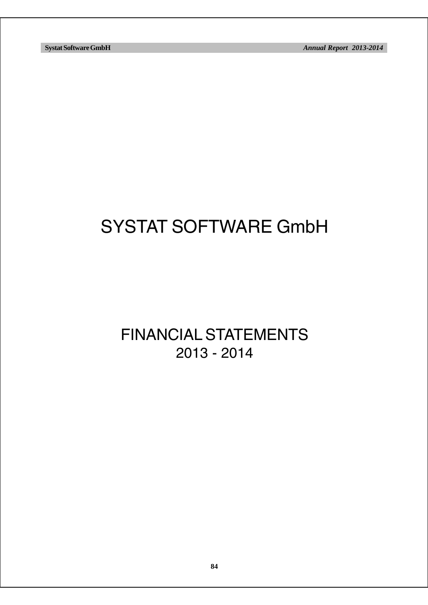*Annual Report 2013-2014*

# SYSTAT SOFTWARE GmbH

# FINANCIAL STATEMENTS 2013 - 2014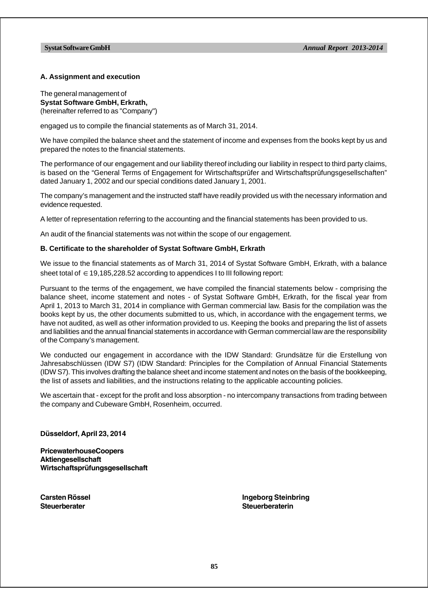#### **A. Assignment and execution**

The general management of **Systat Software GmbH, Erkrath,** (hereinafter referred to as "Company")

engaged us to compile the financial statements as of March 31, 2014.

We have compiled the balance sheet and the statement of income and expenses from the books kept by us and prepared the notes to the financial statements.

The performance of our engagement and our liability thereof including our liability in respect to third party claims, is based on the "General Terms of Engagement for Wirtschaftsprüfer and Wirtschaftsprüfungsgesellschaften" dated January 1, 2002 and our special conditions dated January 1, 2001.

The company's management and the instructed staff have readily provided us with the necessary information and evidence requested.

A letter of representation referring to the accounting and the financial statements has been provided to us.

An audit of the financial statements was not within the scope of our engagement.

#### **B. Certificate to the shareholder of Systat Software GmbH, Erkrath**

We issue to the financial statements as of March 31, 2014 of Systat Software GmbH, Erkrath, with a balance sheet total of ∈19,185,228.52 according to appendices I to III following report:

Pursuant to the terms of the engagement, we have compiled the financial statements below - comprising the balance sheet, income statement and notes - of Systat Software GmbH, Erkrath, for the fiscal year from April 1, 2013 to March 31, 2014 in compliance with German commercial law. Basis for the compilation was the books kept by us, the other documents submitted to us, which, in accordance with the engagement terms, we have not audited, as well as other information provided to us. Keeping the books and preparing the list of assets and liabilities and the annual financial statements in accordance with German commercial law are the responsibility of the Company's management.

We conducted our engagement in accordance with the IDW Standard: Grundsätze für die Erstellung von Jahresabschlüssen (IDW S7) (IDW Standard: Principles for the Compilation of Annual Financial Statements (IDW S7). This involves drafting the balance sheet and income statement and notes on the basis of the bookkeeping, the list of assets and liabilities, and the instructions relating to the applicable accounting policies.

We ascertain that - except for the profit and loss absorption - no intercompany transactions from trading between the company and Cubeware GmbH, Rosenheim, occurred.

**Düsseldorf, April 23, 2014**

**PricewaterhouseCoopers Aktiengesellschaft Wirtschaftsprüfungsgesellschaft**

**Carsten Rössel Ingeborg Steinbring Steuerberater Steuerberaterin**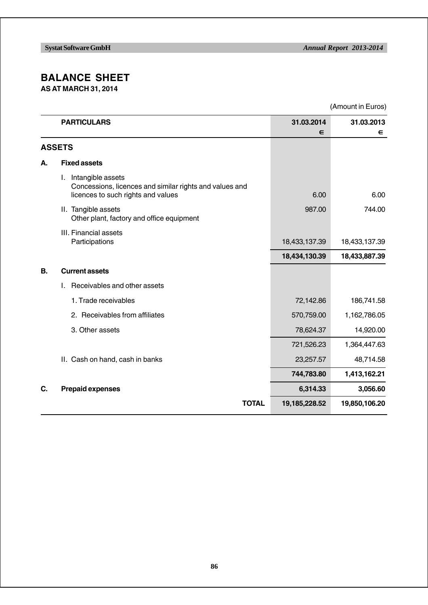# **BALANCE SHEET**

**AS AT MARCH 31, 2014**

|    | <b>PARTICULARS</b>                                                                                                    | 31.03.2014    | 31.03.2013    |
|----|-----------------------------------------------------------------------------------------------------------------------|---------------|---------------|
|    |                                                                                                                       | E             | $\epsilon$    |
|    | <b>ASSETS</b>                                                                                                         |               |               |
| Α. | <b>Fixed assets</b>                                                                                                   |               |               |
|    | I. Intangible assets<br>Concessions, licences and similar rights and values and<br>licences to such rights and values | 6.00          | 6.00          |
|    | II. Tangible assets<br>Other plant, factory and office equipment                                                      | 987.00        | 744.00        |
|    | III. Financial assets<br>Participations                                                                               | 18,433,137.39 | 18,433,137.39 |
|    |                                                                                                                       | 18,434,130.39 | 18,433,887.39 |
| В. | <b>Current assets</b>                                                                                                 |               |               |
|    | Receivables and other assets<br>L                                                                                     |               |               |
|    | 1. Trade receivables                                                                                                  | 72,142.86     | 186,741.58    |
|    | 2. Receivables from affiliates                                                                                        | 570,759.00    | 1,162,786.05  |
|    | 3. Other assets                                                                                                       | 78,624.37     | 14,920.00     |
|    |                                                                                                                       | 721,526.23    | 1,364,447.63  |
|    | II. Cash on hand, cash in banks                                                                                       | 23,257.57     | 48,714.58     |
|    |                                                                                                                       | 744,783.80    | 1,413,162.21  |
| C. | <b>Prepaid expenses</b>                                                                                               | 6,314.33      | 3,056.60      |
|    | <b>TOTAL</b>                                                                                                          | 19,185,228.52 | 19,850,106.20 |

(Amount in Euros)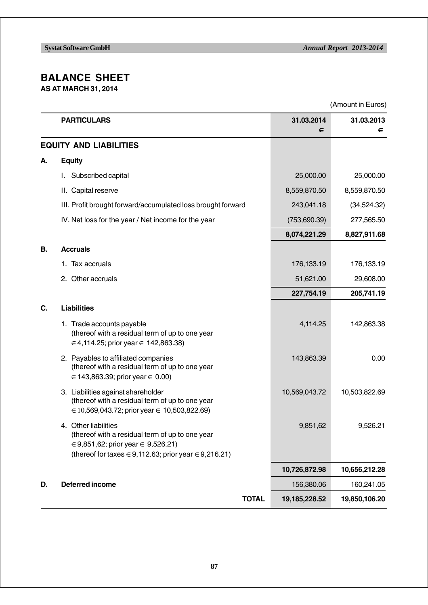# **BALANCE SHEET**

**AS AT MARCH 31, 2014**

|    |                                                                                                                                                                                        |               | (Amount in Euros) |
|----|----------------------------------------------------------------------------------------------------------------------------------------------------------------------------------------|---------------|-------------------|
|    | <b>PARTICULARS</b>                                                                                                                                                                     | 31.03.2014    | 31.03.2013        |
|    |                                                                                                                                                                                        | E             | $\epsilon$        |
|    | <b>EQUITY AND LIABILITIES</b>                                                                                                                                                          |               |                   |
| А. | <b>Equity</b>                                                                                                                                                                          |               |                   |
|    | I. Subscribed capital                                                                                                                                                                  | 25,000.00     | 25,000.00         |
|    | II. Capital reserve                                                                                                                                                                    | 8,559,870.50  | 8,559,870.50      |
|    | III. Profit brought forward/accumulated loss brought forward                                                                                                                           | 243,041.18    | (34,524.32)       |
|    | IV. Net loss for the year / Net income for the year                                                                                                                                    | (753, 690.39) | 277,565.50        |
|    |                                                                                                                                                                                        | 8,074,221.29  | 8,827,911.68      |
| В. | <b>Accruals</b>                                                                                                                                                                        |               |                   |
|    | 1. Tax accruals                                                                                                                                                                        | 176,133.19    | 176,133.19        |
|    | 2. Other accruals                                                                                                                                                                      | 51,621.00     | 29,608.00         |
|    |                                                                                                                                                                                        | 227,754.19    | 205,741.19        |
| C. | <b>Liabilities</b>                                                                                                                                                                     |               |                   |
|    | 1. Trade accounts payable<br>(thereof with a residual term of up to one year<br>$\in$ 4,114.25; prior year $\in$ 142,863.38)                                                           | 4,114.25      | 142,863.38        |
|    | 2. Payables to affiliated companies<br>(thereof with a residual term of up to one year<br>$\in$ 143,863.39; prior year $\in$ 0.00)                                                     | 143,863.39    | 0.00              |
|    | 3. Liabilities against shareholder<br>(thereof with a residual term of up to one year<br>$\in$ 10,569,043.72; prior year $\in$ 10,503,822.69)                                          | 10,569,043.72 | 10,503,822.69     |
|    | 4. Other liabilities<br>(thereof with a residual term of up to one year<br>$\in$ 9,851,62; prior year $\in$ 9,526.21)<br>(thereof for taxes $\in$ 9,112.63; prior year $\in$ 9,216.21) | 9,851,62      | 9,526.21          |
|    |                                                                                                                                                                                        | 10,726,872.98 | 10,656,212.28     |
| D. | <b>Deferred income</b>                                                                                                                                                                 | 156,380.06    | 160,241.05        |
|    | <b>TOTAL</b>                                                                                                                                                                           | 19,185,228.52 | 19,850,106.20     |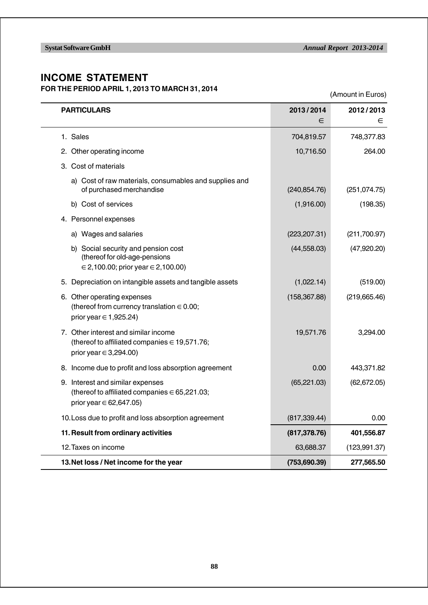# **INCOME STATEMENT**

**FOR THE PERIOD APRIL 1, 2013 TO MARCH 31, 2014**

| <b>ON THE FEMOD AFMIL 1, 2013 TO MANGHOL, 2014</b>                                                                      |               | (Amount in Euros) |
|-------------------------------------------------------------------------------------------------------------------------|---------------|-------------------|
| <b>PARTICULARS</b>                                                                                                      | 2013/2014     | 2012/2013         |
|                                                                                                                         | Е             | Е                 |
| 1. Sales                                                                                                                | 704,819.57    | 748,377.83        |
| 2. Other operating income                                                                                               | 10,716.50     | 264.00            |
| 3. Cost of materials                                                                                                    |               |                   |
| a) Cost of raw materials, consumables and supplies and<br>of purchased merchandise                                      | (240, 854.76) | (251, 074.75)     |
| b) Cost of services                                                                                                     | (1,916.00)    | (198.35)          |
| 4. Personnel expenses                                                                                                   |               |                   |
| a) Wages and salaries                                                                                                   | (223, 207.31) | (211,700.97)      |
| b) Social security and pension cost<br>(thereof for old-age-pensions<br>$\in$ 2,100.00; prior year $\in$ 2,100.00)      | (44, 558.03)  | (47,920.20)       |
| 5. Depreciation on intangible assets and tangible assets                                                                | (1,022.14)    | (519.00)          |
| 6. Other operating expenses<br>(thereof from currency translation $\in$ 0.00;<br>prior year $\in$ 1,925.24)             | (158, 367.88) | (219, 665.46)     |
| 7. Other interest and similar income<br>(thereof to affiliated companies $\in$ 19,571.76;<br>prior year $\in$ 3,294.00) | 19,571.76     | 3,294.00          |
| 8. Income due to profit and loss absorption agreement                                                                   | 0.00          | 443,371.82        |
| 9. Interest and similar expenses<br>(thereof to affiliated companies $\in$ 65,221.03;<br>prior year $\in 62,647.05$ )   | (65, 221.03)  | (62, 672.05)      |
| 10. Loss due to profit and loss absorption agreement                                                                    | (817, 339.44) | 0.00              |
| 11. Result from ordinary activities                                                                                     | (817, 378.76) | 401,556.87        |
| 12. Taxes on income                                                                                                     | 63,688.37     | (123, 991.37)     |
| 13. Net loss / Net income for the year                                                                                  | (753, 690.39) | 277,565.50        |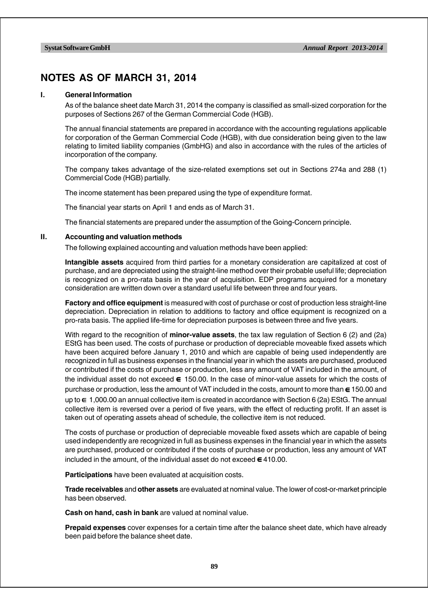## **NOTES AS OF MARCH 31, 2014**

#### **I. General Information**

As of the balance sheet date March 31, 2014 the company is classified as small-sized corporation for the purposes of Sections 267 of the German Commercial Code (HGB).

The annual financial statements are prepared in accordance with the accounting regulations applicable for corporation of the German Commercial Code (HGB), with due consideration being given to the law relating to limited liability companies (GmbHG) and also in accordance with the rules of the articles of incorporation of the company.

The company takes advantage of the size-related exemptions set out in Sections 274a and 288 (1) Commercial Code (HGB) partially.

The income statement has been prepared using the type of expenditure format.

The financial year starts on April 1 and ends as of March 31.

The financial statements are prepared under the assumption of the Going-Concern principle.

#### **II. Accounting and valuation methods**

The following explained accounting and valuation methods have been applied:

**Intangible assets** acquired from third parties for a monetary consideration are capitalized at cost of purchase, and are depreciated using the straight-line method over their probable useful life; depreciation is recognized on a pro-rata basis in the year of acquisition. EDP programs acquired for a monetary consideration are written down over a standard useful life between three and four years.

**Factory and office equipment** is measured with cost of purchase or cost of production less straight-line depreciation. Depreciation in relation to additions to factory and office equipment is recognized on a pro-rata basis. The applied life-time for depreciation purposes is between three and five years.

With regard to the recognition of **minor-value assets**, the tax law regulation of Section 6 (2) and (2a) EStG has been used. The costs of purchase or production of depreciable moveable fixed assets which have been acquired before January 1, 2010 and which are capable of being used independently are recognized in full as business expenses in the financial year in which the assets are purchased, produced or contributed if the costs of purchase or production, less any amount of VAT included in the amount, of the individual asset do not exceed ∈ 150.00. In the case of minor-value assets for which the costs of purchase or production, less the amount of VAT included in the costs, amount to more than ∈150.00 and up to ∈1,000.00 an annual collective item is created in accordance with Section 6 (2a) EStG. The annual collective item is reversed over a period of five years, with the effect of reducting profit. If an asset is taken out of operating assets ahead of schedule, the collective item is not reduced.

The costs of purchase or production of depreciable moveable fixed assets which are capable of being used independently are recognized in full as business expenses in the financial year in which the assets are purchased, produced or contributed if the costs of purchase or production, less any amount of VAT included in the amount, of the individual asset do not exceed  $∈$  410.00.

**Participations** have been evaluated at acquisition costs.

**Trade receivables** and **other assets** are evaluated at nominal value. The lower of cost-or-market principle has been observed.

**Cash on hand, cash in bank** are valued at nominal value.

**Prepaid expenses** cover expenses for a certain time after the balance sheet date, which have already been paid before the balance sheet date.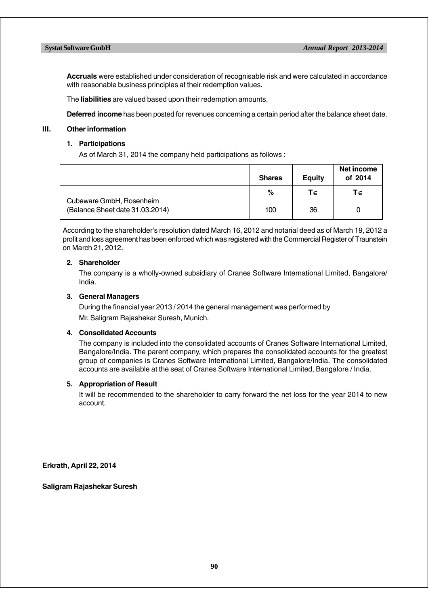**Accruals** were established under consideration of recognisable risk and were calculated in accordance with reasonable business principles at their redemption values.

The **liabilities** are valued based upon their redemption amounts.

**Deferred income** has been posted for revenues concerning a certain period after the balance sheet date.

#### **III. Other information**

#### **1. Participations**

As of March 31, 2014 the company held participations as follows :

|                                                             | <b>Shares</b> | <b>Equity</b> | Net income<br>of 2014 |
|-------------------------------------------------------------|---------------|---------------|-----------------------|
|                                                             | %             | Te            | T∈                    |
| Cubeware GmbH, Rosenheim<br>(Balance Sheet date 31.03.2014) | 100           | 36            |                       |

According to the shareholder's resolution dated March 16, 2012 and notarial deed as of March 19, 2012 a profit and loss agreement has been enforced which was registered with the Commercial Register of Traunstein on March 21, 2012.

#### **2. Shareholder**

The company is a wholly-owned subsidiary of Cranes Software International Limited, Bangalore/ India.

#### **3. General Managers**

During the financial year 2013 / 2014 the general management was performed by Mr. Saligram Rajashekar Suresh, Munich.

#### **4. Consolidated Accounts**

The company is included into the consolidated accounts of Cranes Software International Limited, Bangalore/India. The parent company, which prepares the consolidated accounts for the greatest group of companies is Cranes Software International Limited, Bangalore/India. The consolidated accounts are available at the seat of Cranes Software International Limited, Bangalore / India.

#### **5. Appropriation of Result**

It will be recommended to the shareholder to carry forward the net loss for the year 2014 to new account.

**Erkrath, April 22, 2014**

**Saligram Rajashekar Suresh**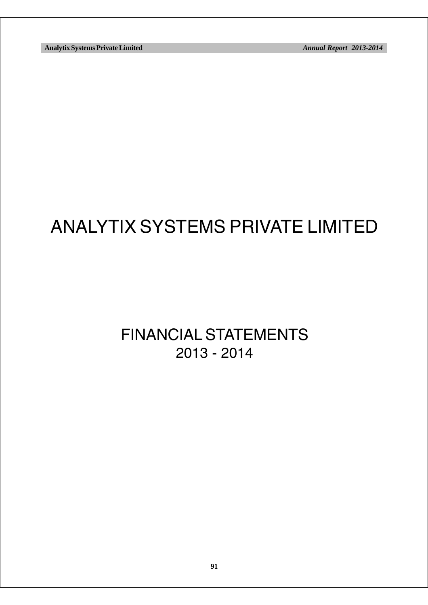# ANALYTIX SYSTEMS PRIVATE LIMITED

FINANCIAL STATEMENTS 2013 - 2014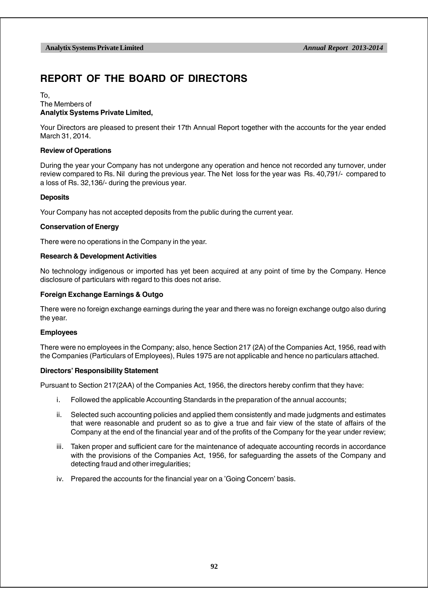# **REPORT OF THE BOARD OF DIRECTORS**

#### To, The Members of **Analytix Systems Private Limited,**

Your Directors are pleased to present their 17th Annual Report together with the accounts for the year ended March 31, 2014.

#### **Review of Operations**

During the year your Company has not undergone any operation and hence not recorded any turnover, under review compared to Rs. Nil during the previous year. The Net loss for the year was Rs. 40,791/- compared to a loss of Rs. 32,136/- during the previous year.

#### **Deposits**

Your Company has not accepted deposits from the public during the current year.

#### **Conservation of Energy**

There were no operations in the Company in the year.

#### **Research & Development Activities**

No technology indigenous or imported has yet been acquired at any point of time by the Company. Hence disclosure of particulars with regard to this does not arise.

#### **Foreign Exchange Earnings & Outgo**

There were no foreign exchange earnings during the year and there was no foreign exchange outgo also during the year.

#### **Employees**

There were no employees in the Company; also, hence Section 217 (2A) of the Companies Act, 1956, read with the Companies (Particulars of Employees), Rules 1975 are not applicable and hence no particulars attached.

#### **Directors' Responsibility Statement**

Pursuant to Section 217(2AA) of the Companies Act, 1956, the directors hereby confirm that they have:

- i. Followed the applicable Accounting Standards in the preparation of the annual accounts;
- ii. Selected such accounting policies and applied them consistently and made judgments and estimates that were reasonable and prudent so as to give a true and fair view of the state of affairs of the Company at the end of the financial year and of the profits of the Company for the year under review;
- iii. Taken proper and sufficient care for the maintenance of adequate accounting records in accordance with the provisions of the Companies Act, 1956, for safeguarding the assets of the Company and detecting fraud and other irregularities;
- iv. Prepared the accounts for the financial year on a 'Going Concern' basis.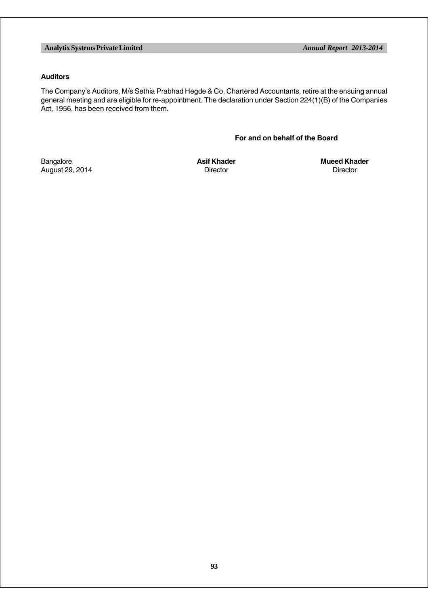#### **Analytix Systems Private Limited** *Annual Report 2013-2014*

### **Auditors**

The Company's Auditors, M/s Sethia Prabhad Hegde & Co, Chartered Accountants, retire at the ensuing annual general meeting and are eligible for re-appointment. The declaration under Section 224(1)(B) of the Companies Act, 1956, has been received from them.

#### **For and on behalf of the Board**

Bangalore **Asif Khader August 29, 2014 Asif Khader Asif Khader August 29, 2014 August 29, 2014 August 29, 2014** August 29, 2014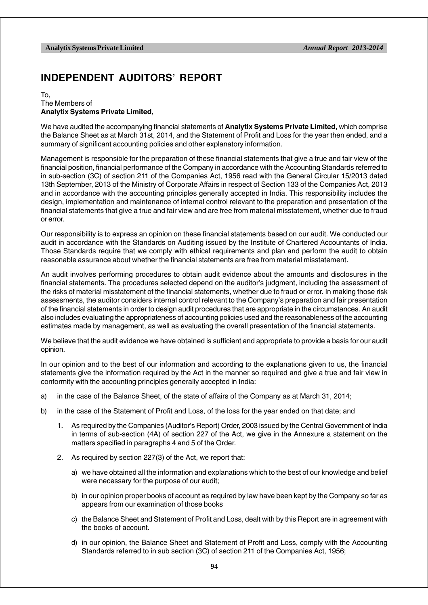# **INDEPENDENT AUDITORS' REPORT**

#### To, The Members of **Analytix Systems Private Limited,**

We have audited the accompanying financial statements of **Analytix Systems Private Limited,** which comprise the Balance Sheet as at March 31st, 2014, and the Statement of Profit and Loss for the year then ended, and a summary of significant accounting policies and other explanatory information.

Management is responsible for the preparation of these financial statements that give a true and fair view of the financial position, financial performance of the Company in accordance with the Accounting Standards referred to in sub-section (3C) of section 211 of the Companies Act, 1956 read with the General Circular 15/2013 dated 13th September, 2013 of the Ministry of Corporate Affairs in respect of Section 133 of the Companies Act, 2013 and in accordance with the accounting principles generally accepted in India. This responsibility includes the design, implementation and maintenance of internal control relevant to the preparation and presentation of the financial statements that give a true and fair view and are free from material misstatement, whether due to fraud or error.

Our responsibility is to express an opinion on these financial statements based on our audit. We conducted our audit in accordance with the Standards on Auditing issued by the Institute of Chartered Accountants of India. Those Standards require that we comply with ethical requirements and plan and perform the audit to obtain reasonable assurance about whether the financial statements are free from material misstatement.

An audit involves performing procedures to obtain audit evidence about the amounts and disclosures in the financial statements. The procedures selected depend on the auditor's judgment, including the assessment of the risks of material misstatement of the financial statements, whether due to fraud or error. In making those risk assessments, the auditor considers internal control relevant to the Company's preparation and fair presentation of the financial statements in order to design audit procedures that are appropriate in the circumstances. An audit also includes evaluating the appropriateness of accounting policies used and the reasonableness of the accounting estimates made by management, as well as evaluating the overall presentation of the financial statements.

We believe that the audit evidence we have obtained is sufficient and appropriate to provide a basis for our audit opinion.

In our opinion and to the best of our information and according to the explanations given to us, the financial statements give the information required by the Act in the manner so required and give a true and fair view in conformity with the accounting principles generally accepted in India:

- a) in the case of the Balance Sheet, of the state of affairs of the Company as at March 31, 2014;
- b) in the case of the Statement of Profit and Loss, of the loss for the year ended on that date; and
	- 1. As required by the Companies (Auditor's Report) Order, 2003 issued by the Central Government of India in terms of sub-section (4A) of section 227 of the Act, we give in the Annexure a statement on the matters specified in paragraphs 4 and 5 of the Order.
	- 2. As required by section 227(3) of the Act, we report that:
		- a) we have obtained all the information and explanations which to the best of our knowledge and belief were necessary for the purpose of our audit;
		- b) in our opinion proper books of account as required by law have been kept by the Company so far as appears from our examination of those books
		- c) the Balance Sheet and Statement of Profit and Loss, dealt with by this Report are in agreement with the books of account.
		- d) in our opinion, the Balance Sheet and Statement of Profit and Loss, comply with the Accounting Standards referred to in sub section (3C) of section 211 of the Companies Act, 1956;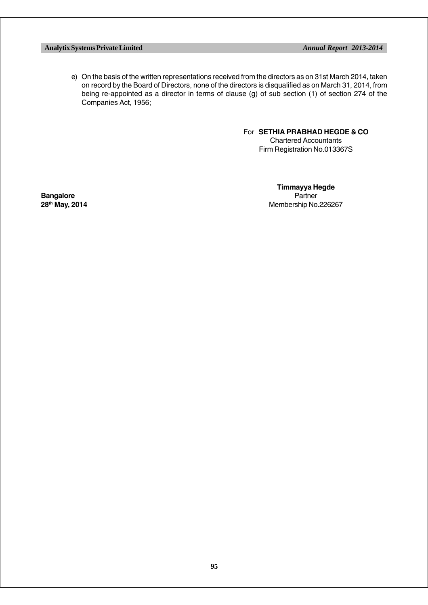#### **Analytix Systems Private Limited** *Annual Report 2013-2014*

e) On the basis of the written representations received from the directors as on 31st March 2014, taken on record by the Board of Directors, none of the directors is disqualified as on March 31, 2014, from being re-appointed as a director in terms of clause (g) of sub section (1) of section 274 of the Companies Act, 1956;

#### For **SETHIA PRABHAD HEGDE & CO**

Chartered Accountants Firm Registration No.013367S

**Timmayya Hegde Bangalore** Partner **Partner** Partner **Partner** Partner **Partner 28<sup>th</sup> May, 2014** Membership No.226267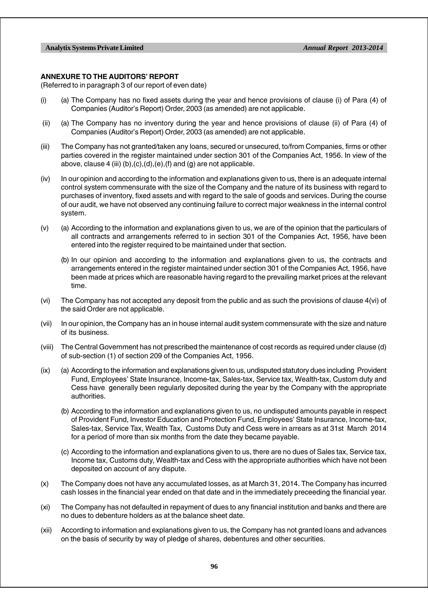#### **ANNEXURE TO THE AUDITORS' REPORT**

(Referred to in paragraph 3 of our report of even date)

- (i) (a) The Company has no fixed assets during the year and hence provisions of clause (i) of Para  $(4)$  of Companies (Auditor's Report) Order, 2003 (as amended) are not applicable.
- (ii) (a) The Company has no inventory during the year and hence provisions of clause (ii) of Para (4) of Companies (Auditor's Report) Order, 2003 (as amended) are not applicable.
- (iii) The Company has not granted/taken any loans, secured or unsecured, to/from Companies, firms or other parties covered in the register maintained under section 301 of the Companies Act, 1956. In view of the above, clause 4 (iii) (b),(c),(d),(e),(f) and (g) are not applicable.
- (iv) In our opinion and according to the information and explanations given to us, there is an adequate internal control system commensurate with the size of the Company and the nature of its business with regard to purchases of inventory, fixed assets and with regard to the sale of goods and services. During the course of our audit, we have not observed any continuing failure to correct major weakness in the internal control system.
- (v) (a) According to the information and explanations given to us, we are of the opinion that the particulars of all contracts and arrangements referred to in section 301 of the Companies Act, 1956, have been entered into the register required to be maintained under that section.
	- (b) In our opinion and according to the information and explanations given to us, the contracts and arrangements entered in the register maintained under section 301 of the Companies Act, 1956, have been made at prices which are reasonable having regard to the prevailing market prices at the relevant time.
- (vi) The Company has not accepted any deposit from the public and as such the provisions of clause 4(vi) of the said Order are not applicable.
- (vii) In our opinion, the Company has an in house internal audit system commensurate with the size and nature of its business.
- (viii) The Central Government has not prescribed the maintenance of cost records as required under clause (d) of sub-section (1) of section 209 of the Companies Act, 1956.
- $(ix)$  (a) According to the information and explanations given to us, undisputed statutory dues including Provident Fund, Employees' State Insurance, Income-tax, Sales-tax, Service tax, Wealth-tax, Custom duty and Cess have generally been regularly deposited during the year by the Company with the appropriate authorities.
	- (b) According to the information and explanations given to us, no undisputed amounts payable in respect of Provident Fund, Investor Education and Protection Fund, Employees' State Insurance, Income-tax, Sales-tax, Service Tax, Wealth Tax, Customs Duty and Cess were in arrears as at 31st March 2014 for a period of more than six months from the date they became payable.
	- (c) According to the information and explanations given to us, there are no dues of Sales tax, Service tax, Income tax, Customs duty, Wealth-tax and Cess with the appropriate authorities which have not been deposited on account of any dispute.
- (x) The Company does not have any accumulated losses, as at March 31, 2014. The Company has incurred cash losses in the financial year ended on that date and in the immediately preceeding the financial year.
- (xi) The Company has not defaulted in repayment of dues to any financial institution and banks and there are no dues to debenture holders as at the balance sheet date.
- (xii) According to information and explanations given to us, the Company has not granted loans and advances on the basis of security by way of pledge of shares, debentures and other securities.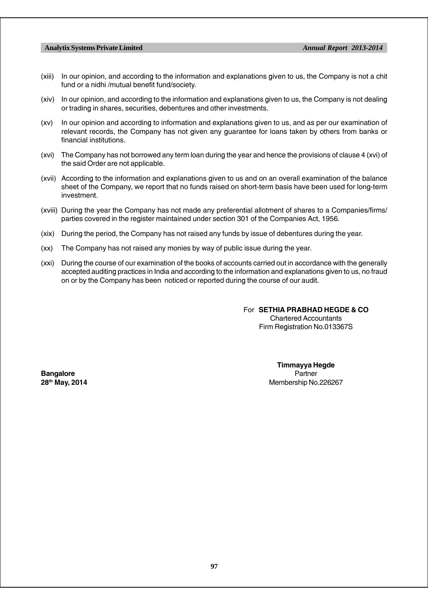#### **Analytix Systems Private Limited** *Annual Report 2013-2014*

- (xiii) In our opinion, and according to the information and explanations given to us, the Company is not a chit fund or a nidhi /mutual benefit fund/society.
- (xiv) In our opinion, and according to the information and explanations given to us, the Company is not dealing or trading in shares, securities, debentures and other investments.
- (xv) In our opinion and according to information and explanations given to us, and as per our examination of relevant records, the Company has not given any guarantee for loans taken by others from banks or financial institutions.
- (xvi) The Company has not borrowed any term loan during the year and hence the provisions of clause 4 (xvi) of the said Order are not applicable.
- (xvii) According to the information and explanations given to us and on an overall examination of the balance sheet of the Company, we report that no funds raised on short-term basis have been used for long-term investment.
- (xviii) During the year the Company has not made any preferential allotment of shares to a Companies/firms/ parties covered in the register maintained under section 301 of the Companies Act, 1956.
- (xix) During the period, the Company has not raised any funds by issue of debentures during the year.
- (xx) The Company has not raised any monies by way of public issue during the year.
- (xxi) During the course of our examination of the books of accounts carried out in accordance with the generally accepted auditing practices in India and according to the information and explanations given to us, no fraud on or by the Company has been noticed or reported during the course of our audit.

For **SETHIA PRABHAD HEGDE & CO**

Chartered Accountants Firm Registration No.013367S

**Bangalore** Partner **Partner** Partner **Partner** Partner **Partner** 

**Timmayya Hegde 28<sup>th</sup> May, 2014** Membership No.226267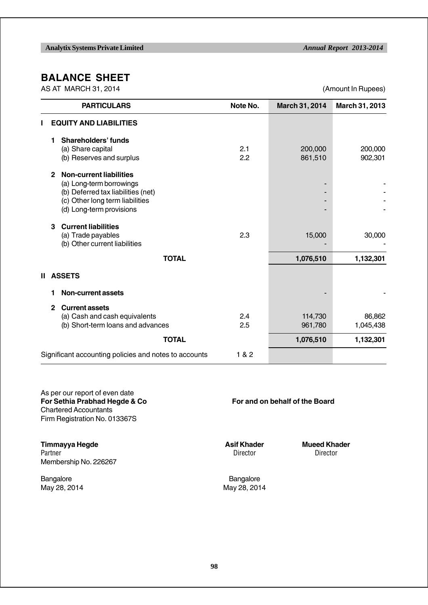*Annual Report 2013-2014*

## **BALANCE SHEET**

AS AT MARCH 31, 2014 **(Amount In Rupees)** 

|   | <b>PARTICULARS</b>                                                                                                                                                             | Note No.   | March 31, 2014     | March 31, 2013      |
|---|--------------------------------------------------------------------------------------------------------------------------------------------------------------------------------|------------|--------------------|---------------------|
|   | <b>EQUITY AND LIABILITIES</b>                                                                                                                                                  |            |                    |                     |
|   | Shareholders' funds<br>(a) Share capital<br>(b) Reserves and surplus                                                                                                           | 2.1<br>2.2 | 200,000<br>861,510 | 200,000<br>902,301  |
|   | <b>Non-current liabilities</b><br>$\mathbf 2$<br>(a) Long-term borrowings<br>(b) Deferred tax liabilities (net)<br>(c) Other long term liabilities<br>(d) Long-term provisions |            |                    |                     |
|   | <b>Current liabilities</b><br>3<br>(a) Trade payables<br>(b) Other current liabilities                                                                                         | 2.3        | 15,000             | 30,000              |
|   | <b>TOTAL</b>                                                                                                                                                                   |            | 1,076,510          | 1,132,301           |
| Ш | <b>ASSETS</b>                                                                                                                                                                  |            |                    |                     |
|   | <b>Non-current assets</b>                                                                                                                                                      |            |                    |                     |
|   | <b>Current assets</b><br>2<br>(a) Cash and cash equivalents<br>(b) Short-term loans and advances                                                                               | 2.4<br>2.5 | 114,730<br>961,780 | 86,862<br>1,045,438 |
|   | <b>TOTAL</b>                                                                                                                                                                   |            | 1,076,510          | 1,132,301           |
|   | Significant accounting policies and notes to accounts                                                                                                                          | 1 & 2      |                    |                     |

As per our report of even date For Sethia Prabhad Hegde & Co **For and on behalf of the Board** Chartered Accountants Firm Registration No. 013367S

**Timmayya Hegde Asif Khader Asif Khader Asif Khader** Mueed Khader Partner Asid Reported Asid Reported Asid Director Director Director Partner Director Director Director Director Director Director Director Director Membership No. 226267

Bangalore Bangalore Bangalore<br>
May 28, 2014 May 28, 201

May 28, 2014 May 28, 2014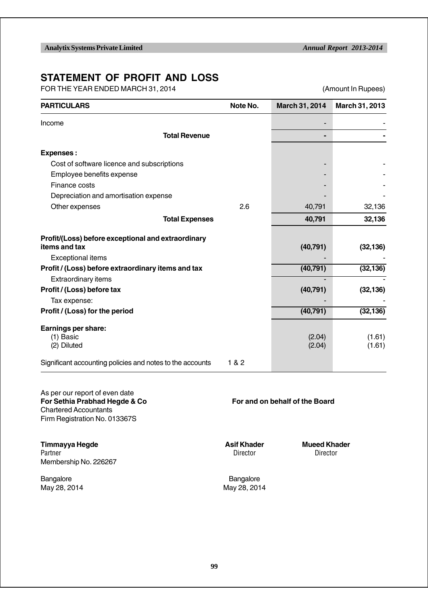# **STATEMENT OF PROFIT AND LOSS**

FOR THE YEAR ENDED MARCH 31, 2014 (Amount In Rupees)

| <b>PARTICULARS</b>                                                  | Note No. | March 31, 2014   | March 31, 2013   |
|---------------------------------------------------------------------|----------|------------------|------------------|
| Income                                                              |          |                  |                  |
| <b>Total Revenue</b>                                                |          |                  |                  |
| <b>Expenses:</b>                                                    |          |                  |                  |
| Cost of software licence and subscriptions                          |          |                  |                  |
| Employee benefits expense                                           |          |                  |                  |
| Finance costs                                                       |          |                  |                  |
| Depreciation and amortisation expense                               |          |                  |                  |
| Other expenses                                                      | 2.6      | 40,791           | 32,136           |
| <b>Total Expenses</b>                                               |          | 40,791           | 32,136           |
| Profit/(Loss) before exceptional and extraordinary<br>items and tax |          | (40, 791)        | (32, 136)        |
| <b>Exceptional items</b>                                            |          |                  |                  |
| Profit / (Loss) before extraordinary items and tax                  |          | (40, 791)        | (32, 136)        |
| <b>Extraordinary items</b>                                          |          |                  |                  |
| Profit / (Loss) before tax                                          |          | (40, 791)        | (32, 136)        |
| Tax expense:                                                        |          |                  |                  |
| Profit / (Loss) for the period                                      |          | (40, 791)        | (32, 136)        |
| Earnings per share:<br>(1) Basic<br>(2) Diluted                     |          | (2.04)<br>(2.04) | (1.61)<br>(1.61) |
| Significant accounting policies and notes to the accounts           | 1 & 2    |                  |                  |

As per our report of even date For Sethia Prabhad Hegde & Co **For and on behalf of the Board** Chartered Accountants Firm Registration No. 013367S

**Timmayya Hegde Asif Khader Asif Khader Mueed Khader Partner Asif Khader** Partner Asid Reported Asif Partner Asia Partner Director Director Director Director Director Director Director Director Membership No. 226267

Bangalore Bangalore Bangalore Bangalore Bangalore Bangalore Bangalore Bangalore Bangalore Bangalore Bangalore Bangalore Bangalore Bangalore Bangalore Bangalore Bangalore Bangalore Bangalore Bangalore Bangalore Bangalore Ba May 28, 2014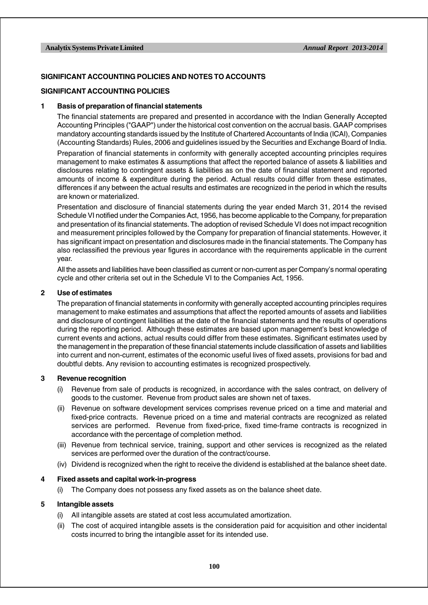#### **Analytix Systems Private Limited**

#### **SIGNIFICANT ACCOUNTING POLICIES AND NOTES TO ACCOUNTS**

#### **SIGNIFICANT ACCOUNTING POLICIES**

#### **1 Basis of preparation of financial statements**

The financial statements are prepared and presented in accordance with the Indian Generally Accepted Accounting Principles ("GAAP") under the historical cost convention on the accrual basis. GAAP comprises mandatory accounting standards issued by the Institute of Chartered Accountants of India (ICAI), Companies (Accounting Standards) Rules, 2006 and guidelines issued by the Securities and Exchange Board of India.

Preparation of financial statements in conformity with generally accepted accounting principles requires management to make estimates & assumptions that affect the reported balance of assets & liabilities and disclosures relating to contingent assets & liabilities as on the date of financial statement and reported amounts of income & expenditure during the period. Actual results could differ from these estimates, differences if any between the actual results and estimates are recognized in the period in which the results are known or materialized.

Presentation and disclosure of financial statements during the year ended March 31, 2014 the revised Schedule VI notified under the Companies Act, 1956, has become applicable to the Company, for preparation and presentation of its financial statements. The adoption of revised Schedule VI does not impact recognition and measurement principles followed by the Company for preparation of financial statements. However, it has significant impact on presentation and disclosures made in the financial statements. The Company has also reclassified the previous year figures in accordance with the requirements applicable in the current year.

All the assets and liabilities have been classified as current or non-current as per Company's normal operating cycle and other criteria set out in the Schedule VI to the Companies Act, 1956.

#### **2 Use of estimates**

The preparation of financial statements in conformity with generally accepted accounting principles requires management to make estimates and assumptions that affect the reported amounts of assets and liabilities and disclosure of contingent liabilities at the date of the financial statements and the results of operations during the reporting period. Although these estimates are based upon management's best knowledge of current events and actions, actual results could differ from these estimates. Significant estimates used by the management in the preparation of these financial statements include classification of assets and liabilities into current and non-current, estimates of the economic useful lives of fixed assets, provisions for bad and doubtful debts. Any revision to accounting estimates is recognized prospectively.

#### **3 Revenue recognition**

- Revenue from sale of products is recognized, in accordance with the sales contract, on delivery of goods to the customer. Revenue from product sales are shown net of taxes.
- (ii) Revenue on software development services comprises revenue priced on a time and material and fixed-price contracts. Revenue priced on a time and material contracts are recognized as related services are performed. Revenue from fixed-price, fixed time-frame contracts is recognized in accordance with the percentage of completion method.
- (iii) Revenue from technical service, training, support and other services is recognized as the related services are performed over the duration of the contract/course.
- (iv) Dividend is recognized when the right to receive the dividend is established at the balance sheet date.

#### **4 Fixed assets and capital work-in-progress**

(i) The Company does not possess any fixed assets as on the balance sheet date.

#### **5 Intangible assets**

- (i) All intangible assets are stated at cost less accumulated amortization.
- (ii) The cost of acquired intangible assets is the consideration paid for acquisition and other incidental costs incurred to bring the intangible asset for its intended use.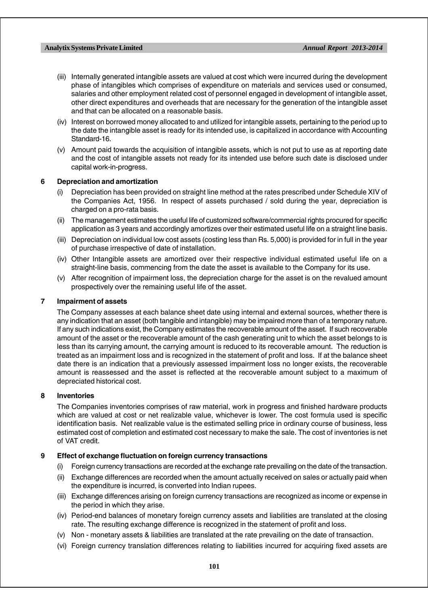#### **Analytix Systems Private Limited** *Annual Report 2013-2014*

- (iii) Internally generated intangible assets are valued at cost which were incurred during the development phase of intangibles which comprises of expenditure on materials and services used or consumed, salaries and other employment related cost of personnel engaged in development of intangible asset, other direct expenditures and overheads that are necessary for the generation of the intangible asset and that can be allocated on a reasonable basis.
- (iv) Interest on borrowed money allocated to and utilized for intangible assets, pertaining to the period up to the date the intangible asset is ready for its intended use, is capitalized in accordance with Accounting Standard-16.
- (v) Amount paid towards the acquisition of intangible assets, which is not put to use as at reporting date and the cost of intangible assets not ready for its intended use before such date is disclosed under capital work-in-progress.

#### **6 Depreciation and amortization**

- (i) Depreciation has been provided on straight line method at the rates prescribed under Schedule XIV of the Companies Act, 1956. In respect of assets purchased / sold during the year, depreciation is charged on a pro-rata basis.
- (ii) The management estimates the useful life of customized software/commercial rights procured for specific application as 3 years and accordingly amortizes over their estimated useful life on a straight line basis.
- (iii) Depreciation on individual low cost assets (costing less than Rs. 5,000) is provided for in full in the year of purchase irrespective of date of installation.
- (iv) Other Intangible assets are amortized over their respective individual estimated useful life on a straight-line basis, commencing from the date the asset is available to the Company for its use.
- (v) After recognition of impairment loss, the depreciation charge for the asset is on the revalued amount prospectively over the remaining useful life of the asset.

#### **7 Impairment of assets**

The Company assesses at each balance sheet date using internal and external sources, whether there is any indication that an asset (both tangible and intangible) may be impaired more than of a temporary nature. If any such indications exist, the Company estimates the recoverable amount of the asset. If such recoverable amount of the asset or the recoverable amount of the cash generating unit to which the asset belongs to is less than its carrying amount, the carrying amount is reduced to its recoverable amount. The reduction is treated as an impairment loss and is recognized in the statement of profit and loss. If at the balance sheet date there is an indication that a previously assessed impairment loss no longer exists, the recoverable amount is reassessed and the asset is reflected at the recoverable amount subject to a maximum of depreciated historical cost.

#### **8 Inventories**

The Companies inventories comprises of raw material, work in progress and finished hardware products which are valued at cost or net realizable value, whichever is lower. The cost formula used is specific identification basis. Net realizable value is the estimated selling price in ordinary course of business, less estimated cost of completion and estimated cost necessary to make the sale. The cost of inventories is net of VAT credit.

#### **9 Effect of exchange fluctuation on foreign currency transactions**

- (i) Foreign currency transactions are recorded at the exchange rate prevailing on the date of the transaction.
- (ii) Exchange differences are recorded when the amount actually received on sales or actually paid when the expenditure is incurred, is converted into Indian rupees.
- (iii) Exchange differences arising on foreign currency transactions are recognized as income or expense in the period in which they arise.
- (iv) Period-end balances of monetary foreign currency assets and liabilities are translated at the closing rate. The resulting exchange difference is recognized in the statement of profit and loss.
- (v) Non monetary assets & liabilities are translated at the rate prevailing on the date of transaction.
- (vi) Foreign currency translation differences relating to liabilities incurred for acquiring fixed assets are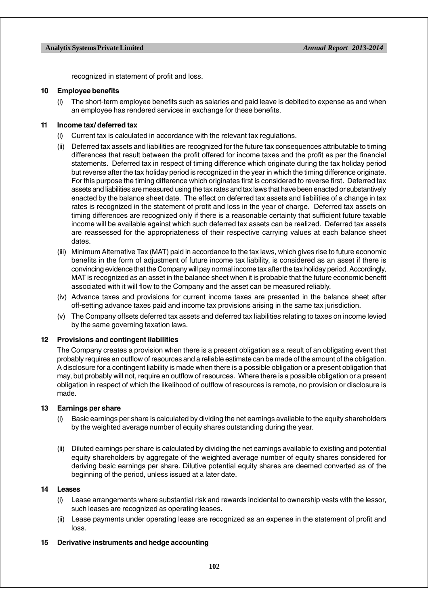#### **Analytix Systems Private Limited**

recognized in statement of profit and loss.

#### **10 Employee benefits**

(i) The short-term employee benefits such as salaries and paid leave is debited to expense as and when an employee has rendered services in exchange for these benefits.

#### **11 Income tax/ deferred tax**

- (i) Current tax is calculated in accordance with the relevant tax regulations.
- (ii) Deferred tax assets and liabilities are recognized for the future tax consequences attributable to timing differences that result between the profit offered for income taxes and the profit as per the financial statements. Deferred tax in respect of timing difference which originate during the tax holiday period but reverse after the tax holiday period is recognized in the year in which the timing difference originate. For this purpose the timing difference which originates first is considered to reverse first. Deferred tax assets and liabilities are measured using the tax rates and tax laws that have been enacted or substantively enacted by the balance sheet date. The effect on deferred tax assets and liabilities of a change in tax rates is recognized in the statement of profit and loss in the year of charge. Deferred tax assets on timing differences are recognized only if there is a reasonable certainty that sufficient future taxable income will be available against which such deferred tax assets can be realized. Deferred tax assets are reassessed for the appropriateness of their respective carrying values at each balance sheet dates.
- (iii) Minimum Alternative Tax (MAT) paid in accordance to the tax laws, which gives rise to future economic benefits in the form of adjustment of future income tax liability, is considered as an asset if there is convincing evidence that the Company will pay normal income tax after the tax holiday period. Accordingly, MAT is recognized as an asset in the balance sheet when it is probable that the future economic benefit associated with it will flow to the Company and the asset can be measured reliably.
- (iv) Advance taxes and provisions for current income taxes are presented in the balance sheet after off-setting advance taxes paid and income tax provisions arising in the same tax jurisdiction.
- (v) The Company offsets deferred tax assets and deferred tax liabilities relating to taxes on income levied by the same governing taxation laws.

#### **12 Provisions and contingent liabilities**

The Company creates a provision when there is a present obligation as a result of an obligating event that probably requires an outflow of resources and a reliable estimate can be made of the amount of the obligation. A disclosure for a contingent liability is made when there is a possible obligation or a present obligation that may, but probably will not, require an outflow of resources. Where there is a possible obligation or a present obligation in respect of which the likelihood of outflow of resources is remote, no provision or disclosure is made.

#### **13 Earnings per share**

- (i) Basic earnings per share is calculated by dividing the net earnings available to the equity shareholders by the weighted average number of equity shares outstanding during the year.
- (ii) Diluted earnings per share is calculated by dividing the net earnings available to existing and potential equity shareholders by aggregate of the weighted average number of equity shares considered for deriving basic earnings per share. Dilutive potential equity shares are deemed converted as of the beginning of the period, unless issued at a later date.

#### **14 Leases**

- (i) Lease arrangements where substantial risk and rewards incidental to ownership vests with the lessor, such leases are recognized as operating leases.
- (ii) Lease payments under operating lease are recognized as an expense in the statement of profit and loss.

#### **15 Derivative instruments and hedge accounting**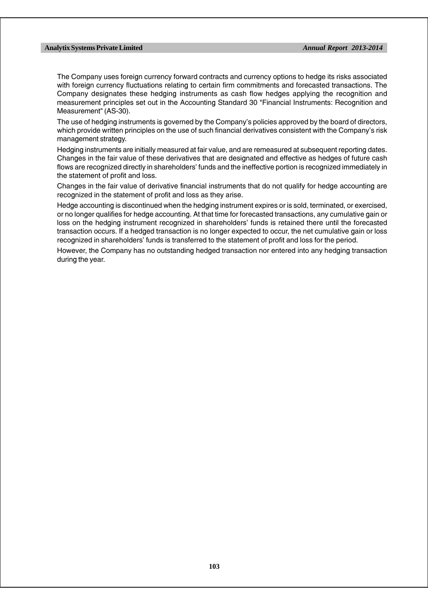#### **Analytix Systems Private Limited** *Annual Report 2013-2014*

The Company uses foreign currency forward contracts and currency options to hedge its risks associated with foreign currency fluctuations relating to certain firm commitments and forecasted transactions. The Company designates these hedging instruments as cash flow hedges applying the recognition and measurement principles set out in the Accounting Standard 30 "Financial Instruments: Recognition and Measurement" (AS-30).

The use of hedging instruments is governed by the Company's policies approved by the board of directors, which provide written principles on the use of such financial derivatives consistent with the Company's risk management strategy.

Hedging instruments are initially measured at fair value, and are remeasured at subsequent reporting dates. Changes in the fair value of these derivatives that are designated and effective as hedges of future cash flows are recognized directly in shareholders' funds and the ineffective portion is recognized immediately in the statement of profit and loss.

Changes in the fair value of derivative financial instruments that do not qualify for hedge accounting are recognized in the statement of profit and loss as they arise.

Hedge accounting is discontinued when the hedging instrument expires or is sold, terminated, or exercised, or no longer qualifies for hedge accounting. At that time for forecasted transactions, any cumulative gain or loss on the hedging instrument recognized in shareholders' funds is retained there until the forecasted transaction occurs. If a hedged transaction is no longer expected to occur, the net cumulative gain or loss recognized in shareholders' funds is transferred to the statement of profit and loss for the period.

However, the Company has no outstanding hedged transaction nor entered into any hedging transaction during the year.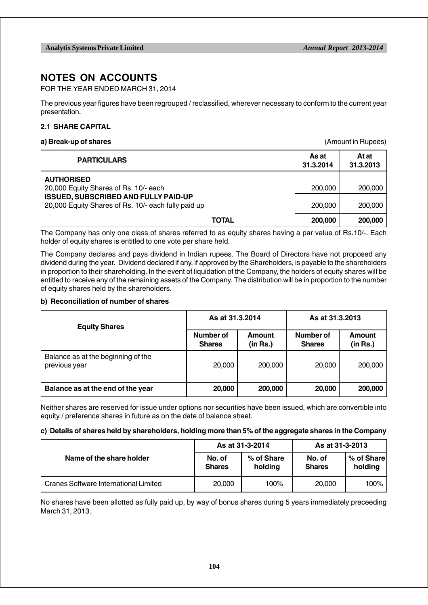## **NOTES ON ACCOUNTS**

FOR THE YEAR ENDED MARCH 31, 2014

The previous year figures have been regrouped / reclassified, wherever necessary to conform to the current year presentation.

#### **2.1 SHARE CAPITAL**

#### **a) Break-up of shares** (Amount in Rupees)

**PARTICULARS As at At at 31.3.2014 31.3.2013 AUTHORISED** 20,000 Equity Shares of Rs. 10/- each 200,000 200,000 **ISSUED, SUBSCRIBED AND FULLY PAID-UP** 20,000 Equity Shares of Rs. 10/- each fully paid up 200,000 200,000 **TOTAL 200,000 200,000**

The Company has only one class of shares referred to as equity shares having a par value of Rs.10/-. Each holder of equity shares is entitled to one vote per share held.

The Company declares and pays dividend in Indian rupees. The Board of Directors have not proposed any dividend during the year. Dividend declared if any, if approved by the Shareholders, is payable to the shareholders in proportion to their shareholding. In the event of liquidation of the Company, the holders of equity shares will be entitled to receive any of the remaining assets of the Company. The distribution will be in proportion to the number of equity shares held by the shareholders.

#### **b) Reconciliation of number of shares**

| <b>Equity Shares</b>                                | As at 31.3.2014            |                    | As at 31.3.2013            |                    |
|-----------------------------------------------------|----------------------------|--------------------|----------------------------|--------------------|
|                                                     | Number of<br><b>Shares</b> | Amount<br>(in Rs.) | Number of<br><b>Shares</b> | Amount<br>(in Rs.) |
| Balance as at the beginning of the<br>previous year | 20,000                     | 200,000            | 20,000                     | 200,000            |
| Balance as at the end of the year                   | 20,000                     | 200,000            | 20,000                     | 200,000            |

Neither shares are reserved for issue under options nor securities have been issued, which are convertible into equity / preference shares in future as on the date of balance sheet.

#### **c) Details of shares held by shareholders, holding more than 5% of the aggregate shares in the Company**

|                                       | As at 31-3-2014         |                       | As at 31-3-2013         |                       |
|---------------------------------------|-------------------------|-----------------------|-------------------------|-----------------------|
| Name of the share holder              | No. of<br><b>Shares</b> | % of Share<br>holding | No. of<br><b>Shares</b> | % of Share<br>holding |
| Cranes Software International Limited | 20,000                  | 100%                  | 20,000                  | 100%                  |

No shares have been allotted as fully paid up, by way of bonus shares during 5 years immediately preceeding March 31, 2013.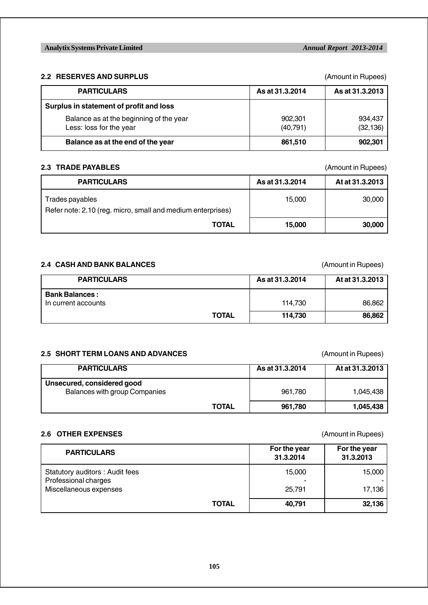### **Analytix Systems Private Limited** *Annual Report 2013-2014*

#### **2.2 RESERVES AND SURPLUS** (Amount in Rupees)

| <b>PARTICULARS</b>                                                 | As at 31.3.2014      | As at 31.3.2013      |
|--------------------------------------------------------------------|----------------------|----------------------|
| Surplus in statement of profit and loss                            |                      |                      |
| Balance as at the beginning of the year<br>Less: loss for the year | 902,301<br>(40, 791) | 934,437<br>(32, 136) |
| Balance as at the end of the year                                  | 861,510              | 902,301              |

#### **2.3 TRADE PAYABLES** (Amount in Rupees)

| <b>PARTICULARS</b>                                                             | As at 31.3.2014 | At at 31.3.2013 |
|--------------------------------------------------------------------------------|-----------------|-----------------|
| Trades payables<br>Refer note: 2.10 (reg. micro, small and medium enterprises) | 15.000          | 30,000          |
| <b>TOTAL</b>                                                                   | 15,000          | 30,000          |

### **2.4 CASH AND BANK BALANCES** (Amount in Rupees)

| <b>PARTICULARS</b>                           |              | As at 31.3.2014 | At at 31.3.2013 |
|----------------------------------------------|--------------|-----------------|-----------------|
| <b>Bank Balances:</b><br>In current accounts |              | 114.730         | 86.862          |
|                                              | <b>TOTAL</b> | 114,730         | 86,862          |

#### **2.5 SHORT TERM LOANS AND ADVANCES** (Amount in Rupees)

| <b>PARTICULARS</b>                                                 |       | As at 31.3.2014 | At at 31.3.2013 |
|--------------------------------------------------------------------|-------|-----------------|-----------------|
| Unsecured, considered good<br><b>Balances with group Companies</b> |       | 961.780         | 1.045.438       |
|                                                                    | TOTAL | 961.780         | 1,045,438       |

### **2.6 OTHER EXPENSES** (Amount in Rupees)

| <b>PARTICULARS</b>                                                                |              | For the year<br>31.3.2014 | For the year<br>31.3.2013 |
|-----------------------------------------------------------------------------------|--------------|---------------------------|---------------------------|
| Statutory auditors : Audit fees<br>Professional charges<br>Miscellaneous expenses |              | 15,000<br>25,791          | 15,000<br>17,136          |
|                                                                                   | <b>TOTAL</b> | 40,791                    | 32,136                    |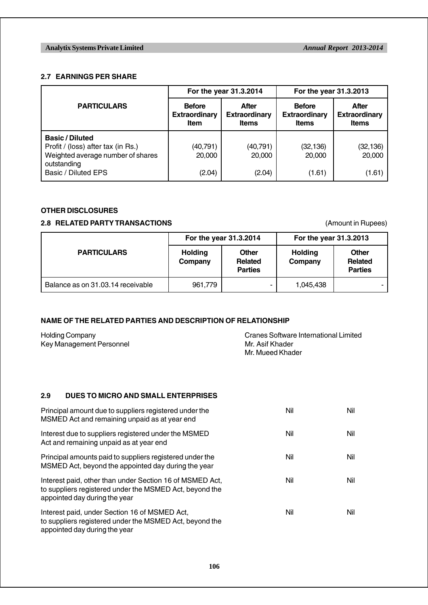#### **Analytix Systems Private Limited**

*Annual Report 2013-2014*

### **2.7 EARNINGS PER SHARE**

|                                                                                                                | For the year 31.3.2014                        |                                               | For the year 31.3.2013                                |                                        |
|----------------------------------------------------------------------------------------------------------------|-----------------------------------------------|-----------------------------------------------|-------------------------------------------------------|----------------------------------------|
| <b>PARTICULARS</b>                                                                                             | <b>Before</b><br>Extraordinary<br><b>Item</b> | After<br><b>Extraordinary</b><br><b>Items</b> | <b>Before</b><br><b>Extraordinary</b><br><b>Items</b> | After<br>Extraordinary<br><b>Items</b> |
| <b>Basic/Diluted</b><br>Profit / (loss) after tax (in Rs.)<br>Weighted average number of shares<br>outstanding | (40, 791)<br>20,000                           | (40, 791)<br>20,000                           | (32, 136)<br>20,000                                   | (32, 136)<br>20,000                    |
| Basic / Diluted EPS                                                                                            | (2.04)                                        | (2.04)                                        | (1.61)                                                | (1.61)                                 |

#### **OTHER DISCLOSURES**

#### **2.8 RELATED PARTY TRANSACTIONS** (Amount in Rupees)

|                                   | For the year 31.3.2014    |                                           | For the year 31.3.2013    |                                           |
|-----------------------------------|---------------------------|-------------------------------------------|---------------------------|-------------------------------------------|
| <b>PARTICULARS</b>                | <b>Holding</b><br>Company | <b>Other</b><br>Related<br><b>Parties</b> | <b>Holding</b><br>Company | Other<br><b>Related</b><br><b>Parties</b> |
| Balance as on 31.03.14 receivable | 961.779                   |                                           | 1,045,438                 |                                           |

#### **NAME OF THE RELATED PARTIES AND DESCRIPTION OF RELATIONSHIP**

Key Management Personnel

Holding Company<br>
Key Management Personnel<br>
Key Management Personnel<br>
Cranes Software International Limited Mr. Mueed Khader

#### **2.9 DUES TO MICRO AND SMALL ENTERPRISES**

| Principal amount due to suppliers registered under the<br>MSMED Act and remaining unpaid as at year end                                              | Nil | Nil |
|------------------------------------------------------------------------------------------------------------------------------------------------------|-----|-----|
| Interest due to suppliers registered under the MSMED<br>Act and remaining unpaid as at year end                                                      | Nil | Nil |
| Principal amounts paid to suppliers registered under the<br>MSMED Act, beyond the appointed day during the year                                      | Nil | Nil |
| Interest paid, other than under Section 16 of MSMED Act,<br>to suppliers registered under the MSMED Act, beyond the<br>appointed day during the year | Nil | Nil |
| Interest paid, under Section 16 of MSMED Act,<br>to suppliers registered under the MSMED Act, beyond the<br>appointed day during the year            | Nil | Nil |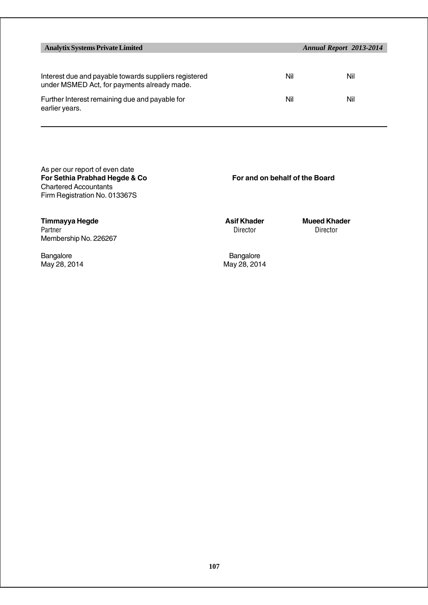| <b>Analytix Systems Private Limited</b><br><b>Annual Report 2013-2014</b>                            |     |     |
|------------------------------------------------------------------------------------------------------|-----|-----|
|                                                                                                      |     |     |
| Interest due and payable towards suppliers registered<br>under MSMED Act, for payments already made. | Nil | Nil |
| Further Interest remaining due and payable for<br>earlier years.                                     | Nil | Nil |

As per our report of even date **For Sethia Prabhad Hegde & Co For and on behalf of the Board** Chartered Accountants Firm Registration No. 013367S

May 28, 2014 May 28, 2014

**Timmayya Hegde Asif Khader Asif Khader Asif Khader** Mueed Khader Partner Asid Reported Asif Reported Asif Reported Asif Reported Asif Reported Asif Reported Asif Reported Asif Reported Asif Reported Asif Reported Asif Rep Partner Director Director Director Director Director Director Director Director Membership No. 226267

Bangalore Bangalore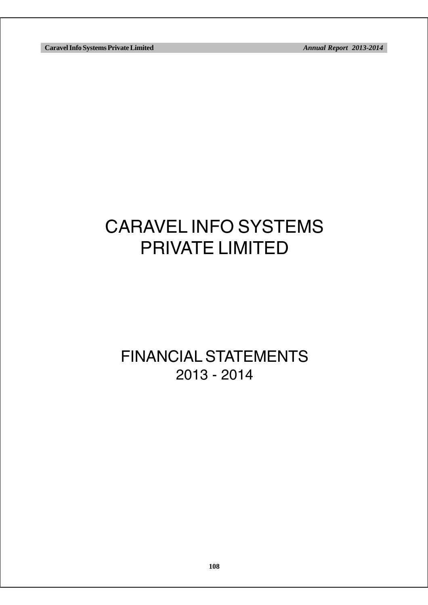# CARAVEL INFO SYSTEMS PRIVATE LIMITED

# FINANCIAL STATEMENTS 2013 - 2014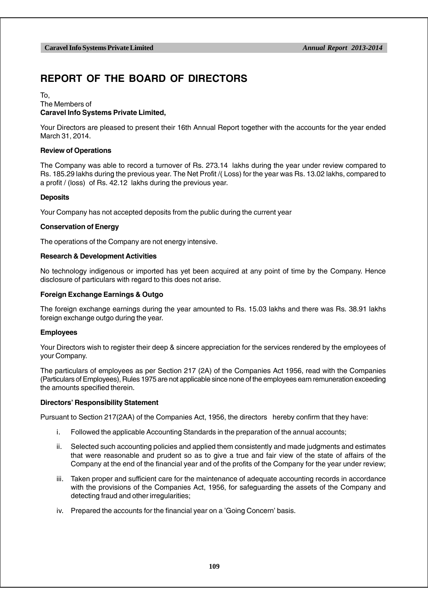# **REPORT OF THE BOARD OF DIRECTORS**

#### To, The Members of **Caravel Info Systems Private Limited,**

Your Directors are pleased to present their 16th Annual Report together with the accounts for the year ended March 31, 2014.

# **Review of Operations**

The Company was able to record a turnover of Rs. 273.14 lakhs during the year under review compared to Rs. 185.29 lakhs during the previous year. The Net Profit /( Loss) for the year was Rs. 13.02 lakhs, compared to a profit / (loss) of Rs. 42.12 lakhs during the previous year.

# **Deposits**

Your Company has not accepted deposits from the public during the current year

# **Conservation of Energy**

The operations of the Company are not energy intensive.

# **Research & Development Activities**

No technology indigenous or imported has yet been acquired at any point of time by the Company. Hence disclosure of particulars with regard to this does not arise.

# **Foreign Exchange Earnings & Outgo**

The foreign exchange earnings during the year amounted to Rs. 15.03 lakhs and there was Rs. 38.91 lakhs foreign exchange outgo during the year.

# **Employees**

Your Directors wish to register their deep & sincere appreciation for the services rendered by the employees of your Company.

The particulars of employees as per Section 217 (2A) of the Companies Act 1956, read with the Companies (Particulars of Employees), Rules 1975 are not applicable since none of the employees earn remuneration exceeding the amounts specified therein.

# **Directors' Responsibility Statement**

Pursuant to Section 217(2AA) of the Companies Act, 1956, the directors hereby confirm that they have:

- i. Followed the applicable Accounting Standards in the preparation of the annual accounts;
- ii. Selected such accounting policies and applied them consistently and made judgments and estimates that were reasonable and prudent so as to give a true and fair view of the state of affairs of the Company at the end of the financial year and of the profits of the Company for the year under review;
- iii. Taken proper and sufficient care for the maintenance of adequate accounting records in accordance with the provisions of the Companies Act, 1956, for safeguarding the assets of the Company and detecting fraud and other irregularities;
- iv. Prepared the accounts for the financial year on a 'Going Concern' basis.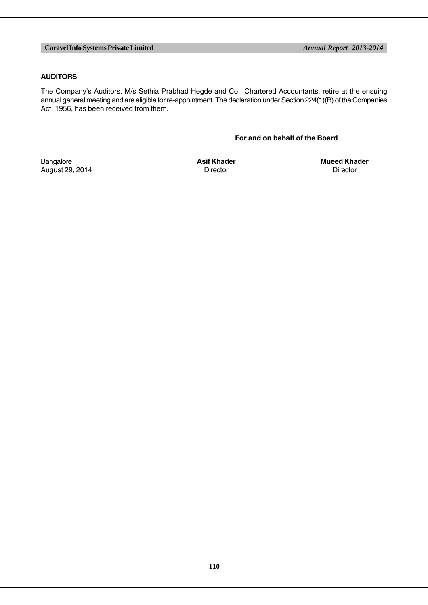# **AUDITORS**

The Company's Auditors, M/s Sethia Prabhad Hegde and Co., Chartered Accountants, retire at the ensuing annual general meeting and are eligible for re-appointment. The declaration under Section 224(1)(B) of the Companies Act, 1956, has been received from them.

# **For and on behalf of the Board**

Bangalore **Asif Khader Asif Khader Asif Khader Mueed Khader August 29, 2014** August 29, 2014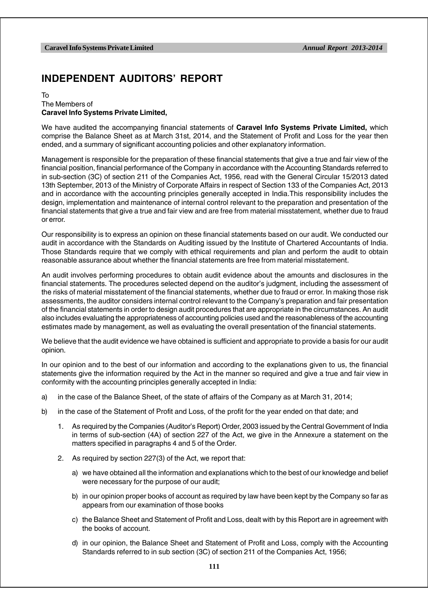# **INDEPENDENT AUDITORS' REPORT**

# To The Members of **Caravel Info Systems Private Limited,**

We have audited the accompanying financial statements of **Caravel Info Systems Private Limited,** which comprise the Balance Sheet as at March 31st, 2014, and the Statement of Profit and Loss for the year then ended, and a summary of significant accounting policies and other explanatory information.

Management is responsible for the preparation of these financial statements that give a true and fair view of the financial position, financial performance of the Company in accordance with the Accounting Standards referred to in sub-section (3C) of section 211 of the Companies Act, 1956, read with the General Circular 15/2013 dated 13th September, 2013 of the Ministry of Corporate Affairs in respect of Section 133 of the Companies Act, 2013 and in accordance with the accounting principles generally accepted in India.This responsibility includes the design, implementation and maintenance of internal control relevant to the preparation and presentation of the financial statements that give a true and fair view and are free from material misstatement, whether due to fraud or error.

Our responsibility is to express an opinion on these financial statements based on our audit. We conducted our audit in accordance with the Standards on Auditing issued by the Institute of Chartered Accountants of India. Those Standards require that we comply with ethical requirements and plan and perform the audit to obtain reasonable assurance about whether the financial statements are free from material misstatement.

An audit involves performing procedures to obtain audit evidence about the amounts and disclosures in the financial statements. The procedures selected depend on the auditor's judgment, including the assessment of the risks of material misstatement of the financial statements, whether due to fraud or error. In making those risk assessments, the auditor considers internal control relevant to the Company's preparation and fair presentation of the financial statements in order to design audit procedures that are appropriate in the circumstances. An audit also includes evaluating the appropriateness of accounting policies used and the reasonableness of the accounting estimates made by management, as well as evaluating the overall presentation of the financial statements.

We believe that the audit evidence we have obtained is sufficient and appropriate to provide a basis for our audit opinion.

In our opinion and to the best of our information and according to the explanations given to us, the financial statements give the information required by the Act in the manner so required and give a true and fair view in conformity with the accounting principles generally accepted in India:

- a) in the case of the Balance Sheet, of the state of affairs of the Company as at March 31, 2014;
- b) in the case of the Statement of Profit and Loss, of the profit for the year ended on that date; and
	- 1. As required by the Companies (Auditor's Report) Order, 2003 issued by the Central Government of India in terms of sub-section (4A) of section 227 of the Act, we give in the Annexure a statement on the matters specified in paragraphs 4 and 5 of the Order.
	- 2. As required by section 227(3) of the Act, we report that:
		- a) we have obtained all the information and explanations which to the best of our knowledge and belief were necessary for the purpose of our audit;
		- b) in our opinion proper books of account as required by law have been kept by the Company so far as appears from our examination of those books
		- c) the Balance Sheet and Statement of Profit and Loss, dealt with by this Report are in agreement with the books of account.
		- d) in our opinion, the Balance Sheet and Statement of Profit and Loss, comply with the Accounting Standards referred to in sub section (3C) of section 211 of the Companies Act, 1956;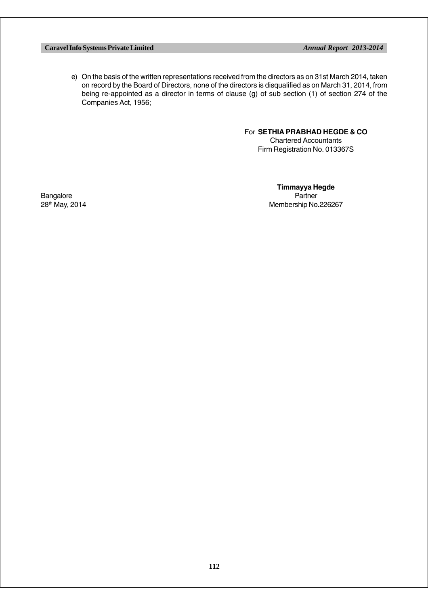e) On the basis of the written representations received from the directors as on 31st March 2014, taken on record by the Board of Directors, none of the directors is disqualified as on March 31, 2014, from being re-appointed as a director in terms of clause (g) of sub section (1) of section 274 of the Companies Act, 1956;

# For **SETHIA PRABHAD HEGDE & CO**

Chartered Accountants Firm Registration No. 013367S

**Timmayya Hegde** Bangalore **Partner** Partner Partner Partner Partner Partner Partner Partner Partner Partner Partner Partner Partner 28<sup>th</sup> May, 2014 Membership No.226267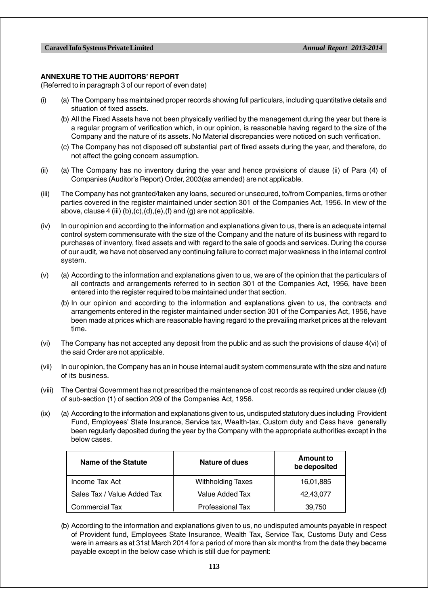# **ANNEXURE TO THE AUDITORS' REPORT**

(Referred to in paragraph 3 of our report of even date)

- (i) (a) The Company has maintained proper records showing full particulars, including quantitative details and situation of fixed assets.
	- (b) All the Fixed Assets have not been physically verified by the management during the year but there is a regular program of verification which, in our opinion, is reasonable having regard to the size of the Company and the nature of its assets. No Material discrepancies were noticed on such verification.
	- (c) The Company has not disposed off substantial part of fixed assets during the year, and therefore, do not affect the going concern assumption.
- (ii) (a) The Company has no inventory during the year and hence provisions of clause (ii) of Para (4) of Companies (Auditor's Report) Order, 2003(as amended) are not applicable.
- (iii) The Company has not granted/taken any loans, secured or unsecured, to/from Companies, firms or other parties covered in the register maintained under section 301 of the Companies Act, 1956. In view of the above, clause 4 (iii)  $(b)$ , $(c)$ , $(d)$ , $(e)$ , $(f)$  and  $(g)$  are not applicable.
- (iv) In our opinion and according to the information and explanations given to us, there is an adequate internal control system commensurate with the size of the Company and the nature of its business with regard to purchases of inventory, fixed assets and with regard to the sale of goods and services. During the course of our audit, we have not observed any continuing failure to correct major weakness in the internal control system.
- (v) (a) According to the information and explanations given to us, we are of the opinion that the particulars of all contracts and arrangements referred to in section 301 of the Companies Act, 1956, have been entered into the register required to be maintained under that section.
	- (b) In our opinion and according to the information and explanations given to us, the contracts and arrangements entered in the register maintained under section 301 of the Companies Act, 1956, have been made at prices which are reasonable having regard to the prevailing market prices at the relevant time.
- (vi) The Company has not accepted any deposit from the public and as such the provisions of clause 4(vi) of the said Order are not applicable.
- (vii) In our opinion, the Company has an in house internal audit system commensurate with the size and nature of its business.
- (viii) The Central Government has not prescribed the maintenance of cost records as required under clause (d) of sub-section (1) of section 209 of the Companies Act, 1956.
- $f(x)$  (a) According to the information and explanations given to us, undisputed statutory dues including Provident Fund, Employees' State Insurance, Service tax, Wealth-tax, Custom duty and Cess have generally been regularly deposited during the year by the Company with the appropriate authorities except in the below cases.

| Name of the Statute         | Nature of dues           | Amount to<br>be deposited |
|-----------------------------|--------------------------|---------------------------|
| Income Tax Act              | <b>Withholding Taxes</b> | 16,01,885                 |
| Sales Tax / Value Added Tax | Value Added Tax          | 42,43,077                 |
| <b>Commercial Tax</b>       | <b>Professional Tax</b>  | 39,750                    |

(b) According to the information and explanations given to us, no undisputed amounts payable in respect of Provident fund, Employees State Insurance, Wealth Tax, Service Tax, Customs Duty and Cess were in arrears as at 31st March 2014 for a period of more than six months from the date they became payable except in the below case which is still due for payment: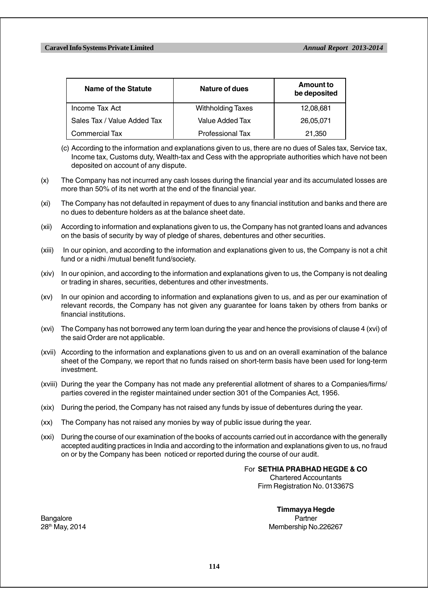| Name of the Statute         | Nature of dues           | Amount to<br>be deposited |
|-----------------------------|--------------------------|---------------------------|
| Income Tax Act              | <b>Withholding Taxes</b> | 12,08,681                 |
| Sales Tax / Value Added Tax | Value Added Tax          | 26,05,071                 |
| Commercial Tax              | <b>Professional Tax</b>  | 21,350                    |

(c) According to the information and explanations given to us, there are no dues of Sales tax, Service tax, Income tax, Customs duty, Wealth-tax and Cess with the appropriate authorities which have not been deposited on account of any dispute.

- (x) The Company has not incurred any cash losses during the financial year and its accumulated losses are more than 50% of its net worth at the end of the financial year.
- (xi) The Company has not defaulted in repayment of dues to any financial institution and banks and there are no dues to debenture holders as at the balance sheet date.
- (xii) According to information and explanations given to us, the Company has not granted loans and advances on the basis of security by way of pledge of shares, debentures and other securities.
- (xiii) In our opinion, and according to the information and explanations given to us, the Company is not a chit fund or a nidhi /mutual benefit fund/society.
- (xiv) In our opinion, and according to the information and explanations given to us, the Company is not dealing or trading in shares, securities, debentures and other investments.
- (xv) In our opinion and according to information and explanations given to us, and as per our examination of relevant records, the Company has not given any guarantee for loans taken by others from banks or financial institutions.
- (xvi) The Company has not borrowed any term loan during the year and hence the provisions of clause 4 (xvi) of the said Order are not applicable.
- (xvii) According to the information and explanations given to us and on an overall examination of the balance sheet of the Company, we report that no funds raised on short-term basis have been used for long-term investment.
- (xviii) During the year the Company has not made any preferential allotment of shares to a Companies/firms/ parties covered in the register maintained under section 301 of the Companies Act, 1956.
- (xix) During the period, the Company has not raised any funds by issue of debentures during the year.
- (xx) The Company has not raised any monies by way of public issue during the year.
- (xxi) During the course of our examination of the books of accounts carried out in accordance with the generally accepted auditing practices in India and according to the information and explanations given to us, no fraud on or by the Company has been noticed or reported during the course of our audit.

For **SETHIA PRABHAD HEGDE & CO**

Chartered Accountants Firm Registration No. 013367S

**Timmayya Hegde** Bangalore **Partner** Partner Partner Partner Partner Partner Partner Partner Partner Partner Partner Partner Partner 28<sup>th</sup> May, 2014 Membership No.226267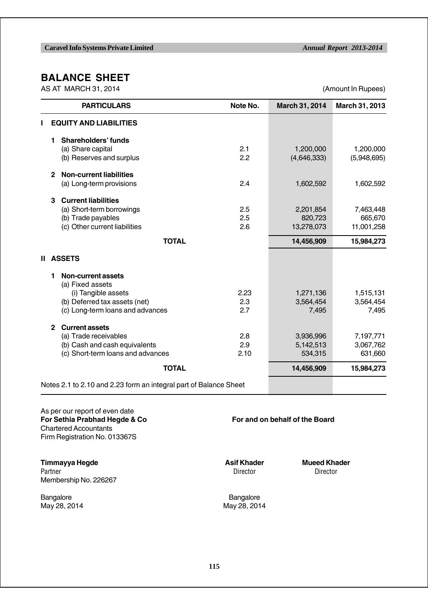# **BALANCE SHEET**

AS AT MARCH 31, 2014 (Amount In Rupees)

|                | <b>PARTICULARS</b>                                                | Note No. | March 31, 2014 | March 31, 2013 |
|----------------|-------------------------------------------------------------------|----------|----------------|----------------|
|                | <b>EQUITY AND LIABILITIES</b>                                     |          |                |                |
| 1              | <b>Shareholders' funds</b>                                        |          |                |                |
|                | (a) Share capital                                                 | 2.1      | 1,200,000      | 1,200,000      |
|                | (b) Reserves and surplus                                          | 2.2      | (4,646,333)    | (5,948,695)    |
| $\overline{2}$ | <b>Non-current liabilities</b>                                    |          |                |                |
|                | (a) Long-term provisions                                          | 2.4      | 1,602,592      | 1,602,592      |
|                |                                                                   |          |                |                |
| 3              | <b>Current liabilities</b><br>(a) Short-term borrowings           | 2.5      | 2,201,854      | 7,463,448      |
|                | (b) Trade payables                                                | 2.5      | 820,723        | 665,670        |
|                | (c) Other current liabilities                                     | 2.6      | 13,278,073     | 11,001,258     |
|                |                                                                   |          |                |                |
|                | <b>TOTAL</b>                                                      |          | 14,456,909     | 15,984,273     |
| Ш              | <b>ASSETS</b>                                                     |          |                |                |
| 1              | <b>Non-current assets</b>                                         |          |                |                |
|                | (a) Fixed assets                                                  |          |                |                |
|                | (i) Tangible assets                                               | 2.23     | 1,271,136      | 1,515,131      |
|                | (b) Deferred tax assets (net)                                     | 2.3      | 3,564,454      | 3,564,454      |
|                | (c) Long-term loans and advances                                  | 2.7      | 7,495          | 7,495          |
| $\mathbf{2}$   | <b>Current assets</b>                                             |          |                |                |
|                | (a) Trade receivables                                             | 2.8      | 3,936,996      | 7,197,771      |
|                | (b) Cash and cash equivalents                                     | 2.9      | 5,142,513      | 3,067,762      |
|                | (c) Short-term loans and advances                                 | 2.10     | 534,315        | 631,660        |
|                | <b>TOTAL</b>                                                      |          | 14,456,909     | 15,984,273     |
|                | Notes 2.1 to 2.10 and 2.23 form an integral part of Balance Sheet |          |                |                |

As per our report of even date For Sethia Prabhad Hegde & Co For and on behalf of the Board Chartered Accountants Firm Registration No. 013367S

**Timmayya Hegde Asif Khader Mueed Khader** Partner Director Director Director Director Director Director Director Director Membership No. 226267

Bangalore Bangalore Bangalore Bangalore Bangalore Bangalore Bangalore Bangalore Bangalore Bangalore Bangalore Bangalore Bangalore Bangalore Bangalore Bangalore Bangalore Bangalore Bangalore Bangalore Bangalore Bangalore Ba May 28, 2014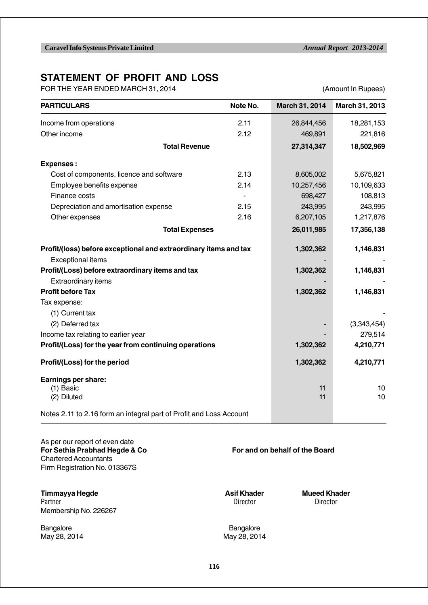# **STATEMENT OF PROFIT AND LOSS**

FOR THE YEAR ENDED MARCH 31, 2014 (Amount In Rupees)

| <b>PARTICULARS</b>                                                  | Note No. | March 31, 2014 | March 31, 2013 |
|---------------------------------------------------------------------|----------|----------------|----------------|
| Income from operations                                              | 2.11     | 26,844,456     | 18,281,153     |
| Other income                                                        | 2.12     | 469,891        | 221,816        |
| <b>Total Revenue</b>                                                |          | 27,314,347     | 18,502,969     |
| <b>Expenses:</b>                                                    |          |                |                |
| Cost of components, licence and software                            | 2.13     | 8,605,002      | 5,675,821      |
| Employee benefits expense                                           | 2.14     | 10,257,456     | 10,109,633     |
| Finance costs                                                       |          | 698,427        | 108,813        |
| Depreciation and amortisation expense                               | 2.15     | 243,995        | 243,995        |
| Other expenses                                                      | 2.16     | 6,207,105      | 1,217,876      |
| <b>Total Expenses</b>                                               |          | 26,011,985     | 17,356,138     |
| Profit/(loss) before exceptional and extraordinary items and tax    |          | 1,302,362      | 1,146,831      |
| <b>Exceptional items</b>                                            |          |                |                |
| Profit/(Loss) before extraordinary items and tax                    |          | 1,302,362      | 1,146,831      |
| <b>Extraordinary items</b>                                          |          |                |                |
| <b>Profit before Tax</b>                                            |          | 1,302,362      | 1,146,831      |
| Tax expense:                                                        |          |                |                |
| (1) Current tax                                                     |          |                |                |
| (2) Deferred tax                                                    |          |                | (3,343,454)    |
| Income tax relating to earlier year                                 |          |                | 279,514        |
| Profit/(Loss) for the year from continuing operations               |          | 1,302,362      | 4,210,771      |
| Profit/(Loss) for the period                                        |          | 1,302,362      | 4,210,771      |
| Earnings per share:<br>(1) Basic<br>(2) Diluted                     |          | 11<br>11       | 10<br>10       |
| Notes 2.11 to 2.16 form an integral part of Profit and Loss Account |          |                |                |

As per our report of even date For Sethia Prabhad Hegde & Co **For and on behalf of the Board** Chartered Accountants Firm Registration No. 013367S

**Timmayya Hegde Asif Khader Mueed Khader** Partner Director Director Director Director Director Director Director Director Membership No. 226267

May 28, 2014

Bangalore Bangalore Bangalore Bangalore Bangalore Bangalore Bangalore Bangalore Bangalore Bangalore Bangalore Bangalore Bangalore Bangalore Bangalore Bangalore Bangalore Bangalore Bangalore Bangalore Bangalore Bangalore Ba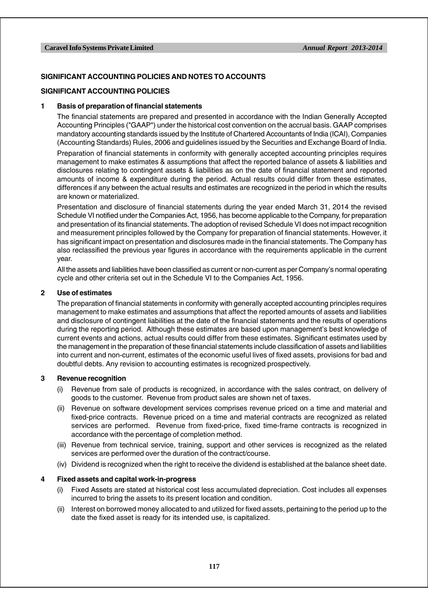# **SIGNIFICANT ACCOUNTING POLICIES AND NOTES TO ACCOUNTS**

# **SIGNIFICANT ACCOUNTING POLICIES**

# **1 Basis of preparation of financial statements**

The financial statements are prepared and presented in accordance with the Indian Generally Accepted Accounting Principles ("GAAP") under the historical cost convention on the accrual basis. GAAP comprises mandatory accounting standards issued by the Institute of Chartered Accountants of India (ICAI), Companies (Accounting Standards) Rules, 2006 and guidelines issued by the Securities and Exchange Board of India.

Preparation of financial statements in conformity with generally accepted accounting principles requires management to make estimates & assumptions that affect the reported balance of assets & liabilities and disclosures relating to contingent assets & liabilities as on the date of financial statement and reported amounts of income & expenditure during the period. Actual results could differ from these estimates, differences if any between the actual results and estimates are recognized in the period in which the results are known or materialized.

Presentation and disclosure of financial statements during the year ended March 31, 2014 the revised Schedule VI notified under the Companies Act, 1956, has become applicable to the Company, for preparation and presentation of its financial statements. The adoption of revised Schedule VI does not impact recognition and measurement principles followed by the Company for preparation of financial statements. However, it has significant impact on presentation and disclosures made in the financial statements. The Company has also reclassified the previous year figures in accordance with the requirements applicable in the current year.

All the assets and liabilities have been classified as current or non-current as per Company's normal operating cycle and other criteria set out in the Schedule VI to the Companies Act, 1956.

# **2 Use of estimates**

The preparation of financial statements in conformity with generally accepted accounting principles requires management to make estimates and assumptions that affect the reported amounts of assets and liabilities and disclosure of contingent liabilities at the date of the financial statements and the results of operations during the reporting period. Although these estimates are based upon management's best knowledge of current events and actions, actual results could differ from these estimates. Significant estimates used by the management in the preparation of these financial statements include classification of assets and liabilities into current and non-current, estimates of the economic useful lives of fixed assets, provisions for bad and doubtful debts. Any revision to accounting estimates is recognized prospectively.

# **3 Revenue recognition**

- Revenue from sale of products is recognized, in accordance with the sales contract, on delivery of goods to the customer. Revenue from product sales are shown net of taxes.
- (ii) Revenue on software development services comprises revenue priced on a time and material and fixed-price contracts. Revenue priced on a time and material contracts are recognized as related services are performed. Revenue from fixed-price, fixed time-frame contracts is recognized in accordance with the percentage of completion method.
- (iii) Revenue from technical service, training, support and other services is recognized as the related services are performed over the duration of the contract/course.
- (iv) Dividend is recognized when the right to receive the dividend is established at the balance sheet date.

# **4 Fixed assets and capital work-in-progress**

- Fixed Assets are stated at historical cost less accumulated depreciation. Cost includes all expenses incurred to bring the assets to its present location and condition.
- (ii) Interest on borrowed money allocated to and utilized for fixed assets, pertaining to the period up to the date the fixed asset is ready for its intended use, is capitalized.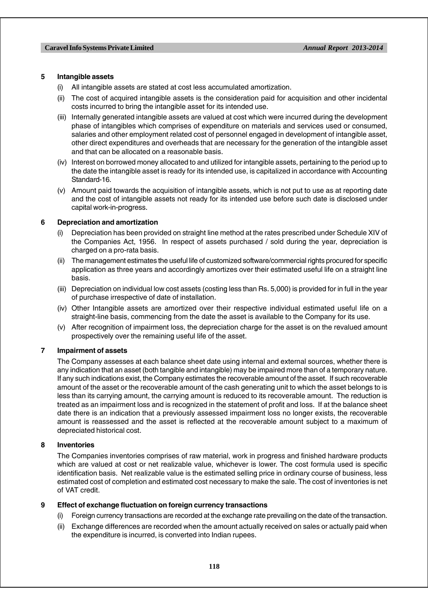# **5 Intangible assets**

- (i) All intangible assets are stated at cost less accumulated amortization.
- (ii) The cost of acquired intangible assets is the consideration paid for acquisition and other incidental costs incurred to bring the intangible asset for its intended use.
- (iii) Internally generated intangible assets are valued at cost which were incurred during the development phase of intangibles which comprises of expenditure on materials and services used or consumed, salaries and other employment related cost of personnel engaged in development of intangible asset, other direct expenditures and overheads that are necessary for the generation of the intangible asset and that can be allocated on a reasonable basis.
- (iv) Interest on borrowed money allocated to and utilized for intangible assets, pertaining to the period up to the date the intangible asset is ready for its intended use, is capitalized in accordance with Accounting Standard-16.
- (v) Amount paid towards the acquisition of intangible assets, which is not put to use as at reporting date and the cost of intangible assets not ready for its intended use before such date is disclosed under capital work-in-progress.

# **6 Depreciation and amortization**

- Depreciation has been provided on straight line method at the rates prescribed under Schedule XIV of the Companies Act, 1956. In respect of assets purchased / sold during the year, depreciation is charged on a pro-rata basis.
- (ii) The management estimates the useful life of customized software/commercial rights procured for specific application as three years and accordingly amortizes over their estimated useful life on a straight line basis.
- (iii) Depreciation on individual low cost assets (costing less than Rs. 5,000) is provided for in full in the year of purchase irrespective of date of installation.
- (iv) Other Intangible assets are amortized over their respective individual estimated useful life on a straight-line basis, commencing from the date the asset is available to the Company for its use.
- (v) After recognition of impairment loss, the depreciation charge for the asset is on the revalued amount prospectively over the remaining useful life of the asset.

# **7 Impairment of assets**

The Company assesses at each balance sheet date using internal and external sources, whether there is any indication that an asset (both tangible and intangible) may be impaired more than of a temporary nature. If any such indications exist, the Company estimates the recoverable amount of the asset. If such recoverable amount of the asset or the recoverable amount of the cash generating unit to which the asset belongs to is less than its carrying amount, the carrying amount is reduced to its recoverable amount. The reduction is treated as an impairment loss and is recognized in the statement of profit and loss. If at the balance sheet date there is an indication that a previously assessed impairment loss no longer exists, the recoverable amount is reassessed and the asset is reflected at the recoverable amount subject to a maximum of depreciated historical cost.

# **8 Inventories**

The Companies inventories comprises of raw material, work in progress and finished hardware products which are valued at cost or net realizable value, whichever is lower. The cost formula used is specific identification basis. Net realizable value is the estimated selling price in ordinary course of business, less estimated cost of completion and estimated cost necessary to make the sale. The cost of inventories is net of VAT credit.

# **9 Effect of exchange fluctuation on foreign currency transactions**

- (i) Foreign currency transactions are recorded at the exchange rate prevailing on the date of the transaction.
- (ii) Exchange differences are recorded when the amount actually received on sales or actually paid when the expenditure is incurred, is converted into Indian rupees.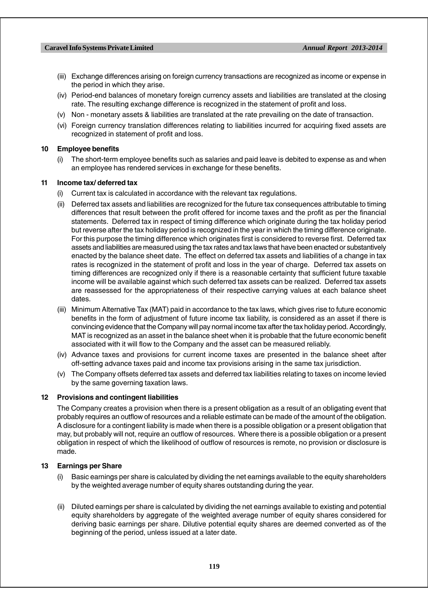- (iii) Exchange differences arising on foreign currency transactions are recognized as income or expense in the period in which they arise.
- (iv) Period-end balances of monetary foreign currency assets and liabilities are translated at the closing rate. The resulting exchange difference is recognized in the statement of profit and loss.
- (v) Non monetary assets & liabilities are translated at the rate prevailing on the date of transaction.
- (vi) Foreign currency translation differences relating to liabilities incurred for acquiring fixed assets are recognized in statement of profit and loss.

# **10 Employee benefits**

(i) The short-term employee benefits such as salaries and paid leave is debited to expense as and when an employee has rendered services in exchange for these benefits.

# **11 Income tax/ deferred tax**

- (i) Current tax is calculated in accordance with the relevant tax regulations.
- (ii) Deferred tax assets and liabilities are recognized for the future tax consequences attributable to timing differences that result between the profit offered for income taxes and the profit as per the financial statements. Deferred tax in respect of timing difference which originate during the tax holiday period but reverse after the tax holiday period is recognized in the year in which the timing difference originate. For this purpose the timing difference which originates first is considered to reverse first. Deferred tax assets and liabilities are measured using the tax rates and tax laws that have been enacted or substantively enacted by the balance sheet date. The effect on deferred tax assets and liabilities of a change in tax rates is recognized in the statement of profit and loss in the year of charge. Deferred tax assets on timing differences are recognized only if there is a reasonable certainty that sufficient future taxable income will be available against which such deferred tax assets can be realized. Deferred tax assets are reassessed for the appropriateness of their respective carrying values at each balance sheet dates.
- (iii) Minimum Alternative Tax (MAT) paid in accordance to the tax laws, which gives rise to future economic benefits in the form of adjustment of future income tax liability, is considered as an asset if there is convincing evidence that the Company will pay normal income tax after the tax holiday period. Accordingly, MAT is recognized as an asset in the balance sheet when it is probable that the future economic benefit associated with it will flow to the Company and the asset can be measured reliably.
- (iv) Advance taxes and provisions for current income taxes are presented in the balance sheet after off-setting advance taxes paid and income tax provisions arising in the same tax jurisdiction.
- (v) The Company offsets deferred tax assets and deferred tax liabilities relating to taxes on income levied by the same governing taxation laws.

# **12 Provisions and contingent liabilities**

The Company creates a provision when there is a present obligation as a result of an obligating event that probably requires an outflow of resources and a reliable estimate can be made of the amount of the obligation. A disclosure for a contingent liability is made when there is a possible obligation or a present obligation that may, but probably will not, require an outflow of resources. Where there is a possible obligation or a present obligation in respect of which the likelihood of outflow of resources is remote, no provision or disclosure is made.

# **13 Earnings per Share**

- Basic earnings per share is calculated by dividing the net earnings available to the equity shareholders by the weighted average number of equity shares outstanding during the year.
- (ii) Diluted earnings per share is calculated by dividing the net earnings available to existing and potential equity shareholders by aggregate of the weighted average number of equity shares considered for deriving basic earnings per share. Dilutive potential equity shares are deemed converted as of the beginning of the period, unless issued at a later date.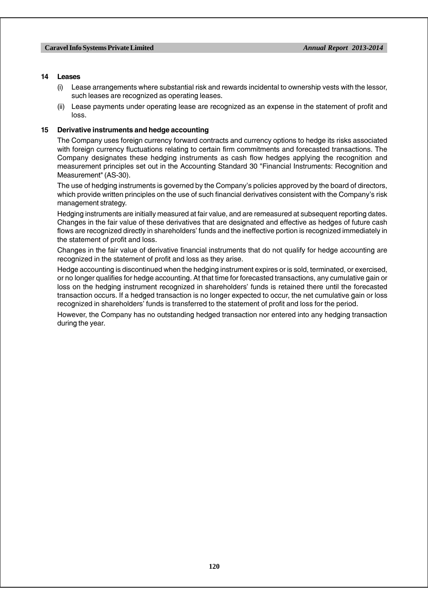# **14 Leases**

- (i) Lease arrangements where substantial risk and rewards incidental to ownership vests with the lessor, such leases are recognized as operating leases.
- (ii) Lease payments under operating lease are recognized as an expense in the statement of profit and loss.

# **15 Derivative instruments and hedge accounting**

The Company uses foreign currency forward contracts and currency options to hedge its risks associated with foreign currency fluctuations relating to certain firm commitments and forecasted transactions. The Company designates these hedging instruments as cash flow hedges applying the recognition and measurement principles set out in the Accounting Standard 30 "Financial Instruments: Recognition and Measurement" (AS-30).

The use of hedging instruments is governed by the Company's policies approved by the board of directors, which provide written principles on the use of such financial derivatives consistent with the Company's risk management strategy.

Hedging instruments are initially measured at fair value, and are remeasured at subsequent reporting dates. Changes in the fair value of these derivatives that are designated and effective as hedges of future cash flows are recognized directly in shareholders' funds and the ineffective portion is recognized immediately in the statement of profit and loss.

Changes in the fair value of derivative financial instruments that do not qualify for hedge accounting are recognized in the statement of profit and loss as they arise.

Hedge accounting is discontinued when the hedging instrument expires or is sold, terminated, or exercised, or no longer qualifies for hedge accounting. At that time for forecasted transactions, any cumulative gain or loss on the hedging instrument recognized in shareholders' funds is retained there until the forecasted transaction occurs. If a hedged transaction is no longer expected to occur, the net cumulative gain or loss recognized in shareholders' funds is transferred to the statement of profit and loss for the period.

However, the Company has no outstanding hedged transaction nor entered into any hedging transaction during the year.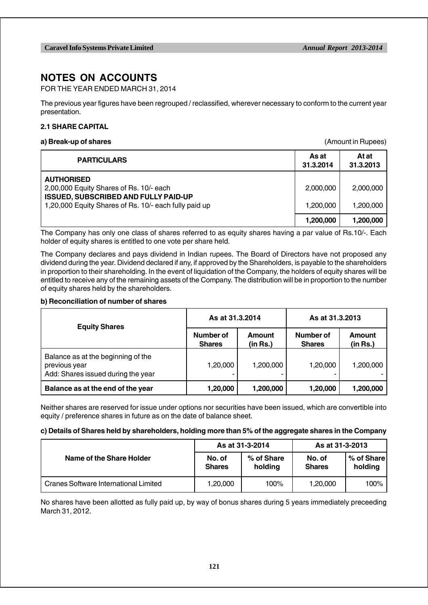# **NOTES ON ACCOUNTS**

FOR THE YEAR ENDED MARCH 31, 2014

The previous year figures have been regrouped / reclassified, wherever necessary to conform to the current year presentation.

# **2.1 SHARE CAPITAL**

# **a) Break-up of shares** (Amount in Rupees)

**PARTICULARS As at At at 31.3.2014 31.3.2013 AUTHORISED** 2,00,000 Equity Shares of Rs. 10/- each 2,000,000 2,000,000 **ISSUED, SUBSCRIBED AND FULLY PAID-UP** 1,20,000 Equity Shares of Rs. 10/- each fully paid up 1,200,000 1,200,000 1,200,000 **1,200,000 1,200,000**

The Company has only one class of shares referred to as equity shares having a par value of Rs.10/-. Each holder of equity shares is entitled to one vote per share held.

The Company declares and pays dividend in Indian rupees. The Board of Directors have not proposed any dividend during the year. Dividend declared if any, if approved by the Shareholders, is payable to the shareholders in proportion to their shareholding. In the event of liquidation of the Company, the holders of equity shares will be entitled to receive any of the remaining assets of the Company. The distribution will be in proportion to the number of equity shares held by the shareholders.

# **b) Reconciliation of number of shares**

| <b>Equity Shares</b>                                                                      | As at 31.3.2014            | As at 31.3.2013    |                            |                    |
|-------------------------------------------------------------------------------------------|----------------------------|--------------------|----------------------------|--------------------|
|                                                                                           | Number of<br><b>Shares</b> | Amount<br>(in Rs.) | Number of<br><b>Shares</b> | Amount<br>(in Rs.) |
| Balance as at the beginning of the<br>previous year<br>Add: Shares issued during the year | 1,20,000                   | 1,200,000          | 1,20,000                   | 1,200,000          |
| Balance as at the end of the year                                                         | 1,20,000                   | 1,200,000          | 1,20,000                   | 1,200,000          |

Neither shares are reserved for issue under options nor securities have been issued, which are convertible into equity / preference shares in future as on the date of balance sheet.

# **c) Details of Shares held by shareholders, holding more than 5% of the aggregate shares in the Company**

|                                       | As at 31-3-2014         |                       | As at 31-3-2013         |                       |
|---------------------------------------|-------------------------|-----------------------|-------------------------|-----------------------|
| Name of the Share Holder              | No. of<br><b>Shares</b> | % of Share<br>holding | No. of<br><b>Shares</b> | % of Share<br>holding |
| Cranes Software International Limited | 1.20.000                | 100%                  | 1,20,000                | 100%                  |

No shares have been allotted as fully paid up, by way of bonus shares during 5 years immediately preceeding March 31, 2012.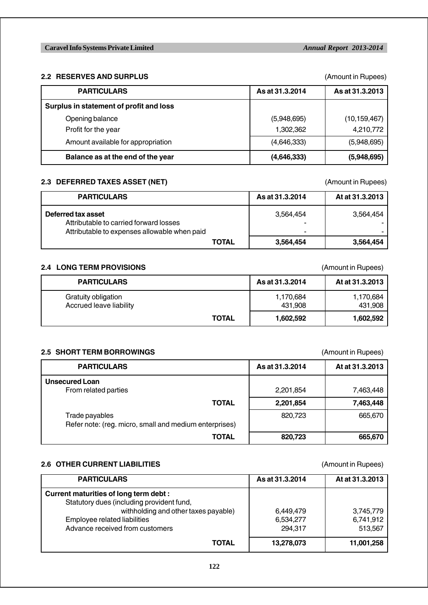**2.2 RESERVES AND SURPLUS** (Amount in Rupees)

| <b>PARTICULARS</b>                      | As at 31.3.2014 | As at 31.3.2013 |
|-----------------------------------------|-----------------|-----------------|
| Surplus in statement of profit and loss |                 |                 |
| Opening balance                         | (5,948,695)     | (10,159,467)    |
| Profit for the year                     | 1,302,362       | 4,210,772       |
| Amount available for appropriation      | (4,646,333)     | (5,948,695)     |
| Balance as at the end of the year       | (4,646,333)     | (5,948,695)     |

# **2.3 DEFERRED TAXES ASSET (NET)** (Amount in Rupees)

| <b>PARTICULARS</b>                                                                                           |              | As at 31.3.2014 | At at 31.3.2013 |
|--------------------------------------------------------------------------------------------------------------|--------------|-----------------|-----------------|
| Deferred tax asset<br>Attributable to carried forward losses<br>Attributable to expenses allowable when paid |              | 3.564.454       | 3.564.454       |
|                                                                                                              | <b>TOTAL</b> | 3,564,454       | 3,564,454       |

# **2.4 LONG TERM PROVISIONS** (Amount in Rupees)

| <b>PARTICULARS</b>                             |              | As at 31.3.2014      | At at 31.3.2013      |
|------------------------------------------------|--------------|----------------------|----------------------|
| Gratuity obligation<br>Accrued leave liability |              | 1,170,684<br>431.908 | 1,170,684<br>431,908 |
|                                                | <b>TOTAL</b> | 1,602,592            | 1,602,592            |

# **2.5 SHORT TERM BORROWINGS** (Amount in Rupees)

| <b>PARTICULARS</b>                                                       | As at 31.3.2014 | At at 31.3.2013 |
|--------------------------------------------------------------------------|-----------------|-----------------|
| <b>Unsecured Loan</b>                                                    |                 |                 |
| From related parties                                                     | 2,201,854       | 7,463,448       |
| <b>TOTAL</b>                                                             | 2,201,854       | 7,463,448       |
| Trade payables<br>Refer note: (reg. micro, small and medium enterprises) | 820,723         | 665,670         |
| <b>TOTAL</b>                                                             | 820,723         | 665,670         |

# **2.6 OTHER CURRENT LIABILITIES** (Amount in Rupees)

| <b>PARTICULARS</b>                        | As at 31.3.2014 | At at 31.3.2013 |
|-------------------------------------------|-----------------|-----------------|
| Current maturities of long term debt :    |                 |                 |
| Statutory dues (including provident fund, |                 |                 |
| withholding and other taxes payable)      | 6,449,479       | 3,745,779       |
| Employee related liabilities              | 6,534,277       | 6,741,912       |
| Advance received from customers           | 294,317         | 513,567         |
| <b>TOTAL</b>                              | 13,278,073      | 11,001,258      |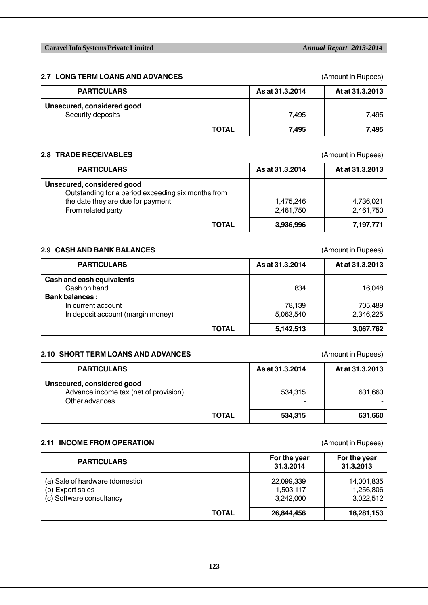# **123**

**Caravel Info Systems Private Limited** *Annual Report 2013-2014*

# **2.7 LONG TERM LOANS AND ADVANCES** (Amount in Rupees)

| <b>PARTICULARS</b>                              |              | As at 31.3.2014 | At at 31.3.2013 |
|-------------------------------------------------|--------------|-----------------|-----------------|
| Unsecured, considered good<br>Security deposits |              | 7.495           | 7.495           |
|                                                 | <b>TOTAL</b> | 7,495           | 7,495           |

# **2.8 TRADE RECEIVABLES** (Amount in Rupees)

| <b>PARTICULARS</b>                                                                                                                          | As at 31.3.2014        | At at 31.3.2013        |
|---------------------------------------------------------------------------------------------------------------------------------------------|------------------------|------------------------|
| Unsecured, considered good<br>Outstanding for a period exceeding six months from<br>the date they are due for payment<br>From related party | 1,475,246<br>2,461,750 | 4,736,021<br>2,461,750 |
| <b>TOTAL</b>                                                                                                                                | 3,936,996              | 7,197,771              |

# **2.9 CASH AND BANK BALANCES** (Amount in Rupees)

| <b>PARTICULARS</b>                | As at 31.3.2014 | At at 31.3.2013 |
|-----------------------------------|-----------------|-----------------|
| Cash and cash equivalents         |                 |                 |
| Cash on hand                      | 834             | 16,048          |
| <b>Bank balances:</b>             |                 |                 |
| In current account                | 78.139          | 705,489         |
| In deposit account (margin money) | 5,063,540       | 2,346,225       |
|                                   |                 |                 |
| <b>TOTAL</b>                      | 5,142,513       | 3,067,762       |

# **2.10 SHORT TERM LOANS AND ADVANCES** (Amount in Rupees)

| <b>PARTICULARS</b>                                                                    |              | As at 31.3.2014 | At at 31.3.2013 |
|---------------------------------------------------------------------------------------|--------------|-----------------|-----------------|
| Unsecured, considered good<br>Advance income tax (net of provision)<br>Other advances |              | 534,315         | 631,660         |
|                                                                                       | <b>TOTAL</b> | 534,315         | 631,660         |

# **2.11 INCOME FROM OPERATION** (Amount in Rupees)

| <b>PARTICULARS</b>                                                              |              | For the year<br>31.3.2014            | For the year<br>31.3.2013            |
|---------------------------------------------------------------------------------|--------------|--------------------------------------|--------------------------------------|
| (a) Sale of hardware (domestic)<br>(b) Export sales<br>(c) Software consultancy |              | 22,099,339<br>1,503,117<br>3,242,000 | 14,001,835<br>1,256,806<br>3,022,512 |
|                                                                                 | <b>TOTAL</b> | 26,844,456                           | 18,281,153                           |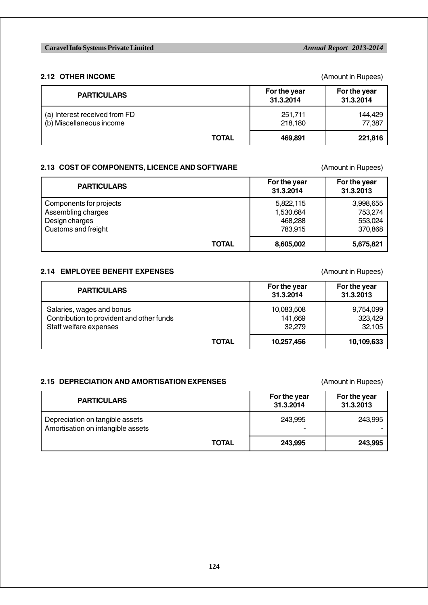# **2.12 OTHER INCOME** (Amount in Rupees)

**PARTICULARS For the year For the year For the year For the year For the year 31.3.2014 31.3.2014** (a) Interest received from FD<br>
(b) Miscellaneous income<br>
218.180 218.180 77.387 (b) Miscellaneous income **TOTAL 469,891 221,816**

# **2.13 COST OF COMPONENTS, LICENCE AND SOFTWARE** (Amount in Rupees)

**PARTICULARS For the year For the year For the year For the year For the year For the year For the year For the year For the year For the year For the year For the year For the year For the year 31.3.2014 31.3.2013** Components for projects<br>
Assembling charges<br>
Assembling charges<br>
T53.274 Assembling charges 1,530,684 753,274<br>Design charges 1,530,684 753,274 Design charges **1988**<br>Customs and freight **1988**<br>Customs and freight **1988**<br>Customs and freight **1988** Customs and freight **TOTAL 8,605,002 5,675,821**

# **2.14 EMPLOYEE BENEFIT EXPENSES** (Amount in Rupees)

**PARTICULARS PARTICULARS For the year For the year For the year For the year For the year For the year 31.3.2014 31.3.2013** Salaries, wages and bonus 10,083,508 9,754,099<br>Contribution to provident and other funds 141.669 9,754,099 Contribution to provident and other funds<br>
Staff welfare expenses<br>
32.105 Staff welfare expenses **TOTAL 10,257,456 10,109,633** 

# **2.15 DEPRECIATION AND AMORTISATION EXPENSES** (Amount in Rupees)

| <b>PARTICULARS</b>                                                   |              | For the year<br>31.3.2014 | For the year<br>31.3.2013 |
|----------------------------------------------------------------------|--------------|---------------------------|---------------------------|
| Depreciation on tangible assets<br>Amortisation on intangible assets |              | 243,995                   | 243,995                   |
|                                                                      | <b>TOTAL</b> | 243,995                   | 243,995                   |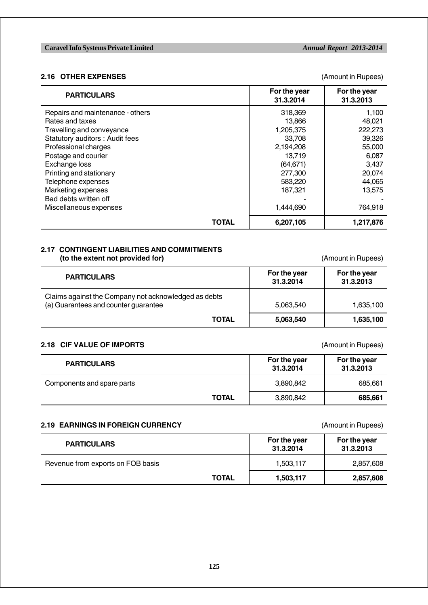# **2.16 OTHER EXPENSES** (Amount in Rupees)

| <b>PARTICULARS</b>               | For the year<br>31.3.2014 | For the year<br>31.3.2013 |
|----------------------------------|---------------------------|---------------------------|
| Repairs and maintenance - others | 318,369                   | 1,100                     |
| Rates and taxes                  | 13,866                    | 48,021                    |
| Travelling and conveyance        | 1,205,375                 | 222,273                   |
| Statutory auditors : Audit fees  | 33,708                    | 39,326                    |
| Professional charges             | 2,194,208                 | 55,000                    |
| Postage and courier              | 13,719                    | 6,087                     |
| Exchange loss                    | (64, 671)                 | 3,437                     |
| Printing and stationary          | 277,300                   | 20,074                    |
| Telephone expenses               | 583,220                   | 44,065                    |
| Marketing expenses               | 187,321                   | 13,575                    |
| Bad debts written off            |                           |                           |
| Miscellaneous expenses           | 1,444,690                 | 764,918                   |
| <b>TOTAL</b>                     | 6,207,105                 | 1,217,876                 |

# **2.17 CONTINGENT LIABILITIES AND COMMITMENTS**

 **(to the extent not provided for)** (Amount in Rupees) **PARTICULARS For the year For the year For the year For the year For the year For the year For the year For the year For the year For the year For the year For the year For the year For the year 31.3.2014 31.3.2013** Claims against the Company not acknowledged as debts (a) Guarantees and counter guarantee 5,063,540 1,635,100 **TOTAL 5,063,540 1,635,100**

# **2.18 CIF VALUE OF IMPORTS** (Amount in Rupees)

| <b>PARTICULARS</b>         |              | For the year<br>31.3.2014 | For the year<br>31.3.2013 |
|----------------------------|--------------|---------------------------|---------------------------|
| Components and spare parts |              | 3,890,842                 | 685,661                   |
|                            | <b>TOTAL</b> | 3,890,842                 | 685,661                   |

# **2.19 EARNINGS IN FOREIGN CURRENCY** (Amount in Rupees)

| <b>PARTICULARS</b>                |              | For the year<br>31.3.2014 | For the year<br>31.3.2013 |
|-----------------------------------|--------------|---------------------------|---------------------------|
| Revenue from exports on FOB basis |              | 1,503,117                 | 2,857,608                 |
|                                   | <b>TOTAL</b> | 1,503,117                 | 2,857,608                 |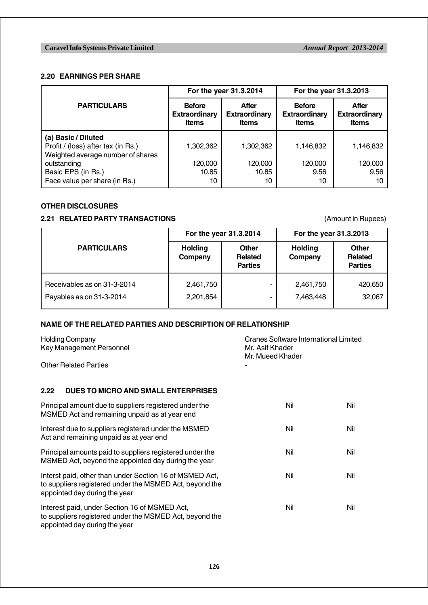# **2.20 EARNINGS PER SHARE**

|                                                                                                |                      | For the year 31.3.2014 | For the year 31.3.2013 |                      |
|------------------------------------------------------------------------------------------------|----------------------|------------------------|------------------------|----------------------|
| <b>PARTICULARS</b>                                                                             | <b>Before</b>        | After                  | <b>Before</b>          | After                |
|                                                                                                | <b>Extraordinary</b> | <b>Extraordinary</b>   | <b>Extraordinary</b>   | <b>Extraordinary</b> |
|                                                                                                | <b>Items</b>         | <b>Items</b>           | <b>Items</b>           | <b>Items</b>         |
| (a) Basic / Diluted<br>Profit / (loss) after tax (in Rs.)<br>Weighted average number of shares | 1,302,362            | 1,302,362              | 1,146,832              | 1,146,832            |
| outstanding                                                                                    | 120,000              | 120,000                | 120,000                | 120,000              |
| Basic EPS (in Rs.)                                                                             | 10.85                | 10.85                  | 9.56                   | 9.56                 |
| Face value per share (in Rs.)                                                                  | 10                   | 10                     | 10                     | 10                   |

# **OTHER DISCLOSURES**

# **2.21 RELATED PARTY TRANSACTIONS** (Amount in Rupees)

|                                                         |                           | For the year 31.3.2014                           |                           | For the year 31.3.2013                    |  |
|---------------------------------------------------------|---------------------------|--------------------------------------------------|---------------------------|-------------------------------------------|--|
| <b>PARTICULARS</b>                                      | <b>Holding</b><br>Company | <b>Other</b><br><b>Related</b><br><b>Parties</b> | <b>Holding</b><br>Company | Other<br><b>Related</b><br><b>Parties</b> |  |
| Receivables as on 31-3-2014<br>Payables as on 31-3-2014 | 2,461,750<br>2,201,854    |                                                  | 2,461,750<br>7,463,448    | 420,650<br>32,067                         |  |

# **NAME OF THE RELATED PARTIES AND DESCRIPTION OF RELATIONSHIP**

Key Management Personnel

Holding Company<br>
Key Management Personnel<br>
Cranes Software International Limited<br>
Mr. Asif Khader Mr. Mueed Khader

**Other Related Parties** 

# **2.22 DUES TO MICRO AND SMALL ENTERPRISES**

| Principal amount due to suppliers registered under the<br>MSMED Act and remaining unpaid as at year end                                             | Nil | Nil |
|-----------------------------------------------------------------------------------------------------------------------------------------------------|-----|-----|
| Interest due to suppliers registered under the MSMED<br>Act and remaining unpaid as at year end                                                     | Nil | Nil |
| Principal amounts paid to suppliers registered under the<br>MSMED Act, beyond the appointed day during the year                                     | Nil | Nil |
| Interst paid, other than under Section 16 of MSMED Act,<br>to suppliers registered under the MSMED Act, beyond the<br>appointed day during the year | Nil | Nil |
| Interest paid, under Section 16 of MSMED Act,<br>to suppliers registered under the MSMED Act, beyond the<br>appointed day during the year           | Nil | Nil |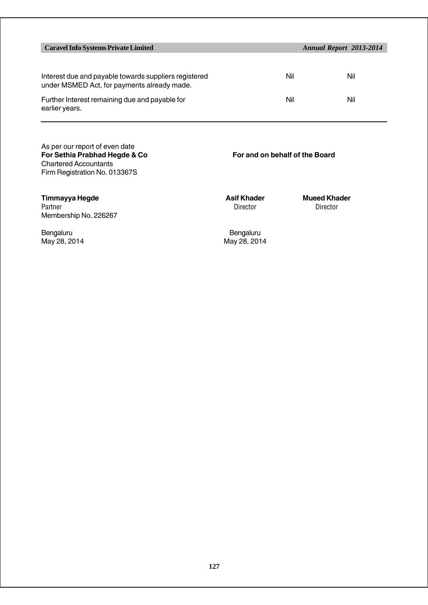| <b>Caravel Info Systems Private Limited</b><br><b>Annual Report 2013-2014</b>                        |     |     |
|------------------------------------------------------------------------------------------------------|-----|-----|
|                                                                                                      |     |     |
| Interest due and payable towards suppliers registered<br>under MSMED Act, for payments already made. | Nil | Nil |
| Further Interest remaining due and payable for<br>earlier years.                                     | Nil | Nil |

As per our report of even date **For Sethia Prabhad Hegde & Co For and on behalf of the Board** Chartered Accountants Firm Registration No. 013367S

**Timmayya Hegde Asif Khader Asif Khader Asif Khader** Mueed Khader Partner Asimum Director Asif Reported Asif Reported Asif Reported Asif Reported Asif Reported Asif Reported Asif Reported Asif Reported Asif Reported Asif R Partner Director Director Director Director Director Director Director Director Membership No. 226267

Bengaluru **Bengaluru** Bengaluru Bengaluru

May 28, 2014 May 28, 2014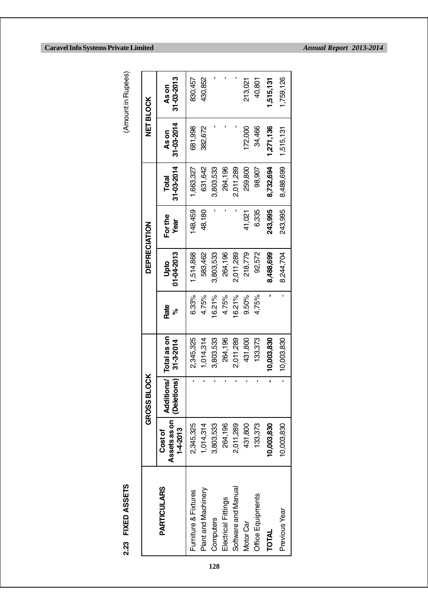|                      |                                     | <b>ILOCK</b><br><b>GROSS</b>    |                          |        | DEPRECIATION       |                        |                            |                     | <b>NET BLOCK</b>    |
|----------------------|-------------------------------------|---------------------------------|--------------------------|--------|--------------------|------------------------|----------------------------|---------------------|---------------------|
| <b>PARTICULARS</b>   | Assets as on<br>1-4-2013<br>Cost of | Additions/<br>tions)<br>(Deleti | Total as on<br>31-3-2014 | Rate   | 01-04-2013<br>Upto | For the<br><b>Year</b> | 31-03-2014<br><b>Total</b> | 31-03-2014<br>As on | 31-03-2013<br>As on |
| Furniture & Fixtures | 2,345,325                           |                                 | 2,345,325                | 6.33%  | 1,514,868          | 148,459                | 1,663,327                  | 681,998             | 830,457             |
| Plant and Machinery  | 1,014,314                           |                                 | 1,014,314                | 4.75%  | 583,462            | 48,180                 | 631,642                    | 382,672             | 430,852             |
| Computers            | 3,803,533                           |                                 | 3,803,533                | 16.21% | 3,803,533          |                        | 3,803,533                  |                     |                     |
| Electrical Fittings  | 264,196                             |                                 | 264,196                  | 4.75%  | 264,196            |                        | 264,196                    |                     |                     |
| Software and Manual  | 2,011,289                           |                                 | 2,011,289                | 16.21% | 2,011,289          |                        | 2,011,289                  |                     |                     |
| Motor Car            | 431,800                             |                                 | 431,800                  | 9.50%  | 218,779            | 41,021                 | 259,800                    | 172,000             | 213,021             |
| Office Equipments    | 133,373                             |                                 | 133,373                  | 4.75%  | 92,572             | 6,335                  | 98,907                     | 34,466              | 40,801              |
| <b>TOTAL</b>         | 10,003,830                          |                                 | 10,003,830               |        | 8,488,699          | 243,995                | 8,732,694                  | 1,271,136           | 1,515,131           |
| Previous Year        | 10,003,830                          |                                 | 10,003,830               |        | 8,244,704          | 243,995                | 8,488,699                  | 1,515,131           | 1,759,126           |
|                      |                                     |                                 |                          |        |                    |                        |                            |                     |                     |

(Amount in Rupees) **2.23 FIXED ASSETS** (Amount in Rupees)

2.23 FIXED ASSETS

# **Caravel Info Systems Private Limited** *Annual Report 2013-2014*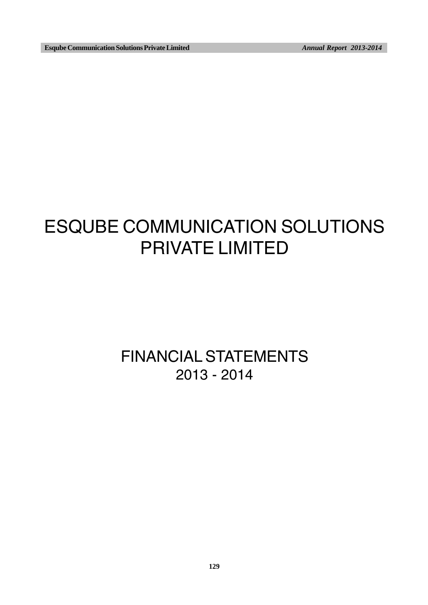# ESQUBE COMMUNICATION SOLUTIONS PRIVATE LIMITED

# FINANCIAL STATEMENTS 2013 - 2014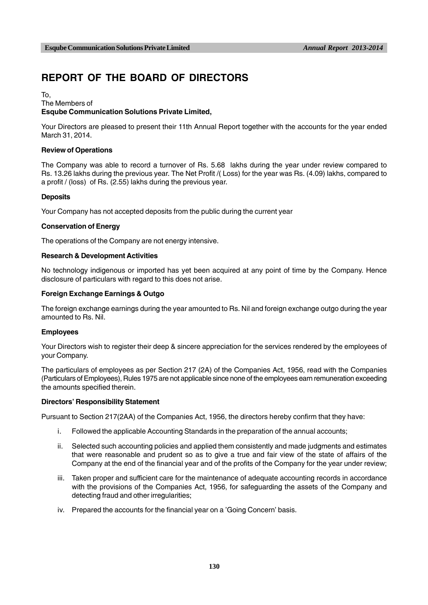# **REPORT OF THE BOARD OF DIRECTORS**

# To, The Members of **Esqube Communication Solutions Private Limited,**

Your Directors are pleased to present their 11th Annual Report together with the accounts for the year ended March 31, 2014.

# **Review of Operations**

The Company was able to record a turnover of Rs. 5.68 lakhs during the year under review compared to Rs. 13.26 lakhs during the previous year. The Net Profit /( Loss) for the year was Rs. (4.09) lakhs, compared to a profit / (loss) of Rs. (2.55) lakhs during the previous year.

# **Deposits**

Your Company has not accepted deposits from the public during the current year

# **Conservation of Energy**

The operations of the Company are not energy intensive.

# **Research & Development Activities**

No technology indigenous or imported has yet been acquired at any point of time by the Company. Hence disclosure of particulars with regard to this does not arise.

# **Foreign Exchange Earnings & Outgo**

The foreign exchange earnings during the year amounted to Rs. Nil and foreign exchange outgo during the year amounted to Rs. Nil.

# **Employees**

Your Directors wish to register their deep & sincere appreciation for the services rendered by the employees of your Company.

The particulars of employees as per Section 217 (2A) of the Companies Act, 1956, read with the Companies (Particulars of Employees), Rules 1975 are not applicable since none of the employees earn remuneration exceeding the amounts specified therein.

# **Directors' Responsibility Statement**

Pursuant to Section 217(2AA) of the Companies Act, 1956, the directors hereby confirm that they have:

- i. Followed the applicable Accounting Standards in the preparation of the annual accounts;
- ii. Selected such accounting policies and applied them consistently and made judgments and estimates that were reasonable and prudent so as to give a true and fair view of the state of affairs of the Company at the end of the financial year and of the profits of the Company for the year under review;
- iii. Taken proper and sufficient care for the maintenance of adequate accounting records in accordance with the provisions of the Companies Act, 1956, for safeguarding the assets of the Company and detecting fraud and other irregularities;
- iv. Prepared the accounts for the financial year on a 'Going Concern' basis.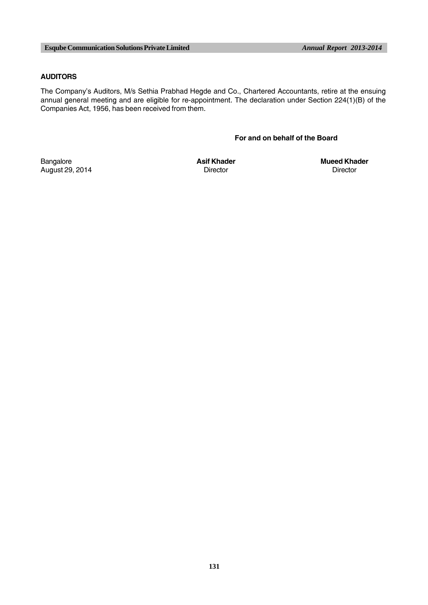# **Esqube Communication Solutions Private Limited** *Annual Report 2013-2014*

# **AUDITORS**

The Company's Auditors, M/s Sethia Prabhad Hegde and Co., Chartered Accountants, retire at the ensuing annual general meeting and are eligible for re-appointment. The declaration under Section 224(1)(B) of the Companies Act, 1956, has been received from them.

# **For and on behalf of the Board**

Bangalore **Asif Khader August 29, 2014 Asif Khader Asif Khader August 29, 2014 August 29, 2014 August 29, 2014** August 29, 2014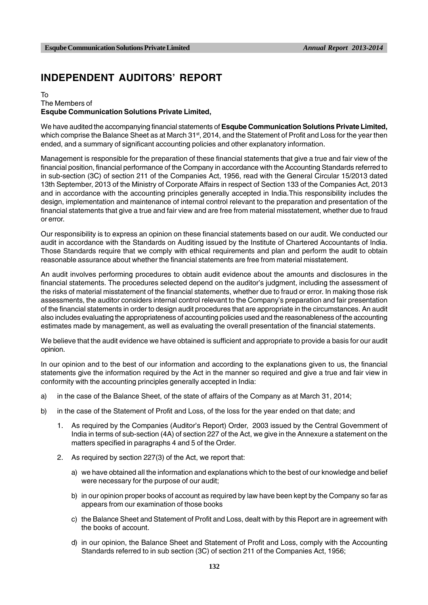# **INDEPENDENT AUDITORS' REPORT**

#### To The Members of **Esqube Communication Solutions Private Limited,**

We have audited the accompanying financial statements of **Esqube Communication Solutions Private Limited,** which comprise the Balance Sheet as at March 31<sup>st</sup>, 2014, and the Statement of Profit and Loss for the year then ended, and a summary of significant accounting policies and other explanatory information.

Management is responsible for the preparation of these financial statements that give a true and fair view of the financial position, financial performance of the Company in accordance with the Accounting Standards referred to in sub-section (3C) of section 211 of the Companies Act, 1956, read with the General Circular 15/2013 dated 13th September, 2013 of the Ministry of Corporate Affairs in respect of Section 133 of the Companies Act, 2013 and in accordance with the accounting principles generally accepted in India.This responsibility includes the design, implementation and maintenance of internal control relevant to the preparation and presentation of the financial statements that give a true and fair view and are free from material misstatement, whether due to fraud or error.

Our responsibility is to express an opinion on these financial statements based on our audit. We conducted our audit in accordance with the Standards on Auditing issued by the Institute of Chartered Accountants of India. Those Standards require that we comply with ethical requirements and plan and perform the audit to obtain reasonable assurance about whether the financial statements are free from material misstatement.

An audit involves performing procedures to obtain audit evidence about the amounts and disclosures in the financial statements. The procedures selected depend on the auditor's judgment, including the assessment of the risks of material misstatement of the financial statements, whether due to fraud or error. In making those risk assessments, the auditor considers internal control relevant to the Company's preparation and fair presentation of the financial statements in order to design audit procedures that are appropriate in the circumstances. An audit also includes evaluating the appropriateness of accounting policies used and the reasonableness of the accounting estimates made by management, as well as evaluating the overall presentation of the financial statements.

We believe that the audit evidence we have obtained is sufficient and appropriate to provide a basis for our audit opinion.

In our opinion and to the best of our information and according to the explanations given to us, the financial statements give the information required by the Act in the manner so required and give a true and fair view in conformity with the accounting principles generally accepted in India:

- a) in the case of the Balance Sheet, of the state of affairs of the Company as at March 31, 2014;
- b) in the case of the Statement of Profit and Loss, of the loss for the year ended on that date; and
	- 1. As required by the Companies (Auditor's Report) Order, 2003 issued by the Central Government of India in terms of sub-section (4A) of section 227 of the Act, we give in the Annexure a statement on the matters specified in paragraphs 4 and 5 of the Order.
	- 2. As required by section 227(3) of the Act, we report that:
		- a) we have obtained all the information and explanations which to the best of our knowledge and belief were necessary for the purpose of our audit;
		- b) in our opinion proper books of account as required by law have been kept by the Company so far as appears from our examination of those books
		- c) the Balance Sheet and Statement of Profit and Loss, dealt with by this Report are in agreement with the books of account.
		- d) in our opinion, the Balance Sheet and Statement of Profit and Loss, comply with the Accounting Standards referred to in sub section (3C) of section 211 of the Companies Act, 1956;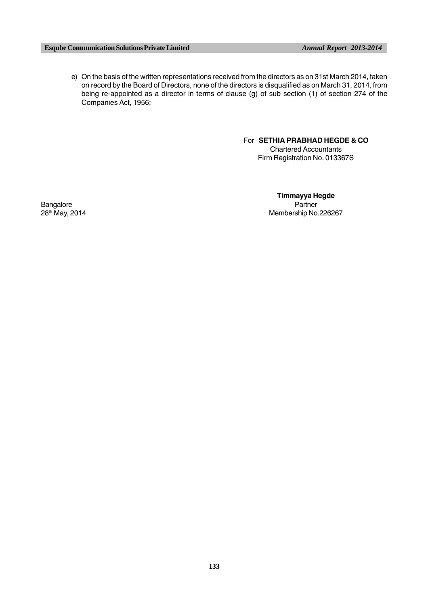### **Esqube Communication Solutions Private Limited** *Annual Report 2013-2014*

e) On the basis of the written representations received from the directors as on 31st March 2014, taken on record by the Board of Directors, none of the directors is disqualified as on March 31, 2014, from being re-appointed as a director in terms of clause (g) of sub section (1) of section 274 of the Companies Act, 1956;

> For **SETHIA PRABHAD HEGDE & CO** Chartered Accountants Firm Registration No. 013367S

Bangalore<br>28<sup>th</sup> May, 2014

**Timmayya Hegde** Membership No.226267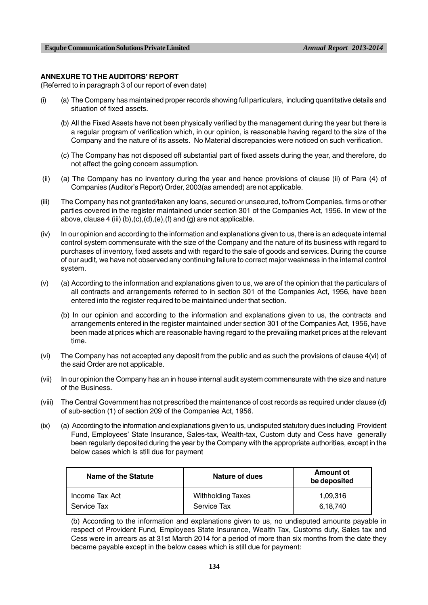### **ANNEXURE TO THE AUDITORS' REPORT**

(Referred to in paragraph 3 of our report of even date)

- (i) (a) The Company has maintained proper records showing full particulars, including quantitative details and situation of fixed assets.
	- (b) All the Fixed Assets have not been physically verified by the management during the year but there is a regular program of verification which, in our opinion, is reasonable having regard to the size of the Company and the nature of its assets. No Material discrepancies were noticed on such verification.
	- (c) The Company has not disposed off substantial part of fixed assets during the year, and therefore, do not affect the going concern assumption.
- (ii) (a) The Company has no inventory during the year and hence provisions of clause (ii) of Para (4) of Companies (Auditor's Report) Order, 2003(as amended) are not applicable.
- (iii) The Company has not granted/taken any loans, secured or unsecured, to/from Companies, firms or other parties covered in the register maintained under section 301 of the Companies Act, 1956. In view of the above, clause 4 (iii) (b),(c),(d),(e),(f) and (g) are not applicable.
- (iv) In our opinion and according to the information and explanations given to us, there is an adequate internal control system commensurate with the size of the Company and the nature of its business with regard to purchases of inventory, fixed assets and with regard to the sale of goods and services. During the course of our audit, we have not observed any continuing failure to correct major weakness in the internal control system.
- (v) (a) According to the information and explanations given to us, we are of the opinion that the particulars of all contracts and arrangements referred to in section 301 of the Companies Act, 1956, have been entered into the register required to be maintained under that section.
	- (b) In our opinion and according to the information and explanations given to us, the contracts and arrangements entered in the register maintained under section 301 of the Companies Act, 1956, have been made at prices which are reasonable having regard to the prevailing market prices at the relevant time.
- (vi) The Company has not accepted any deposit from the public and as such the provisions of clause 4(vi) of the said Order are not applicable.
- (vii) In our opinion the Company has an in house internal audit system commensurate with the size and nature of the Business.
- (viii) The Central Government has not prescribed the maintenance of cost records as required under clause (d) of sub-section (1) of section 209 of the Companies Act, 1956.
- (ix) (a) According to the information and explanations given to us, undisputed statutory dues including Provident Fund, Employees' State Insurance, Sales-tax, Wealth-tax, Custom duty and Cess have generally been regularly deposited during the year by the Company with the appropriate authorities, except in the below cases which is still due for payment

| Name of the Statute | Nature of dues           | Amount of<br>be deposited |
|---------------------|--------------------------|---------------------------|
| Income Tax Act      | <b>Withholding Taxes</b> | 1.09.316                  |
| Service Tax         | Service Tax              | 6.18.740                  |

(b) According to the information and explanations given to us, no undisputed amounts payable in respect of Provident Fund, Employees State Insurance, Wealth Tax, Customs duty, Sales tax and Cess were in arrears as at 31st March 2014 for a period of more than six months from the date they became payable except in the below cases which is still due for payment: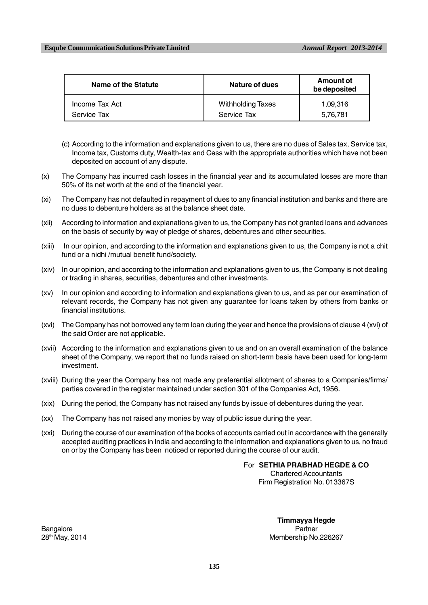| Name of the Statute | Nature of dues           | Amount of<br>be deposited |
|---------------------|--------------------------|---------------------------|
| Income Tax Act      | <b>Withholding Taxes</b> | 1,09,316                  |
| Service Tax         | Service Tax              | 5,76,781                  |

- (c) According to the information and explanations given to us, there are no dues of Sales tax, Service tax, Income tax, Customs duty, Wealth-tax and Cess with the appropriate authorities which have not been deposited on account of any dispute.
- (x) The Company has incurred cash losses in the financial year and its accumulated losses are more than 50% of its net worth at the end of the financial year.
- (xi) The Company has not defaulted in repayment of dues to any financial institution and banks and there are no dues to debenture holders as at the balance sheet date.
- (xii) According to information and explanations given to us, the Company has not granted loans and advances on the basis of security by way of pledge of shares, debentures and other securities.
- (xiii) In our opinion, and according to the information and explanations given to us, the Company is not a chit fund or a nidhi /mutual benefit fund/society.
- (xiv) In our opinion, and according to the information and explanations given to us, the Company is not dealing or trading in shares, securities, debentures and other investments.
- (xv) In our opinion and according to information and explanations given to us, and as per our examination of relevant records, the Company has not given any guarantee for loans taken by others from banks or financial institutions.
- (xvi) The Company has not borrowed any term loan during the year and hence the provisions of clause 4 (xvi) of the said Order are not applicable.
- (xvii) According to the information and explanations given to us and on an overall examination of the balance sheet of the Company, we report that no funds raised on short-term basis have been used for long-term investment.
- (xviii) During the year the Company has not made any preferential allotment of shares to a Companies/firms/ parties covered in the register maintained under section 301 of the Companies Act, 1956.
- (xix) During the period, the Company has not raised any funds by issue of debentures during the year.
- (xx) The Company has not raised any monies by way of public issue during the year.
- (xxi) During the course of our examination of the books of accounts carried out in accordance with the generally accepted auditing practices in India and according to the information and explanations given to us, no fraud on or by the Company has been noticed or reported during the course of our audit.

# For **SETHIA PRABHAD HEGDE & CO** Chartered Accountants

Firm Registration No. 013367S

**Timmayya Hegde**<br>Partner Bangalore **Partner** Partner Partner Partner Partner Partner Partner Partner Partner Partner Partner Partner Partner 28<sup>th</sup> May, 2014 Membership No.226267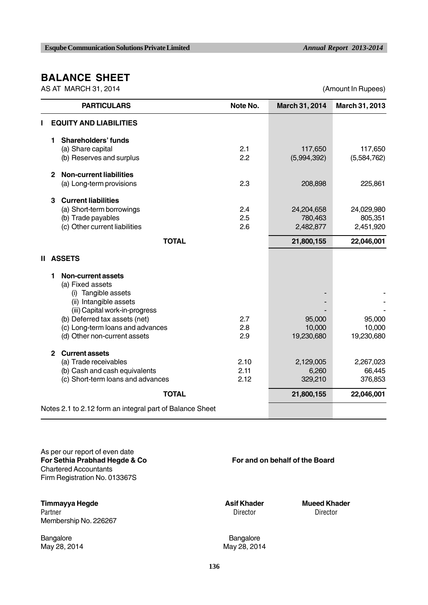# **BALANCE SHEET**

AS AT MARCH 31, 2014 **(Amount In Rupees)** 

|              | <b>PARTICULARS</b>                                                                                                                                                                                                                    | Note No.             | March 31, 2014                     | March 31, 2013                     |
|--------------|---------------------------------------------------------------------------------------------------------------------------------------------------------------------------------------------------------------------------------------|----------------------|------------------------------------|------------------------------------|
|              | <b>EQUITY AND LIABILITIES</b>                                                                                                                                                                                                         |                      |                                    |                                    |
| 1.           | <b>Shareholders' funds</b><br>(a) Share capital<br>(b) Reserves and surplus                                                                                                                                                           | 2.1<br>2.2           | 117,650<br>(5,994,392)             | 117,650<br>(5,584,762)             |
| $\mathbf{2}$ | <b>Non-current liabilities</b><br>(a) Long-term provisions                                                                                                                                                                            | 2.3                  | 208,898                            | 225,861                            |
| 3            | <b>Current liabilities</b><br>(a) Short-term borrowings<br>(b) Trade payables<br>(c) Other current liabilities                                                                                                                        | 2.4<br>2.5<br>2.6    | 24,204,658<br>780,463<br>2,482,877 | 24,029,980<br>805,351<br>2,451,920 |
|              | <b>TOTAL</b>                                                                                                                                                                                                                          |                      | 21,800,155                         | 22,046,001                         |
|              | <b>II ASSETS</b>                                                                                                                                                                                                                      |                      |                                    |                                    |
| 1            | <b>Non-current assets</b><br>(a) Fixed assets<br>(i) Tangible assets<br>(ii) Intangible assets<br>(iii) Capital work-in-progress<br>(b) Deferred tax assets (net)<br>(c) Long-term loans and advances<br>(d) Other non-current assets | 2.7<br>2.8<br>2.9    | 95,000<br>10,000<br>19,230,680     | 95,000<br>10,000<br>19,230,680     |
| $\mathbf{2}$ | <b>Current assets</b><br>(a) Trade receivables<br>(b) Cash and cash equivalents<br>(c) Short-term loans and advances                                                                                                                  | 2.10<br>2.11<br>2.12 | 2,129,005<br>6,260<br>329,210      | 2,267,023<br>66,445<br>376,853     |
|              | <b>TOTAL</b>                                                                                                                                                                                                                          |                      | 21,800,155                         | 22,046,001                         |
|              | Notes 2.1 to 2.12 form an integral part of Balance Sheet                                                                                                                                                                              |                      |                                    |                                    |

As per our report of even date For Sethia Prabhad Hegde & Co **For and on behalf of the Board** Chartered Accountants Firm Registration No. 013367S

# **Timmayya Hegde Asif Khader Mueed Khader** Partner Director Director Director Director Director Director Director Director Membership No. 226267

Bangalore Bangalore Bangalore<br>
May 28, 2014 May 28, 201

May 28, 2014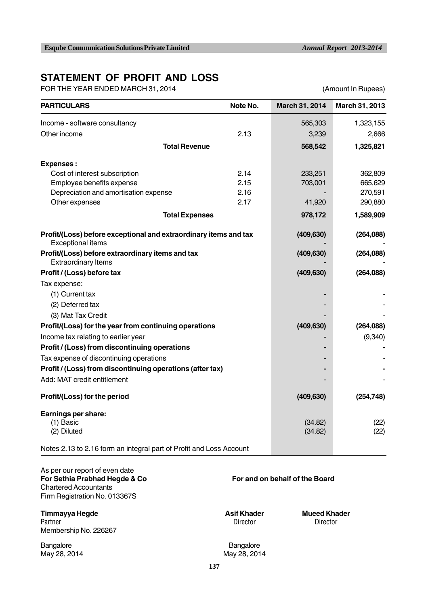# **STATEMENT OF PROFIT AND LOSS**

FOR THE YEAR ENDED MARCH 31, 2014 (Amount In Rupees)

| <b>PARTICULARS</b>                                                                           | Note No. | March 31, 2014 | March 31, 2013 |
|----------------------------------------------------------------------------------------------|----------|----------------|----------------|
| Income - software consultancy                                                                |          | 565,303        | 1,323,155      |
| Other income                                                                                 | 2.13     | 3,239          | 2,666          |
| <b>Total Revenue</b>                                                                         |          | 568,542        | 1,325,821      |
| <b>Expenses:</b>                                                                             |          |                |                |
| Cost of interest subscription                                                                | 2.14     | 233,251        | 362,809        |
| Employee benefits expense                                                                    | 2.15     | 703,001        | 665,629        |
| Depreciation and amortisation expense                                                        | 2.16     |                | 270,591        |
| Other expenses                                                                               | 2.17     | 41,920         | 290,880        |
| <b>Total Expenses</b>                                                                        |          | 978,172        | 1,589,909      |
| Profit/(Loss) before exceptional and extraordinary items and tax<br><b>Exceptional items</b> |          | (409, 630)     | (264, 088)     |
| Profit/(Loss) before extraordinary items and tax<br><b>Extraordinary Items</b>               |          | (409, 630)     | (264, 088)     |
| Profit / (Loss) before tax                                                                   |          | (409, 630)     | (264, 088)     |
| Tax expense:                                                                                 |          |                |                |
| (1) Current tax                                                                              |          |                |                |
| (2) Deferred tax                                                                             |          |                |                |
| (3) Mat Tax Credit                                                                           |          |                |                |
| Profit/(Loss) for the year from continuing operations                                        |          | (409, 630)     | (264, 088)     |
| Income tax relating to earlier year                                                          |          |                | (9,340)        |
| Profit / (Loss) from discontinuing operations                                                |          |                |                |
| Tax expense of discontinuing operations                                                      |          |                |                |
| Profit / (Loss) from discontinuing operations (after tax)                                    |          |                |                |
| Add: MAT credit entitlement                                                                  |          |                |                |
| Profit/(Loss) for the period                                                                 |          | (409, 630)     | (254, 748)     |
| Earnings per share:                                                                          |          |                |                |
| $(1)$ Basic                                                                                  |          | (34.82)        | (22)           |
| (2) Diluted                                                                                  |          | (34.82)        | (22)           |
| Notes 2.13 to 2.16 form an integral part of Profit and Loss Account                          |          |                |                |

As per our report of even date For Sethia Prabhad Hegde & Co For and on behalf of the Board Chartered Accountants Firm Registration No. 013367S

# **Timmayya Hegde Asif Khader Asif Khader Asif Khader** Mueed Khader Partner Asid Reported Asif Asif Khader Partner Asia Director Burector Burector Burector Burector Asia Director Burector Burector Asia Director Asia Director

Partner Director Director Director Director Director Director Director Director Membership No. 226267

Bangalore Bangalore

May 28, 2014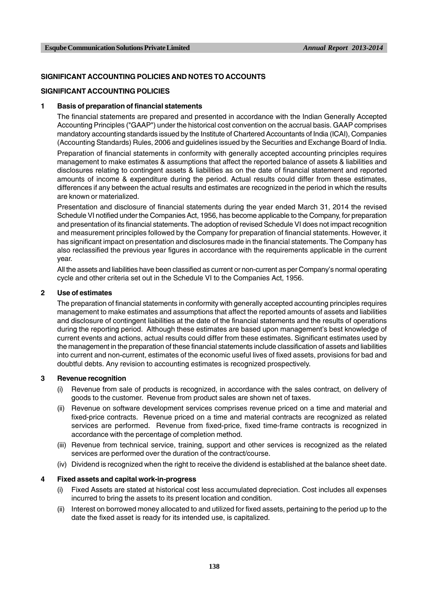# **SIGNIFICANT ACCOUNTING POLICIES AND NOTES TO ACCOUNTS**

# **SIGNIFICANT ACCOUNTING POLICIES**

# **1 Basis of preparation of financial statements**

The financial statements are prepared and presented in accordance with the Indian Generally Accepted Accounting Principles ("GAAP") under the historical cost convention on the accrual basis. GAAP comprises mandatory accounting standards issued by the Institute of Chartered Accountants of India (ICAI), Companies (Accounting Standards) Rules, 2006 and guidelines issued by the Securities and Exchange Board of India.

Preparation of financial statements in conformity with generally accepted accounting principles requires management to make estimates & assumptions that affect the reported balance of assets & liabilities and disclosures relating to contingent assets & liabilities as on the date of financial statement and reported amounts of income & expenditure during the period. Actual results could differ from these estimates, differences if any between the actual results and estimates are recognized in the period in which the results are known or materialized.

Presentation and disclosure of financial statements during the year ended March 31, 2014 the revised Schedule VI notified under the Companies Act, 1956, has become applicable to the Company, for preparation and presentation of its financial statements. The adoption of revised Schedule VI does not impact recognition and measurement principles followed by the Company for preparation of financial statements. However, it has significant impact on presentation and disclosures made in the financial statements. The Company has also reclassified the previous year figures in accordance with the requirements applicable in the current year.

All the assets and liabilities have been classified as current or non-current as per Company's normal operating cycle and other criteria set out in the Schedule VI to the Companies Act, 1956.

# **2 Use of estimates**

The preparation of financial statements in conformity with generally accepted accounting principles requires management to make estimates and assumptions that affect the reported amounts of assets and liabilities and disclosure of contingent liabilities at the date of the financial statements and the results of operations during the reporting period. Although these estimates are based upon management's best knowledge of current events and actions, actual results could differ from these estimates. Significant estimates used by the management in the preparation of these financial statements include classification of assets and liabilities into current and non-current, estimates of the economic useful lives of fixed assets, provisions for bad and doubtful debts. Any revision to accounting estimates is recognized prospectively.

# **3 Revenue recognition**

- (i) Revenue from sale of products is recognized, in accordance with the sales contract, on delivery of goods to the customer. Revenue from product sales are shown net of taxes.
- (ii) Revenue on software development services comprises revenue priced on a time and material and fixed-price contracts. Revenue priced on a time and material contracts are recognized as related services are performed. Revenue from fixed-price, fixed time-frame contracts is recognized in accordance with the percentage of completion method.
- (iii) Revenue from technical service, training, support and other services is recognized as the related services are performed over the duration of the contract/course.
- (iv) Dividend is recognized when the right to receive the dividend is established at the balance sheet date.

# **4 Fixed assets and capital work-in-progress**

- (i) Fixed Assets are stated at historical cost less accumulated depreciation. Cost includes all expenses incurred to bring the assets to its present location and condition.
- (ii) Interest on borrowed money allocated to and utilized for fixed assets, pertaining to the period up to the date the fixed asset is ready for its intended use, is capitalized.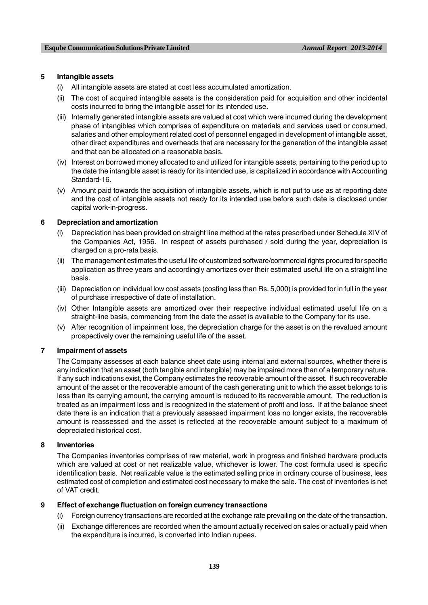# **5 Intangible assets**

- All intangible assets are stated at cost less accumulated amortization.
- (ii) The cost of acquired intangible assets is the consideration paid for acquisition and other incidental costs incurred to bring the intangible asset for its intended use.
- (iii) Internally generated intangible assets are valued at cost which were incurred during the development phase of intangibles which comprises of expenditure on materials and services used or consumed, salaries and other employment related cost of personnel engaged in development of intangible asset, other direct expenditures and overheads that are necessary for the generation of the intangible asset and that can be allocated on a reasonable basis.
- (iv) Interest on borrowed money allocated to and utilized for intangible assets, pertaining to the period up to the date the intangible asset is ready for its intended use, is capitalized in accordance with Accounting Standard-16.
- (v) Amount paid towards the acquisition of intangible assets, which is not put to use as at reporting date and the cost of intangible assets not ready for its intended use before such date is disclosed under capital work-in-progress.

# **6 Depreciation and amortization**

- Depreciation has been provided on straight line method at the rates prescribed under Schedule XIV of the Companies Act, 1956. In respect of assets purchased / sold during the year, depreciation is charged on a pro-rata basis.
- (ii) The management estimates the useful life of customized software/commercial rights procured for specific application as three years and accordingly amortizes over their estimated useful life on a straight line basis.
- (iii) Depreciation on individual low cost assets (costing less than Rs. 5,000) is provided for in full in the year of purchase irrespective of date of installation.
- (iv) Other Intangible assets are amortized over their respective individual estimated useful life on a straight-line basis, commencing from the date the asset is available to the Company for its use.
- (v) After recognition of impairment loss, the depreciation charge for the asset is on the revalued amount prospectively over the remaining useful life of the asset.

# **7 Impairment of assets**

The Company assesses at each balance sheet date using internal and external sources, whether there is any indication that an asset (both tangible and intangible) may be impaired more than of a temporary nature. If any such indications exist, the Company estimates the recoverable amount of the asset. If such recoverable amount of the asset or the recoverable amount of the cash generating unit to which the asset belongs to is less than its carrying amount, the carrying amount is reduced to its recoverable amount. The reduction is treated as an impairment loss and is recognized in the statement of profit and loss. If at the balance sheet date there is an indication that a previously assessed impairment loss no longer exists, the recoverable amount is reassessed and the asset is reflected at the recoverable amount subject to a maximum of depreciated historical cost.

# **8 Inventories**

The Companies inventories comprises of raw material, work in progress and finished hardware products which are valued at cost or net realizable value, whichever is lower. The cost formula used is specific identification basis. Net realizable value is the estimated selling price in ordinary course of business, less estimated cost of completion and estimated cost necessary to make the sale. The cost of inventories is net of VAT credit.

# **9 Effect of exchange fluctuation on foreign currency transactions**

- (i) Foreign currency transactions are recorded at the exchange rate prevailing on the date of the transaction.
- (ii) Exchange differences are recorded when the amount actually received on sales or actually paid when the expenditure is incurred, is converted into Indian rupees.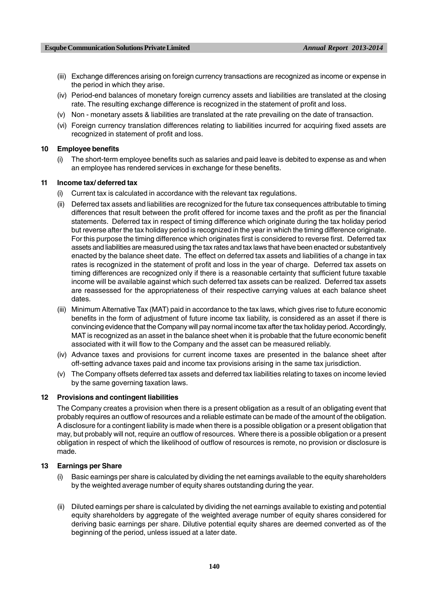- (iii) Exchange differences arising on foreign currency transactions are recognized as income or expense in the period in which they arise.
- (iv) Period-end balances of monetary foreign currency assets and liabilities are translated at the closing rate. The resulting exchange difference is recognized in the statement of profit and loss.
- (v) Non monetary assets & liabilities are translated at the rate prevailing on the date of transaction.
- (vi) Foreign currency translation differences relating to liabilities incurred for acquiring fixed assets are recognized in statement of profit and loss.

# **10 Employee benefits**

(i) The short-term employee benefits such as salaries and paid leave is debited to expense as and when an employee has rendered services in exchange for these benefits.

# **11 Income tax/ deferred tax**

- (i) Current tax is calculated in accordance with the relevant tax regulations.
- (ii) Deferred tax assets and liabilities are recognized for the future tax consequences attributable to timing differences that result between the profit offered for income taxes and the profit as per the financial statements. Deferred tax in respect of timing difference which originate during the tax holiday period but reverse after the tax holiday period is recognized in the year in which the timing difference originate. For this purpose the timing difference which originates first is considered to reverse first. Deferred tax assets and liabilities are measured using the tax rates and tax laws that have been enacted or substantively enacted by the balance sheet date. The effect on deferred tax assets and liabilities of a change in tax rates is recognized in the statement of profit and loss in the year of charge. Deferred tax assets on timing differences are recognized only if there is a reasonable certainty that sufficient future taxable income will be available against which such deferred tax assets can be realized. Deferred tax assets are reassessed for the appropriateness of their respective carrying values at each balance sheet dates.
- (iii) Minimum Alternative Tax (MAT) paid in accordance to the tax laws, which gives rise to future economic benefits in the form of adjustment of future income tax liability, is considered as an asset if there is convincing evidence that the Company will pay normal income tax after the tax holiday period. Accordingly, MAT is recognized as an asset in the balance sheet when it is probable that the future economic benefit associated with it will flow to the Company and the asset can be measured reliably.
- (iv) Advance taxes and provisions for current income taxes are presented in the balance sheet after off-setting advance taxes paid and income tax provisions arising in the same tax jurisdiction.
- (v) The Company offsets deferred tax assets and deferred tax liabilities relating to taxes on income levied by the same governing taxation laws.

# **12 Provisions and contingent liabilities**

The Company creates a provision when there is a present obligation as a result of an obligating event that probably requires an outflow of resources and a reliable estimate can be made of the amount of the obligation. A disclosure for a contingent liability is made when there is a possible obligation or a present obligation that may, but probably will not, require an outflow of resources. Where there is a possible obligation or a present obligation in respect of which the likelihood of outflow of resources is remote, no provision or disclosure is made.

# **13 Earnings per Share**

- (i) Basic earnings per share is calculated by dividing the net earnings available to the equity shareholders by the weighted average number of equity shares outstanding during the year.
- (ii) Diluted earnings per share is calculated by dividing the net earnings available to existing and potential equity shareholders by aggregate of the weighted average number of equity shares considered for deriving basic earnings per share. Dilutive potential equity shares are deemed converted as of the beginning of the period, unless issued at a later date.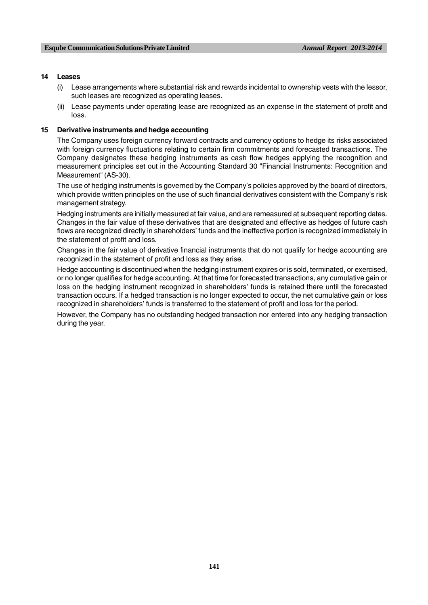# **14 Leases**

- (i) Lease arrangements where substantial risk and rewards incidental to ownership vests with the lessor, such leases are recognized as operating leases.
- (ii) Lease payments under operating lease are recognized as an expense in the statement of profit and loss.

# **15 Derivative instruments and hedge accounting**

The Company uses foreign currency forward contracts and currency options to hedge its risks associated with foreign currency fluctuations relating to certain firm commitments and forecasted transactions. The Company designates these hedging instruments as cash flow hedges applying the recognition and measurement principles set out in the Accounting Standard 30 "Financial Instruments: Recognition and Measurement" (AS-30).

The use of hedging instruments is governed by the Company's policies approved by the board of directors, which provide written principles on the use of such financial derivatives consistent with the Company's risk management strategy.

Hedging instruments are initially measured at fair value, and are remeasured at subsequent reporting dates. Changes in the fair value of these derivatives that are designated and effective as hedges of future cash flows are recognized directly in shareholders' funds and the ineffective portion is recognized immediately in the statement of profit and loss.

Changes in the fair value of derivative financial instruments that do not qualify for hedge accounting are recognized in the statement of profit and loss as they arise.

Hedge accounting is discontinued when the hedging instrument expires or is sold, terminated, or exercised, or no longer qualifies for hedge accounting. At that time for forecasted transactions, any cumulative gain or loss on the hedging instrument recognized in shareholders' funds is retained there until the forecasted transaction occurs. If a hedged transaction is no longer expected to occur, the net cumulative gain or loss recognized in shareholders' funds is transferred to the statement of profit and loss for the period.

However, the Company has no outstanding hedged transaction nor entered into any hedging transaction during the year.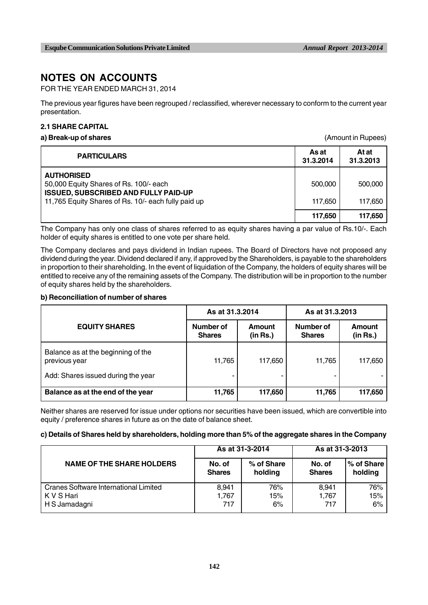# **NOTES ON ACCOUNTS**

FOR THE YEAR ENDED MARCH 31, 2014

The previous year figures have been regrouped / reclassified, wherever necessary to conform to the current year presentation.

# **2.1 SHARE CAPITAL**

# **a) Break-up of shares** (Amount in Rupees)

**PARTICULARS As at**  $\begin{array}{|c|c|c|c|}\n\hline\n\text{A} & \text{A} & \text{A} \text{t} \text{a} \\
\hline\n\text{A} & 31.3.2014 & 31.3.2014 & \text{A} \text{t} \text{b} \\
\end{array}$ **31.3.2014 31.3.2013 AUTHORISED** 50,000 Equity Shares of Rs. 100/- each 500,000 500,000 **ISSUED, SUBSCRIBED AND FULLY PAID-UP** 11,765 Equity Shares of Rs. 10/- each fully paid up 117,650 117,650 117,650 117,650 **117,650 117,650**

The Company has only one class of shares referred to as equity shares having a par value of Rs.10/-. Each holder of equity shares is entitled to one vote per share held.

The Company declares and pays dividend in Indian rupees. The Board of Directors have not proposed any dividend during the year. Dividend declared if any, if approved by the Shareholders, is payable to the shareholders in proportion to their shareholding. In the event of liquidation of the Company, the holders of equity shares will be entitled to receive any of the remaining assets of the Company. The distribution will be in proportion to the number of equity shares held by the shareholders.

# **b) Reconciliation of number of shares**

|                                                                                           | As at 31.3.2014            |                    | As at 31.3.2013            |                    |
|-------------------------------------------------------------------------------------------|----------------------------|--------------------|----------------------------|--------------------|
| <b>EQUITY SHARES</b>                                                                      | Number of<br><b>Shares</b> | Amount<br>(in Rs.) | Number of<br><b>Shares</b> | Amount<br>(in Rs.) |
| Balance as at the beginning of the<br>previous year<br>Add: Shares issued during the year | 11.765                     | 117,650<br>۰       | 11,765                     | 117,650            |
| Balance as at the end of the year                                                         | 11,765                     | 117,650            | 11,765                     | 117,650            |

Neither shares are reserved for issue under options nor securities have been issued, which are convertible into equity / preference shares in future as on the date of balance sheet.

# **c) Details of Shares held by shareholders, holding more than 5% of the aggregate shares in the Company**

|                                       |                         | As at 31-3-2014       | As at 31-3-2013         |                       |
|---------------------------------------|-------------------------|-----------------------|-------------------------|-----------------------|
| <b>NAME OF THE SHARE HOLDERS</b>      | No. of<br><b>Shares</b> | % of Share<br>holding | No. of<br><b>Shares</b> | % of Share<br>holding |
| Cranes Software International Limited | 8.941                   | 76%                   | 8.941                   | 76%                   |
| K V S Hari                            | 1,767                   | 15%                   | 1,767                   | 15%                   |
| H S Jamadagni                         | 717                     | 6%                    | 717                     | 6%                    |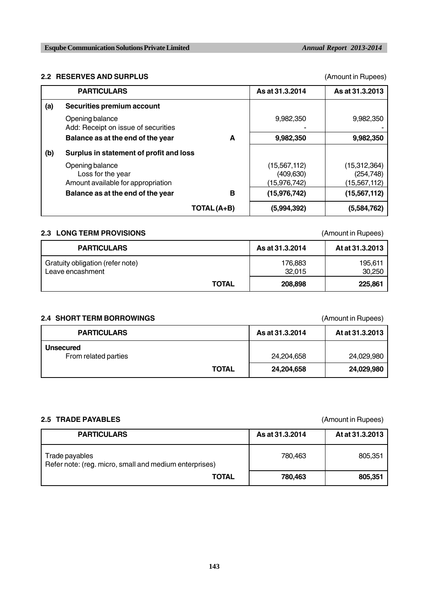# **Esqube Communication Solutions Private Limited** *Annual Report 2013-2014*

# **2.2 RESERVES AND SURPLUS** (Amount in Rupees)

|     | <b>PARTICULARS</b>                                                         |             | As at 31.3.2014                              | As at 31.3.2013                              |
|-----|----------------------------------------------------------------------------|-------------|----------------------------------------------|----------------------------------------------|
| (a) | Securities premium account                                                 |             |                                              |                                              |
|     | Opening balance<br>Add: Receipt on issue of securities                     |             | 9,982,350                                    | 9,982,350                                    |
|     | Balance as at the end of the year                                          | A           | 9,982,350                                    | 9,982,350                                    |
| (b) | Surplus in statement of profit and loss                                    |             |                                              |                                              |
|     | Opening balance<br>Loss for the year<br>Amount available for appropriation |             | (15, 567, 112)<br>(409, 630)<br>(15,976,742) | (15,312,364)<br>(254, 748)<br>(15, 567, 112) |
|     | Balance as at the end of the year                                          | в           | (15, 976, 742)                               | (15, 567, 112)                               |
|     |                                                                            | TOTAL (A+B) | (5,994,392)                                  | (5,584,762)                                  |

# **2.3 LONG TERM PROVISIONS** (Amount in Rupees)

| <b>PARTICULARS</b>                                   |              | As at 31.3.2014   | At at 31.3.2013   |
|------------------------------------------------------|--------------|-------------------|-------------------|
| Gratuity obligation (refer note)<br>Leave encashment |              | 176.883<br>32.015 | 195.611<br>30,250 |
|                                                      | <b>TOTAL</b> | 208,898           | 225,861           |

# **2.4 SHORT TERM BORROWINGS** (Amount in Rupees)

| <b>PARTICULARS</b>                       |              | As at 31.3.2014 | At at 31.3.2013 |
|------------------------------------------|--------------|-----------------|-----------------|
| <b>Unsecured</b><br>From related parties |              | 24,204,658      | 24,029,980      |
|                                          | <b>TOTAL</b> | 24,204,658      | 24,029,980      |

# **2.5 TRADE PAYABLES** (Amount in Rupees)

| <b>PARTICULARS</b>                                                       | As at 31.3.2014 | At at 31.3.2013 |
|--------------------------------------------------------------------------|-----------------|-----------------|
| Trade payables<br>Refer note: (reg. micro, small and medium enterprises) | 780.463         | 805,351         |
| <b>TOTAL</b>                                                             | 780,463         | 805,351         |

|  | <b>Annual Report 2013-2014</b> |
|--|--------------------------------|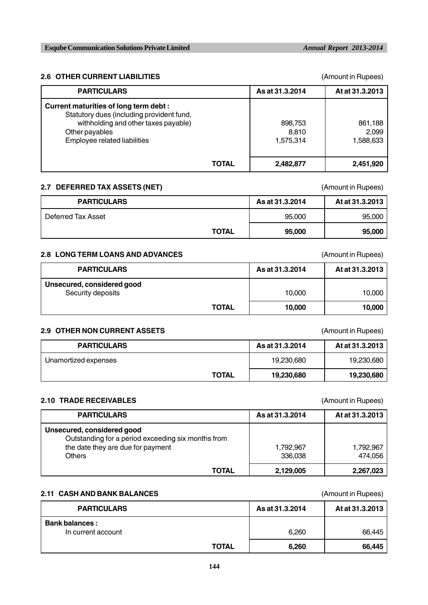### **2.6 OTHER CURRENT LIABILITIES** (Amount in Rupees)

| <b>PARTICULARS</b>                                                                                                                                                            |              | As at 31.3.2014               | At at 31.3.2013               |
|-------------------------------------------------------------------------------------------------------------------------------------------------------------------------------|--------------|-------------------------------|-------------------------------|
| Current maturities of long term debt :<br>Statutory dues (including provident fund,<br>withholding and other taxes payable)<br>Other payables<br>Employee related liabilities |              | 898,753<br>8.810<br>1,575,314 | 861,188<br>2,099<br>1,588,633 |
|                                                                                                                                                                               | <b>TOTAL</b> | 2,482,877                     | 2,451,920                     |

### **2.7 DEFERRED TAX ASSETS (NET)** (Amount in Rupees)

| <b>PARTICULARS</b> |              | As at 31.3.2014 | At at 31.3.2013 |
|--------------------|--------------|-----------------|-----------------|
| Deferred Tax Asset |              | 95,000          | 95,000          |
|                    | <b>TOTAL</b> | 95,000          | 95,000          |

### **2.8 LONG TERM LOANS AND ADVANCES** (Amount in Rupees)

| <b>PARTICULARS</b>                              |              | As at 31.3.2014 | At at 31.3.2013 |
|-------------------------------------------------|--------------|-----------------|-----------------|
| Unsecured, considered good<br>Security deposits |              | 10.000          | 10,000          |
|                                                 | <b>TOTAL</b> | 10,000          | 10,000          |

### **2.9 OTHER NON CURRENT ASSETS** (Amount in Rupees)

| <b>PARTICULARS</b>   |              | As at 31.3.2014 | At at 31.3.2013 |
|----------------------|--------------|-----------------|-----------------|
| Unamortized expenses |              | 19,230,680      | 19,230,680      |
|                      | <b>TOTAL</b> | 19,230,680      | 19,230,680      |

### **2.10 TRADE RECEIVABLES** (Amount in Rupees)

| <b>PARTICULARS</b>                                                                                                                     | As at 31.3.2014      | At at 31.3.2013      |
|----------------------------------------------------------------------------------------------------------------------------------------|----------------------|----------------------|
| Unsecured, considered good<br>Outstanding for a period exceeding six months from<br>the date they are due for payment<br><b>Others</b> | 1,792,967<br>336,038 | 1,792,967<br>474,056 |
| <b>TOTAL</b>                                                                                                                           | 2,129,005            | 2,267,023            |

### **2.11 CASH AND BANK BALANCES** (Amount in Rupees)

| <b>PARTICULARS</b>                          |              | As at 31.3.2014 | At at 31.3.2013 |
|---------------------------------------------|--------------|-----------------|-----------------|
| <b>Bank balances:</b><br>In current account |              | 6.260           | 66.445          |
|                                             | <b>TOTAL</b> | 6,260           | 66,445          |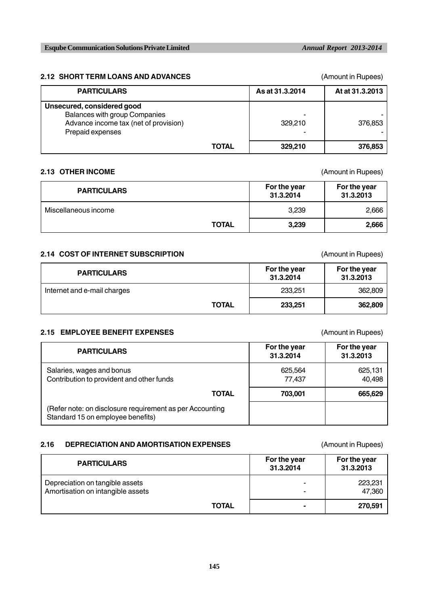### **Esqube Communication Solutions Private Limited** *Annual Report 2013-2014*

### **2.12 SHORT TERM LOANS AND ADVANCES** (Amount in Rupees)

| <b>PARTICULARS</b>                                                                                                              |              | As at 31.3.2014 | At at 31.3.2013 |
|---------------------------------------------------------------------------------------------------------------------------------|--------------|-----------------|-----------------|
| Unsecured, considered good<br><b>Balances with group Companies</b><br>Advance income tax (net of provision)<br>Prepaid expenses |              | 329,210         | 376,853         |
|                                                                                                                                 | <b>TOTAL</b> | 329,210         | 376,853         |

### **2.13 OTHER INCOME** (Amount in Rupees)

| <b>PARTICULARS</b>   |              | For the year<br>31.3.2014 | For the year<br>31.3.2013 |
|----------------------|--------------|---------------------------|---------------------------|
| Miscellaneous income |              | 3.239                     | 2,666                     |
|                      | <b>TOTAL</b> | 3,239                     | 2,666                     |

### **2.14 COST OF INTERNET SUBSCRIPTION** (Amount in Rupees)

| <b>PARTICULARS</b>          | For the year<br>31.3.2014 | For the year<br>31.3.2013 |
|-----------------------------|---------------------------|---------------------------|
| Internet and e-mail charges | 233,251                   | 362,809                   |
| <b>TOTAL</b>                | 233,251                   | 362,809                   |

### **2.15 EMPLOYEE BENEFIT EXPENSES** (Amount in Rupees)

| <b>PARTICULARS</b>                                                                            | For the year<br>31.3.2014 | For the year<br>31.3.2013 |
|-----------------------------------------------------------------------------------------------|---------------------------|---------------------------|
| Salaries, wages and bonus<br>Contribution to provident and other funds                        | 625.564<br>77,437         | 625,131<br>40,498         |
| <b>TOTAL</b>                                                                                  | 703,001                   | 665,629                   |
| (Refer note: on disclosure requirement as per Accounting<br>Standard 15 on employee benefits) |                           |                           |

### **2.16 DEPRECIATION AND AMORTISATION EXPENSES** (Amount in Rupees)

| <b>PARTICULARS</b>                                                   |              | For the year<br>31.3.2014 | For the year<br>31.3.2013 |
|----------------------------------------------------------------------|--------------|---------------------------|---------------------------|
| Depreciation on tangible assets<br>Amortisation on intangible assets |              | ۰                         | 223,231<br>47,360         |
|                                                                      | <b>TOTAL</b> |                           | 270,591                   |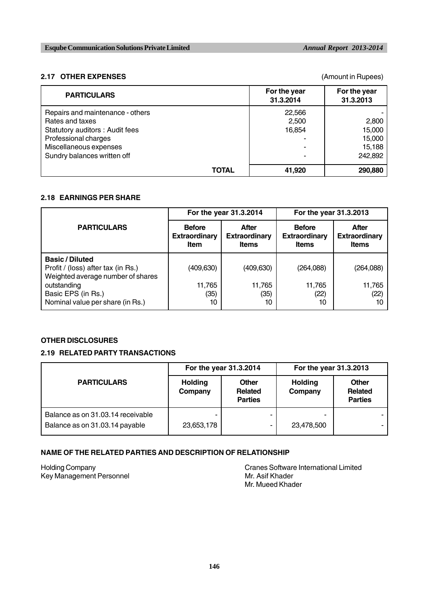### **Esqube Communication Solutions Private Limited** *Annual Report 2013-2014*

### **2.17 OTHER EXPENSES** (Amount in Rupees)

| <b>PARTICULARS</b>               | For the year<br>31.3.2014 | For the year<br>31.3.2013 |
|----------------------------------|---------------------------|---------------------------|
| Repairs and maintenance - others | 22,566                    |                           |
| Rates and taxes                  | 2,500                     | 2,800                     |
| Statutory auditors : Audit fees  | 16,854                    | 15,000                    |
| Professional charges             |                           | 15,000                    |
| Miscellaneous expenses           |                           | 15,188                    |
| Sundry balances written off      |                           | 242,892                   |
| TOTAL                            | 41,920                    | 290,880                   |

### **2.18 EARNINGS PER SHARE**

|                                                                                                   |               | For the year 31.3.2014 | For the year 31.3.2013 |               |
|---------------------------------------------------------------------------------------------------|---------------|------------------------|------------------------|---------------|
| <b>PARTICULARS</b>                                                                                | <b>Before</b> | After                  | <b>Before</b>          | After         |
|                                                                                                   | Extraordinary | Extraordinary          | <b>Extraordinary</b>   | Extraordinary |
|                                                                                                   | <b>Item</b>   | <b>Items</b>           | <b>Items</b>           | <b>Items</b>  |
| <b>Basic / Diluted</b><br>Profit / (loss) after tax (in Rs.)<br>Weighted average number of shares | (409, 630)    | (409, 630)             | (264,088)              | (264, 088)    |
| outstanding                                                                                       | 11,765        | 11,765                 | 11,765                 | 11,765        |
| Basic EPS (in Rs.)                                                                                | (35)          | (35)                   | (22)                   | (22)          |
| Nominal value per share (in Rs.)                                                                  | 10            | 10                     | 10                     | 10            |

### **OTHER DISCLOSURES**

### **2.19 RELATED PARTY TRANSACTIONS**

|                                                                     |                           | For the year 31.3.2014<br>For the year 31.3.2013 |                           |                                                  |
|---------------------------------------------------------------------|---------------------------|--------------------------------------------------|---------------------------|--------------------------------------------------|
| <b>PARTICULARS</b>                                                  | <b>Holding</b><br>Company | <b>Other</b><br><b>Related</b><br><b>Parties</b> | <b>Holding</b><br>Company | <b>Other</b><br><b>Related</b><br><b>Parties</b> |
| Balance as on 31.03.14 receivable<br>Balance as on 31.03.14 payable | 23,653,178                |                                                  | -<br>23,478,500           |                                                  |

# **NAME OF THE RELATED PARTIES AND DESCRIPTION OF RELATIONSHIP**

Key Management Personnel

Holding Company<br>
Key Management Personnel<br>
Key Management Personnel<br>
Cranes Software International Limited Mr. Mueed Khader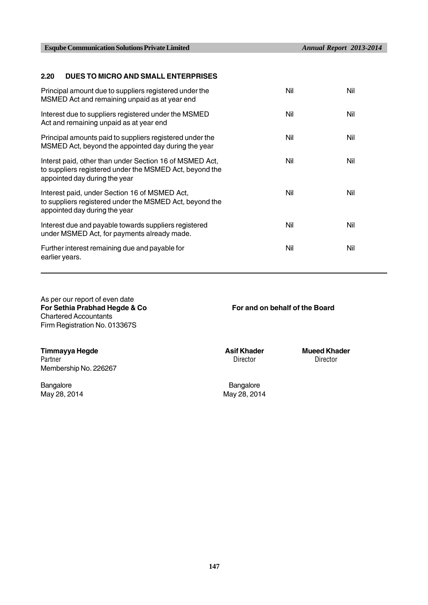### **2.20 DUES TO MICRO AND SMALL ENTERPRISES**

| Principal amount due to suppliers registered under the<br>MSMED Act and remaining unpaid as at year end                                             | Nil | Nil |
|-----------------------------------------------------------------------------------------------------------------------------------------------------|-----|-----|
| Interest due to suppliers registered under the MSMED<br>Act and remaining unpaid as at year end                                                     | Nil | Nil |
| Principal amounts paid to suppliers registered under the<br>MSMED Act, beyond the appointed day during the year                                     | Nil | Nil |
| Interst paid, other than under Section 16 of MSMED Act,<br>to suppliers registered under the MSMED Act, beyond the<br>appointed day during the year | Nil | Nil |
| Interest paid, under Section 16 of MSMED Act,<br>to suppliers registered under the MSMED Act, beyond the<br>appointed day during the year           | Nil | Nil |
| Interest due and payable towards suppliers registered<br>under MSMED Act, for payments already made.                                                | Nil | Nil |
| Further interest remaining due and payable for<br>earlier years.                                                                                    | Nil | Nil |

As per our report of even date For Sethia Prabhad Hegde & Co **For and on behalf of the Board** Chartered Accountants Firm Registration No. 013367S

Membership No. 226267

**Timmayya Hegde Asif Khader Asif Khader Asif Khader** Mueed Khader Partner Asid Reporting Museum Director Partner<br>Partner Asia Director Director Director Director Partner Director Director Director Director Director Director Director Director

Bangalore Bangalore May 28, 2014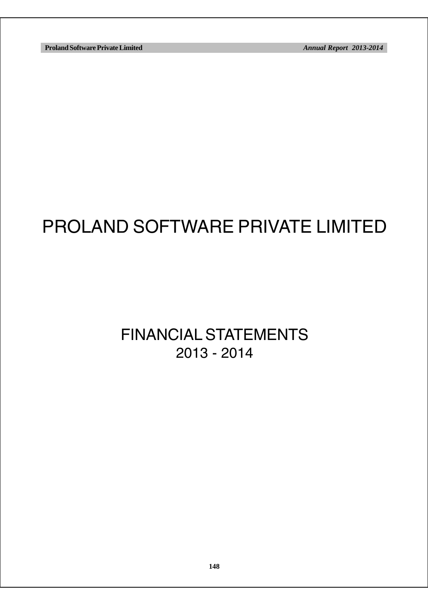*Annual Report 2013-2014*

# PROLAND SOFTWARE PRIVATE LIMITED

FINANCIAL STATEMENTS 2013 - 2014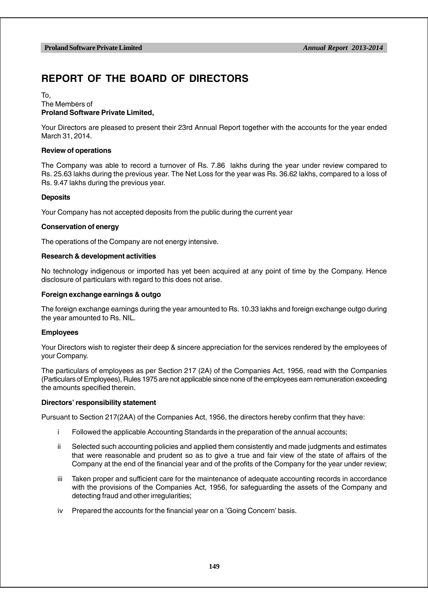# **REPORT OF THE BOARD OF DIRECTORS**

### To, The Members of **Proland Software Private Limited,**

Your Directors are pleased to present their 23rd Annual Report together with the accounts for the year ended March 31, 2014.

### **Review of operations**

The Company was able to record a turnover of Rs. 7.86 lakhs during the year under review compared to Rs. 25.63 lakhs during the previous year. The Net Loss for the year was Rs. 36.62 lakhs, compared to a loss of Rs. 9.47 lakhs during the previous year.

### **Deposits**

Your Company has not accepted deposits from the public during the current year

### **Conservation of energy**

The operations of the Company are not energy intensive.

### **Research & development activities**

No technology indigenous or imported has yet been acquired at any point of time by the Company. Hence disclosure of particulars with regard to this does not arise.

### **Foreign exchange earnings & outgo**

The foreign exchange earnings during the year amounted to Rs. 10.33 lakhs and foreign exchange outgo during the year amounted to Rs. NIL.

### **Employees**

Your Directors wish to register their deep & sincere appreciation for the services rendered by the employees of your Company.

The particulars of employees as per Section 217 (2A) of the Companies Act, 1956, read with the Companies (Particulars of Employees), Rules 1975 are not applicable since none of the employees earn remuneration exceeding the amounts specified therein.

### **Directors' responsibility statement**

Pursuant to Section 217(2AA) of the Companies Act, 1956, the directors hereby confirm that they have:

- i Followed the applicable Accounting Standards in the preparation of the annual accounts;
- ii Selected such accounting policies and applied them consistently and made judgments and estimates that were reasonable and prudent so as to give a true and fair view of the state of affairs of the Company at the end of the financial year and of the profits of the Company for the year under review;
- iii Taken proper and sufficient care for the maintenance of adequate accounting records in accordance with the provisions of the Companies Act, 1956, for safeguarding the assets of the Company and detecting fraud and other irregularities;
- iv Prepared the accounts for the financial year on a 'Going Concern' basis.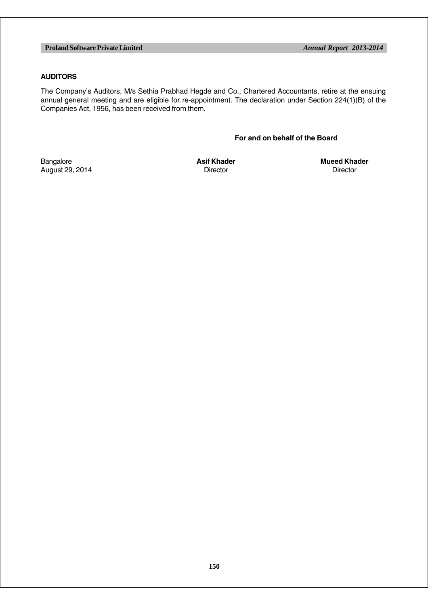### **Proland Software Private Limited**

*Annual Report 2013-2014*

### **AUDITORS**

The Company's Auditors, M/s Sethia Prabhad Hegde and Co., Chartered Accountants, retire at the ensuing annual general meeting and are eligible for re-appointment. The declaration under Section 224(1)(B) of the Companies Act, 1956, has been received from them.

### **For and on behalf of the Board**

Bangalore **Asif Khader Asif Khader Asif Khader Mueed Khader August 29, 2014** August 29, 2014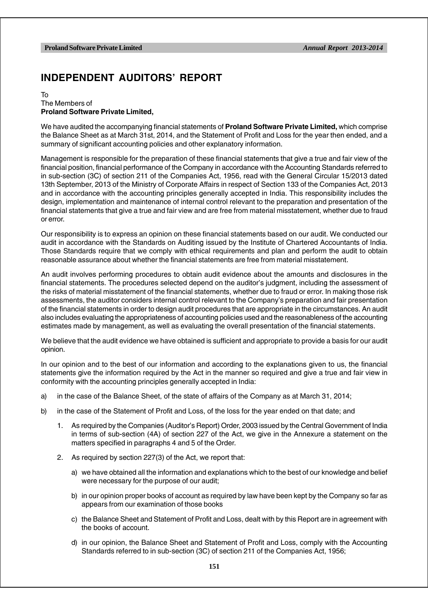# **INDEPENDENT AUDITORS' REPORT**

### To The Members of **Proland Software Private Limited,**

We have audited the accompanying financial statements of **Proland Software Private Limited,** which comprise the Balance Sheet as at March 31st, 2014, and the Statement of Profit and Loss for the year then ended, and a summary of significant accounting policies and other explanatory information.

Management is responsible for the preparation of these financial statements that give a true and fair view of the financial position, financial performance of the Company in accordance with the Accounting Standards referred to in sub-section (3C) of section 211 of the Companies Act, 1956, read with the General Circular 15/2013 dated 13th September, 2013 of the Ministry of Corporate Affairs in respect of Section 133 of the Companies Act, 2013 and in accordance with the accounting principles generally accepted in India. This responsibility includes the design, implementation and maintenance of internal control relevant to the preparation and presentation of the financial statements that give a true and fair view and are free from material misstatement, whether due to fraud or error.

Our responsibility is to express an opinion on these financial statements based on our audit. We conducted our audit in accordance with the Standards on Auditing issued by the Institute of Chartered Accountants of India. Those Standards require that we comply with ethical requirements and plan and perform the audit to obtain reasonable assurance about whether the financial statements are free from material misstatement.

An audit involves performing procedures to obtain audit evidence about the amounts and disclosures in the financial statements. The procedures selected depend on the auditor's judgment, including the assessment of the risks of material misstatement of the financial statements, whether due to fraud or error. In making those risk assessments, the auditor considers internal control relevant to the Company's preparation and fair presentation of the financial statements in order to design audit procedures that are appropriate in the circumstances. An audit also includes evaluating the appropriateness of accounting policies used and the reasonableness of the accounting estimates made by management, as well as evaluating the overall presentation of the financial statements.

We believe that the audit evidence we have obtained is sufficient and appropriate to provide a basis for our audit opinion.

In our opinion and to the best of our information and according to the explanations given to us, the financial statements give the information required by the Act in the manner so required and give a true and fair view in conformity with the accounting principles generally accepted in India:

- a) in the case of the Balance Sheet, of the state of affairs of the Company as at March 31, 2014;
- b) in the case of the Statement of Profit and Loss, of the loss for the year ended on that date; and
	- 1. As required by the Companies (Auditor's Report) Order, 2003 issued by the Central Government of India in terms of sub-section (4A) of section 227 of the Act, we give in the Annexure a statement on the matters specified in paragraphs 4 and 5 of the Order.
	- 2. As required by section 227(3) of the Act, we report that:
		- a) we have obtained all the information and explanations which to the best of our knowledge and belief were necessary for the purpose of our audit;
		- b) in our opinion proper books of account as required by law have been kept by the Company so far as appears from our examination of those books
		- c) the Balance Sheet and Statement of Profit and Loss, dealt with by this Report are in agreement with the books of account.
		- d) in our opinion, the Balance Sheet and Statement of Profit and Loss, comply with the Accounting Standards referred to in sub-section (3C) of section 211 of the Companies Act, 1956;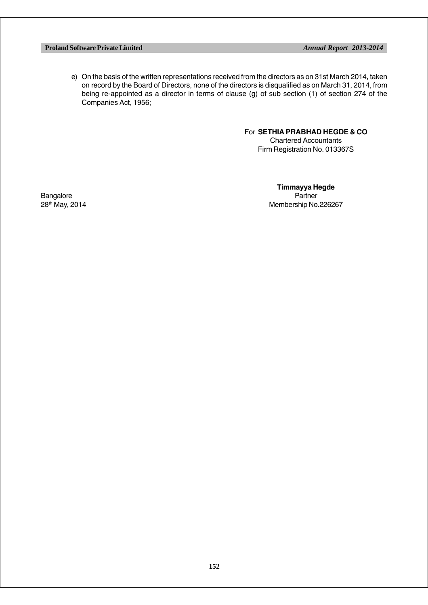### **Proland Software Private Limited**

e) On the basis of the written representations received from the directors as on 31st March 2014, taken on record by the Board of Directors, none of the directors is disqualified as on March 31, 2014, from being re-appointed as a director in terms of clause (g) of sub section (1) of section 274 of the Companies Act, 1956;

### For **SETHIA PRABHAD HEGDE & CO**

Chartered Accountants Firm Registration No. 013367S

**Timmayya Hegde** Bangalore **Partner** Partner Partner Partner Partner Partner Partner Partner Partner Partner Partner Partner Partner 28<sup>th</sup> May, 2014 Membership No.226267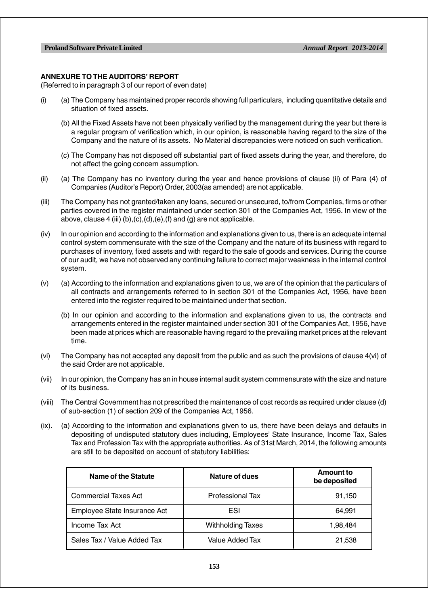### **ANNEXURE TO THE AUDITORS' REPORT**

(Referred to in paragraph 3 of our report of even date)

- (i) (a) The Company has maintained proper records showing full particulars, including quantitative details and situation of fixed assets.
	- (b) All the Fixed Assets have not been physically verified by the management during the year but there is a regular program of verification which, in our opinion, is reasonable having regard to the size of the Company and the nature of its assets. No Material discrepancies were noticed on such verification.
	- (c) The Company has not disposed off substantial part of fixed assets during the year, and therefore, do not affect the going concern assumption.
- (ii) (a) The Company has no inventory during the year and hence provisions of clause (ii) of Para (4) of Companies (Auditor's Report) Order, 2003(as amended) are not applicable.
- (iii) The Company has not granted/taken any loans, secured or unsecured, to/from Companies, firms or other parties covered in the register maintained under section 301 of the Companies Act, 1956. In view of the above, clause 4 (iii) (b),(c),(d),(e),(f) and (g) are not applicable.
- (iv) In our opinion and according to the information and explanations given to us, there is an adequate internal control system commensurate with the size of the Company and the nature of its business with regard to purchases of inventory, fixed assets and with regard to the sale of goods and services. During the course of our audit, we have not observed any continuing failure to correct major weakness in the internal control system.
- (v) (a) According to the information and explanations given to us, we are of the opinion that the particulars of all contracts and arrangements referred to in section 301 of the Companies Act, 1956, have been entered into the register required to be maintained under that section.
	- (b) In our opinion and according to the information and explanations given to us, the contracts and arrangements entered in the register maintained under section 301 of the Companies Act, 1956, have been made at prices which are reasonable having regard to the prevailing market prices at the relevant time.
- (vi) The Company has not accepted any deposit from the public and as such the provisions of clause 4(vi) of the said Order are not applicable.
- (vii) In our opinion, the Company has an in house internal audit system commensurate with the size and nature of its business.
- (viii) The Central Government has not prescribed the maintenance of cost records as required under clause (d) of sub-section (1) of section 209 of the Companies Act, 1956.
- (ix). (a) According to the information and explanations given to us, there have been delays and defaults in depositing of undisputed statutory dues including, Employees' State Insurance, Income Tax, Sales Tax and Profession Tax with the appropriate authorities. As of 31st March, 2014, the following amounts are still to be deposited on account of statutory liabilities:

| Name of the Statute          | Nature of dues           | Amount to<br>be deposited |
|------------------------------|--------------------------|---------------------------|
| <b>Commercial Taxes Act</b>  | Professional Tax         | 91,150                    |
| Employee State Insurance Act | ESI                      | 64.991                    |
| Income Tax Act               | <b>Withholding Taxes</b> | 1,98,484                  |
| Sales Tax / Value Added Tax  | Value Added Tax          | 21,538                    |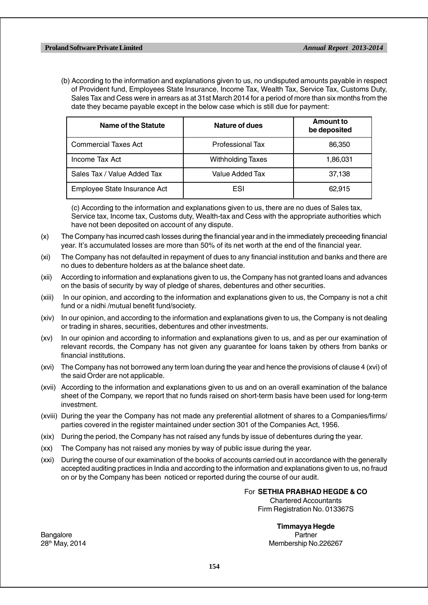### **Proland Software Private Limited**

(b) According to the information and explanations given to us, no undisputed amounts payable in respect of Provident fund, Employees State Insurance, Income Tax, Wealth Tax, Service Tax, Customs Duty, Sales Tax and Cess were in arrears as at 31st March 2014 for a period of more than six months from the date they became payable except in the below case which is still due for payment:

| Name of the Statute          | Nature of dues           | Amount to<br>be deposited |
|------------------------------|--------------------------|---------------------------|
| Commercial Taxes Act         | Professional Tax         | 86,350                    |
| Income Tax Act               | <b>Withholding Taxes</b> | 1,86,031                  |
| Sales Tax / Value Added Tax  | Value Added Tax          | 37,138                    |
| Employee State Insurance Act | ESI                      | 62,915                    |

(c) According to the information and explanations given to us, there are no dues of Sales tax, Service tax, Income tax, Customs duty, Wealth-tax and Cess with the appropriate authorities which have not been deposited on account of any dispute.

- (x) The Company has incurred cash losses during the financial year and in the immediately preceeding financial year. It's accumulated losses are more than 50% of its net worth at the end of the financial year.
- (xi) The Company has not defaulted in repayment of dues to any financial institution and banks and there are no dues to debenture holders as at the balance sheet date.
- (xii) According to information and explanations given to us, the Company has not granted loans and advances on the basis of security by way of pledge of shares, debentures and other securities.
- (xiii) In our opinion, and according to the information and explanations given to us, the Company is not a chit fund or a nidhi /mutual benefit fund/society.
- (xiv) In our opinion, and according to the information and explanations given to us, the Company is not dealing or trading in shares, securities, debentures and other investments.
- (xv) In our opinion and according to information and explanations given to us, and as per our examination of relevant records, the Company has not given any guarantee for loans taken by others from banks or financial institutions.
- (xvi) The Company has not borrowed any term loan during the year and hence the provisions of clause 4 (xvi) of the said Order are not applicable.
- (xvii) According to the information and explanations given to us and on an overall examination of the balance sheet of the Company, we report that no funds raised on short-term basis have been used for long-term investment.
- (xviii) During the year the Company has not made any preferential allotment of shares to a Companies/firms/ parties covered in the register maintained under section 301 of the Companies Act, 1956.
- (xix) During the period, the Company has not raised any funds by issue of debentures during the year.
- (xx) The Company has not raised any monies by way of public issue during the year.
- (xxi) During the course of our examination of the books of accounts carried out in accordance with the generally accepted auditing practices in India and according to the information and explanations given to us, no fraud on or by the Company has been noticed or reported during the course of our audit.

For **SETHIA PRABHAD HEGDE & CO** Chartered Accountants Firm Registration No. 013367S

**Timmayya Hegde** Bangalore **Partner** Partner Partner Partner Partner Partner Partner Partner Partner Partner 28<sup>th</sup> May, 2014 Membership No.226267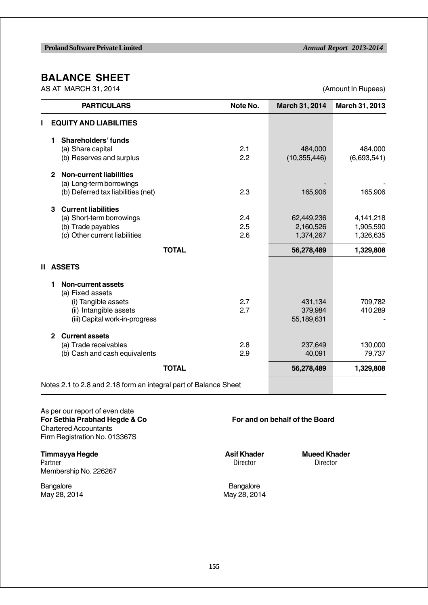*Annual Report 2013-2014*

# **BALANCE SHEET**

AS AT MARCH 31, 2014 **(Amount In Rupees)** 

|    | <b>PARTICULARS</b>                                               | Note No. | March 31, 2014 | March 31, 2013 |
|----|------------------------------------------------------------------|----------|----------------|----------------|
|    | <b>EQUITY AND LIABILITIES</b>                                    |          |                |                |
|    | <b>Shareholders' funds</b><br>1                                  |          |                |                |
|    | (a) Share capital                                                | 2.1      | 484,000        | 484,000        |
|    | (b) Reserves and surplus                                         | 2.2      | (10, 355, 446) | (6,693,541)    |
|    | <b>Non-current liabilities</b><br>2<br>(a) Long-term borrowings  |          |                |                |
|    | (b) Deferred tax liabilities (net)                               | 2.3      | 165,906        | 165,906        |
|    | <b>Current liabilities</b><br>3                                  |          |                |                |
|    | (a) Short-term borrowings                                        | 2.4      | 62,449,236     | 4,141,218      |
|    | (b) Trade payables                                               | 2.5      | 2,160,526      | 1,905,590      |
|    | (c) Other current liabilities                                    | 2.6      | 1,374,267      | 1,326,635      |
|    | <b>TOTAL</b>                                                     |          | 56,278,489     | 1,329,808      |
| н. | <b>ASSETS</b>                                                    |          |                |                |
|    | Non-current assets<br>1                                          |          |                |                |
|    | (a) Fixed assets                                                 |          |                |                |
|    | (i) Tangible assets                                              | 2.7      | 431,134        | 709,782        |
|    | (ii) Intangible assets                                           | 2.7      | 379,984        | 410,289        |
|    | (iii) Capital work-in-progress                                   |          | 55,189,631     |                |
|    | $\mathbf{2}$<br><b>Current assets</b>                            |          |                |                |
|    | (a) Trade receivables                                            | 2.8      | 237,649        | 130,000        |
|    | (b) Cash and cash equivalents                                    | 2.9      | 40,091         | 79,737         |
|    | <b>TOTAL</b>                                                     |          | 56,278,489     | 1,329,808      |
|    | Notes 2.1 to 2.8 and 2.18 form an integral part of Balance Sheet |          |                |                |

As per our report of even date For Sethia Prabhad Hegde & Co For and on behalf of the Board Chartered Accountants Firm Registration No. 013367S

**Timmayya Hegde Asif Khader Asif Khader Asif Khader** Mueed Khader Partner Asid Reported Asif Asif Khader Partner Asia Director Birector Business Asif Asif Khader Business Asif Khader Business Asif Asif Asif Asif Asif Asif Partner Director Director Director Director Director Director Director Director Membership No. 226267

May 28, 2014

Bangalore Bangalore Bangalore Bangalore Bangalore Bangalore Bangalore Bangalore Bangalore Bangalore Bangalore Bangalore Bangalore Bangalore Bangalore Bangalore Bangalore Bangalore Bangalore Bangalore Bangalore Bangalore Ba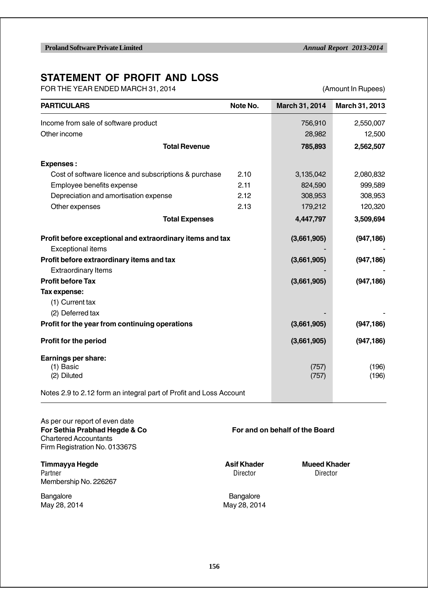# **STATEMENT OF PROFIT AND LOSS**

FOR THE YEAR ENDED MARCH 31, 2014 (Amount In Rupees)

| <b>PARTICULARS</b>                                                 | Note No. | March 31, 2014 | March 31, 2013 |
|--------------------------------------------------------------------|----------|----------------|----------------|
| Income from sale of software product                               |          | 756,910        | 2,550,007      |
| Other income                                                       |          | 28,982         | 12,500         |
| <b>Total Revenue</b>                                               |          | 785,893        | 2,562,507      |
| <b>Expenses:</b>                                                   |          |                |                |
| Cost of software licence and subscriptions & purchase              | 2.10     | 3,135,042      | 2,080,832      |
| Employee benefits expense                                          | 2.11     | 824,590        | 999,589        |
| Depreciation and amortisation expense                              | 2.12     | 308,953        | 308,953        |
| Other expenses                                                     | 2.13     | 179,212        | 120,320        |
| <b>Total Expenses</b>                                              |          | 4,447,797      | 3,509,694      |
| Profit before exceptional and extraordinary items and tax          |          | (3,661,905)    | (947, 186)     |
| <b>Exceptional items</b>                                           |          |                |                |
| Profit before extraordinary items and tax                          |          | (3,661,905)    | (947, 186)     |
| <b>Extraordinary Items</b>                                         |          |                |                |
| <b>Profit before Tax</b>                                           |          | (3,661,905)    | (947, 186)     |
| Tax expense:                                                       |          |                |                |
| (1) Current tax                                                    |          |                |                |
| (2) Deferred tax                                                   |          |                |                |
| Profit for the year from continuing operations                     |          | (3,661,905)    | (947, 186)     |
| <b>Profit for the period</b>                                       |          | (3,661,905)    | (947, 186)     |
| Earnings per share:                                                |          |                |                |
| (1) Basic                                                          |          | (757)          | (196)          |
| (2) Diluted                                                        |          | (757)          | (196)          |
| Notes 2.9 to 2.12 form an integral part of Profit and Loss Account |          |                |                |

As per our report of even date For Sethia Prabhad Hegde & Co **For and on behalf of the Board** Chartered Accountants Firm Registration No. 013367S

**Timmayya Hegde Asif Khader Asif Khader Asif Khader** Mueed Khader Partner Asid Reported Asid Reported Asid Director Director Director Partner Director Director Director Director Director Director Director Director Membership No. 226267

Bangalore Bangalore Bangalore Bangalore Bangalore Bangalore Bangalore Bangalore Bangalore Bangalore Bangalore B

May 28, 2014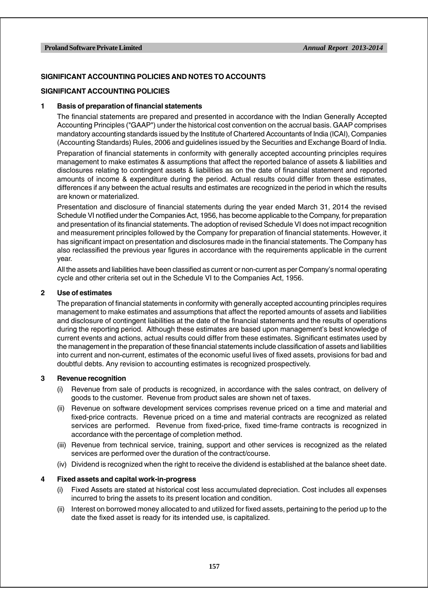### **Proland Software Private Limited**

### **SIGNIFICANT ACCOUNTING POLICIES AND NOTES TO ACCOUNTS**

### **SIGNIFICANT ACCOUNTING POLICIES**

### **1 Basis of preparation of financial statements**

The financial statements are prepared and presented in accordance with the Indian Generally Accepted Accounting Principles ("GAAP") under the historical cost convention on the accrual basis. GAAP comprises mandatory accounting standards issued by the Institute of Chartered Accountants of India (ICAI), Companies (Accounting Standards) Rules, 2006 and guidelines issued by the Securities and Exchange Board of India.

Preparation of financial statements in conformity with generally accepted accounting principles requires management to make estimates & assumptions that affect the reported balance of assets & liabilities and disclosures relating to contingent assets & liabilities as on the date of financial statement and reported amounts of income & expenditure during the period. Actual results could differ from these estimates, differences if any between the actual results and estimates are recognized in the period in which the results are known or materialized.

Presentation and disclosure of financial statements during the year ended March 31, 2014 the revised Schedule VI notified under the Companies Act, 1956, has become applicable to the Company, for preparation and presentation of its financial statements. The adoption of revised Schedule VI does not impact recognition and measurement principles followed by the Company for preparation of financial statements. However, it has significant impact on presentation and disclosures made in the financial statements. The Company has also reclassified the previous year figures in accordance with the requirements applicable in the current year.

All the assets and liabilities have been classified as current or non-current as per Company's normal operating cycle and other criteria set out in the Schedule VI to the Companies Act, 1956.

### **2 Use of estimates**

The preparation of financial statements in conformity with generally accepted accounting principles requires management to make estimates and assumptions that affect the reported amounts of assets and liabilities and disclosure of contingent liabilities at the date of the financial statements and the results of operations during the reporting period. Although these estimates are based upon management's best knowledge of current events and actions, actual results could differ from these estimates. Significant estimates used by the management in the preparation of these financial statements include classification of assets and liabilities into current and non-current, estimates of the economic useful lives of fixed assets, provisions for bad and doubtful debts. Any revision to accounting estimates is recognized prospectively.

### **3 Revenue recognition**

- Revenue from sale of products is recognized, in accordance with the sales contract, on delivery of goods to the customer. Revenue from product sales are shown net of taxes.
- (ii) Revenue on software development services comprises revenue priced on a time and material and fixed-price contracts. Revenue priced on a time and material contracts are recognized as related services are performed. Revenue from fixed-price, fixed time-frame contracts is recognized in accordance with the percentage of completion method.
- (iii) Revenue from technical service, training, support and other services is recognized as the related services are performed over the duration of the contract/course.
- (iv) Dividend is recognized when the right to receive the dividend is established at the balance sheet date.

### **4 Fixed assets and capital work-in-progress**

- Fixed Assets are stated at historical cost less accumulated depreciation. Cost includes all expenses incurred to bring the assets to its present location and condition.
- (ii) Interest on borrowed money allocated to and utilized for fixed assets, pertaining to the period up to the date the fixed asset is ready for its intended use, is capitalized.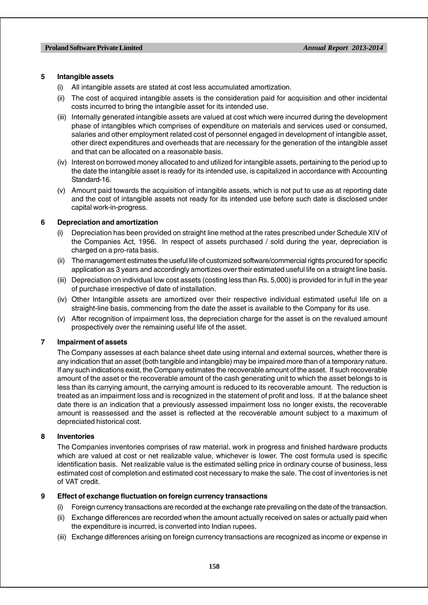### **5 Intangible assets**

- (i) All intangible assets are stated at cost less accumulated amortization.
- (ii) The cost of acquired intangible assets is the consideration paid for acquisition and other incidental costs incurred to bring the intangible asset for its intended use.
- (iii) Internally generated intangible assets are valued at cost which were incurred during the development phase of intangibles which comprises of expenditure on materials and services used or consumed, salaries and other employment related cost of personnel engaged in development of intangible asset, other direct expenditures and overheads that are necessary for the generation of the intangible asset and that can be allocated on a reasonable basis.
- (iv) Interest on borrowed money allocated to and utilized for intangible assets, pertaining to the period up to the date the intangible asset is ready for its intended use, is capitalized in accordance with Accounting Standard-16.
- (v) Amount paid towards the acquisition of intangible assets, which is not put to use as at reporting date and the cost of intangible assets not ready for its intended use before such date is disclosed under capital work-in-progress.

### **6 Depreciation and amortization**

- Depreciation has been provided on straight line method at the rates prescribed under Schedule XIV of the Companies Act, 1956. In respect of assets purchased / sold during the year, depreciation is charged on a pro-rata basis.
- (ii) The management estimates the useful life of customized software/commercial rights procured for specific application as 3 years and accordingly amortizes over their estimated useful life on a straight line basis.
- (iii) Depreciation on individual low cost assets (costing less than Rs. 5,000) is provided for in full in the year of purchase irrespective of date of installation.
- (iv) Other Intangible assets are amortized over their respective individual estimated useful life on a straight-line basis, commencing from the date the asset is available to the Company for its use.
- (v) After recognition of impairment loss, the depreciation charge for the asset is on the revalued amount prospectively over the remaining useful life of the asset.

### **7 Impairment of assets**

The Company assesses at each balance sheet date using internal and external sources, whether there is any indication that an asset (both tangible and intangible) may be impaired more than of a temporary nature. If any such indications exist, the Company estimates the recoverable amount of the asset. If such recoverable amount of the asset or the recoverable amount of the cash generating unit to which the asset belongs to is less than its carrying amount, the carrying amount is reduced to its recoverable amount. The reduction is treated as an impairment loss and is recognized in the statement of profit and loss. If at the balance sheet date there is an indication that a previously assessed impairment loss no longer exists, the recoverable amount is reassessed and the asset is reflected at the recoverable amount subject to a maximum of depreciated historical cost.

### **8 Inventories**

The Companies inventories comprises of raw material, work in progress and finished hardware products which are valued at cost or net realizable value, whichever is lower. The cost formula used is specific identification basis. Net realizable value is the estimated selling price in ordinary course of business, less estimated cost of completion and estimated cost necessary to make the sale. The cost of inventories is net of VAT credit.

### **9 Effect of exchange fluctuation on foreign currency transactions**

- (i) Foreign currency transactions are recorded at the exchange rate prevailing on the date of the transaction.
- (ii) Exchange differences are recorded when the amount actually received on sales or actually paid when the expenditure is incurred, is converted into Indian rupees.
- (iii) Exchange differences arising on foreign currency transactions are recognized as income or expense in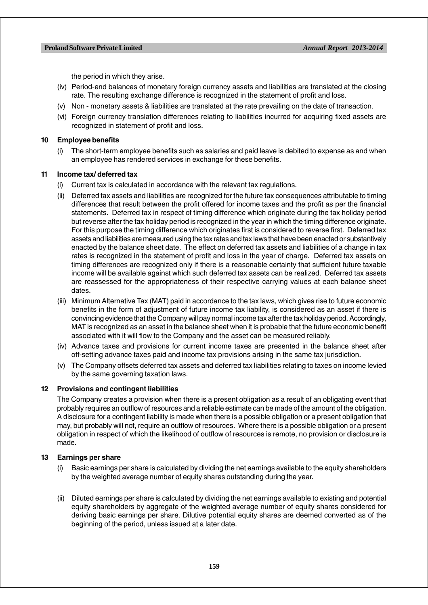the period in which they arise.

- (iv) Period-end balances of monetary foreign currency assets and liabilities are translated at the closing rate. The resulting exchange difference is recognized in the statement of profit and loss.
- (v) Non monetary assets & liabilities are translated at the rate prevailing on the date of transaction.
- (vi) Foreign currency translation differences relating to liabilities incurred for acquiring fixed assets are recognized in statement of profit and loss.

### **10 Employee benefits**

(i) The short-term employee benefits such as salaries and paid leave is debited to expense as and when an employee has rendered services in exchange for these benefits.

### **11 Income tax/ deferred tax**

- (i) Current tax is calculated in accordance with the relevant tax regulations.
- (ii) Deferred tax assets and liabilities are recognized for the future tax consequences attributable to timing differences that result between the profit offered for income taxes and the profit as per the financial statements. Deferred tax in respect of timing difference which originate during the tax holiday period but reverse after the tax holiday period is recognized in the year in which the timing difference originate. For this purpose the timing difference which originates first is considered to reverse first. Deferred tax assets and liabilities are measured using the tax rates and tax laws that have been enacted or substantively enacted by the balance sheet date. The effect on deferred tax assets and liabilities of a change in tax rates is recognized in the statement of profit and loss in the year of charge. Deferred tax assets on timing differences are recognized only if there is a reasonable certainty that sufficient future taxable income will be available against which such deferred tax assets can be realized. Deferred tax assets are reassessed for the appropriateness of their respective carrying values at each balance sheet dates.
- (iii) Minimum Alternative Tax (MAT) paid in accordance to the tax laws, which gives rise to future economic benefits in the form of adjustment of future income tax liability, is considered as an asset if there is convincing evidence that the Company will pay normal income tax after the tax holiday period. Accordingly, MAT is recognized as an asset in the balance sheet when it is probable that the future economic benefit associated with it will flow to the Company and the asset can be measured reliably.
- (iv) Advance taxes and provisions for current income taxes are presented in the balance sheet after off-setting advance taxes paid and income tax provisions arising in the same tax jurisdiction.
- (v) The Company offsets deferred tax assets and deferred tax liabilities relating to taxes on income levied by the same governing taxation laws.

### **12 Provisions and contingent liabilities**

The Company creates a provision when there is a present obligation as a result of an obligating event that probably requires an outflow of resources and a reliable estimate can be made of the amount of the obligation. A disclosure for a contingent liability is made when there is a possible obligation or a present obligation that may, but probably will not, require an outflow of resources. Where there is a possible obligation or a present obligation in respect of which the likelihood of outflow of resources is remote, no provision or disclosure is made.

### **13 Earnings per share**

- (i) Basic earnings per share is calculated by dividing the net earnings available to the equity shareholders by the weighted average number of equity shares outstanding during the year.
- (ii) Diluted earnings per share is calculated by dividing the net earnings available to existing and potential equity shareholders by aggregate of the weighted average number of equity shares considered for deriving basic earnings per share. Dilutive potential equity shares are deemed converted as of the beginning of the period, unless issued at a later date.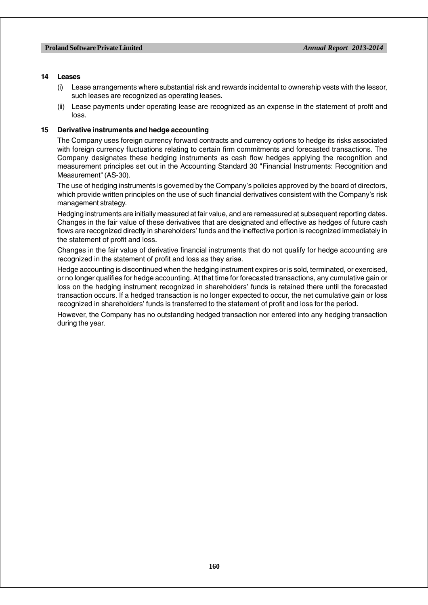### **Proland Software Private Limited**

### **14 Leases**

- (i) Lease arrangements where substantial risk and rewards incidental to ownership vests with the lessor, such leases are recognized as operating leases.
- (ii) Lease payments under operating lease are recognized as an expense in the statement of profit and loss.

### **15 Derivative instruments and hedge accounting**

The Company uses foreign currency forward contracts and currency options to hedge its risks associated with foreign currency fluctuations relating to certain firm commitments and forecasted transactions. The Company designates these hedging instruments as cash flow hedges applying the recognition and measurement principles set out in the Accounting Standard 30 "Financial Instruments: Recognition and Measurement" (AS-30).

The use of hedging instruments is governed by the Company's policies approved by the board of directors, which provide written principles on the use of such financial derivatives consistent with the Company's risk management strategy.

Hedging instruments are initially measured at fair value, and are remeasured at subsequent reporting dates. Changes in the fair value of these derivatives that are designated and effective as hedges of future cash flows are recognized directly in shareholders' funds and the ineffective portion is recognized immediately in the statement of profit and loss.

Changes in the fair value of derivative financial instruments that do not qualify for hedge accounting are recognized in the statement of profit and loss as they arise.

Hedge accounting is discontinued when the hedging instrument expires or is sold, terminated, or exercised, or no longer qualifies for hedge accounting. At that time for forecasted transactions, any cumulative gain or loss on the hedging instrument recognized in shareholders' funds is retained there until the forecasted transaction occurs. If a hedged transaction is no longer expected to occur, the net cumulative gain or loss recognized in shareholders' funds is transferred to the statement of profit and loss for the period.

However, the Company has no outstanding hedged transaction nor entered into any hedging transaction during the year.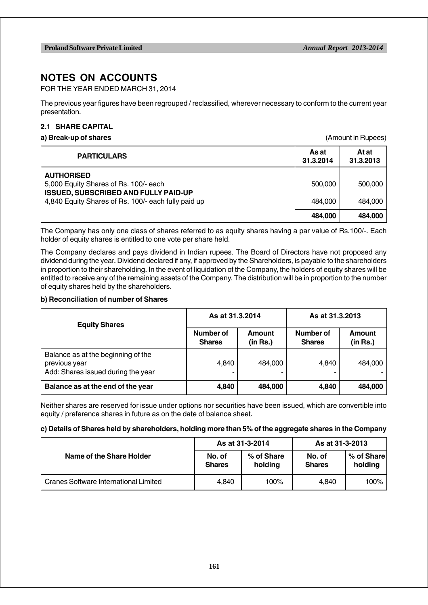# **NOTES ON ACCOUNTS**

FOR THE YEAR ENDED MARCH 31, 2014

The previous year figures have been regrouped / reclassified, wherever necessary to conform to the current year presentation.

### **2.1 SHARE CAPITAL**

### **a) Break-up of shares** (Amount in Rupees)

**PARTICULARS As at At at 31.3.2014 31.3.2013 AUTHORISED** 5,000 Equity Shares of Rs. 100/- each 500,000 500,000 500,000 500,000 500,000 500,000 500,000 500,000 500,000 **ISSUED, SUBSCRIBED AND FULLY PAID-UP** 4.840 Equity Shares of Rs. 100/- each fully paid up 484,000 484,000 484,000 **484,000 484,000**

The Company has only one class of shares referred to as equity shares having a par value of Rs.100/-. Each holder of equity shares is entitled to one vote per share held.

The Company declares and pays dividend in Indian rupees. The Board of Directors have not proposed any dividend during the year. Dividend declared if any, if approved by the Shareholders, is payable to the shareholders in proportion to their shareholding. In the event of liquidation of the Company, the holders of equity shares will be entitled to receive any of the remaining assets of the Company. The distribution will be in proportion to the number of equity shares held by the shareholders.

### **b) Reconciliation of number of Shares**

| <b>Equity Shares</b>                                                                      | As at 31.3.2014            |                    | As at 31.3.2013            |                    |
|-------------------------------------------------------------------------------------------|----------------------------|--------------------|----------------------------|--------------------|
|                                                                                           | Number of<br><b>Shares</b> | Amount<br>(in Rs.) | Number of<br><b>Shares</b> | Amount<br>(in Rs.) |
| Balance as at the beginning of the<br>previous year<br>Add: Shares issued during the year | 4.840                      | 484.000            | 4.840                      | 484,000            |
| Balance as at the end of the year                                                         | 4,840                      | 484,000            | 4,840                      | 484,000            |

Neither shares are reserved for issue under options nor securities have been issued, which are convertible into equity / preference shares in future as on the date of balance sheet.

### **c) Details of Shares held by shareholders, holding more than 5% of the aggregate shares in the Company**

|                                       |                         | As at 31-3-2014       | As at 31-3-2013         |                       |
|---------------------------------------|-------------------------|-----------------------|-------------------------|-----------------------|
| Name of the Share Holder              | No. of<br><b>Shares</b> | % of Share<br>holding | No. of<br><b>Shares</b> | % of Share<br>holding |
| Cranes Software International Limited | 4.840                   | 100%                  | 4.840                   | 100% l                |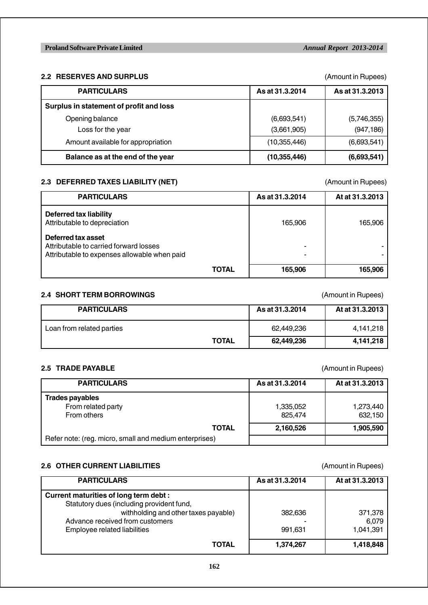### **162**

### *Annual Report 2013-2014*

## **2.2 RESERVES AND SURPLUS** (Amount in Rupees)

**Proland Software Private Limited**

| <b>PARTICULARS</b>                      | As at 31.3.2014 | As at 31.3.2013 |
|-----------------------------------------|-----------------|-----------------|
| Surplus in statement of profit and loss |                 |                 |
| Opening balance                         | (6,693,541)     | (5,746,355)     |
| Loss for the year                       | (3,661,905)     | (947, 186)      |
| Amount available for appropriation      | (10, 355, 446)  | (6,693,541)     |
| Balance as at the end of the year       | (10, 355, 446)  | (6,693,541)     |

### **2.3 DEFERRED TAXES LIABILITY (NET)** (Amount in Rupees)

| <b>PARTICULARS</b>                                                                                                  |       | As at 31.3.2014 | At at 31.3.2013 |
|---------------------------------------------------------------------------------------------------------------------|-------|-----------------|-----------------|
| <b>Deferred tax liability</b><br>Attributable to depreciation                                                       |       | 165.906         | 165,906         |
| <b>Deferred tax asset</b><br>Attributable to carried forward losses<br>Attributable to expenses allowable when paid |       |                 |                 |
|                                                                                                                     | TOTAL | 165,906         | 165,906         |

### **2.4 SHORT TERM BORROWINGS** (Amount in Rupees)

| <b>PARTICULARS</b>        |              | As at 31.3.2014 | At at 31.3.2013 |
|---------------------------|--------------|-----------------|-----------------|
| Loan from related parties |              | 62,449,236      | 4.141.218       |
|                           | <b>TOTAL</b> | 62,449,236      | 4.141.218       |

### **2.5 TRADE PAYABLE** (Amount in Rupees)

| <b>PARTICULARS</b>                                          | As at 31.3.2014      | At at 31.3.2013      |
|-------------------------------------------------------------|----------------------|----------------------|
| <b>Trades payables</b><br>From related party<br>From others | 1,335,052<br>825,474 | 1,273,440<br>632,150 |
| <b>TOTAL</b>                                                | 2,160,526            | 1,905,590            |
| Refer note: (reg. micro, small and medium enterprises)      |                      |                      |

### **2.6 OTHER CURRENT LIABILITIES** (Amount in Rupees)

| <b>PARTICULARS</b>                           | As at 31.3.2014 | At at 31.3.2013 |
|----------------------------------------------|-----------------|-----------------|
| <b>Current maturities of long term debt:</b> |                 |                 |
| Statutory dues (including provident fund,    |                 |                 |
| withholding and other taxes payable)         | 382,636         | 371,378         |
| Advance received from customers              |                 | 6,079           |
| Employee related liabilities                 | 991.631         | 1,041,391       |
| <b>TOTAL</b>                                 | 1,374,267       | 1,418,848       |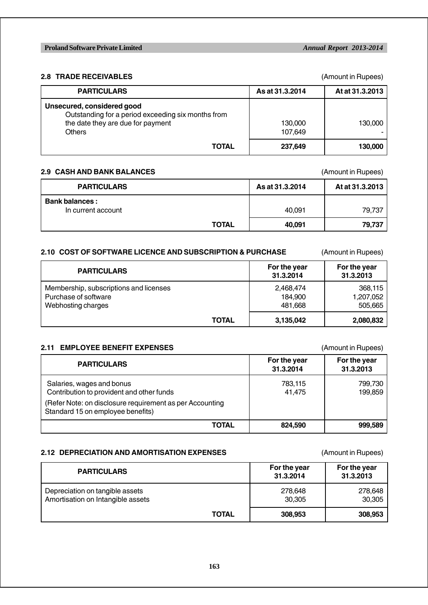### **Proland Software Private Limited**

### *Annual Report 2013-2014*

### **2.8 TRADE RECEIVABLES** (Amount in Rupees)

| <b>PARTICULARS</b>                                                                                                                     | As at 31.3.2014    | At at 31.3.2013 |
|----------------------------------------------------------------------------------------------------------------------------------------|--------------------|-----------------|
| Unsecured, considered good<br>Outstanding for a period exceeding six months from<br>the date they are due for payment<br><b>Others</b> | 130,000<br>107,649 | 130,000         |
| <b>TOTAL</b>                                                                                                                           | 237,649            | 130,000         |

### **2.9 CASH AND BANK BALANCES** (Amount in Rupees)

| <b>PARTICULARS</b>                          |              | As at 31.3.2014 | At at 31.3.2013 |
|---------------------------------------------|--------------|-----------------|-----------------|
| <b>Bank balances:</b><br>In current account |              | 40.091          | 79,737          |
|                                             | <b>TOTAL</b> | 40,091          | 79,737          |

### **2.10 COST OF SOFTWARE LICENCE AND SUBSCRIPTION & PURCHASE** (Amount in Rupees)

| <b>PARTICULARS</b>                                                                   |              | For the year<br>31.3.2014       | For the year<br>31.3.2013       |
|--------------------------------------------------------------------------------------|--------------|---------------------------------|---------------------------------|
| Membership, subscriptions and licenses<br>Purchase of software<br>Webhosting charges |              | 2,468,474<br>184,900<br>481,668 | 368,115<br>1,207,052<br>505,665 |
|                                                                                      | <b>TOTAL</b> | 3,135,042                       | 2,080,832                       |

### **2.11 EMPLOYEE BENEFIT EXPENSES** (Amount in Rupees)

| <b>PARTICULARS</b>                                                                                                                                                      | For the year<br>31.3.2014 | For the year<br>31.3.2013 |
|-------------------------------------------------------------------------------------------------------------------------------------------------------------------------|---------------------------|---------------------------|
| Salaries, wages and bonus<br>Contribution to provident and other funds<br>(Refer Note: on disclosure requirement as per Accounting<br>Standard 15 on employee benefits) | 783,115<br>41,475         | 799,730<br>199,859        |
| <b>TOTAL</b>                                                                                                                                                            | 824,590                   | 999,589                   |

### **2.12 DEPRECIATION AND AMORTISATION EXPENSES** (Amount in Rupees)

| <b>PARTICULARS</b>                                                   |              | For the year<br>31.3.2014 | For the year<br>31.3.2013 |
|----------------------------------------------------------------------|--------------|---------------------------|---------------------------|
| Depreciation on tangible assets<br>Amortisation on Intangible assets |              | 278,648<br>30,305         | 278,648<br>30,305         |
|                                                                      | <b>TOTAL</b> | 308,953                   | 308,953                   |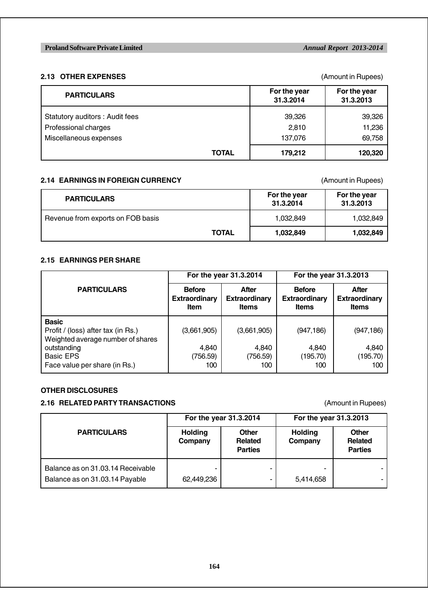### **Proland Software Private Limited**

*Annual Report 2013-2014*

# **2.13 OTHER EXPENSES** (Amount in Rupees)

| <b>PARTICULARS</b>                                      | For the year<br>31.3.2014 | For the year<br>31.3.2013 |
|---------------------------------------------------------|---------------------------|---------------------------|
| Statutory auditors : Audit fees<br>Professional charges | 39,326<br>2,810           | 39,326<br>11,236          |
| Miscellaneous expenses                                  | 137,076                   | 69,758                    |
| <b>TOTAL</b>                                            | 179,212                   | 120,320                   |

### **2.14 EARNINGS IN FOREIGN CURRENCY** (Amount in Rupees)

| <b>PARTICULARS</b>                |              | For the year<br>31.3.2014 | For the year<br>31.3.2013 |
|-----------------------------------|--------------|---------------------------|---------------------------|
| Revenue from exports on FOB basis |              | 1,032,849                 | 1,032,849                 |
|                                   | <b>TOTAL</b> | 1,032,849                 | 1,032,849                 |

### **2.15 EARNINGS PER SHARE**

|                                                                                         |               | For the year 31.3.2014 | For the year 31.3.2013 |               |
|-----------------------------------------------------------------------------------------|---------------|------------------------|------------------------|---------------|
| <b>PARTICULARS</b>                                                                      | <b>Before</b> | After                  | <b>Before</b>          | After         |
|                                                                                         | Extraordinary | Extraordinary          | Extraordinary          | Extraordinary |
|                                                                                         | <b>Item</b>   | <b>Items</b>           | <b>Items</b>           | <b>Items</b>  |
| <b>Basic</b><br>Profit / (loss) after tax (in Rs.)<br>Weighted average number of shares | (3,661,905)   | (3,661,905)            | (947, 186)             | (947,186)     |
| outstanding                                                                             | 4,840         | 4,840                  | 4,840                  | 4,840         |
| <b>Basic EPS</b>                                                                        | (756.59)      | (756.59)               | (195.70)               | (195.70)      |
| Face value per share (in Rs.)                                                           | 100           | 100                    | 100                    | 100           |

## **OTHER DISCLOSURES**

## **2.16 RELATED PARTY TRANSACTIONS** (Amount in Rupees)

|                                                                     | For the year 31.3.2014    |                                           | For the year 31.3.2013    |                                           |
|---------------------------------------------------------------------|---------------------------|-------------------------------------------|---------------------------|-------------------------------------------|
| <b>PARTICULARS</b>                                                  | <b>Holding</b><br>Company | Other<br><b>Related</b><br><b>Parties</b> | <b>Holding</b><br>Company | Other<br><b>Related</b><br><b>Parties</b> |
| Balance as on 31.03.14 Receivable<br>Balance as on 31.03.14 Payable | 62,449,236                |                                           | -<br>5.414.658            |                                           |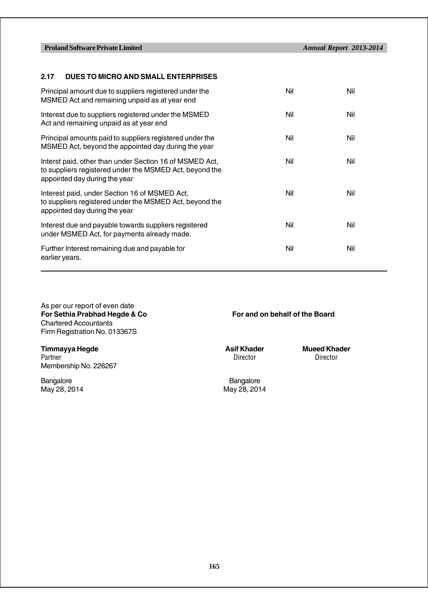### **2.17 DUES TO MICRO AND SMALL ENTERPRISES**

| Principal amount due to suppliers registered under the<br>MSMED Act and remaining unpaid as at year end                                             | Nil | Nil |
|-----------------------------------------------------------------------------------------------------------------------------------------------------|-----|-----|
| Interest due to suppliers registered under the MSMED<br>Act and remaining unpaid as at year end                                                     | Nil | Nil |
| Principal amounts paid to suppliers registered under the<br>MSMED Act, beyond the appointed day during the year                                     | Nil | Nil |
| Interst paid, other than under Section 16 of MSMED Act,<br>to suppliers registered under the MSMED Act, beyond the<br>appointed day during the year | Nil | Nil |
| Interest paid, under Section 16 of MSMED Act,<br>to suppliers registered under the MSMED Act, beyond the<br>appointed day during the year           | Nil | Nil |
| Interest due and payable towards suppliers registered<br>under MSMED Act, for payments already made.                                                | Nil | Nil |
| Further Interest remaining due and payable for<br>earlier years.                                                                                    | Nil | Nil |

As per our report of even date For Sethia Prabhad Hegde & Co **For and on behalf of the Board** Chartered Accountants Firm Registration No. 013367S

Membership No. 226267

Partner Director Director Director Director Director Director Director Director

**Timmayya Hegde Asif Khader Asif Khader Mueed Khader** Partner Asif Changer Asif Changer Asif Khader Partner Asim<br>Partner **Asif Changes** Director Director Director Director

Bangalore Bangalore Bangalore<br>
May 28, 2014 May 28, 201 May 28, 2014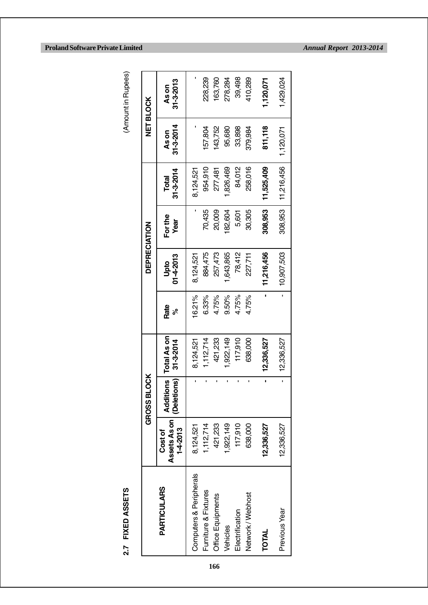# **2.7 FIXED ASSETS** (Amount in Rupees)2.7 FIXED ASSETS

| Š<br>Ξ |  |
|--------|--|
|        |  |
|        |  |
|        |  |

|                         |                                     | <b>ILOCK</b><br><b>GROSS</b>          |                                 |             | DEPRECIATION      |                        |                    |                    | <b>NET BLOCK</b>         |
|-------------------------|-------------------------------------|---------------------------------------|---------------------------------|-------------|-------------------|------------------------|--------------------|--------------------|--------------------------|
| <b>PARTICULARS</b>      | Assets As on<br>1-4-2013<br>Cost of | <b>Additions</b><br>tions)<br>(Deleti | <b>Total As on</b><br>31-3-2014 | Rate<br>್ನೇ | 01-4-2013<br>Upto | For the<br><b>Year</b> | 31-3-2014<br>Total | 31-3-2014<br>As on | $31 - 3 - 2013$<br>As on |
| Computers & Peripherals | 8,124,521                           |                                       | 8,124,521                       | 16.21%      | 8,124,521         |                        | 8,124,521          |                    |                          |
| Furniture & Fixtures    | 1,112,714                           |                                       | 1,112,714                       | 6.33%       | 884,475           | 70,435                 | 954,910            | 157,804            | 228,239                  |
| Office Equipments       | 421,233                             |                                       | 421,233                         | 4.75%       | 257,473           | 20,009                 | 277,481            | 143,752            | 163,760                  |
| Vehicles                | 1,922,149                           |                                       | 1,922,149                       | 9.50%       | ,643,865          | 82,604                 | 826,469            | 95,680             | 278,284                  |
| Electrification         | 117,910                             |                                       | 117,910                         | 4.75%       | 78,412            | 5,601                  | 84,012             | 33,898             | 39,498                   |
| Network/Webhost         | 638,000                             | ı                                     | 638,000                         | 4.75%       | 227,711           | 30,305                 | 258,016            | 379,984            | 410,289                  |
| <b>TOTAL</b>            | 12,336,527                          |                                       | 12,336,527                      |             | 11,216,456        | 308,953                | 11,525,409         | 811,118            | ,120,071                 |
| Previous Year           | 12,336,527                          | ī                                     | 12,336,527                      |             | 10,907,503        | 308,953                | 11,216,456         | 1,120,071          | 1,429,024                |

### **Proland Software Private Limited**

*Annual Report 2013-2014*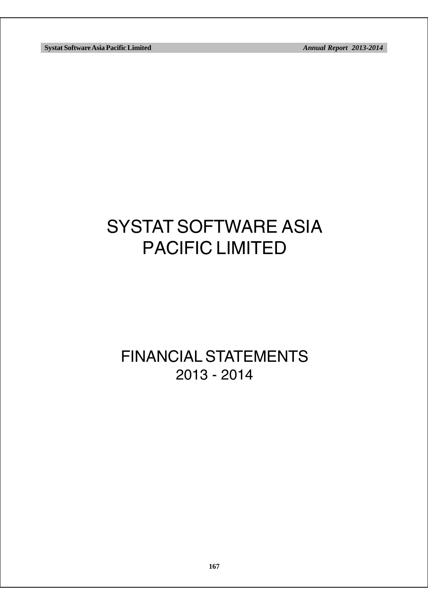*Annual Report 2013-2014*

# SYSTAT SOFTWARE ASIA PACIFIC LIMITED

# FINANCIAL STATEMENTS 2013 - 2014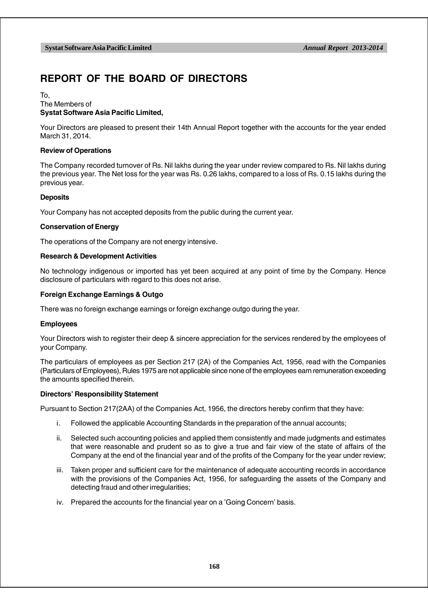# **REPORT OF THE BOARD OF DIRECTORS**

### To, The Members of **Systat Software Asia Pacific Limited,**

Your Directors are pleased to present their 14th Annual Report together with the accounts for the year ended March 31, 2014.

### **Review of Operations**

The Company recorded turnover of Rs. Nil lakhs during the year under review compared to Rs. Nil lakhs during the previous year. The Net loss for the year was Rs. 0.26 lakhs, compared to a loss of Rs. 0.15 lakhs during the previous year.

### **Deposits**

Your Company has not accepted deposits from the public during the current year.

### **Conservation of Energy**

The operations of the Company are not energy intensive.

### **Research & Development Activities**

No technology indigenous or imported has yet been acquired at any point of time by the Company. Hence disclosure of particulars with regard to this does not arise.

### **Foreign Exchange Earnings & Outgo**

There was no foreign exchange earnings or foreign exchange outgo during the year.

### **Employees**

Your Directors wish to register their deep & sincere appreciation for the services rendered by the employees of your Company.

The particulars of employees as per Section 217 (2A) of the Companies Act, 1956, read with the Companies (Particulars of Employees), Rules 1975 are not applicable since none of the employees earn remuneration exceeding the amounts specified therein.

### **Directors' Responsibility Statement**

Pursuant to Section 217(2AA) of the Companies Act, 1956, the directors hereby confirm that they have:

- i. Followed the applicable Accounting Standards in the preparation of the annual accounts;
- ii. Selected such accounting policies and applied them consistently and made judgments and estimates that were reasonable and prudent so as to give a true and fair view of the state of affairs of the Company at the end of the financial year and of the profits of the Company for the year under review;
- iii. Taken proper and sufficient care for the maintenance of adequate accounting records in accordance with the provisions of the Companies Act, 1956, for safeguarding the assets of the Company and detecting fraud and other irregularities;
- iv. Prepared the accounts for the financial year on a 'Going Concern' basis.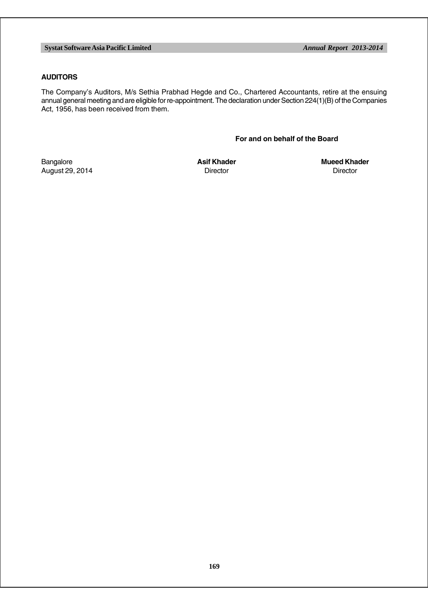### **Systat Software Asia Pacific Limited**

*Annual Report 2013-2014*

### **AUDITORS**

The Company's Auditors, M/s Sethia Prabhad Hegde and Co., Chartered Accountants, retire at the ensuing annual general meeting and are eligible for re-appointment. The declaration under Section 224(1)(B) of the Companies Act, 1956, has been received from them.

### **For and on behalf of the Board**

Bangalore **Assembly Controller Museum Asif Khader** Museum Museum Museum Museum Museum Museum Museum Museum Museum August 29, 2014 **Director** Director **Director** Director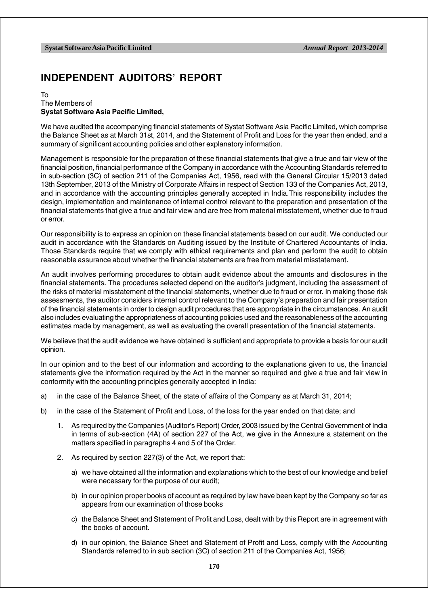# **INDEPENDENT AUDITORS' REPORT**

### To The Members of **Systat Software Asia Pacific Limited,**

We have audited the accompanying financial statements of Systat Software Asia Pacific Limited, which comprise the Balance Sheet as at March 31st, 2014, and the Statement of Profit and Loss for the year then ended, and a summary of significant accounting policies and other explanatory information.

Management is responsible for the preparation of these financial statements that give a true and fair view of the financial position, financial performance of the Company in accordance with the Accounting Standards referred to in sub-section (3C) of section 211 of the Companies Act, 1956, read with the General Circular 15/2013 dated 13th September, 2013 of the Ministry of Corporate Affairs in respect of Section 133 of the Companies Act, 2013, and in accordance with the accounting principles generally accepted in India.This responsibility includes the design, implementation and maintenance of internal control relevant to the preparation and presentation of the financial statements that give a true and fair view and are free from material misstatement, whether due to fraud or error.

Our responsibility is to express an opinion on these financial statements based on our audit. We conducted our audit in accordance with the Standards on Auditing issued by the Institute of Chartered Accountants of India. Those Standards require that we comply with ethical requirements and plan and perform the audit to obtain reasonable assurance about whether the financial statements are free from material misstatement.

An audit involves performing procedures to obtain audit evidence about the amounts and disclosures in the financial statements. The procedures selected depend on the auditor's judgment, including the assessment of the risks of material misstatement of the financial statements, whether due to fraud or error. In making those risk assessments, the auditor considers internal control relevant to the Company's preparation and fair presentation of the financial statements in order to design audit procedures that are appropriate in the circumstances. An audit also includes evaluating the appropriateness of accounting policies used and the reasonableness of the accounting estimates made by management, as well as evaluating the overall presentation of the financial statements.

We believe that the audit evidence we have obtained is sufficient and appropriate to provide a basis for our audit opinion.

In our opinion and to the best of our information and according to the explanations given to us, the financial statements give the information required by the Act in the manner so required and give a true and fair view in conformity with the accounting principles generally accepted in India:

- a) in the case of the Balance Sheet, of the state of affairs of the Company as at March 31, 2014;
- b) in the case of the Statement of Profit and Loss, of the loss for the year ended on that date; and
	- 1. As required by the Companies (Auditor's Report) Order, 2003 issued by the Central Government of India in terms of sub-section (4A) of section 227 of the Act, we give in the Annexure a statement on the matters specified in paragraphs 4 and 5 of the Order.
	- 2. As required by section 227(3) of the Act, we report that:
		- a) we have obtained all the information and explanations which to the best of our knowledge and belief were necessary for the purpose of our audit;
		- b) in our opinion proper books of account as required by law have been kept by the Company so far as appears from our examination of those books
		- c) the Balance Sheet and Statement of Profit and Loss, dealt with by this Report are in agreement with the books of account.
		- d) in our opinion, the Balance Sheet and Statement of Profit and Loss, comply with the Accounting Standards referred to in sub section (3C) of section 211 of the Companies Act, 1956;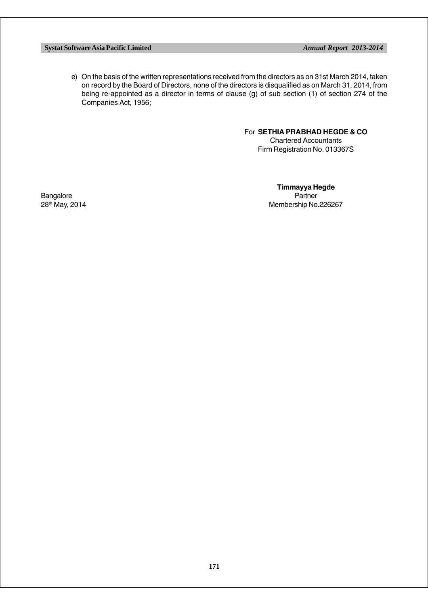### **Systat Software Asia Pacific Limited**

*Annual Report 2013-2014*

e) On the basis of the written representations received from the directors as on 31st March 2014, taken on record by the Board of Directors, none of the directors is disqualified as on March 31, 2014, from being re-appointed as a director in terms of clause (g) of sub section (1) of section 274 of the Companies Act, 1956;

### For **SETHIA PRABHAD HEGDE & CO**

Chartered Accountants Firm Registration No. 013367S

**Timmayya Hegde** Bangalore **Partner** Partner Partner Partner Partner Partner Partner Partner Partner Partner Partner Partner Partner 28<sup>th</sup> May, 2014 Membership No.226267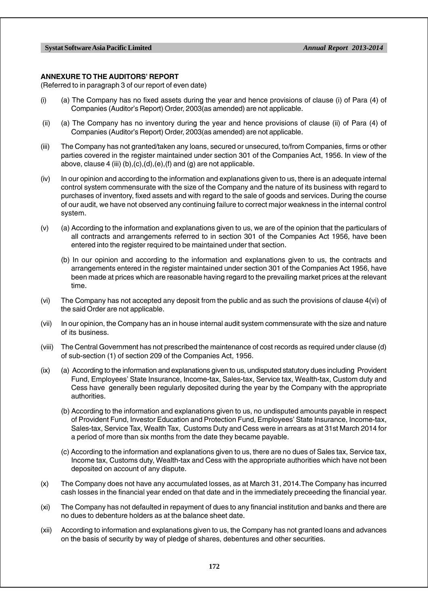### **ANNEXURE TO THE AUDITORS' REPORT**

(Referred to in paragraph 3 of our report of even date)

- (i) (a) The Company has no fixed assets during the year and hence provisions of clause (i) of Para  $(4)$  of Companies (Auditor's Report) Order, 2003(as amended) are not applicable.
- (ii) (a) The Company has no inventory during the year and hence provisions of clause (ii) of Para (4) of Companies (Auditor's Report) Order, 2003(as amended) are not applicable.
- (iii) The Company has not granted/taken any loans, secured or unsecured, to/from Companies, firms or other parties covered in the register maintained under section 301 of the Companies Act, 1956. In view of the above, clause 4 (iii) (b),(c),(d),(e),(f) and (g) are not applicable.
- (iv) In our opinion and according to the information and explanations given to us, there is an adequate internal control system commensurate with the size of the Company and the nature of its business with regard to purchases of inventory, fixed assets and with regard to the sale of goods and services. During the course of our audit, we have not observed any continuing failure to correct major weakness in the internal control system.
- (v) (a) According to the information and explanations given to us, we are of the opinion that the particulars of all contracts and arrangements referred to in section 301 of the Companies Act 1956, have been entered into the register required to be maintained under that section.
	- (b) In our opinion and according to the information and explanations given to us, the contracts and arrangements entered in the register maintained under section 301 of the Companies Act 1956, have been made at prices which are reasonable having regard to the prevailing market prices at the relevant time.
- (vi) The Company has not accepted any deposit from the public and as such the provisions of clause 4(vi) of the said Order are not applicable.
- (vii) In our opinion, the Company has an in house internal audit system commensurate with the size and nature of its business.
- (viii) The Central Government has not prescribed the maintenance of cost records as required under clause (d) of sub-section (1) of section 209 of the Companies Act, 1956.
- $(ix)$  (a) According to the information and explanations given to us, undisputed statutory dues including Provident Fund, Employees' State Insurance, Income-tax, Sales-tax, Service tax, Wealth-tax, Custom duty and Cess have generally been regularly deposited during the year by the Company with the appropriate authorities.
	- (b) According to the information and explanations given to us, no undisputed amounts payable in respect of Provident Fund, Investor Education and Protection Fund, Employees' State Insurance, Income-tax, Sales-tax, Service Tax, Wealth Tax, Customs Duty and Cess were in arrears as at 31st March 2014 for a period of more than six months from the date they became payable.
	- (c) According to the information and explanations given to us, there are no dues of Sales tax, Service tax, Income tax, Customs duty, Wealth-tax and Cess with the appropriate authorities which have not been deposited on account of any dispute.
- (x) The Company does not have any accumulated losses, as at March 31, 2014.The Company has incurred cash losses in the financial year ended on that date and in the immediately preceeding the financial year.
- (xi) The Company has not defaulted in repayment of dues to any financial institution and banks and there are no dues to debenture holders as at the balance sheet date.
- (xii) According to information and explanations given to us, the Company has not granted loans and advances on the basis of security by way of pledge of shares, debentures and other securities.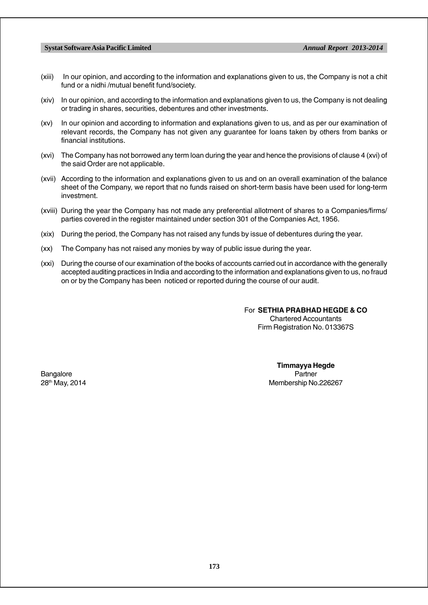### **Systat Software Asia Pacific Limited**

- (xiii) In our opinion, and according to the information and explanations given to us, the Company is not a chit fund or a nidhi /mutual benefit fund/society.
- (xiv) In our opinion, and according to the information and explanations given to us, the Company is not dealing or trading in shares, securities, debentures and other investments.
- (xv) In our opinion and according to information and explanations given to us, and as per our examination of relevant records, the Company has not given any guarantee for loans taken by others from banks or financial institutions.
- (xvi) The Company has not borrowed any term loan during the year and hence the provisions of clause 4 (xvi) of the said Order are not applicable.
- (xvii) According to the information and explanations given to us and on an overall examination of the balance sheet of the Company, we report that no funds raised on short-term basis have been used for long-term investment.
- (xviii) During the year the Company has not made any preferential allotment of shares to a Companies/firms/ parties covered in the register maintained under section 301 of the Companies Act, 1956.
- (xix) During the period, the Company has not raised any funds by issue of debentures during the year.
- (xx) The Company has not raised any monies by way of public issue during the year.
- (xxi) During the course of our examination of the books of accounts carried out in accordance with the generally accepted auditing practices in India and according to the information and explanations given to us, no fraud on or by the Company has been noticed or reported during the course of our audit.

### For **SETHIA PRABHAD HEGDE & CO**

Chartered Accountants Firm Registration No. 013367S

**Timmayya Hegde**<br>Partner Bangalore **Partner** Partner Partner Partner Partner Partner Partner Partner Partner Partner Partner Partner Partner 28th May, 2014 Membership No.226267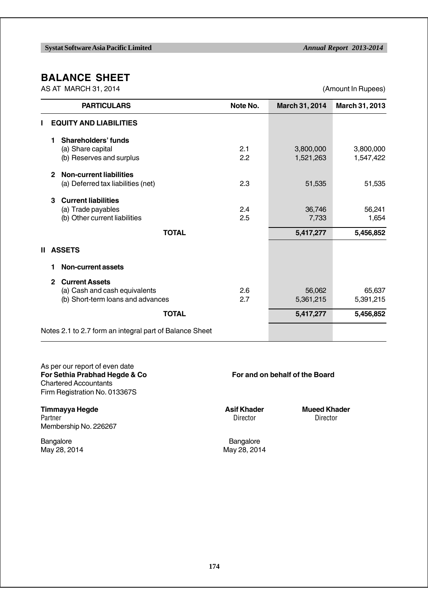*Annual Report 2013-2014*

# **BALANCE SHEET**

AS AT MARCH 31, 2014 **(Amount In Rupees)** 

|              | <b>PARTICULARS</b>                                                                          | Note No.   | March 31, 2014         | March 31, 2013         |
|--------------|---------------------------------------------------------------------------------------------|------------|------------------------|------------------------|
|              | <b>EQUITY AND LIABILITIES</b>                                                               |            |                        |                        |
|              | Shareholders' funds<br>(a) Share capital<br>(b) Reserves and surplus                        | 2.1<br>2.2 | 3,800,000<br>1,521,263 | 3,800,000<br>1,547,422 |
| $\mathbf{2}$ | <b>Non-current liabilities</b><br>(a) Deferred tax liabilities (net)                        | 2.3        | 51,535                 | 51,535                 |
| 3            | <b>Current liabilities</b><br>(a) Trade payables<br>(b) Other current liabilities           | 2.4<br>2.5 | 36,746<br>7,733        | 56,241<br>1,654        |
|              | <b>TOTAL</b>                                                                                |            | 5,417,277              | 5,456,852              |
| Ш.           | <b>ASSETS</b>                                                                               |            |                        |                        |
|              | <b>Non-current assets</b>                                                                   |            |                        |                        |
| $\mathbf{2}$ | <b>Current Assets</b><br>(a) Cash and cash equivalents<br>(b) Short-term loans and advances | 2.6<br>2.7 | 56,062<br>5,361,215    | 65,637<br>5,391,215    |
|              | <b>TOTAL</b>                                                                                |            | 5,417,277              | 5,456,852              |
|              | Notes 2.1 to 2.7 form an integral part of Balance Sheet                                     |            |                        |                        |

### As per our report of even date **For Sethia Prabhad Hegde & Co For and on behalf of the Board** Chartered Accountants Firm Registration No. 013367S

Partner Director Director Director Director Director Director Director Director Membership No. 226267

May 28, 2014

**Timmayya Hegde Asif Khader Asif Khader Asif Khader** Mueed Khader Partner Asif Changer Asif Changer Asif Changer<br>Partner Asif Director Director Director

Bangalore Bangalore Bangalore Bangalore Bangalore Bangalore Bangalore Bangalore Bangalore Bangalore Bangalore Bangalore Bangalore Bangalore Bangalore Bangalore Bangalore Bangalore Bangalore Bangalore Bangalore Bangalore Ba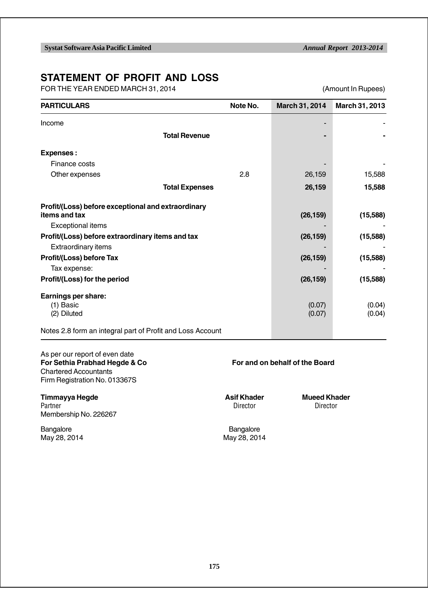*Annual Report 2013-2014*

# **STATEMENT OF PROFIT AND LOSS**

FOR THE YEAR ENDED MARCH 31, 2014 (Amount In Rupees)

| <b>PARTICULARS</b>                                                      | Note No.              | March 31, 2014   | March 31, 2013   |
|-------------------------------------------------------------------------|-----------------------|------------------|------------------|
| Income                                                                  |                       |                  |                  |
|                                                                         | <b>Total Revenue</b>  |                  |                  |
| <b>Expenses:</b>                                                        |                       |                  |                  |
| Finance costs                                                           |                       |                  |                  |
| Other expenses                                                          | 2.8                   | 26,159           | 15,588           |
|                                                                         | <b>Total Expenses</b> | 26,159           | 15,588           |
| Profit/(Loss) before exceptional and extraordinary<br>items and tax     |                       | (26, 159)        | (15, 588)        |
| <b>Exceptional items</b>                                                |                       |                  |                  |
| Profit/(Loss) before extraordinary items and tax<br>Extraordinary items |                       | (26, 159)        | (15, 588)        |
| Profit/(Loss) before Tax                                                |                       | (26, 159)        | (15, 588)        |
| Tax expense:                                                            |                       |                  |                  |
| Profit/(Loss) for the period                                            |                       | (26, 159)        | (15, 588)        |
| Earnings per share:<br>(1) Basic<br>(2) Diluted                         |                       | (0.07)<br>(0.07) | (0.04)<br>(0.04) |
| Notes 2.8 form an integral part of Profit and Loss Account              |                       |                  |                  |

### As per our report of even date **For Sethia Prabhad Hegde & Co** For and on behalf of the Board Chartered Accountants Firm Registration No. 013367S

### **Timmayya Hegde Asif Khader Asif Khader Mueed Khader** Partner Asid Partner Asif Changer Asif Changer Asif Changer<br>Partner **Asif Changes** Director Director Director Partner Director Director Director Director Director Director Director Director Membership No. 226267

Bangalore Bangalore Bangalore<br>
May 28, 2014 May 28, 2014 May 28, 2014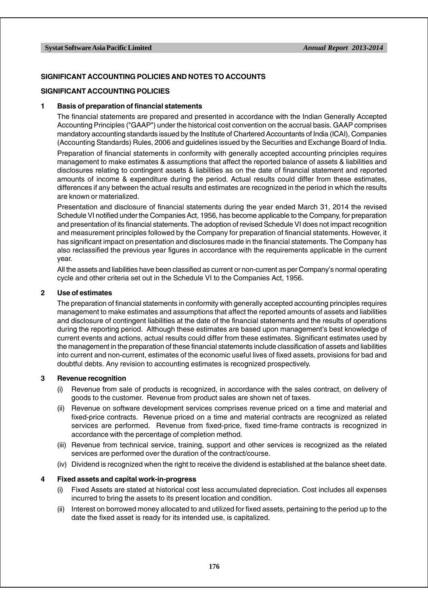### **Systat Software Asia Pacific Limited**

### **SIGNIFICANT ACCOUNTING POLICIES AND NOTES TO ACCOUNTS**

### **SIGNIFICANT ACCOUNTING POLICIES**

### **1 Basis of preparation of financial statements**

The financial statements are prepared and presented in accordance with the Indian Generally Accepted Accounting Principles ("GAAP") under the historical cost convention on the accrual basis. GAAP comprises mandatory accounting standards issued by the Institute of Chartered Accountants of India (ICAI), Companies (Accounting Standards) Rules, 2006 and guidelines issued by the Securities and Exchange Board of India.

Preparation of financial statements in conformity with generally accepted accounting principles requires management to make estimates & assumptions that affect the reported balance of assets & liabilities and disclosures relating to contingent assets & liabilities as on the date of financial statement and reported amounts of income & expenditure during the period. Actual results could differ from these estimates, differences if any between the actual results and estimates are recognized in the period in which the results are known or materialized.

Presentation and disclosure of financial statements during the year ended March 31, 2014 the revised Schedule VI notified under the Companies Act, 1956, has become applicable to the Company, for preparation and presentation of its financial statements. The adoption of revised Schedule VI does not impact recognition and measurement principles followed by the Company for preparation of financial statements. However, it has significant impact on presentation and disclosures made in the financial statements. The Company has also reclassified the previous year figures in accordance with the requirements applicable in the current year.

All the assets and liabilities have been classified as current or non-current as per Company's normal operating cycle and other criteria set out in the Schedule VI to the Companies Act, 1956.

### **2 Use of estimates**

The preparation of financial statements in conformity with generally accepted accounting principles requires management to make estimates and assumptions that affect the reported amounts of assets and liabilities and disclosure of contingent liabilities at the date of the financial statements and the results of operations during the reporting period. Although these estimates are based upon management's best knowledge of current events and actions, actual results could differ from these estimates. Significant estimates used by the management in the preparation of these financial statements include classification of assets and liabilities into current and non-current, estimates of the economic useful lives of fixed assets, provisions for bad and doubtful debts. Any revision to accounting estimates is recognized prospectively.

### **3 Revenue recognition**

- Revenue from sale of products is recognized, in accordance with the sales contract, on delivery of goods to the customer. Revenue from product sales are shown net of taxes.
- (ii) Revenue on software development services comprises revenue priced on a time and material and fixed-price contracts. Revenue priced on a time and material contracts are recognized as related services are performed. Revenue from fixed-price, fixed time-frame contracts is recognized in accordance with the percentage of completion method.
- (iii) Revenue from technical service, training, support and other services is recognized as the related services are performed over the duration of the contract/course.
- (iv) Dividend is recognized when the right to receive the dividend is established at the balance sheet date.

### **4 Fixed assets and capital work-in-progress**

- Fixed Assets are stated at historical cost less accumulated depreciation. Cost includes all expenses incurred to bring the assets to its present location and condition.
- (ii) Interest on borrowed money allocated to and utilized for fixed assets, pertaining to the period up to the date the fixed asset is ready for its intended use, is capitalized.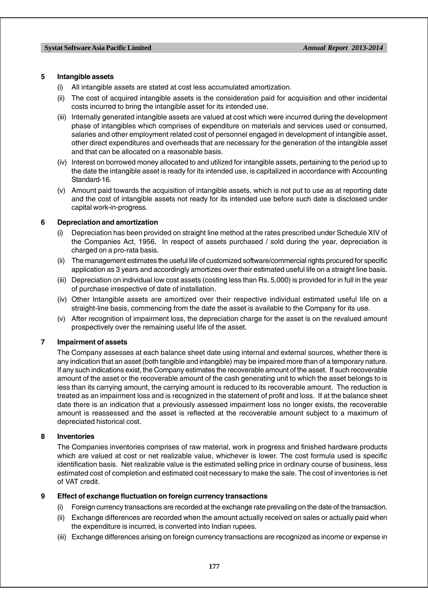### **5 Intangible assets**

- (i) All intangible assets are stated at cost less accumulated amortization.
- (ii) The cost of acquired intangible assets is the consideration paid for acquisition and other incidental costs incurred to bring the intangible asset for its intended use.
- (iii) Internally generated intangible assets are valued at cost which were incurred during the development phase of intangibles which comprises of expenditure on materials and services used or consumed, salaries and other employment related cost of personnel engaged in development of intangible asset, other direct expenditures and overheads that are necessary for the generation of the intangible asset and that can be allocated on a reasonable basis.
- (iv) Interest on borrowed money allocated to and utilized for intangible assets, pertaining to the period up to the date the intangible asset is ready for its intended use, is capitalized in accordance with Accounting Standard-16.
- (v) Amount paid towards the acquisition of intangible assets, which is not put to use as at reporting date and the cost of intangible assets not ready for its intended use before such date is disclosed under capital work-in-progress.

### **6 Depreciation and amortization**

- (i) Depreciation has been provided on straight line method at the rates prescribed under Schedule XIV of the Companies Act, 1956. In respect of assets purchased / sold during the year, depreciation is charged on a pro-rata basis.
- (ii) The management estimates the useful life of customized software/commercial rights procured for specific application as 3 years and accordingly amortizes over their estimated useful life on a straight line basis.
- (iii) Depreciation on individual low cost assets (costing less than Rs. 5,000) is provided for in full in the year of purchase irrespective of date of installation.
- (iv) Other Intangible assets are amortized over their respective individual estimated useful life on a straight-line basis, commencing from the date the asset is available to the Company for its use.
- (v) After recognition of impairment loss, the depreciation charge for the asset is on the revalued amount prospectively over the remaining useful life of the asset.

### **7 Impairment of assets**

The Company assesses at each balance sheet date using internal and external sources, whether there is any indication that an asset (both tangible and intangible) may be impaired more than of a temporary nature. If any such indications exist, the Company estimates the recoverable amount of the asset. If such recoverable amount of the asset or the recoverable amount of the cash generating unit to which the asset belongs to is less than its carrying amount, the carrying amount is reduced to its recoverable amount. The reduction is treated as an impairment loss and is recognized in the statement of profit and loss. If at the balance sheet date there is an indication that a previously assessed impairment loss no longer exists, the recoverable amount is reassessed and the asset is reflected at the recoverable amount subject to a maximum of depreciated historical cost.

### **8 Inventories**

The Companies inventories comprises of raw material, work in progress and finished hardware products which are valued at cost or net realizable value, whichever is lower. The cost formula used is specific identification basis. Net realizable value is the estimated selling price in ordinary course of business, less estimated cost of completion and estimated cost necessary to make the sale. The cost of inventories is net of VAT credit.

### **9 Effect of exchange fluctuation on foreign currency transactions**

- (i) Foreign currency transactions are recorded at the exchange rate prevailing on the date of the transaction.
- (ii) Exchange differences are recorded when the amount actually received on sales or actually paid when the expenditure is incurred, is converted into Indian rupees.
- (iii) Exchange differences arising on foreign currency transactions are recognized as income or expense in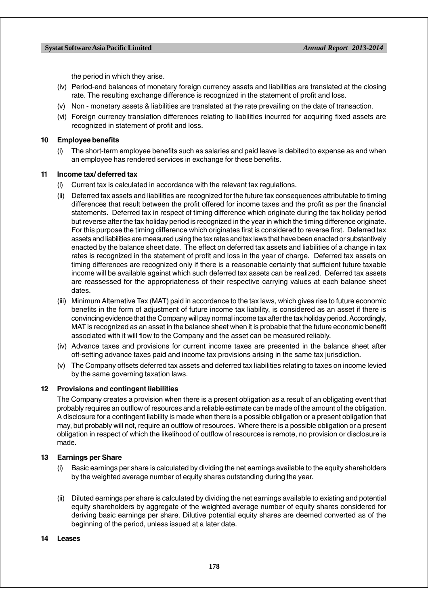the period in which they arise.

- (iv) Period-end balances of monetary foreign currency assets and liabilities are translated at the closing rate. The resulting exchange difference is recognized in the statement of profit and loss.
- (v) Non monetary assets & liabilities are translated at the rate prevailing on the date of transaction.
- (vi) Foreign currency translation differences relating to liabilities incurred for acquiring fixed assets are recognized in statement of profit and loss.

### **10 Employee benefits**

(i) The short-term employee benefits such as salaries and paid leave is debited to expense as and when an employee has rendered services in exchange for these benefits.

### **11 Income tax/ deferred tax**

- (i) Current tax is calculated in accordance with the relevant tax regulations.
- (ii) Deferred tax assets and liabilities are recognized for the future tax consequences attributable to timing differences that result between the profit offered for income taxes and the profit as per the financial statements. Deferred tax in respect of timing difference which originate during the tax holiday period but reverse after the tax holiday period is recognized in the year in which the timing difference originate. For this purpose the timing difference which originates first is considered to reverse first. Deferred tax assets and liabilities are measured using the tax rates and tax laws that have been enacted or substantively enacted by the balance sheet date. The effect on deferred tax assets and liabilities of a change in tax rates is recognized in the statement of profit and loss in the year of charge. Deferred tax assets on timing differences are recognized only if there is a reasonable certainty that sufficient future taxable income will be available against which such deferred tax assets can be realized. Deferred tax assets are reassessed for the appropriateness of their respective carrying values at each balance sheet dates.
- (iii) Minimum Alternative Tax (MAT) paid in accordance to the tax laws, which gives rise to future economic benefits in the form of adjustment of future income tax liability, is considered as an asset if there is convincing evidence that the Company will pay normal income tax after the tax holiday period. Accordingly, MAT is recognized as an asset in the balance sheet when it is probable that the future economic benefit associated with it will flow to the Company and the asset can be measured reliably.
- (iv) Advance taxes and provisions for current income taxes are presented in the balance sheet after off-setting advance taxes paid and income tax provisions arising in the same tax jurisdiction.
- (v) The Company offsets deferred tax assets and deferred tax liabilities relating to taxes on income levied by the same governing taxation laws.

### **12 Provisions and contingent liabilities**

The Company creates a provision when there is a present obligation as a result of an obligating event that probably requires an outflow of resources and a reliable estimate can be made of the amount of the obligation. A disclosure for a contingent liability is made when there is a possible obligation or a present obligation that may, but probably will not, require an outflow of resources. Where there is a possible obligation or a present obligation in respect of which the likelihood of outflow of resources is remote, no provision or disclosure is made.

### **13 Earnings per Share**

- (i) Basic earnings per share is calculated by dividing the net earnings available to the equity shareholders by the weighted average number of equity shares outstanding during the year.
- (ii) Diluted earnings per share is calculated by dividing the net earnings available to existing and potential equity shareholders by aggregate of the weighted average number of equity shares considered for deriving basic earnings per share. Dilutive potential equity shares are deemed converted as of the beginning of the period, unless issued at a later date.

### **14 Leases**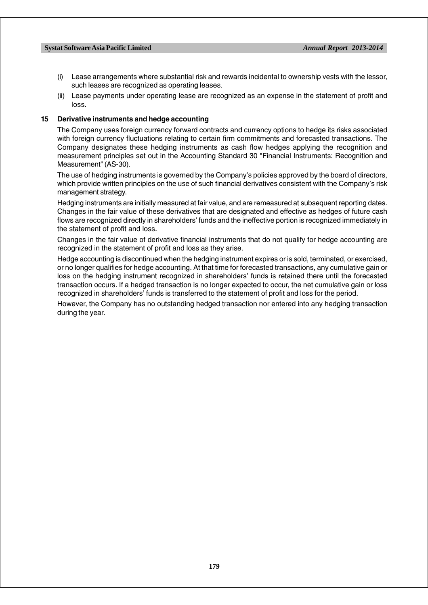### **Systat Software Asia Pacific Limited**

- (i) Lease arrangements where substantial risk and rewards incidental to ownership vests with the lessor, such leases are recognized as operating leases.
- (ii) Lease payments under operating lease are recognized as an expense in the statement of profit and loss.

### **15 Derivative instruments and hedge accounting**

The Company uses foreign currency forward contracts and currency options to hedge its risks associated with foreign currency fluctuations relating to certain firm commitments and forecasted transactions. The Company designates these hedging instruments as cash flow hedges applying the recognition and measurement principles set out in the Accounting Standard 30 "Financial Instruments: Recognition and Measurement" (AS-30).

The use of hedging instruments is governed by the Company's policies approved by the board of directors, which provide written principles on the use of such financial derivatives consistent with the Company's risk management strategy.

Hedging instruments are initially measured at fair value, and are remeasured at subsequent reporting dates. Changes in the fair value of these derivatives that are designated and effective as hedges of future cash flows are recognized directly in shareholders' funds and the ineffective portion is recognized immediately in the statement of profit and loss.

Changes in the fair value of derivative financial instruments that do not qualify for hedge accounting are recognized in the statement of profit and loss as they arise.

Hedge accounting is discontinued when the hedging instrument expires or is sold, terminated, or exercised, or no longer qualifies for hedge accounting. At that time for forecasted transactions, any cumulative gain or loss on the hedging instrument recognized in shareholders' funds is retained there until the forecasted transaction occurs. If a hedged transaction is no longer expected to occur, the net cumulative gain or loss recognized in shareholders' funds is transferred to the statement of profit and loss for the period.

However, the Company has no outstanding hedged transaction nor entered into any hedging transaction during the year.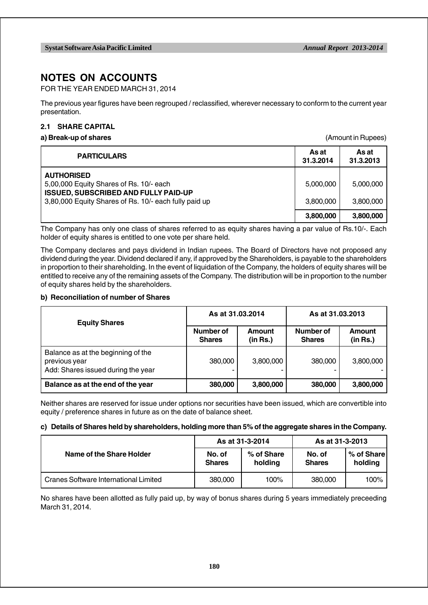## **NOTES ON ACCOUNTS**

FOR THE YEAR ENDED MARCH 31, 2014

The previous year figures have been regrouped / reclassified, wherever necessary to conform to the current year presentation.

### **2.1 SHARE CAPITAL**

#### **a) Break-up of shares** (Amount in Rupees)

**PARTICULARS As at** As at **As at** As at **As at** As at **As at** As at **As at** As at **As at** As at **As at** As at **As at** As at **As at** As at **As at** As at **As at** As at **As at As at As at As at As at As at As at As at As at 31.3.2014 31.3.2013 AUTHORISED** 5,00,000 Equity Shares of Rs. 10/- each 5,000,000 5,000,000 **ISSUED, SUBSCRIBED AND FULLY PAID-UP** 3,80,000 Equity Shares of Rs. 10/- each fully paid up  $\vert$  3,800,000  $\vert$  3,800,000 3,800,000 **3,800,000 3,800,000**

The Company has only one class of shares referred to as equity shares having a par value of Rs.10/-. Each holder of equity shares is entitled to one vote per share held.

The Company declares and pays dividend in Indian rupees. The Board of Directors have not proposed any dividend during the year. Dividend declared if any, if approved by the Shareholders, is payable to the shareholders in proportion to their shareholding. In the event of liquidation of the Company, the holders of equity shares will be entitled to receive any of the remaining assets of the Company. The distribution will be in proportion to the number of equity shares held by the shareholders.

#### **b) Reconciliation of number of Shares**

| <b>Equity Shares</b>                                                                      | As at 31.03.2014           |                    | As at 31.03.2013           |                    |  |
|-------------------------------------------------------------------------------------------|----------------------------|--------------------|----------------------------|--------------------|--|
|                                                                                           | Number of<br><b>Shares</b> | Amount<br>(in Rs.) | Number of<br><b>Shares</b> | Amount<br>(in Rs.) |  |
| Balance as at the beginning of the<br>previous year<br>Add: Shares issued during the year | 380,000                    | 3,800,000          | 380,000                    | 3,800,000          |  |
| Balance as at the end of the year                                                         | 380,000                    | 3,800,000          | 380,000                    | 3,800,000          |  |

Neither shares are reserved for issue under options nor securities have been issued, which are convertible into equity / preference shares in future as on the date of balance sheet.

#### **c) Details of Shares held by shareholders, holding more than 5% of the aggregate shares in the Company.**

|                                       |                         | As at 31-3-2014       | As at 31-3-2013         |                       |
|---------------------------------------|-------------------------|-----------------------|-------------------------|-----------------------|
| Name of the Share Holder              | No. of<br><b>Shares</b> | % of Share<br>holding | No. of<br><b>Shares</b> | % of Share<br>holding |
| Cranes Software International Limited | 380,000                 | 100%                  | 380,000                 | 100% l                |

No shares have been allotted as fully paid up, by way of bonus shares during 5 years immediately preceeding March 31, 2014.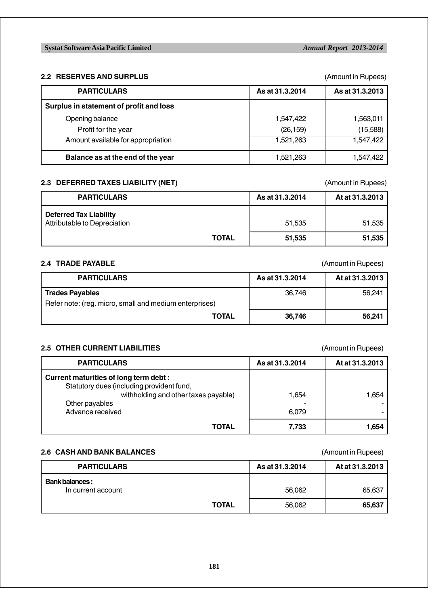#### **181**

*Annual Report 2013-2014*

#### **2.2 RESERVES AND SURPLUS** (Amount in Rupees)

**Systat Software Asia Pacific Limited**

| <b>PARTICULARS</b>                      | As at 31.3.2014 | As at 31.3.2013 |
|-----------------------------------------|-----------------|-----------------|
| Surplus in statement of profit and loss |                 |                 |
| Opening balance                         | 1,547,422       | 1,563,011       |
| Profit for the year                     | (26, 159)       | (15,588)        |
| Amount available for appropriation      | 1,521,263       | 1,547,422       |
| Balance as at the end of the year       | 1,521,263       | 1,547,422       |

#### **2.3 DEFERRED TAXES LIABILITY (NET)** (Amount in Rupees)

| <b>PARTICULARS</b>                                            |              | As at 31.3.2014 | At at 31.3.2013 |
|---------------------------------------------------------------|--------------|-----------------|-----------------|
| <b>Deferred Tax Liability</b><br>Attributable to Depreciation |              | 51.535          | 51,535          |
|                                                               | <b>TOTAL</b> | 51,535          | 51,535          |

#### **2.4 TRADE PAYABLE** (Amount in Rupees)

**PARTICULARS As at 31.3.2014** At at 31.3.2013 **Trades Payables** 36,746 56,241 Refer note: (reg. micro, small and medium enterprises) **TOTAL** 36,746 56,241

#### **2.5 OTHER CURRENT LIABILITIES** (Amount in Rupees)

| <b>PARTICULARS</b>                                                                                                                                                | As at 31.3.2014 | At at 31.3.2013 |
|-------------------------------------------------------------------------------------------------------------------------------------------------------------------|-----------------|-----------------|
| Current maturities of long term debt :<br>Statutory dues (including provident fund,<br>withholding and other taxes payable)<br>Other payables<br>Advance received | 1.654<br>6.079  | 654, ا          |
| <b>TOTAL</b>                                                                                                                                                      | 7.733           | 1,654           |

#### **2.6 CASH AND BANK BALANCES** (Amount in Rupees)

| <b>PARTICULARS</b>                         |              | As at 31.3.2014 | At at 31.3.2013 |
|--------------------------------------------|--------------|-----------------|-----------------|
| <b>Bankbalances:</b><br>In current account |              | 56.062          | 65,637          |
|                                            | <b>TOTAL</b> | 56,062          | 65,637          |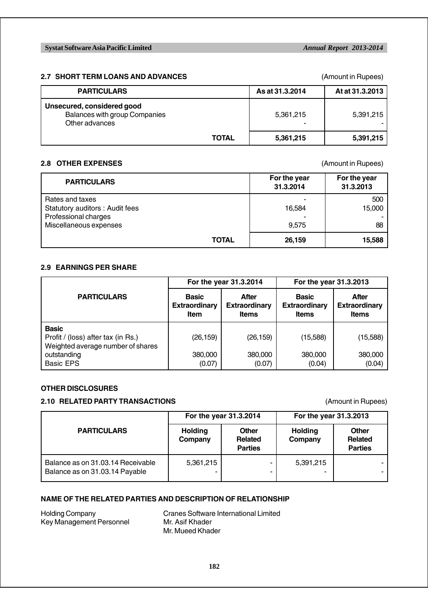#### **Systat Software Asia Pacific Limited**

*Annual Report 2013-2014*

#### **2.7 SHORT TERM LOANS AND ADVANCES** (Amount in Rupees)

| <b>PARTICULARS</b>                                                                   |              | As at 31.3.2014 | At at 31.3.2013 |
|--------------------------------------------------------------------------------------|--------------|-----------------|-----------------|
| Unsecured, considered good<br><b>Balances with group Companies</b><br>Other advances |              | 5,361,215       | 5,391,215       |
|                                                                                      | <b>TOTAL</b> | 5,361,215       | 5,391,215       |

#### **2.8 OTHER EXPENSES** (Amount in Rupees)

| <b>PARTICULARS</b>              | For the year<br>31.3.2014 | For the year<br>31.3.2013 |
|---------------------------------|---------------------------|---------------------------|
| Rates and taxes                 |                           | 500                       |
| Statutory auditors : Audit fees | 16.584                    | 15,000                    |
| Professional charges            |                           |                           |
| Miscellaneous expenses          | 9.575                     | 88                        |
| <b>TOTAL</b>                    | 26,159                    | 15,588                    |

#### **2.9 EARNINGS PER SHARE**

|                                                                                         |                      | For the year 31.3.2014 | For the year 31.3.2013 |               |
|-----------------------------------------------------------------------------------------|----------------------|------------------------|------------------------|---------------|
| <b>PARTICULARS</b>                                                                      | <b>Basic</b>         | After                  | <b>Basic</b>           | After         |
|                                                                                         | <b>Extraordinary</b> | <b>Extraordinary</b>   | Extraordinary          | Extraordinary |
|                                                                                         | <b>Item</b>          | <b>Items</b>           | <b>Items</b>           | <b>Items</b>  |
| <b>Basic</b><br>Profit / (loss) after tax (in Rs.)<br>Weighted average number of shares | (26, 159)            | (26, 159)              | (15,588)               | (15,588)      |
| outstanding                                                                             | 380,000              | 380,000                | 380,000                | 380,000       |
| <b>Basic EPS</b>                                                                        | (0.07)               | (0.07)                 | (0.04)                 | (0.04)        |

#### **OTHER DISCLOSURES**

#### **2.10 RELATED PARTY TRANSACTIONS** (Amount in Rupees)

|                                                                     | For the year 31.3.2014    |                                                  | For the year 31.3.2013    |                                                  |
|---------------------------------------------------------------------|---------------------------|--------------------------------------------------|---------------------------|--------------------------------------------------|
| <b>PARTICULARS</b>                                                  | <b>Holding</b><br>Company | <b>Other</b><br><b>Related</b><br><b>Parties</b> | <b>Holding</b><br>Company | <b>Other</b><br><b>Related</b><br><b>Parties</b> |
| Balance as on 31.03.14 Receivable<br>Balance as on 31.03.14 Payable | 5,361,215                 |                                                  | 5,391,215                 |                                                  |

### **NAME OF THE RELATED PARTIES AND DESCRIPTION OF RELATIONSHIP**

Key Management Personnel

Holding Company Cranes Software International Limited<br>Key Management Personnel Mr. Asif Khader Mr. Mueed Khader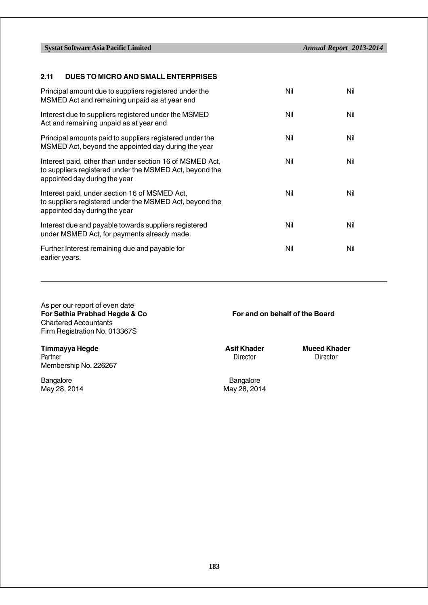### **2.11 DUES TO MICRO AND SMALL ENTERPRISES**

| Principal amount due to suppliers registered under the<br>MSMED Act and remaining unpaid as at year end                                              | Nil | Nil |
|------------------------------------------------------------------------------------------------------------------------------------------------------|-----|-----|
| Interest due to suppliers registered under the MSMED<br>Act and remaining unpaid as at year end                                                      | Nil | Nil |
| Principal amounts paid to suppliers registered under the<br>MSMED Act, beyond the appointed day during the year                                      | Nil | Nil |
| Interest paid, other than under section 16 of MSMED Act,<br>to suppliers registered under the MSMED Act, beyond the<br>appointed day during the year | Nil | Nil |
| Interest paid, under section 16 of MSMED Act,<br>to suppliers registered under the MSMED Act, beyond the<br>appointed day during the year            | Nil | Nil |
| Interest due and payable towards suppliers registered<br>under MSMED Act, for payments already made.                                                 | Nil | Nil |
| Further Interest remaining due and payable for<br>earlier years.                                                                                     | Nil | Nil |

As per our report of even date For Sethia Prabhad Hegde & Co **For and on behalf of the Board** Chartered Accountants Firm Registration No. 013367S

Membership No. 226267

**Timmayya Hegde Asif Khader Asif Khader Asif Khader** Mueed Khader Partner Asid Reported Asif Reported Asif Reported Asif Reported Asif Reported Asif Reported Asif Reported Asif Reported Asif Reported Asif Reported Asif Rep Partner Director Director Director Director Director Director Director Director

Bangalore Bangalore Bangalore<br>
May 28, 2014 May 28, 201 May 28, 2014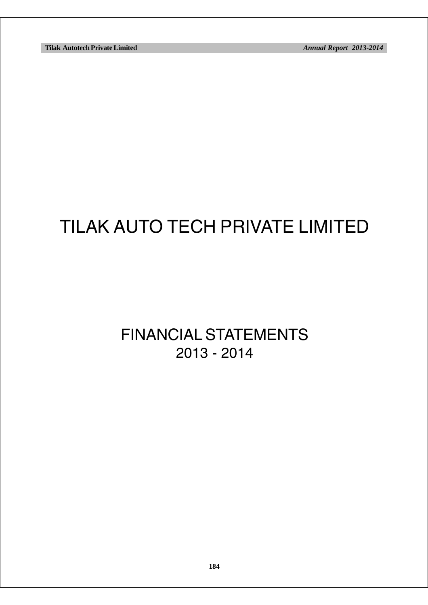*Annual Report 2013-2014*

# TILAK AUTO TECH PRIVATE LIMITED

FINANCIAL STATEMENTS 2013 - 2014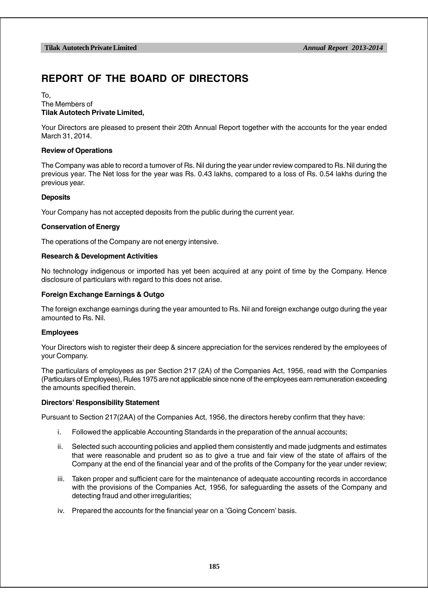## **REPORT OF THE BOARD OF DIRECTORS**

#### To, The Members of **Tilak Autotech Private Limited,**

Your Directors are pleased to present their 20th Annual Report together with the accounts for the year ended March 31, 2014.

#### **Review of Operations**

The Company was able to record a turnover of Rs. Nil during the year under review compared to Rs. Nil during the previous year. The Net loss for the year was Rs. 0.43 lakhs, compared to a loss of Rs. 0.54 lakhs during the previous year.

#### **Deposits**

Your Company has not accepted deposits from the public during the current year.

#### **Conservation of Energy**

The operations of the Company are not energy intensive.

#### **Research & Development Activities**

No technology indigenous or imported has yet been acquired at any point of time by the Company. Hence disclosure of particulars with regard to this does not arise.

#### **Foreign Exchange Earnings & Outgo**

The foreign exchange earnings during the year amounted to Rs. Nil and foreign exchange outgo during the year amounted to Rs. Nil.

#### **Employees**

Your Directors wish to register their deep & sincere appreciation for the services rendered by the employees of your Company.

The particulars of employees as per Section 217 (2A) of the Companies Act, 1956, read with the Companies (Particulars of Employees), Rules 1975 are not applicable since none of the employees earn remuneration exceeding the amounts specified therein.

#### **Directors' Responsibility Statement**

Pursuant to Section 217(2AA) of the Companies Act, 1956, the directors hereby confirm that they have:

- i. Followed the applicable Accounting Standards in the preparation of the annual accounts;
- ii. Selected such accounting policies and applied them consistently and made judgments and estimates that were reasonable and prudent so as to give a true and fair view of the state of affairs of the Company at the end of the financial year and of the profits of the Company for the year under review;
- iii. Taken proper and sufficient care for the maintenance of adequate accounting records in accordance with the provisions of the Companies Act, 1956, for safeguarding the assets of the Company and detecting fraud and other irregularities;
- iv. Prepared the accounts for the financial year on a 'Going Concern' basis.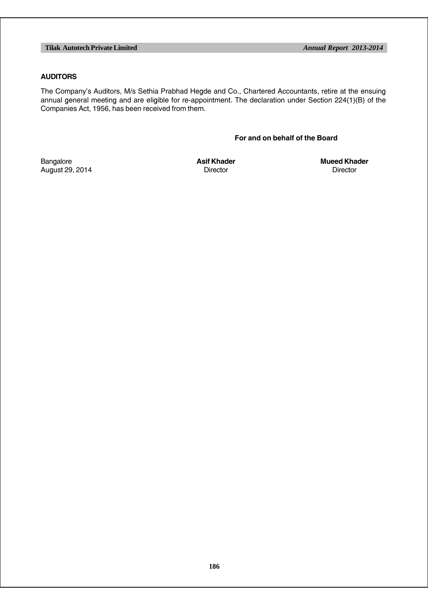*Annual Report 2013-2014*

### **AUDITORS**

The Company's Auditors, M/s Sethia Prabhad Hegde and Co., Chartered Accountants, retire at the ensuing annual general meeting and are eligible for re-appointment. The declaration under Section 224(1)(B) of the Companies Act, 1956, has been received from them.

#### **For and on behalf of the Board**

Bangalore **Asif Khader August 29, 2014 Asif Khader Asif Khader August 29, 2014 August 29, 2014 August 29, 2014** August 29, 2014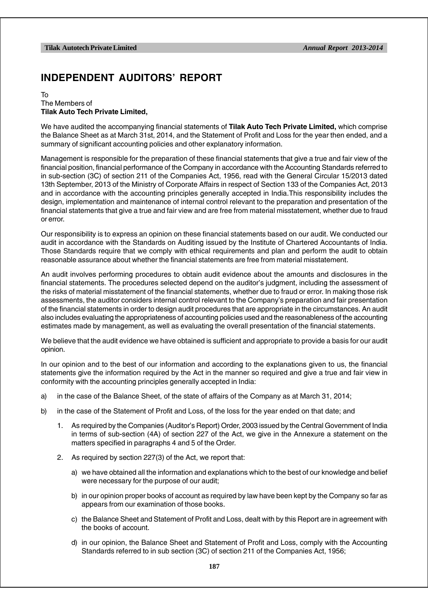## **INDEPENDENT AUDITORS' REPORT**

#### To The Members of **Tilak Auto Tech Private Limited,**

We have audited the accompanying financial statements of **Tilak Auto Tech Private Limited,** which comprise the Balance Sheet as at March 31st, 2014, and the Statement of Profit and Loss for the year then ended, and a summary of significant accounting policies and other explanatory information.

Management is responsible for the preparation of these financial statements that give a true and fair view of the financial position, financial performance of the Company in accordance with the Accounting Standards referred to in sub-section (3C) of section 211 of the Companies Act, 1956, read with the General Circular 15/2013 dated 13th September, 2013 of the Ministry of Corporate Affairs in respect of Section 133 of the Companies Act, 2013 and in accordance with the accounting principles generally accepted in India.This responsibility includes the design, implementation and maintenance of internal control relevant to the preparation and presentation of the financial statements that give a true and fair view and are free from material misstatement, whether due to fraud or error.

Our responsibility is to express an opinion on these financial statements based on our audit. We conducted our audit in accordance with the Standards on Auditing issued by the Institute of Chartered Accountants of India. Those Standards require that we comply with ethical requirements and plan and perform the audit to obtain reasonable assurance about whether the financial statements are free from material misstatement.

An audit involves performing procedures to obtain audit evidence about the amounts and disclosures in the financial statements. The procedures selected depend on the auditor's judgment, including the assessment of the risks of material misstatement of the financial statements, whether due to fraud or error. In making those risk assessments, the auditor considers internal control relevant to the Company's preparation and fair presentation of the financial statements in order to design audit procedures that are appropriate in the circumstances. An audit also includes evaluating the appropriateness of accounting policies used and the reasonableness of the accounting estimates made by management, as well as evaluating the overall presentation of the financial statements.

We believe that the audit evidence we have obtained is sufficient and appropriate to provide a basis for our audit opinion.

In our opinion and to the best of our information and according to the explanations given to us, the financial statements give the information required by the Act in the manner so required and give a true and fair view in conformity with the accounting principles generally accepted in India:

- a) in the case of the Balance Sheet, of the state of affairs of the Company as at March 31, 2014;
- b) in the case of the Statement of Profit and Loss, of the loss for the year ended on that date; and
	- 1. As required by the Companies (Auditor's Report) Order, 2003 issued by the Central Government of India in terms of sub-section (4A) of section 227 of the Act, we give in the Annexure a statement on the matters specified in paragraphs 4 and 5 of the Order.
	- 2. As required by section 227(3) of the Act, we report that:
		- a) we have obtained all the information and explanations which to the best of our knowledge and belief were necessary for the purpose of our audit;
		- b) in our opinion proper books of account as required by law have been kept by the Company so far as appears from our examination of those books.
		- c) the Balance Sheet and Statement of Profit and Loss, dealt with by this Report are in agreement with the books of account.
		- d) in our opinion, the Balance Sheet and Statement of Profit and Loss, comply with the Accounting Standards referred to in sub section (3C) of section 211 of the Companies Act, 1956;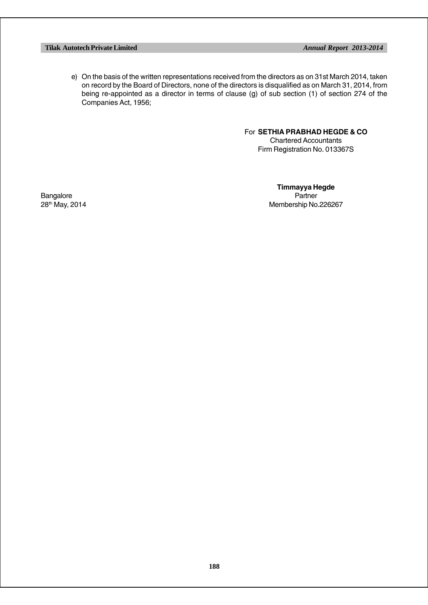e) On the basis of the written representations received from the directors as on 31st March 2014, taken on record by the Board of Directors, none of the directors is disqualified as on March 31, 2014, from being re-appointed as a director in terms of clause (g) of sub section (1) of section 274 of the Companies Act, 1956;

### For **SETHIA PRABHAD HEGDE & CO**

Chartered Accountants Firm Registration No. 013367S

**Timmayya Hegde**<br>Partner Bangalore **Partner** Partner Partner Partner Partner Partner Partner Partner Partner Partner Partner Partner Partner 28<sup>th</sup> May, 2014 Membership No.226267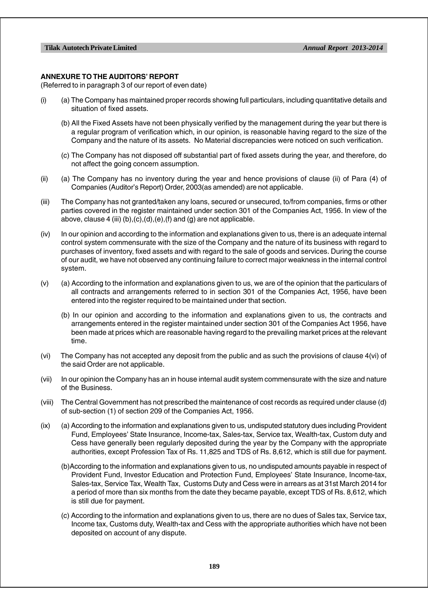#### **ANNEXURE TO THE AUDITORS' REPORT**

(Referred to in paragraph 3 of our report of even date)

- (i) (a) The Company has maintained proper records showing full particulars, including quantitative details and situation of fixed assets.
	- (b) All the Fixed Assets have not been physically verified by the management during the year but there is a regular program of verification which, in our opinion, is reasonable having regard to the size of the Company and the nature of its assets. No Material discrepancies were noticed on such verification.
	- (c) The Company has not disposed off substantial part of fixed assets during the year, and therefore, do not affect the going concern assumption.
- (ii) (a) The Company has no inventory during the year and hence provisions of clause (ii) of Para (4) of Companies (Auditor's Report) Order, 2003(as amended) are not applicable.
- (iii) The Company has not granted/taken any loans, secured or unsecured, to/from companies, firms or other parties covered in the register maintained under section 301 of the Companies Act, 1956. In view of the above, clause 4 (iii)  $(b)$ , $(c)$ , $(d)$ , $(e)$ , $(f)$  and  $(g)$  are not applicable.
- (iv) In our opinion and according to the information and explanations given to us, there is an adequate internal control system commensurate with the size of the Company and the nature of its business with regard to purchases of inventory, fixed assets and with regard to the sale of goods and services. During the course of our audit, we have not observed any continuing failure to correct major weakness in the internal control system.
- (v) (a) According to the information and explanations given to us, we are of the opinion that the particulars of all contracts and arrangements referred to in section 301 of the Companies Act, 1956, have been entered into the register required to be maintained under that section.
	- (b) In our opinion and according to the information and explanations given to us, the contracts and arrangements entered in the register maintained under section 301 of the Companies Act 1956, have been made at prices which are reasonable having regard to the prevailing market prices at the relevant time.
- (vi) The Company has not accepted any deposit from the public and as such the provisions of clause 4(vi) of the said Order are not applicable.
- (vii) In our opinion the Company has an in house internal audit system commensurate with the size and nature of the Business.
- (viii) The Central Government has not prescribed the maintenance of cost records as required under clause (d) of sub-section (1) of section 209 of the Companies Act, 1956.
- (ix) (a) According to the information and explanations given to us, undisputed statutory dues including Provident Fund, Employees' State Insurance, Income-tax, Sales-tax, Service tax, Wealth-tax, Custom duty and Cess have generally been regularly deposited during the year by the Company with the appropriate authorities, except Profession Tax of Rs. 11,825 and TDS of Rs. 8,612, which is still due for payment.
	- (b)According to the information and explanations given to us, no undisputed amounts payable in respect of Provident Fund, Investor Education and Protection Fund, Employees' State Insurance, Income-tax, Sales-tax, Service Tax, Wealth Tax, Customs Duty and Cess were in arrears as at 31st March 2014 for a period of more than six months from the date they became payable, except TDS of Rs. 8,612, which is still due for payment.
	- (c) According to the information and explanations given to us, there are no dues of Sales tax, Service tax, Income tax, Customs duty, Wealth-tax and Cess with the appropriate authorities which have not been deposited on account of any dispute.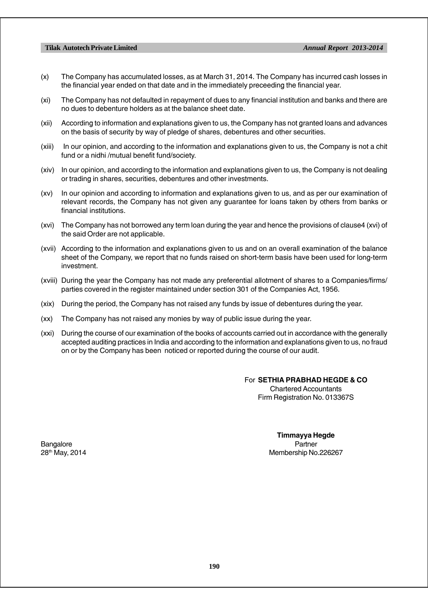- (x) The Company has accumulated losses, as at March 31, 2014. The Company has incurred cash losses in the financial year ended on that date and in the immediately preceeding the financial year.
- (xi) The Company has not defaulted in repayment of dues to any financial institution and banks and there are no dues to debenture holders as at the balance sheet date.
- (xii) According to information and explanations given to us, the Company has not granted loans and advances on the basis of security by way of pledge of shares, debentures and other securities.
- (xiii) In our opinion, and according to the information and explanations given to us, the Company is not a chit fund or a nidhi /mutual benefit fund/society.
- (xiv) In our opinion, and according to the information and explanations given to us, the Company is not dealing or trading in shares, securities, debentures and other investments.
- (xv) In our opinion and according to information and explanations given to us, and as per our examination of relevant records, the Company has not given any guarantee for loans taken by others from banks or financial institutions.
- (xvi) The Company has not borrowed any term loan during the year and hence the provisions of clause4 (xvi) of the said Order are not applicable.
- (xvii) According to the information and explanations given to us and on an overall examination of the balance sheet of the Company, we report that no funds raised on short-term basis have been used for long-term investment.
- (xviii) During the year the Company has not made any preferential allotment of shares to a Companies/firms/ parties covered in the register maintained under section 301 of the Companies Act, 1956.
- (xix) During the period, the Company has not raised any funds by issue of debentures during the year.
- (xx) The Company has not raised any monies by way of public issue during the year.
- (xxi) During the course of our examination of the books of accounts carried out in accordance with the generally accepted auditing practices in India and according to the information and explanations given to us, no fraud on or by the Company has been noticed or reported during the course of our audit.

For **SETHIA PRABHAD HEGDE & CO** Chartered Accountants Firm Registration No. 013367S

**Timmayya Hegde**<br>Partner Bangalore **Partner** Partner Partner Partner Partner Partner Partner Partner Partner 28th May, 2014 Membership No.226267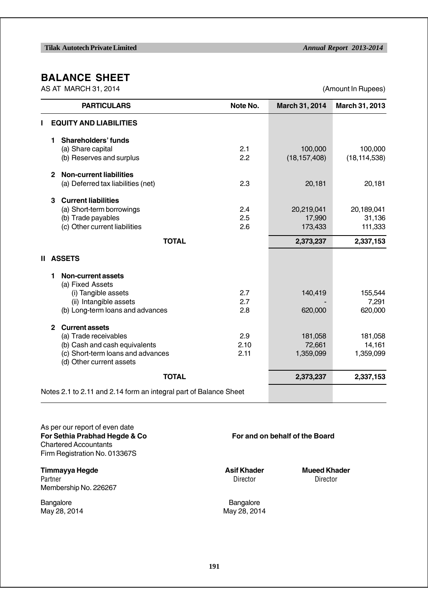*Annual Report 2013-2014*

## **BALANCE SHEET**

AS AT MARCH 31, 2014 **(Amount In Rupees)** 

|              | <b>PARTICULARS</b>                                                | Note No. | March 31, 2014 | March 31, 2013 |
|--------------|-------------------------------------------------------------------|----------|----------------|----------------|
|              | <b>EQUITY AND LIABILITIES</b>                                     |          |                |                |
| 1            | <b>Shareholders' funds</b>                                        |          |                |                |
|              | (a) Share capital                                                 | 2.1      | 100,000        | 100,000        |
|              | (b) Reserves and surplus                                          | 2.2      | (18, 157, 408) | (18, 114, 538) |
| $\mathbf{2}$ | <b>Non-current liabilities</b>                                    |          |                |                |
|              | (a) Deferred tax liabilities (net)                                | 2.3      | 20,181         | 20,181         |
| 3            | <b>Current liabilities</b>                                        |          |                |                |
|              | (a) Short-term borrowings                                         | 2.4      | 20,219,041     | 20,189,041     |
|              | (b) Trade payables                                                | 2.5      | 17,990         | 31,136         |
|              | (c) Other current liabilities                                     | 2.6      | 173,433        | 111,333        |
|              | <b>TOTAL</b>                                                      |          | 2,373,237      | 2,337,153      |
|              | <b>II ASSETS</b>                                                  |          |                |                |
| 1            | Non-current assets                                                |          |                |                |
|              | (a) Fixed Assets                                                  |          |                |                |
|              | (i) Tangible assets                                               | 2.7      | 140,419        | 155,544        |
|              | (ii) Intangible assets                                            | 2.7      |                | 7,291          |
|              | (b) Long-term loans and advances                                  | 2.8      | 620,000        | 620,000        |
| $\mathbf{2}$ | <b>Current assets</b>                                             |          |                |                |
|              | (a) Trade receivables                                             | 2.9      | 181,058        | 181,058        |
|              | (b) Cash and cash equivalents                                     | 2.10     | 72,661         | 14,161         |
|              | (c) Short-term loans and advances<br>(d) Other current assets     | 2.11     | 1,359,099      | 1,359,099      |
|              | <b>TOTAL</b>                                                      |          | 2,373,237      | 2,337,153      |
|              | Notes 2.1 to 2.11 and 2.14 form an integral part of Balance Sheet |          |                |                |

#### As per our report of even date For Sethia Prabhad Hegde & Co **For and on behalf of the Board** Chartered Accountants Firm Registration No. 013367S

**Timmayya Hegde Asif Khader Asif Khader Mueed Khader Partner Asif Khader** Partner Asid Reported Asid Director Director Director Director Partner Director Director Director Director Director Director Director Director Membership No. 226267

Bangalore Bangalore Bangalore Bangalore Bangalore Bangalore Bangalore Bangalore Bangalore Bangalore Bangalore B

May 28, 2014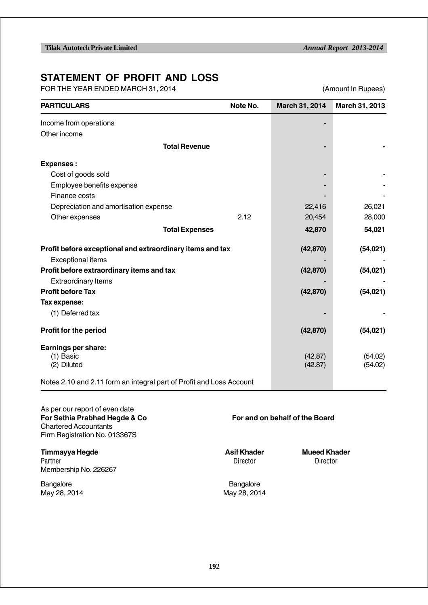*Annual Report 2013-2014*

## **STATEMENT OF PROFIT AND LOSS**

FOR THE YEAR ENDED MARCH 31, 2014 (Amount In Rupees)

| <b>PARTICULARS</b>                                                   | Note No. | March 31, 2014     | March 31, 2013     |
|----------------------------------------------------------------------|----------|--------------------|--------------------|
| Income from operations                                               |          |                    |                    |
| Other income                                                         |          |                    |                    |
| <b>Total Revenue</b>                                                 |          |                    |                    |
| <b>Expenses:</b>                                                     |          |                    |                    |
| Cost of goods sold                                                   |          |                    |                    |
| Employee benefits expense                                            |          |                    |                    |
| Finance costs                                                        |          |                    |                    |
| Depreciation and amortisation expense                                |          | 22,416             | 26,021             |
| Other expenses                                                       | 2.12     | 20,454             | 28,000             |
| <b>Total Expenses</b>                                                |          | 42,870             | 54,021             |
| Profit before exceptional and extraordinary items and tax            |          | (42, 870)          | (54, 021)          |
| <b>Exceptional items</b>                                             |          |                    |                    |
| Profit before extraordinary items and tax                            |          | (42, 870)          | (54,021)           |
| <b>Extraordinary Items</b>                                           |          |                    |                    |
| <b>Profit before Tax</b>                                             |          | (42, 870)          | (54,021)           |
| Tax expense:                                                         |          |                    |                    |
| (1) Deferred tax                                                     |          |                    |                    |
| Profit for the period                                                |          | (42, 870)          | (54,021)           |
| Earnings per share:<br>(1) Basic<br>(2) Diluted                      |          | (42.87)<br>(42.87) | (54.02)<br>(54.02) |
| Notes 2.10 and 2.11 form an integral part of Profit and Loss Account |          |                    |                    |

As per our report of even date For Sethia Prabhad Hegde & Co **For and on behalf of the Board** Chartered Accountants Firm Registration No. 013367S **Timmayya Hegde Asif Khader Asif Khader Mueed Khader** Partner Asid Partner Asid Register Asia Director Asid Director Partner Director Director Director Director Director Director Director Director Membership No. 226267 Bangalore Bangalore Bangalore Bangalore Bangalore Bangalore Bangalore Bangalore Bangalore Bangalore Bangalore Bangalore Bangalore Bangalore Bangalore Bangalore Bangalore Bangalore Bangalore Bangalore Bangalore Bangalore Ba May 28, 2014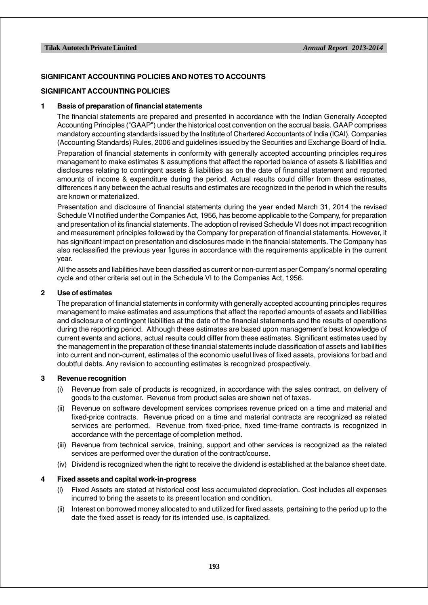#### **SIGNIFICANT ACCOUNTING POLICIES AND NOTES TO ACCOUNTS**

#### **SIGNIFICANT ACCOUNTING POLICIES**

#### **1 Basis of preparation of financial statements**

The financial statements are prepared and presented in accordance with the Indian Generally Accepted Accounting Principles ("GAAP") under the historical cost convention on the accrual basis. GAAP comprises mandatory accounting standards issued by the Institute of Chartered Accountants of India (ICAI), Companies (Accounting Standards) Rules, 2006 and guidelines issued by the Securities and Exchange Board of India.

Preparation of financial statements in conformity with generally accepted accounting principles requires management to make estimates & assumptions that affect the reported balance of assets & liabilities and disclosures relating to contingent assets & liabilities as on the date of financial statement and reported amounts of income & expenditure during the period. Actual results could differ from these estimates, differences if any between the actual results and estimates are recognized in the period in which the results are known or materialized.

Presentation and disclosure of financial statements during the year ended March 31, 2014 the revised Schedule VI notified under the Companies Act, 1956, has become applicable to the Company, for preparation and presentation of its financial statements. The adoption of revised Schedule VI does not impact recognition and measurement principles followed by the Company for preparation of financial statements. However, it has significant impact on presentation and disclosures made in the financial statements. The Company has also reclassified the previous year figures in accordance with the requirements applicable in the current year.

All the assets and liabilities have been classified as current or non-current as per Company's normal operating cycle and other criteria set out in the Schedule VI to the Companies Act, 1956.

#### **2 Use of estimates**

The preparation of financial statements in conformity with generally accepted accounting principles requires management to make estimates and assumptions that affect the reported amounts of assets and liabilities and disclosure of contingent liabilities at the date of the financial statements and the results of operations during the reporting period. Although these estimates are based upon management's best knowledge of current events and actions, actual results could differ from these estimates. Significant estimates used by the management in the preparation of these financial statements include classification of assets and liabilities into current and non-current, estimates of the economic useful lives of fixed assets, provisions for bad and doubtful debts. Any revision to accounting estimates is recognized prospectively.

#### **3 Revenue recognition**

- Revenue from sale of products is recognized, in accordance with the sales contract, on delivery of goods to the customer. Revenue from product sales are shown net of taxes.
- (ii) Revenue on software development services comprises revenue priced on a time and material and fixed-price contracts. Revenue priced on a time and material contracts are recognized as related services are performed. Revenue from fixed-price, fixed time-frame contracts is recognized in accordance with the percentage of completion method.
- (iii) Revenue from technical service, training, support and other services is recognized as the related services are performed over the duration of the contract/course.
- (iv) Dividend is recognized when the right to receive the dividend is established at the balance sheet date.

#### **4 Fixed assets and capital work-in-progress**

- Fixed Assets are stated at historical cost less accumulated depreciation. Cost includes all expenses incurred to bring the assets to its present location and condition.
- (ii) Interest on borrowed money allocated to and utilized for fixed assets, pertaining to the period up to the date the fixed asset is ready for its intended use, is capitalized.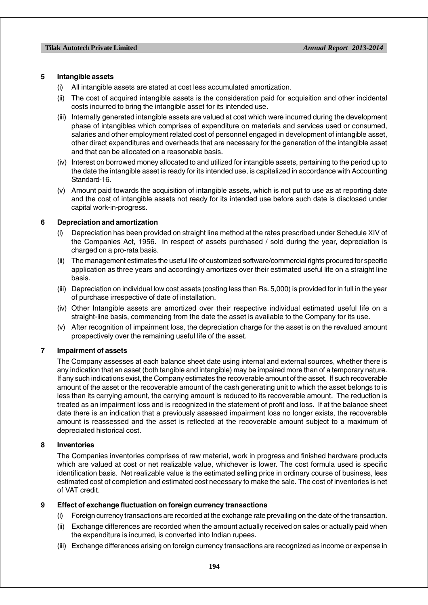#### **5 Intangible assets**

- (i) All intangible assets are stated at cost less accumulated amortization.
- (ii) The cost of acquired intangible assets is the consideration paid for acquisition and other incidental costs incurred to bring the intangible asset for its intended use.
- (iii) Internally generated intangible assets are valued at cost which were incurred during the development phase of intangibles which comprises of expenditure on materials and services used or consumed, salaries and other employment related cost of personnel engaged in development of intangible asset, other direct expenditures and overheads that are necessary for the generation of the intangible asset and that can be allocated on a reasonable basis.
- (iv) Interest on borrowed money allocated to and utilized for intangible assets, pertaining to the period up to the date the intangible asset is ready for its intended use, is capitalized in accordance with Accounting Standard-16.
- (v) Amount paid towards the acquisition of intangible assets, which is not put to use as at reporting date and the cost of intangible assets not ready for its intended use before such date is disclosed under capital work-in-progress.

#### **6 Depreciation and amortization**

- Depreciation has been provided on straight line method at the rates prescribed under Schedule XIV of the Companies Act, 1956. In respect of assets purchased / sold during the year, depreciation is charged on a pro-rata basis.
- (ii) The management estimates the useful life of customized software/commercial rights procured for specific application as three years and accordingly amortizes over their estimated useful life on a straight line basis.
- (iii) Depreciation on individual low cost assets (costing less than Rs. 5,000) is provided for in full in the year of purchase irrespective of date of installation.
- (iv) Other Intangible assets are amortized over their respective individual estimated useful life on a straight-line basis, commencing from the date the asset is available to the Company for its use.
- (v) After recognition of impairment loss, the depreciation charge for the asset is on the revalued amount prospectively over the remaining useful life of the asset.

#### **7 Impairment of assets**

The Company assesses at each balance sheet date using internal and external sources, whether there is any indication that an asset (both tangible and intangible) may be impaired more than of a temporary nature. If any such indications exist, the Company estimates the recoverable amount of the asset. If such recoverable amount of the asset or the recoverable amount of the cash generating unit to which the asset belongs to is less than its carrying amount, the carrying amount is reduced to its recoverable amount. The reduction is treated as an impairment loss and is recognized in the statement of profit and loss. If at the balance sheet date there is an indication that a previously assessed impairment loss no longer exists, the recoverable amount is reassessed and the asset is reflected at the recoverable amount subject to a maximum of depreciated historical cost.

#### **8 Inventories**

The Companies inventories comprises of raw material, work in progress and finished hardware products which are valued at cost or net realizable value, whichever is lower. The cost formula used is specific identification basis. Net realizable value is the estimated selling price in ordinary course of business, less estimated cost of completion and estimated cost necessary to make the sale. The cost of inventories is net of VAT credit.

#### **9 Effect of exchange fluctuation on foreign currency transactions**

- (i) Foreign currency transactions are recorded at the exchange rate prevailing on the date of the transaction.
- (ii) Exchange differences are recorded when the amount actually received on sales or actually paid when the expenditure is incurred, is converted into Indian rupees.
- (iii) Exchange differences arising on foreign currency transactions are recognized as income or expense in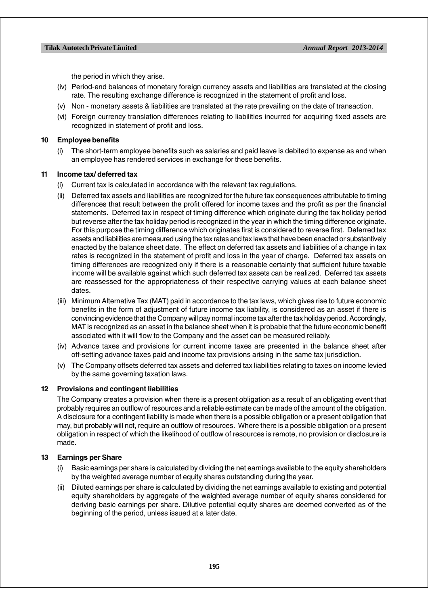the period in which they arise.

- (iv) Period-end balances of monetary foreign currency assets and liabilities are translated at the closing rate. The resulting exchange difference is recognized in the statement of profit and loss.
- (v) Non monetary assets & liabilities are translated at the rate prevailing on the date of transaction.
- (vi) Foreign currency translation differences relating to liabilities incurred for acquiring fixed assets are recognized in statement of profit and loss.

#### **10 Employee benefits**

(i) The short-term employee benefits such as salaries and paid leave is debited to expense as and when an employee has rendered services in exchange for these benefits.

#### **11 Income tax/ deferred tax**

- (i) Current tax is calculated in accordance with the relevant tax regulations.
- (ii) Deferred tax assets and liabilities are recognized for the future tax consequences attributable to timing differences that result between the profit offered for income taxes and the profit as per the financial statements. Deferred tax in respect of timing difference which originate during the tax holiday period but reverse after the tax holiday period is recognized in the year in which the timing difference originate. For this purpose the timing difference which originates first is considered to reverse first. Deferred tax assets and liabilities are measured using the tax rates and tax laws that have been enacted or substantively enacted by the balance sheet date. The effect on deferred tax assets and liabilities of a change in tax rates is recognized in the statement of profit and loss in the year of charge. Deferred tax assets on timing differences are recognized only if there is a reasonable certainty that sufficient future taxable income will be available against which such deferred tax assets can be realized. Deferred tax assets are reassessed for the appropriateness of their respective carrying values at each balance sheet dates.
- (iii) Minimum Alternative Tax (MAT) paid in accordance to the tax laws, which gives rise to future economic benefits in the form of adjustment of future income tax liability, is considered as an asset if there is convincing evidence that the Company will pay normal income tax after the tax holiday period. Accordingly, MAT is recognized as an asset in the balance sheet when it is probable that the future economic benefit associated with it will flow to the Company and the asset can be measured reliably.
- (iv) Advance taxes and provisions for current income taxes are presented in the balance sheet after off-setting advance taxes paid and income tax provisions arising in the same tax jurisdiction.
- (v) The Company offsets deferred tax assets and deferred tax liabilities relating to taxes on income levied by the same governing taxation laws.

#### **12 Provisions and contingent liabilities**

The Company creates a provision when there is a present obligation as a result of an obligating event that probably requires an outflow of resources and a reliable estimate can be made of the amount of the obligation. A disclosure for a contingent liability is made when there is a possible obligation or a present obligation that may, but probably will not, require an outflow of resources. Where there is a possible obligation or a present obligation in respect of which the likelihood of outflow of resources is remote, no provision or disclosure is made.

#### **13 Earnings per Share**

- (i) Basic earnings per share is calculated by dividing the net earnings available to the equity shareholders by the weighted average number of equity shares outstanding during the year.
- (ii) Diluted earnings per share is calculated by dividing the net earnings available to existing and potential equity shareholders by aggregate of the weighted average number of equity shares considered for deriving basic earnings per share. Dilutive potential equity shares are deemed converted as of the beginning of the period, unless issued at a later date.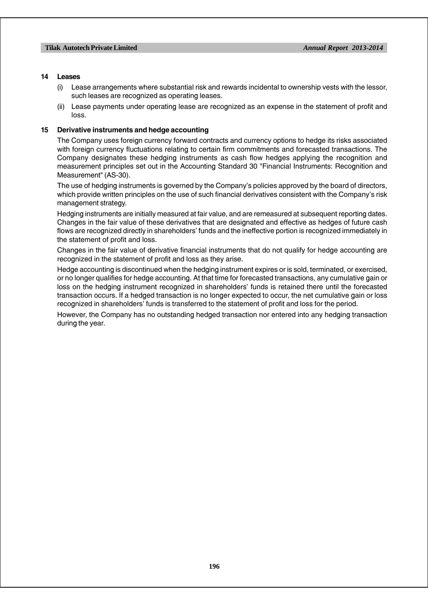#### **14 Leases**

- (i) Lease arrangements where substantial risk and rewards incidental to ownership vests with the lessor, such leases are recognized as operating leases.
- (ii) Lease payments under operating lease are recognized as an expense in the statement of profit and loss.

#### **15 Derivative instruments and hedge accounting**

The Company uses foreign currency forward contracts and currency options to hedge its risks associated with foreign currency fluctuations relating to certain firm commitments and forecasted transactions. The Company designates these hedging instruments as cash flow hedges applying the recognition and measurement principles set out in the Accounting Standard 30 "Financial Instruments: Recognition and Measurement" (AS-30).

The use of hedging instruments is governed by the Company's policies approved by the board of directors, which provide written principles on the use of such financial derivatives consistent with the Company's risk management strategy.

Hedging instruments are initially measured at fair value, and are remeasured at subsequent reporting dates. Changes in the fair value of these derivatives that are designated and effective as hedges of future cash flows are recognized directly in shareholders' funds and the ineffective portion is recognized immediately in the statement of profit and loss.

Changes in the fair value of derivative financial instruments that do not qualify for hedge accounting are recognized in the statement of profit and loss as they arise.

Hedge accounting is discontinued when the hedging instrument expires or is sold, terminated, or exercised, or no longer qualifies for hedge accounting. At that time for forecasted transactions, any cumulative gain or loss on the hedging instrument recognized in shareholders' funds is retained there until the forecasted transaction occurs. If a hedged transaction is no longer expected to occur, the net cumulative gain or loss recognized in shareholders' funds is transferred to the statement of profit and loss for the period.

However, the Company has no outstanding hedged transaction nor entered into any hedging transaction during the year.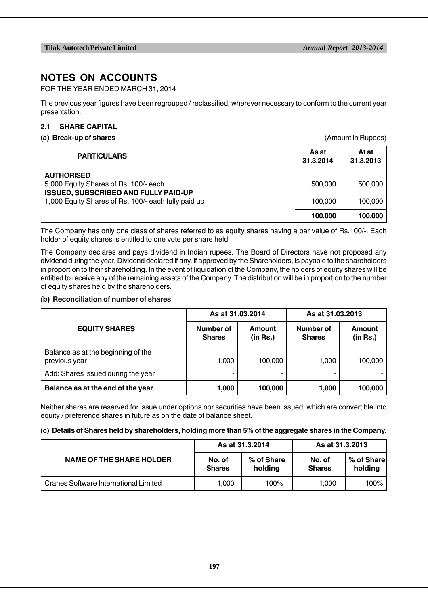## **NOTES ON ACCOUNTS**

FOR THE YEAR ENDED MARCH 31, 2014

The previous year figures have been regrouped / reclassified, wherever necessary to conform to the current year presentation.

#### **2.1 SHARE CAPITAL**

#### **(a) Break-up of shares** (Amount in Rupees)

**PARTICULARS As at At at 31.3.2014 31.3.2013 AUTHORISED** 5,000 Equity Shares of Rs. 100/- each 500,000 500,000 500,000 500,000 500,000 500,000 500,000 500,000 500,000 **ISSUED, SUBSCRIBED AND FULLY PAID-UP** 1,000 Equity Shares of Rs. 100/- each fully paid up 100,000 100,000 100,000 100,000 **100,000 100,000**

The Company has only one class of shares referred to as equity shares having a par value of Rs.100/-. Each holder of equity shares is entitled to one vote per share held.

The Company declares and pays dividend in Indian rupees. The Board of Directors have not proposed any dividend during the year. Dividend declared if any, if approved by the Shareholders, is payable to the shareholders in proportion to their shareholding. In the event of liquidation of the Company, the holders of equity shares will be entitled to receive any of the remaining assets of the Company. The distribution will be in proportion to the number of equity shares held by the shareholders.

#### **(b) Reconciliation of number of shares**

|                                                     | As at 31.03.2014           |                    | As at 31.03.2013           |                    |
|-----------------------------------------------------|----------------------------|--------------------|----------------------------|--------------------|
| <b>EQUITY SHARES</b>                                | Number of<br><b>Shares</b> | Amount<br>(in Rs.) | Number of<br><b>Shares</b> | Amount<br>(in Rs.) |
| Balance as at the beginning of the<br>previous year | 1.000                      | 100,000            | 1.000                      | 100,000            |
| Add: Shares issued during the year                  |                            |                    |                            |                    |
| Balance as at the end of the year                   | 1,000                      | 100,000            | 1,000                      | 100,000            |

Neither shares are reserved for issue under options nor securities have been issued, which are convertible into equity / preference shares in future as on the date of balance sheet.

#### **(c) Details of Shares held by shareholders, holding more than 5% of the aggregate shares in the Company.**

|                                       | As at 31.3.2014         |                       | As at 31.3.2013         |                       |
|---------------------------------------|-------------------------|-----------------------|-------------------------|-----------------------|
| <b>NAME OF THE SHARE HOLDER</b>       | No. of<br><b>Shares</b> | % of Share<br>holding | No. of<br><b>Shares</b> | % of Share<br>holding |
| Cranes Software International Limited | 1,000                   | 100%                  | 1.000                   | 100%                  |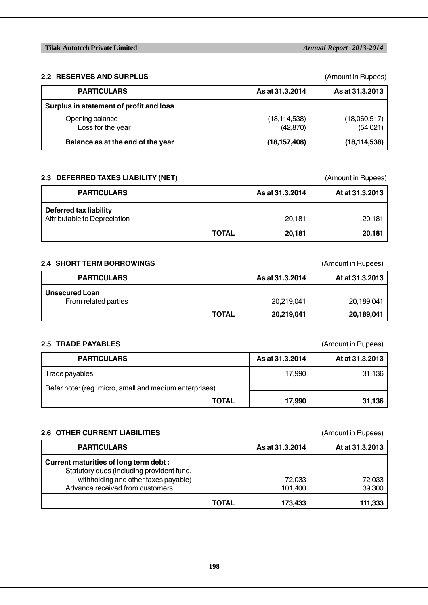### **198**

#### **Tilak Autotech Private Limited**

### **2.2 RESERVES AND SURPLUS** (Amount in Rupees)

| <b>PARTICULARS</b>                      | As at 31.3.2014             | As at 31.3.2013          |
|-----------------------------------------|-----------------------------|--------------------------|
| Surplus in statement of profit and loss |                             |                          |
| Opening balance<br>Loss for the year    | (18, 114, 538)<br>(42, 870) | (18,060,517)<br>(54,021) |
| Balance as at the end of the year       | (18, 157, 408)              | (18, 114, 538)           |

#### **2.3 DEFERRED TAXES LIABILITY (NET)** (Amount in Rupees)

| <b>PARTICULARS</b>                                            |              | As at 31.3.2014 | At at 31.3.2013 |
|---------------------------------------------------------------|--------------|-----------------|-----------------|
| <b>Deferred tax liability</b><br>Attributable to Depreciation |              | 20.181          | 20,181          |
|                                                               | <b>TOTAL</b> | 20,181          | 20,181          |

#### **2.4 SHORT TERM BORROWINGS** (Amount in Rupees)

| <b>PARTICULARS</b>                            |              | As at 31.3.2014 | At at 31.3.2013 |
|-----------------------------------------------|--------------|-----------------|-----------------|
| <b>Unsecured Loan</b><br>From related parties |              | 20.219.041      | 20,189,041      |
|                                               | <b>TOTAL</b> | 20,219,041      | 20,189,041      |

### **2.5 TRADE PAYABLES** (Amount in Rupees)

| <b>PARTICULARS</b>                                     | As at 31.3.2014 | At at 31.3.2013 |
|--------------------------------------------------------|-----------------|-----------------|
| Trade payables                                         | 17,990          | 31,136          |
| Refer note: (reg. micro, small and medium enterprises) |                 |                 |
| <b>TOTAL</b>                                           | 17,990          | 31,136          |

#### **2.6 OTHER CURRENT LIABILITIES** (Amount in Rupees)

| <b>PARTICULARS</b>                                                                                                                                             | As at 31.3.2014   | At at 31.3.2013  |
|----------------------------------------------------------------------------------------------------------------------------------------------------------------|-------------------|------------------|
| Current maturities of long term debt :<br>Statutory dues (including provident fund,<br>withholding and other taxes payable)<br>Advance received from customers | 72,033<br>101,400 | 72,033<br>39,300 |
| <b>TOTAL</b>                                                                                                                                                   | 173.433           | 111,333          |

*Annual Report 2013-2014*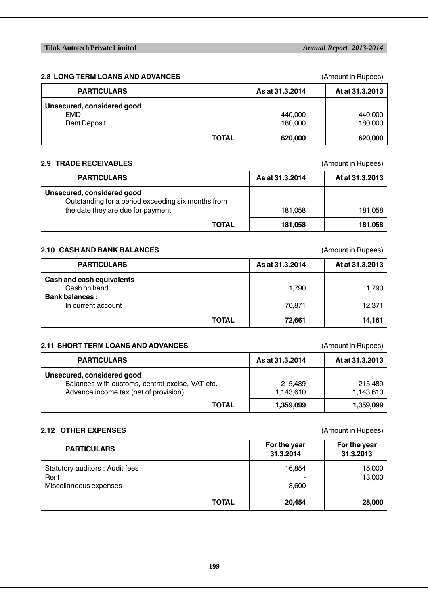## *Annual Report 2013-2014*

#### **Tilak Autotech Private Limited**

### **2.8 LONG TERM LOANS AND ADVANCES** (Amount in Rupees)

| <b>PARTICULARS</b>                                              |              | As at 31.3.2014    | At at 31.3.2013    |
|-----------------------------------------------------------------|--------------|--------------------|--------------------|
| Unsecured, considered good<br><b>EMD</b><br><b>Rent Deposit</b> |              | 440.000<br>180,000 | 440,000<br>180,000 |
|                                                                 | <b>TOTAL</b> | 620,000            | 620,000            |

#### **2.9 TRADE RECEIVABLES** (Amount in Rupees)

| <b>PARTICULARS</b>                                                                                                    | As at 31.3.2014 | At at 31.3.2013 |
|-----------------------------------------------------------------------------------------------------------------------|-----------------|-----------------|
| Unsecured, considered good<br>Outstanding for a period exceeding six months from<br>the date they are due for payment | 181,058         | 181,058         |
| <b>TOTAL</b>                                                                                                          | 181,058         | 181,058         |

#### **2.10 CASH AND BANK BALANCES** (Amount in Rupees)

**PARTICULARS 2014** As at 31.3.2014 At at 31.3.2013 **Cash and cash equivalents** Cash on hand 1,790 1,790 **Bank balances :** In current account 12,371 12,371 **TOTAL 72,661 14,161**

#### **2.11 SHORT TERM LOANS AND ADVANCES** (Amount in Rupees)

| <b>PARTICULARS</b>                              | As at 31.3.2014 | At at 31.3.2013 |
|-------------------------------------------------|-----------------|-----------------|
| Unsecured, considered good                      |                 |                 |
| Balances with customs, central excise, VAT etc. | 215,489         | 215.489         |
| Advance income tax (net of provision)           | 1,143,610       | 1,143,610       |
| <b>TOTAL</b>                                    | 1,359,099       | 1,359,099       |

#### **2.12 OTHER EXPENSES** (Amount in Rupees)

| <b>PARTICULARS</b>                                               |              | For the year<br>31.3.2014 | For the year<br>31.3.2013 |
|------------------------------------------------------------------|--------------|---------------------------|---------------------------|
| Statutory auditors: Audit fees<br>Rent<br>Miscellaneous expenses |              | 16.854<br>3,600           | 15,000<br>13,000          |
|                                                                  | <b>TOTAL</b> | 20,454                    | 28,000                    |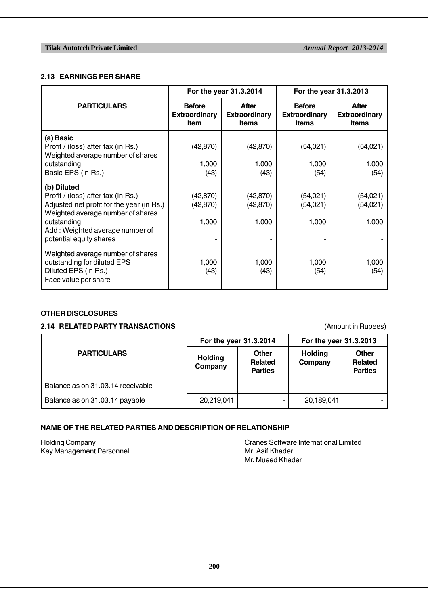*Annual Report 2013-2014*

#### **2.13 EARNINGS PER SHARE**

|                                                                                                                                     |                                                      | For the year 31.3.2014                        | For the year 31.3.2013                                |                                                      |
|-------------------------------------------------------------------------------------------------------------------------------------|------------------------------------------------------|-----------------------------------------------|-------------------------------------------------------|------------------------------------------------------|
| <b>PARTICULARS</b>                                                                                                                  | <b>Before</b><br><b>Extraordinary</b><br><b>Item</b> | After<br><b>Extraordinary</b><br><b>Items</b> | <b>Before</b><br><b>Extraordinary</b><br><b>Items</b> | <b>After</b><br><b>Extraordinary</b><br><b>Items</b> |
| (a) Basic<br>Profit / (loss) after tax (in Rs.)<br>Weighted average number of shares                                                | (42, 870)                                            | (42, 870)                                     | (54,021)                                              | (54,021)                                             |
| outstanding<br>Basic EPS (in Rs.)                                                                                                   | 1,000<br>(43)                                        | 1,000<br>(43)                                 | 1,000<br>(54)                                         | 1,000<br>(54)                                        |
| (b) Diluted<br>Profit / (loss) after tax (in Rs.)<br>Adjusted net profit for the year (in Rs.)<br>Weighted average number of shares | (42, 870)<br>(42, 870)                               | (42, 870)<br>(42, 870)                        | (54,021)<br>(54,021)                                  | (54,021)<br>(54,021)                                 |
| outstanding<br>Add: Weighted average number of<br>potential equity shares                                                           | 1,000                                                | 1,000                                         | 1,000                                                 | 1,000                                                |
| Weighted average number of shares<br>outstanding for diluted EPS<br>Diluted EPS (in Rs.)<br>Face value per share                    | 1,000<br>(43)                                        | 1,000<br>(43)                                 | 1,000<br>(54)                                         | 1,000<br>(54)                                        |

#### **OTHER DISCLOSURES**

#### **2.14 RELATED PARTY TRANSACTIONS** (Amount in Rupees)

|                                   |                           | For the year 31.3.2014                    | For the year 31.3.2013    |                                           |  |
|-----------------------------------|---------------------------|-------------------------------------------|---------------------------|-------------------------------------------|--|
| <b>PARTICULARS</b>                | <b>Holding</b><br>Company | Other<br><b>Related</b><br><b>Parties</b> | <b>Holding</b><br>Company | Other<br><b>Related</b><br><b>Parties</b> |  |
| Balance as on 31.03.14 receivable |                           | -                                         |                           |                                           |  |
| Balance as on 31.03.14 payable    | 20,219,041                |                                           | 20,189,041                |                                           |  |

#### **NAME OF THE RELATED PARTIES AND DESCRIPTION OF RELATIONSHIP**

Key Management Personnel

Holding Company<br>
Key Management Personnel<br>
Cranes Software International Limited<br>
Mr. Asif Khader Mr. Mueed Khader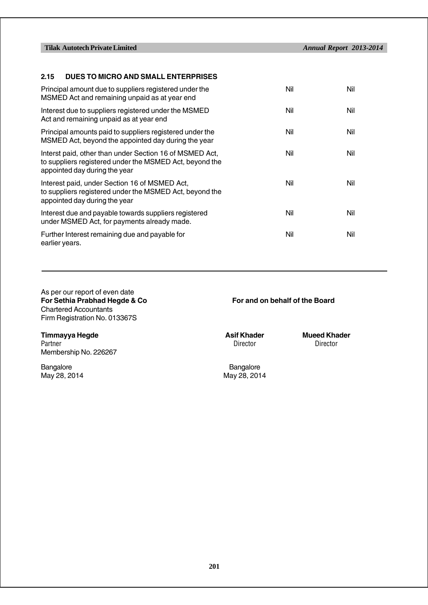#### **2.15 DUES TO MICRO AND SMALL ENTERPRISES**

| Principal amount due to suppliers registered under the<br>MSMED Act and remaining unpaid as at year end                                             | Nil | Nil |
|-----------------------------------------------------------------------------------------------------------------------------------------------------|-----|-----|
| Interest due to suppliers registered under the MSMED<br>Act and remaining unpaid as at year end                                                     | Nil | Nil |
| Principal amounts paid to suppliers registered under the<br>MSMED Act, beyond the appointed day during the year                                     | Nil | Nil |
| Interst paid, other than under Section 16 of MSMED Act,<br>to suppliers registered under the MSMED Act, beyond the<br>appointed day during the year | Nil | Nil |
| Interest paid, under Section 16 of MSMED Act,<br>to suppliers registered under the MSMED Act, beyond the<br>appointed day during the year           | Nil | Nil |
| Interest due and payable towards suppliers registered<br>under MSMED Act, for payments already made.                                                | Nil | Nil |
| Further Interest remaining due and payable for<br>earlier years.                                                                                    | Nil | Nil |

As per our report of even date For Sethia Prabhad Hegde & Co **For and on behalf of the Board** Chartered Accountants Firm Registration No. 013367S

Membership No. 226267

May 28, 2014

Partner Director Director Director Director Director Director Director Director

**Timmayya Hegde Asif Khader Asif Khader Asif Khader** Mueed Khader Partner Asid Reported Asif Reported Asif Reported Asif Partner Asia Director Asia Director Asia Director Asia Director Asia Director Asia Director Asia Dire

Bangalore Bangalore

**201**